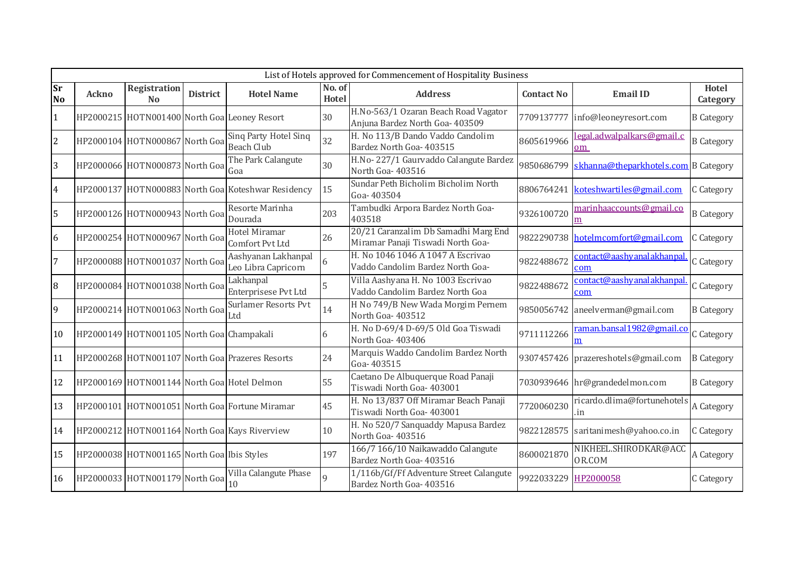|                 | List of Hotels approved for Commencement of Hospitality Business |                                            |                 |                                                    |                        |                                                                           |                      |                                         |                          |  |  |
|-----------------|------------------------------------------------------------------|--------------------------------------------|-----------------|----------------------------------------------------|------------------------|---------------------------------------------------------------------------|----------------------|-----------------------------------------|--------------------------|--|--|
| Sr<br><b>No</b> | <b>Ackno</b>                                                     | Registration<br><b>No</b>                  | <b>District</b> | <b>Hotel Name</b>                                  | No. of<br><b>Hotel</b> | <b>Address</b>                                                            | <b>Contact No</b>    | <b>Email ID</b>                         | <b>Hotel</b><br>Category |  |  |
|                 |                                                                  |                                            |                 | HP2000215 HOTN001400 North Goa Leoney Resort       | 30                     | H.No-563/1 Ozaran Beach Road Vagator<br>Anjuna Bardez North Goa- 403509   | 7709137777           | info@leoneyresort.com                   | <b>B</b> Category        |  |  |
| $\overline{c}$  |                                                                  | HP2000104 HOTN000867 North Goa             |                 | Sing Party Hotel Sing<br><b>Beach Club</b>         | 32                     | H. No 113/B Dando Vaddo Candolim<br>Bardez North Goa- 403515              | 8605619966           | <u>legal.adwalpalkars@gmail.c</u><br>om | <b>B</b> Category        |  |  |
| 3               |                                                                  | HP2000066 HOTN000873 North Goal Coa        |                 | The Park Calangute                                 | 30                     | H.No-227/1 Gaurvaddo Calangute Bardez<br>North Goa- 403516                | 9850686799           | skhanna@theparkhotels.com B Category    |                          |  |  |
| $\overline{4}$  |                                                                  |                                            |                 | HP2000137 HOTN000883 North Goa Koteshwar Residency | 15                     | Sundar Peth Bicholim Bicholim North<br>Goa-403504                         | 8806764241           | koteshwartiles@gmail.com                | C Category               |  |  |
| 5               |                                                                  | HP2000126 HOTN000943 North Goa             |                 | Resorte Marinha<br>Dourada                         | 203                    | Tambudki Arpora Bardez North Goa-<br>403518                               | 9326100720           | marinhaaccounts@gmail.co                | <b>B</b> Category        |  |  |
| 6               |                                                                  | HP2000254 HOTN000967 North Goa             |                 | Hotel Miramar<br>Comfort Pvt Ltd                   | 26                     | 20/21 Caranzalim Db Samadhi Marg End<br>Miramar Panaji Tiswadi North Goa- |                      | 9822290738 hotelmcomfort@gmail.com      | C Category               |  |  |
|                 |                                                                  | HP2000088 HOTN001037 North Goa             |                 | Aashyanan Lakhanpal<br>Leo Libra Capricorn         |                        | H. No 1046 1046 A 1047 A Escrivao<br>Vaddo Candolim Bardez North Goa-     | 9822488672           | <u>contact@aashyanalakhanpa</u><br>com  | C Category               |  |  |
| 8               |                                                                  | HP2000084 HOTN001038 North Goa             |                 | Lakhanpal<br>Enterprisese Pvt Ltd                  |                        | Villa Aashyana H. No 1003 Escrivao<br>Vaddo Candolim Bardez North Goa     | 9822488672           | contact@aashyanalakhanpa<br>com         | C Category               |  |  |
| 9               |                                                                  | HP2000214 HOTN001063 North Goal            |                 | <b>Surlamer Resorts Pvt</b>                        | 14                     | H No 749/B New Wada Morgim Pernem<br>North Goa-403512                     |                      | 9850056742 aneelverman@gmail.com        | <b>B</b> Category        |  |  |
| 10              |                                                                  | HP2000149 HOTN001105 North Goa Champakali  |                 |                                                    | 6                      | H. No D-69/4 D-69/5 Old Goa Tiswadi<br>North Goa-403406                   | 9711112266           | raman.bansal1982@gmail.co<br>m          | C Category               |  |  |
| 11              |                                                                  |                                            |                 | HP2000268 HOTN001107 North Goa Prazeres Resorts    | 24                     | Marquis Waddo Candolim Bardez North<br>Goa-403515                         |                      | 9307457426 prazereshotels@gmail.com     | <b>B</b> Category        |  |  |
| 12              |                                                                  |                                            |                 | HP2000169 HOTN001144 North Goa Hotel Delmon        | 55                     | Caetano De Albuquerque Road Panaji<br>Tiswadi North Goa- 403001           |                      | 7030939646 hr@grandedelmon.com          | <b>B</b> Category        |  |  |
| 13              |                                                                  |                                            |                 | HP2000101 HOTN001051 North Goa Fortune Miramar     | 45                     | H. No 13/837 Off Miramar Beach Panaji<br>Tiswadi North Goa- 403001        | 7720060230           | ricardo.dlima@fortunehotels<br>.ın      | A Category               |  |  |
| 14              |                                                                  |                                            |                 | HP2000212 HOTN001164 North Goa Kays Riverview      | 10                     | H. No 520/7 Sanquaddy Mapusa Bardez<br>North Goa-403516                   | 9822128575           | saritanimesh@yahoo.co.in                | C Category               |  |  |
| 15              |                                                                  | HP2000038 HOTN001165 North Goa Ibis Styles |                 |                                                    | 197                    | 166/7 166/10 Naikawaddo Calangute<br>Bardez North Goa- 403516             | 8600021870           | NIKHEEL.SHIRODKAR@AC<br>OR.COM          | A Category               |  |  |
| 16              |                                                                  | HP2000033 HOTN001179 North Goa             |                 | Villa Calangute Phase<br>10                        |                        | 1/116b/Gf/Ff Adventure Street Calangute<br>Bardez North Goa- 403516       | 9922033229 HP2000058 |                                         | C Category               |  |  |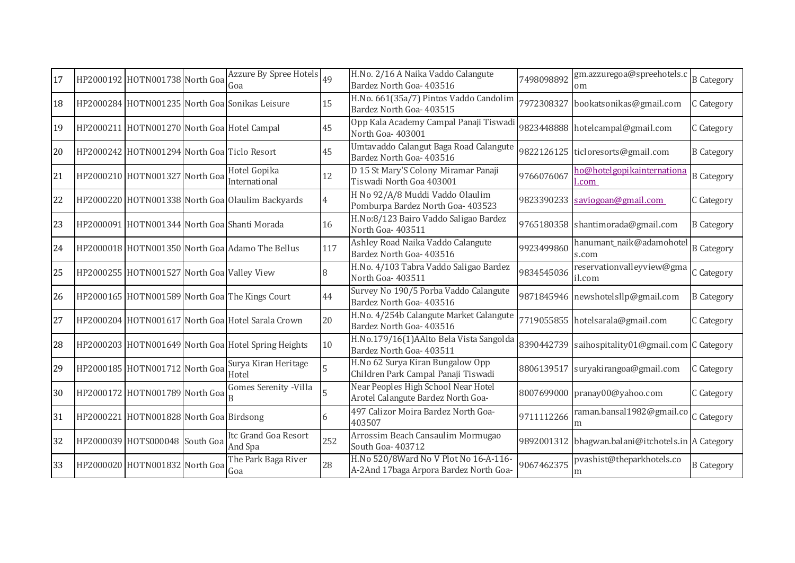| 17 | HP2000192 HOTN001738 North Goa              | Azzure By Spree Hotels 49<br>Goa                    |     | H.No. 2/16 A Naika Vaddo Calangute<br>Bardez North Goa- 403516                  | 7498098892 | gm.azzuregoa@spreehotels.c<br><sub>om</sub>       | <b>B</b> Category |
|----|---------------------------------------------|-----------------------------------------------------|-----|---------------------------------------------------------------------------------|------------|---------------------------------------------------|-------------------|
| 18 |                                             | HP2000284 HOTN001235 North Goa Sonikas Leisure      | 15  | H.No. 661(35a/7) Pintos Vaddo Candolim<br>Bardez North Goa- 403515              | 7972308327 | bookatsonikas@gmail.com                           | C Category        |
| 19 | HP2000211 HOTN001270 North Goa Hotel Campal |                                                     | 45  | Opp Kala Academy Campal Panaji Tiswadi<br>North Goa-403001                      |            | 9823448888 hotelcampal@gmail.com                  | C Category        |
| 20 | HP2000242 HOTN001294 North Goa Ticlo Resort |                                                     | 45  | Umtavaddo Calangut Baga Road Calangute<br>Bardez North Goa- 403516              |            | 9822126125 ticloresorts@gmail.com                 | <b>B</b> Category |
| 21 | HP2000210 HOTN001327 North Goa              | Hotel Gopika<br>International                       | 12  | D 15 St Mary'S Colony Miramar Panaji<br>Tiswadi North Goa 403001                | 9766076067 | ho@hotelgopikainternationa<br>.com                | <b>B</b> Category |
| 22 |                                             | HP2000220 HOTN001338 North Goa Olaulim Backyards    |     | H No 92/A/8 Muddi Vaddo Olaulim<br>Pomburpa Bardez North Goa- 403523            | 9823390233 | saviogoan@gmail.com                               | C Category        |
| 23 |                                             | HP2000091 HOTN001344 North Goa Shanti Morada        | 16  | H.No:8/123 Bairo Vaddo Saligao Bardez<br>North Goa-403511                       |            | 9765180358 shantimorada@gmail.com                 | <b>B</b> Category |
| 24 |                                             | HP2000018 HOTN001350 North Goa Adamo The Bellus     | 117 | Ashley Road Naika Vaddo Calangute<br>Bardez North Goa- 403516                   | 9923499860 | hanumant_naik@adamohotel<br>s.com                 | <b>B</b> Category |
| 25 | HP2000255 HOTN001527 North Goa Valley View  |                                                     |     | H.No. 4/103 Tabra Vaddo Saligao Bardez<br>North Goa-403511                      | 9834545036 | reservationvalleyview@gma<br>il.com               | C Category        |
| 26 |                                             | HP2000165 HOTN001589 North Goa The Kings Court      | 44  | Survey No 190/5 Porba Vaddo Calangute<br>Bardez North Goa- 403516               |            | 9871845946 newshotelsllp@gmail.com                | <b>B</b> Category |
| 27 |                                             | HP2000204 HOTN001617 North Goa Hotel Sarala Crown   | 20  | H.No. 4/254b Calangute Market Calangute<br>Bardez North Goa- 403516             |            | 7719055855 hotelsarala@gmail.com                  | C Category        |
| 28 |                                             | HP2000203 HOTN001649 North Goa Hotel Spring Heights | 10  | H.No.179/16(1)AAlto Bela Vista Sangolda<br>Bardez North Goa- 403511             | 8390442739 | saihospitality01@gmail.com C Category             |                   |
| 29 | HP2000185 HOTN001712 North Goa              | Surya Kiran Heritage<br>Hotel                       |     | H.No 62 Surya Kiran Bungalow Opp<br>Children Park Campal Panaji Tiswadi         | 8806139517 | suryakirangoa@gmail.com                           | C Category        |
| 30 | HP2000172 HOTN001789 North Goa              | Gomes Serenity - Villa                              |     | Near Peoples High School Near Hotel<br>Arotel Calangute Bardez North Goa-       |            | 8007699000 pranay00@yahoo.com                     | C Category        |
| 31 | HP2000221 HOTN001828 North Goa Birdsong     |                                                     | 6   | 497 Calizor Moira Bardez North Goa-<br>403507                                   | 9711112266 | raman.bansal1982@gmail.co C Category              |                   |
| 32 | HP2000039 HOTS000048 South Goa              | Itc Grand Goa Resort<br>And Spa                     | 252 | Arrossim Beach Cansaulim Mormugao<br>South Goa- 403712                          |            | 9892001312 bhagwan.balani@itchotels.in A Category |                   |
| 33 | HP2000020 HOTN001832 North Goa              | The Park Baga River<br>Goa                          | 28  | H.No 520/8Ward No V Plot No 16-A-116-<br>A-2And 17baga Arpora Bardez North Goa- | 9067462375 | pvashist@theparkhotels.co<br>m                    | <b>B</b> Category |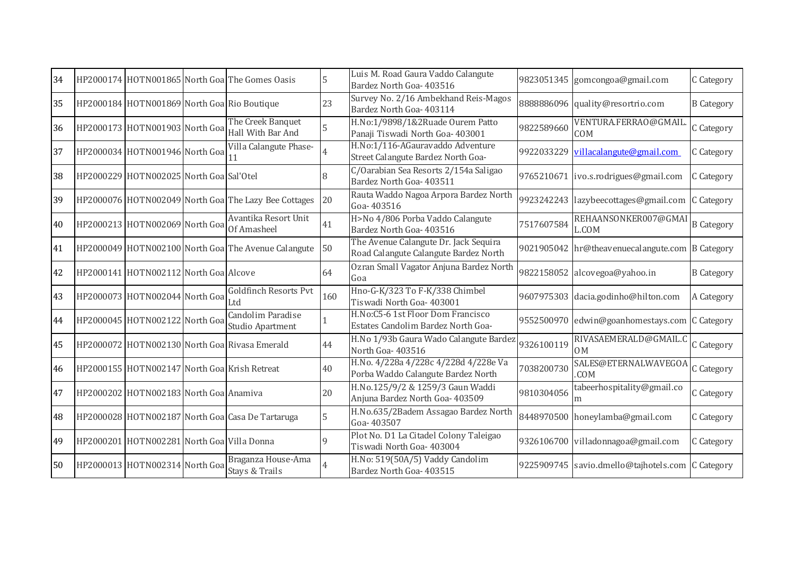| 34 |                                              | HP2000174 HOTN001865 North Goa The Gomes Oasis                         | 5   | Luis M. Road Gaura Vaddo Calangute<br>Bardez North Goa- 403516                 |            | 9823051345 gomcongoa@gmail.com                  | C Category        |
|----|----------------------------------------------|------------------------------------------------------------------------|-----|--------------------------------------------------------------------------------|------------|-------------------------------------------------|-------------------|
| 35 | HP2000184 HOTN001869 North Goa Rio Boutique  |                                                                        | 23  | Survey No. 2/16 Ambekhand Reis-Magos<br>Bardez North Goa- 403114               |            | 8888886096 quality@resortrio.com                | <b>B</b> Category |
| 36 |                                              | The Creek Banquet<br>HP2000173 HOTN001903 North Goal Hall With Bar And | 5   | H.No:1/9898/1&2Ruade Ourem Patto<br>Panaji Tiswadi North Goa- 403001           | 9822589660 | VENTURA.FERRAO@GMAIL<br>COM                     | C Category        |
| 37 | HP2000034 HOTN001946 North Goa 11            | Villa Calangute Phase-                                                 |     | H.No:1/116-AGauravaddo Adventure<br>Street Calangute Bardez North Goa-         | 9922033229 | villacalangute@gmail.com                        | C Category        |
| 38 | HP2000229 HOTN002025 North Goa Sal'Otel      |                                                                        |     | C/Oarabian Sea Resorts 2/154a Saligao<br>Bardez North Goa- 403511              |            | 9765210671 ivo.s.rodrigues@gmail.com            | C Category        |
| 39 |                                              | HP2000076 HOTN002049 North Goa The Lazy Bee Cottages                   | 20  | Rauta Waddo Nagoa Arpora Bardez North<br>Goa-403516                            |            | 9923242243 lazybeecottages@gmail.com            | C Category        |
| 40 | HP2000213 HOTN002069 North Goa               | Avantika Resort Unit<br>Of Amasheel                                    | 41  | H>No 4/806 Porba Vaddo Calangute<br>Bardez North Goa- 403516                   | 7517607584 | REHAANSONKER007@GMA<br>L.COM                    | <b>B</b> Category |
| 41 |                                              | HP2000049 HOTN002100 North Goa The Avenue Calangute                    | 50  | The Avenue Calangute Dr. Jack Sequira<br>Road Calangute Calangute Bardez North |            | 9021905042 hr@theavenuecalangute.com B Category |                   |
| 42 | HP2000141 HOTN002112 North Goa Alcove        |                                                                        | 64  | Ozran Small Vagator Anjuna Bardez North<br>Goa                                 |            | 9822158052 alcovegoa@yahoo.in                   | <b>B</b> Category |
| 43 | HP2000073 HOTN002044 North Goa               | <b>Goldfinch Resorts Pvt</b>                                           | 160 | Hno-G-K/323 To F-K/338 Chimbel<br>Tiswadi North Goa- 403001                    |            | 9607975303 dacia.godinho@hilton.com             | A Category        |
| 44 | HP2000045 HOTN002122 North Goa               | Candolim Paradise<br>Studio Apartment                                  |     | H.No:C5-6 1st Floor Dom Francisco<br>Estates Candolim Bardez North Goa-        |            | 9552500970 edwin@goanhomestays.com              | C Category        |
| 45 |                                              | HP2000072 HOTN002130 North Goa Rivasa Emerald                          | 44  | H.No 1/93b Gaura Wado Calangute Bardez<br>North Goa-403516                     | 9326100119 | RIVASAEMERALD@GMAIL.C<br>0 <sub>M</sub>         | C Category        |
| 46 | HP2000155 HOTN002147 North Goa Krish Retreat |                                                                        | 40  | H.No. 4/228a 4/228c 4/228d 4/228e Va<br>Porba Waddo Calangute Bardez North     | 7038200730 | SALES@ETERNALWAVEGOA<br>.COM                    | C Category        |
| 47 | HP2000202 HOTN002183 North Goa Anamiva       |                                                                        | 20  | H.No.125/9/2 & 1259/3 Gaun Waddi<br>Anjuna Bardez North Goa- 403509            | 9810304056 | tabeerhospitality@gmail.co<br>m                 | C Category        |
| 48 |                                              | HP2000028 HOTN002187 North Goa Casa De Tartaruga                       | 5   | H.No.635/2Badem Assagao Bardez North<br>Goa-403507                             |            | 8448970500 honeylamba@gmail.com                 | C Category        |
| 49 | HP2000201 HOTN002281 North Goa Villa Donna   |                                                                        | 9   | Plot No. D1 La Citadel Colony Taleigao<br>Tiswadi North Goa- 403004            |            | 9326106700 villadonnagoa@gmail.com              | C Category        |
| 50 | HP2000013 HOTN002314 North Goa               | Braganza House-Ama<br>Stays & Trails                                   |     | H.No: 519(50A/5) Vaddy Candolim<br>Bardez North Goa- 403515                    |            | 9225909745 savio.dmello@tajhotels.com           | C Category        |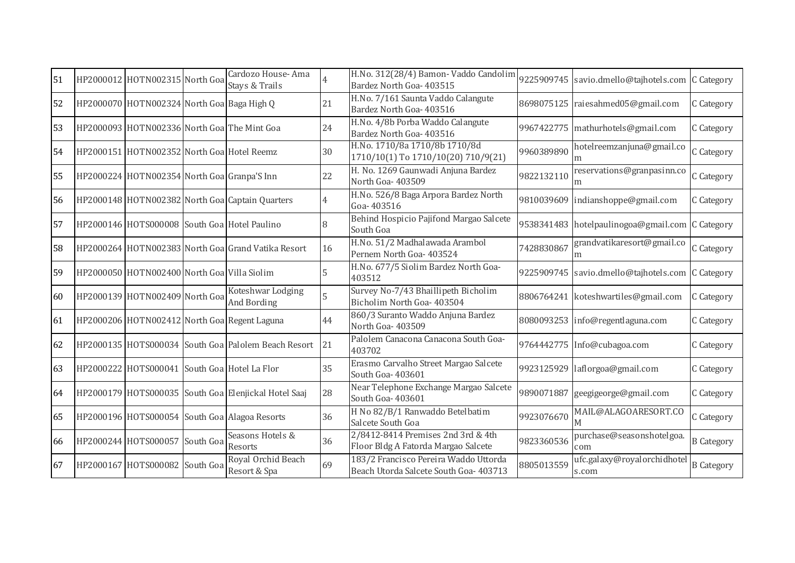| 51 | HP2000012 HOTN002315 North Goa               | Cardozo House-Ama<br>Stays & Trails                  |    | H.No. 312(28/4) Bamon-Vaddo Candolim<br>Bardez North Goa- 403515                |            | 9225909745 savio.dmello@tajhotels.com C Category |                   |
|----|----------------------------------------------|------------------------------------------------------|----|---------------------------------------------------------------------------------|------------|--------------------------------------------------|-------------------|
| 52 | HP2000070 HOTN002324 North Goa Baga High Q   |                                                      | 21 | H.No. 7/161 Saunta Vaddo Calangute<br>Bardez North Goa- 403516                  |            | 8698075125 raiesahmed05@gmail.com                | C Category        |
| 53 | HP2000093 HOTN002336 North Goa The Mint Goa  |                                                      | 24 | H.No. 4/8b Porba Waddo Calangute<br>Bardez North Goa- 403516                    |            | 9967422775 mathurhotels@gmail.com                | C Category        |
| 54 | HP2000151 HOTN002352 North Goa Hotel Reemz   |                                                      | 30 | H.No. 1710/8a 1710/8b 1710/8d<br>1710/10(1) To 1710/10(20) 710/9(21)            | 9960389890 | hotelreemzanjuna@gmail.co<br>m                   | C Category        |
| 55 | HP2000224 HOTN002354 North Goa Granpa'S Inn  |                                                      | 22 | H. No. 1269 Gaunwadi Anjuna Bardez<br>North Goa- 403509                         | 9822132110 | reservations@granpasinn.co<br>m                  | C Category        |
| 56 |                                              | HP2000148 HOTN002382 North Goa Captain Quarters      | 4  | H.No. 526/8 Baga Arpora Bardez North<br>Goa-403516                              |            | 9810039609 indianshoppe@gmail.com                | C Category        |
| 57 | HP2000146 HOTS000008 South Goa Hotel Paulino |                                                      | 8  | Behind Hospicio Pajifond Margao Salcete<br>South Goa                            |            | 9538341483 hotelpaulinogoa@gmail.com C Category  |                   |
| 58 |                                              | HP2000264 HOTN002383 North Goal Grand Vatika Resort  | 16 | H.No. 51/2 Madhalawada Arambol<br>Pernem North Goa- 403524                      | 7428830867 | grandvatikaresort@gmail.co<br>m                  | C Category        |
| 59 | HP2000050 HOTN002400 North Goa Villa Siolim  |                                                      |    | H.No. 677/5 Siolim Bardez North Goa-<br>403512                                  |            | 9225909745 savio.dmello@tajhotels.com C Category |                   |
| 60 | HP2000139 HOTN002409 North Goa               | Koteshwar Lodging<br>And Bording                     | 5  | Survey No-7/43 Bhaillipeth Bicholim<br>Bicholim North Goa- 403504               |            | 8806764241 koteshwartiles@gmail.com              | C Category        |
| 61 |                                              | HP2000206 HOTN002412 North Goa Regent Laguna         | 44 | 860/3 Suranto Waddo Anjuna Bardez<br>North Goa-403509                           |            | 8080093253 info@regentlaguna.com                 | C Category        |
| 62 |                                              | HP2000135 HOTS000034 South Goa Palolem Beach Resort  | 21 | Palolem Canacona Canacona South Goa-<br>403702                                  |            | 9764442775 Info@cubagoa.com                      | C Category        |
| 63 | HP2000222 HOTS000041 South Goa Hotel La Flor |                                                      | 35 | Erasmo Carvalho Street Margao Salcete<br>South Goa- 403601                      |            | 9923125929 laflorgoa@gmail.com                   | C Category        |
| 64 |                                              | HP2000179 HOTS000035 South Goa Elenjickal Hotel Saaj | 28 | Near Telephone Exchange Margao Salcete<br>South Goa-403601                      | 9890071887 | geegigeorge@gmail.com                            | C Category        |
| 65 |                                              | HP2000196 HOTS000054 South Goa Alagoa Resorts        | 36 | H No 82/B/1 Ranwaddo Betelbatim<br>Salcete South Goa                            | 9923076670 | MAIL@ALAGOARESORT.CO                             | C Category        |
| 66 | HP2000244 HOTS000057 South Goa               | Seasons Hotels &<br>Resorts                          | 36 | 2/8412-8414 Premises 2nd 3rd & 4th<br>Floor Bldg A Fatorda Margao Salcete       | 9823360536 | purchase@seasonshotelgoa.<br>com                 | <b>B</b> Category |
| 67 | HP2000167 HOTS000082 South Goa               | Royal Orchid Beach<br>Resort & Spa                   | 69 | 183/2 Francisco Pereira Waddo Uttorda<br>Beach Utorda Salcete South Goa- 403713 | 8805013559 | ufc.galaxy@royalorchidhotel<br>s.com             | <b>B</b> Category |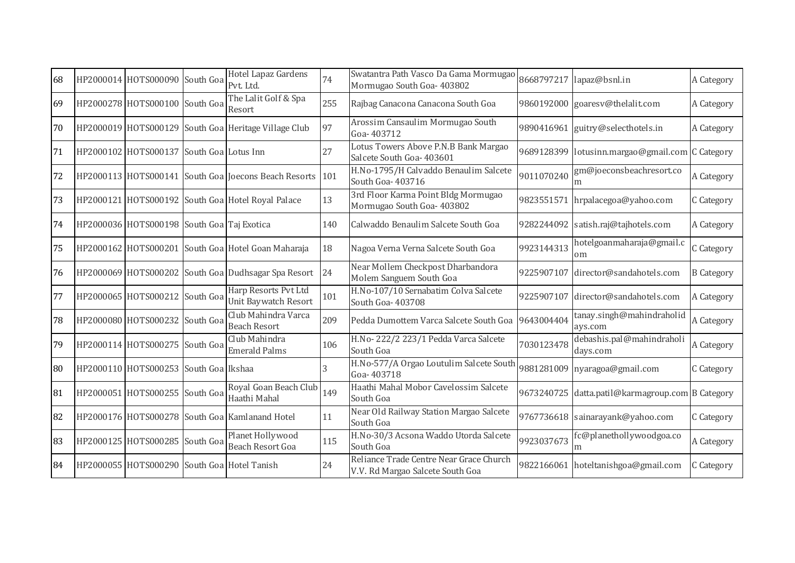| 68 | HP2000014 HOTS000090 South Goa              | Hotel Lapaz Gardens<br>Pvt. Ltd.                     | 74  | Swatantra Path Vasco Da Gama Mormugao<br>Mormugao South Goa- 403802         | 8668797217 | lapaz@bsnl.in                                    | A Category        |
|----|---------------------------------------------|------------------------------------------------------|-----|-----------------------------------------------------------------------------|------------|--------------------------------------------------|-------------------|
| 69 | HP2000278 HOTS000100 South Goa              | The Lalit Golf & Spa<br>Resort                       | 255 | Rajbag Canacona Canacona South Goa                                          |            | 9860192000 goaresv@thelalit.com                  | A Category        |
| 70 |                                             | HP2000019 HOTS000129 South Goa Heritage Village Club | 97  | Arossim Cansaulim Mormugao South<br>Goa-403712                              |            | 9890416961 guitry@selecthotels.in                | A Category        |
| 71 | HP2000102 HOTS000137 South Goa Lotus Inn    |                                                      | 27  | Lotus Towers Above P.N.B Bank Margao<br>Salcete South Goa- 403601           |            | 9689128399 lotusinn.margao@gmail.com C Category  |                   |
| 72 |                                             | HP2000113 HOTS000141 South Goa Joecons Beach Resorts | 101 | H.No-1795/H Calvaddo Benaulim Salcete<br>South Goa- 403716                  | 9011070240 | gm@joeconsbeachresort.co                         | A Category        |
| 73 |                                             | HP2000121 HOTS000192 South Goa Hotel Royal Palace    | 13  | 3rd Floor Karma Point Bldg Mormugao<br>Mormugao South Goa- 403802           | 9823551571 | hrpalacegoa@yahoo.com                            | C Category        |
| 74 | HP2000036 HOTS000198 South Goa Taj Exotica  |                                                      | 140 | Calwaddo Benaulim Salcete South Goa                                         |            | 9282244092 satish.raj@tajhotels.com              | A Category        |
| 75 |                                             | HP2000162 HOTS000201 South Goa Hotel Goan Maharaja   | 18  | Nagoa Verna Verna Salcete South Goa                                         | 9923144313 | hotelgoanmaharaja@gmail.c<br>om                  | C Category        |
| 76 |                                             | HP2000069 HOTS000202 South Goa Dudhsagar Spa Resort  | 24  | Near Mollem Checkpost Dharbandora<br>Molem Sanguem South Goa                | 9225907107 | director@sandahotels.com                         | <b>B</b> Category |
| 77 | HP2000065 HOTS000212 South Goa              | Harp Resorts Pvt Ltd<br><b>Unit Baywatch Resort</b>  | 101 | H.No-107/10 Sernabatim Colva Salcete<br>South Goa- 403708                   | 9225907107 | director@sandahotels.com                         | A Category        |
| 78 | HP2000080 HOTS000232 South Goa              | Club Mahindra Varca<br><b>Beach Resort</b>           | 209 | Pedda Dumottem Varca Salcete South Goa                                      | 9643004404 | tanay.singh@mahindraholid<br>ays.com             | A Category        |
| 79 | HP2000114 HOTS000275 South Goa              | Club Mahindra<br><b>Emerald Palms</b>                | 106 | H.No-222/2 223/1 Pedda Varca Salcete<br>South Goa                           | 7030123478 | debashis.pal@mahindraholi<br>days.com            | A Category        |
| 80 | HP2000110 HOTS000253 South Goa Ikshaa       |                                                      | 3   | H.No-577/A Orgao Loutulim Salcete South<br>Goa-403718                       |            | 9881281009 nyaragoa@gmail.com                    | C Category        |
| 81 | HP2000051 HOTS000255 South Goa              | Royal Goan Beach Club<br>Haathi Mahal                | 149 | Haathi Mahal Mobor Cavelossim Salcete<br>South Goa                          |            | 9673240725 datta.patil@karmagroup.com B Category |                   |
| 82 |                                             | HP2000176 HOTS000278 South Goa Kamlanand Hotel       | 11  | Near Old Railway Station Margao Salcete<br>South Goa                        |            | 9767736618 sainarayank@yahoo.com                 | C Category        |
| 83 | HP2000125 HOTS000285 South Goa              | Planet Hollywood<br>Beach Resort Goa                 | 115 | H.No-30/3 Acsona Waddo Utorda Salcete<br>South Goa                          | 9923037673 | fc@planethollywoodgoa.co                         | A Category        |
| 84 | HP2000055 HOTS000290 South Goa Hotel Tanish |                                                      | 24  | Reliance Trade Centre Near Grace Church<br>V.V. Rd Margao Salcete South Goa |            | 9822166061 hoteltanishgoa@gmail.com              | C Category        |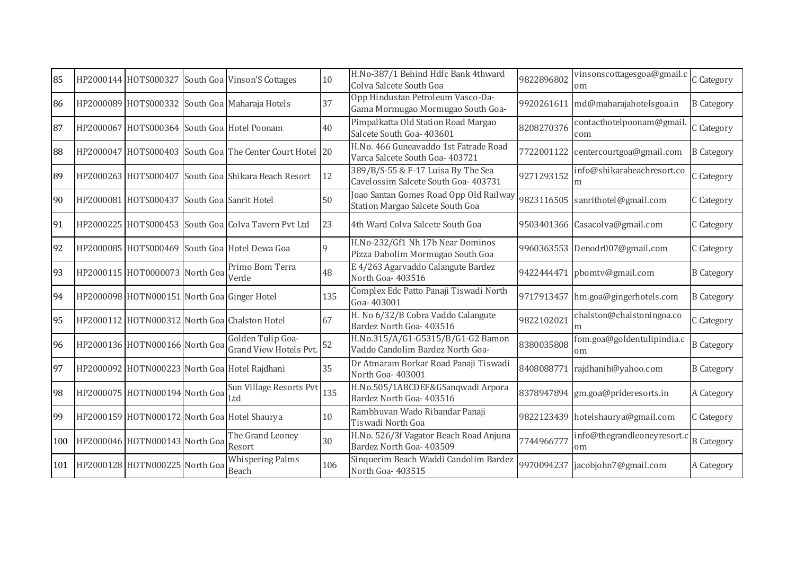| 85  | HP2000144 HOTS000327                        | South Goa Vinson'S Cottages                              | 10           | H.No-387/1 Behind Hdfc Bank 4thward<br>Colva Salcete South Goa             | 9822896802 | vinsonscottagesgoa@gmail.c<br>om  | C Category        |
|-----|---------------------------------------------|----------------------------------------------------------|--------------|----------------------------------------------------------------------------|------------|-----------------------------------|-------------------|
| 86  |                                             | HP2000089 HOTS000332 South Goa Maharaja Hotels           | 37           | Opp Hindustan Petroleum Vasco-Da-<br>Gama Mormugao Mormugao South Goa-     | 9920261611 | md@maharajahotelsgoa.in           | <b>B</b> Category |
| 87  |                                             | HP2000067 HOTS000364 South Goa Hotel Poonam              | 40           | Pimpalkatta Old Station Road Margao<br>Salcete South Goa- 403601           | 8208270376 | contacthotelpoonam@gmail<br>com   | C Category        |
| 88  |                                             | HP2000047 HOTS000403 South Goa The Center Court Hotel 20 |              | H.No. 466 Guneavaddo 1st Fatrade Road<br>Varca Salcete South Goa- 403721   | 7722001122 | centercourtgoa@gmail.com          | <b>B</b> Category |
| 89  |                                             | HP2000263 HOTS000407 South Goa Shikara Beach Resort      | 12           | 389/B/S-55 & F-17 Luisa By The Sea<br>Cavelossim Salcete South Goa- 403731 | 9271293152 | info@shikarabeachresort.co<br>m   | C Category        |
| 90  | HP2000081 HOTS000437                        | South Goa Sanrit Hotel                                   | 50           | Joao Santan Gomes Road Opp Old Railway<br>Station Margao Salcete South Goa | 9823116505 | sanrithotel@gmail.com             | C Category        |
| 91  |                                             | HP2000225 HOTS000453 South Goa Colva Tavern Pvt Ltd      | 23           | 4th Ward Colva Salcete South Goa                                           | 9503401366 | Casacolva@gmail.com               | C Category        |
| 92  |                                             | HP2000085 HOTS000469 South Goa Hotel Dewa Goa            | $\mathbf{Q}$ | H.No-232/Gf1 Nh 17b Near Dominos<br>Pizza Dabolim Mormugao South Goa       |            | 9960363553 Denodr007@gmail.com    | C Category        |
| 93  | HP2000115 HOT0000073 North Goa              | Primo Bom Terra<br>Verde                                 | 48           | E 4/263 Agarvaddo Calangute Bardez<br>North Goa-403516                     | 9422444471 | pbomtv@gmail.com                  | <b>B</b> Category |
| 94  | HP2000098 HOTN000151 North Goa Ginger Hotel |                                                          | 135          | Complex Edc Patto Panaji Tiswadi North<br>Goa-403001                       | 9717913457 | hm.goa@gingerhotels.com           | <b>B</b> Category |
| 95  |                                             | HP2000112 HOTN000312 North Goa Chalston Hotel            | 67           | H. No 6/32/B Cobra Vaddo Calangute<br>Bardez North Goa- 403516             | 9822102021 | chalston@chalstoningoa.co         | C Category        |
| 96  | HP2000136 HOTN000166 North Goa              | Golden Tulip Goa-<br>Grand View Hotels Pvt.              | 52           | H.No.315/A/G1-G5315/B/G1-G2 Bamon<br>Vaddo Candolim Bardez North Goa-      | 8380035808 | fom.goa@goldentulipindia.c<br>om  | <b>B</b> Category |
| 97  |                                             | HP2000092 HOTN000223 North Goa Hotel Rajdhani            | 35           | Dr Atmaram Borkar Road Panaji Tiswadi<br>North Goa-403001                  | 8408088771 | rajdhanih@yahoo.com               | <b>B</b> Category |
| 98  | HP2000075 HOTN000194 North Goa              | Sun Village Resorts Pvt<br>Ltd                           | 135          | H.No.505/1ABCDEF&GSanqwadi Arpora<br>Bardez North Goa- 403516              |            | 8378947894 gm.goa@prideresorts.in | A Category        |
| 99  |                                             | HP2000159 HOTN000172 North Goa Hotel Shaurya             | 10           | Rambhuvan Wado Ribandar Panaji<br>Tiswadi North Goa                        |            | 9822123439 hotelshaurya@gmail.com | C Category        |
| 100 | HP2000046 HOTN000143 North Goa              | The Grand Leoney<br>Resort                               | 30           | H.No. 526/3f Vagator Beach Road Anjuna<br>Bardez North Goa- 403509         | 7744966777 | info@thegrandleoneyresort.c<br>om | <b>B</b> Category |
| 101 | HP2000128 HOTN000225 North Goa              | <b>Whispering Palms</b><br>Beach                         | 106          | Sinquerim Beach Waddi Candolim Bardez<br>North Goa-403515                  | 9970094237 | jacobjohn7@gmail.com              | A Category        |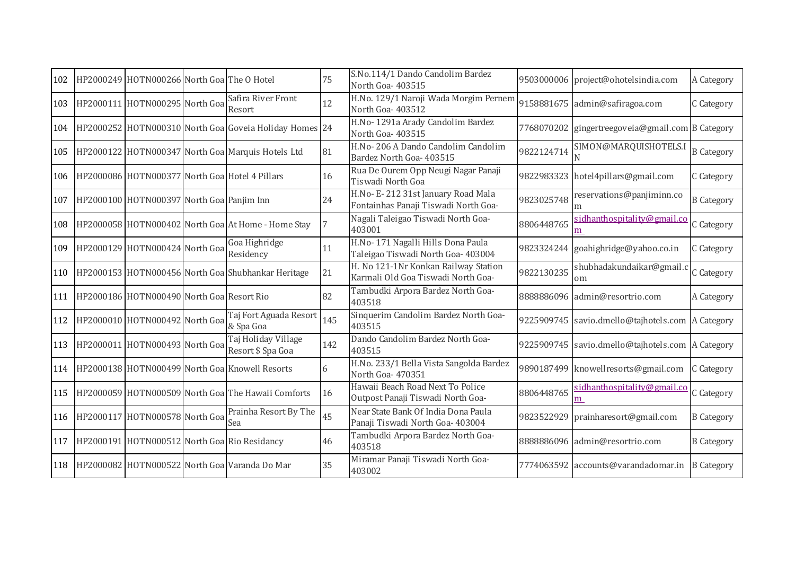| 102 | HP2000249 HOTN000266 North Goa The O Hotel    |                                                         | 75  | S.No.114/1 Dando Candolim Bardez<br>North Goa- 403515                      |            | 9503000006 project@ohotelsindia.com              | A Category        |
|-----|-----------------------------------------------|---------------------------------------------------------|-----|----------------------------------------------------------------------------|------------|--------------------------------------------------|-------------------|
| 103 | HP2000111 HOTN000295 North Goa                | Safira River Front<br>Resort                            | 12  | H.No. 129/1 Naroji Wada Morgim Pernem<br>North Goa-403512                  |            | 9158881675 admin@safiragoa.com                   | C Category        |
| 104 |                                               | HP2000252 HOTN000310 North Goal Goveia Holiday Homes 24 |     | H.No-1291a Arady Candolim Bardez<br>North Goa-403515                       |            | 7768070202 gingertreegoveia@gmail.com B Category |                   |
| 105 |                                               | HP2000122 HOTN000347 North Goa Marquis Hotels Ltd       | 81  | H.No-206 A Dando Candolim Candolim<br>Bardez North Goa- 403515             | 9822124714 | SIMON@MARQUISHOTELS.                             | <b>B</b> Category |
|     |                                               | 106 HP2000086 HOTN000377 North Goa Hotel 4 Pillars      | 16  | Rua De Ourem Opp Neugi Nagar Panaji<br>Tiswadi North Goa                   |            | 9822983323 hotel4pillars@gmail.com               | C Category        |
| 107 | HP2000100 HOTN000397 North Goa Panjim Inn     |                                                         | 24  | H.No- E-212 31st January Road Mala<br>Fontainhas Panaji Tiswadi North Goa- | 9823025748 | reservations@panjiminn.co                        | <b>B</b> Category |
| 108 |                                               | HP2000058 HOTN000402 North Goa At Home - Home Stay      |     | Nagali Taleigao Tiswadi North Goa-<br>403001                               | 8806448765 | sidhanthospitality@gmail.co<br>m                 | C Category        |
| 109 | HP2000129 HOTN000424 North Goa                | Goa Highridge<br>Residency                              | 11  | H.No-171 Nagalli Hills Dona Paula<br>Taleigao Tiswadi North Goa- 403004    |            | 9823324244 goahighridge@yahoo.co.in              | C Category        |
| 110 |                                               | HP2000153 HOTN000456 North Goa Shubhankar Heritage      | 21  | H. No 121-1Nr Konkan Railway Station<br>Karmali Old Goa Tiswadi North Goa- | 9822130235 | shubhadakundaikar@gmail.<br>om                   | C Category        |
|     | 111 HP2000186 HOTN000490 North Goa Resort Rio |                                                         | 82  | Tambudki Arpora Bardez North Goa-<br>403518                                |            | 8888886096 admin@resortrio.com                   | A Category        |
| 112 | HP2000010 HOTN000492 North Goa                | Taj Fort Aguada Resort<br>& Spa Goa                     | 145 | Sinquerim Candolim Bardez North Goa-<br>403515                             |            | 9225909745 savio.dmello@tajhotels.com            | A Category        |
| 113 | HP2000011 HOTN000493 North Goa                | Taj Holiday Village<br>Resort \$ Spa Goa                | 142 | Dando Candolim Bardez North Goa-<br>403515                                 |            | 9225909745 savio.dmello@tajhotels.com A Category |                   |
| 114 |                                               | HP2000138 HOTN000499 North Goa Knowell Resorts          | 6   | H.No. 233/1 Bella Vista Sangolda Bardez<br>North Goa-470351                |            | 9890187499 knowellresorts@gmail.com              | C Category        |
| 115 |                                               | HP2000059 HOTN000509 North Goa The Hawaii Comforts      | 16  | Hawaii Beach Road Next To Police<br>Outpost Panaji Tiswadi North Goa-      | 8806448765 | sidhanthospitality@gmail.co<br>m                 | C Category        |
|     | 116 HP2000117 HOTN000578 North Goa            | Prainha Resort By The<br>Sea                            | 45  | Near State Bank Of India Dona Paula<br>Panaji Tiswadi North Goa- 403004    | 9823522929 | prainharesort@gmail.com                          | <b>B</b> Category |
|     |                                               | 117 HP2000191 HOTN000512 North Goa Rio Residancy        | 46  | Tambudki Arpora Bardez North Goa-<br>403518                                |            | 8888886096 admin@resortrio.com                   | <b>B</b> Category |
|     |                                               | 118 HP2000082 HOTN000522 North Goa Varanda Do Mar       | 35  | Miramar Panaji Tiswadi North Goa-<br>403002                                |            | 7774063592 accounts@varandadomar.in              | <b>B</b> Category |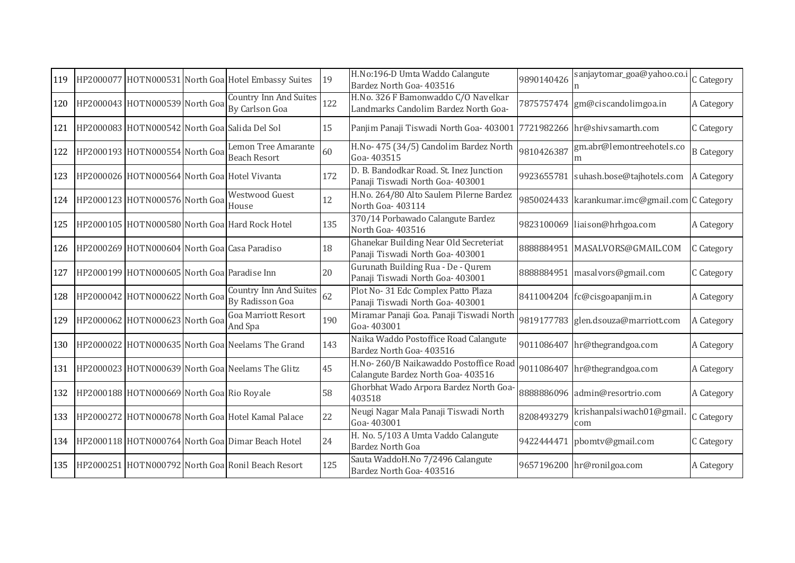| 119 |                                               | HP2000077 HOTN000531 North Goa Hotel Embassy Suites  | 19  | H.No:196-D Umta Waddo Calangute<br>Bardez North Goa- 403516                 | 9890140426 | sanjaytomar_goa@yahoo.co.i                     | C Category        |
|-----|-----------------------------------------------|------------------------------------------------------|-----|-----------------------------------------------------------------------------|------------|------------------------------------------------|-------------------|
| 120 | HP2000043 HOTN000539 North Goa                | <b>Country Inn And Suites</b><br>By Carlson Goa      | 122 | H.No. 326 F Bamonwaddo C/O Navelkar<br>Landmarks Candolim Bardez North Goa- |            | 7875757474 gm@ciscandolimgoa.in                | A Category        |
| 121 | HP2000083 HOTN000542 North Goa Salida Del Sol |                                                      | 15  | Panjim Panaji Tiswadi North Goa- 403001 7721982266 hr@shivsamarth.com       |            |                                                | C Category        |
| 122 | HP2000193 HOTN000554 North Goa                | Lemon Tree Amarante<br><b>Beach Resort</b>           | 60  | H.No- 475 (34/5) Candolim Bardez North<br>Goa-403515                        | 9810426387 | gm.abr@lemontreehotels.co<br>m                 | <b>B</b> Category |
| 123 | HP2000026 HOTN000564 North Goa Hotel Vivanta  |                                                      | 172 | D. B. Bandodkar Road. St. Inez Junction<br>Panaji Tiswadi North Goa- 403001 | 9923655781 | suhash.bose@tajhotels.com                      | A Category        |
| 124 | HP2000123 HOTN000576 North Goa                | <b>Westwood Guest</b><br>House                       | 12  | H.No. 264/80 Alto Saulem Pilerne Bardez<br>North Goa-403114                 |            | 9850024433 karankumar.imc@gmail.com C Category |                   |
| 125 |                                               | HP2000105 HOTN000580 North Goa Hard Rock Hotel       | 135 | 370/14 Porbawado Calangute Bardez<br>North Goa-403516                       |            | 9823100069 liaison@hrhgoa.com                  | A Category        |
| 126 | HP2000269 HOTN000604 North Goa Casa Paradiso  |                                                      | 18  | Ghanekar Building Near Old Secreteriat<br>Panaji Tiswadi North Goa- 403001  |            | 8888884951 MASALVORS@GMAIL.COM                 | C Category        |
| 127 | HP2000199 HOTN000605 North Goa Paradise Inn   |                                                      | 20  | Gurunath Building Rua - De - Qurem<br>Panaji Tiswadi North Goa- 403001      | 8888884951 | masalvors@gmail.com                            | C Category        |
| 128 | HP2000042 HOTN000622 North Goa                | <b>Country Inn And Suites</b><br>By Radisson Goa     | 62  | Plot No-31 Edc Complex Patto Plaza<br>Panaji Tiswadi North Goa- 403001      |            | 8411004204 fc@cisgoapanjim.in                  | A Category        |
| 129 | HP2000062 HOTN000623 North Goa                | <b>Goa Marriott Resort</b><br>And Spa                | 190 | Miramar Panaji Goa. Panaji Tiswadi North<br>Goa-403001                      |            | 9819177783 glen.dsouza@marriott.com            | A Category        |
| 130 |                                               | HP2000022 HOTN000635 North Goa Neelams The Grand     | 143 | Naika Waddo Postoffice Road Calangute<br>Bardez North Goa- 403516           |            | 9011086407 hr@thegrandgoa.com                  | A Category        |
| 131 |                                               | HP2000023 HOTN000639 North Goa Neelams The Glitz     | 45  | H.No-260/B Naikawaddo Postoffice Road<br>Calangute Bardez North Goa- 403516 |            | 9011086407 hr@thegrandgoa.com                  | A Category        |
| 132 | HP2000188 HOTN000669 North Goa Rio Royale     |                                                      | 58  | Ghorbhat Wado Arpora Bardez North Goa-<br>403518                            | 8888886096 | admin@resortrio.com                            | A Category        |
| 133 |                                               | HP2000272 HOTN000678 North Goa Hotel Kamal Palace    | 22  | Neugi Nagar Mala Panaji Tiswadi North<br>Goa-403001                         | 8208493279 | krishanpalsiwach01@gmail<br>com                | C Category        |
|     |                                               | 134 HP2000118 HOTN000764 North Goa Dimar Beach Hotel | 24  | H. No. 5/103 A Umta Vaddo Calangute<br>Bardez North Goa                     |            | 9422444471 pbomtv@gmail.com                    | C Category        |
| 135 |                                               | HP2000251 HOTN000792 North Goa Ronil Beach Resort    | 125 | Sauta WaddoH.No 7/2496 Calangute<br>Bardez North Goa- 403516                |            | 9657196200 hr@ronilgoa.com                     | A Category        |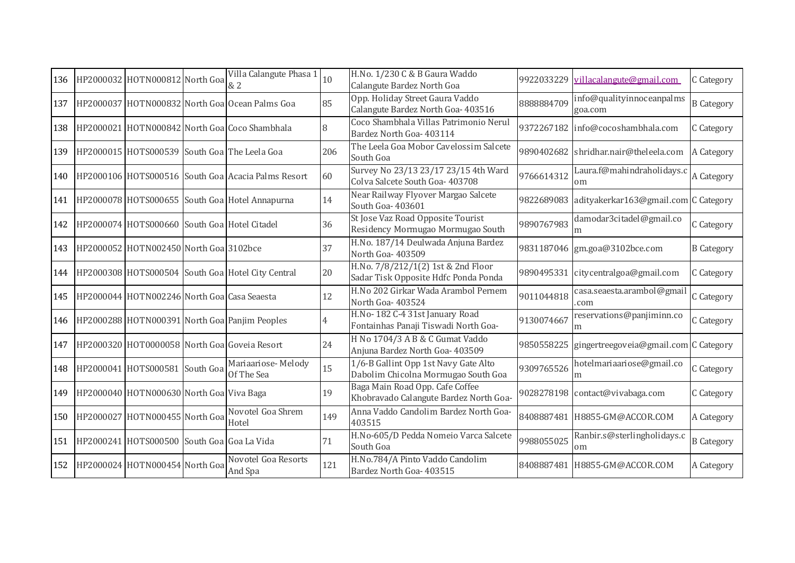| 136 | HP2000032 HOTN000812 North Goa                   | Villa Calangute Phasa 1<br>& 2                     | 10  | H.No. 1/230 C & B Gaura Waddo<br>Calangute Bardez North Goa                 | 9922033229 | villacalangute@gmail.com                        | C Category        |
|-----|--------------------------------------------------|----------------------------------------------------|-----|-----------------------------------------------------------------------------|------------|-------------------------------------------------|-------------------|
| 137 |                                                  | HP2000037 HOTN000832 North Goa Ocean Palms Goa     | 85  | Opp. Holiday Street Gaura Vaddo<br>Calangute Bardez North Goa- 403516       | 8888884709 | info@qualityinnoceanpalms<br>goa.com            | <b>B</b> Category |
| 138 |                                                  | HP2000021 HOTN000842 North Goa Coco Shambhala      | 8   | Coco Shambhala Villas Patrimonio Nerul<br>Bardez North Goa- 403114          |            | 9372267182 info@cocoshambhala.com               | C Category        |
| 139 |                                                  | HP2000015 HOTS000539 South Goa The Leela Goa       | 206 | The Leela Goa Mobor Cavelossim Salcete<br>South Goa                         |            | 9890402682 shridhar.nair@theleela.com           | A Category        |
| 140 |                                                  | HP2000106 HOTS000516 South Goa Acacia Palms Resort | 60  | Survey No 23/13 23/17 23/15 4th Ward<br>Colva Salcete South Goa- 403708     | 9766614312 | Laura.f@mahindraholidays.c<br>om                | A Category        |
| 141 |                                                  | HP2000078 HOTS000655 South Goa Hotel Annapurna     | 14  | Near Railway Flyover Margao Salcete<br>South Goa- 403601                    |            | 9822689083 adityakerkar163@gmail.com C Category |                   |
| 142 | HP2000074 HOTS000660 South Goa Hotel Citadel     |                                                    | 36  | St Jose Vaz Road Opposite Tourist<br>Residency Mormugao Mormugao South      | 9890767983 | damodar3citadel@gmail.co<br>m                   | C Category        |
| 143 | HP2000052 HOTN002450 North Goa 3102bce           |                                                    | 37  | H.No. 187/14 Deulwada Anjuna Bardez<br>North Goa-403509                     |            | 9831187046 gm.goa@3102bce.com                   | <b>B</b> Category |
| 144 |                                                  | HP2000308 HOTS000504 South Goa Hotel City Central  | 20  | H.No. 7/8/212/1(2) 1st & 2nd Floor<br>Sadar Tisk Opposite Hdfc Ponda Ponda  | 9890495331 | citycentralgoa@gmail.com                        | C Category        |
| 145 | HP2000044 HOTN002246 North Goa Casa Seaesta      |                                                    | 12  | H.No 202 Girkar Wada Arambol Pernem<br>North Goa- 403524                    | 9011044818 | casa.seaesta.arambol@gmail<br>com               | C Category        |
| 146 |                                                  | HP2000288 HOTN000391 North Goa Panjim Peoples      |     | H.No-182 C-4 31st January Road<br>Fontainhas Panaji Tiswadi North Goa-      | 9130074667 | reservations@panjiminn.co<br>m                  | C Category        |
| 147 |                                                  | HP2000320 HOT0000058 North Goal Goveia Resort      | 24  | H No 1704/3 A B & C Gumat Vaddo<br>Anjuna Bardez North Goa- 403509          | 9850558225 | gingertreegoveia@gmail.com C Category           |                   |
| 148 | HP2000041 HOTS000581 South Goa                   | Mariaariose-Melody<br>Of The Sea                   | 15  | 1/6-B Gallint Opp 1st Navy Gate Alto<br>Dabolim Chicolna Mormugao South Goa | 9309765526 | hotelmariaariose@gmail.co<br>m                  | C Category        |
| 149 | HP2000040 HOTN000630 North Goa Viva Baga         |                                                    | 19  | Baga Main Road Opp. Cafe Coffee<br>Khobravado Calangute Bardez North Goa-   |            | 9028278198 contact@vivabaga.com                 | C Category        |
| 150 | HP2000027 HOTN000455 North Goa                   | Novotel Goa Shrem<br>Hotel                         | 149 | Anna Vaddo Candolim Bardez North Goa-<br>403515                             |            | 8408887481 H8855-GM@ACCOR.COM                   | A Category        |
|     | 151   HP2000241 HOTS000500 South Goa Goa La Vida |                                                    | 71  | H.No-605/D Pedda Nomeio Varca Salcete<br>South Goa                          | 9988055025 | Ranbir.s@sterlingholidays.c<br>om               | <b>B</b> Category |
| 152 | HP2000024 HOTN000454 North Goa                   | Novotel Goa Resorts<br>And Spa                     | 121 | H.No.784/A Pinto Vaddo Candolim<br>Bardez North Goa- 403515                 |            | 8408887481 H8855-GM@ACCOR.COM                   | A Category        |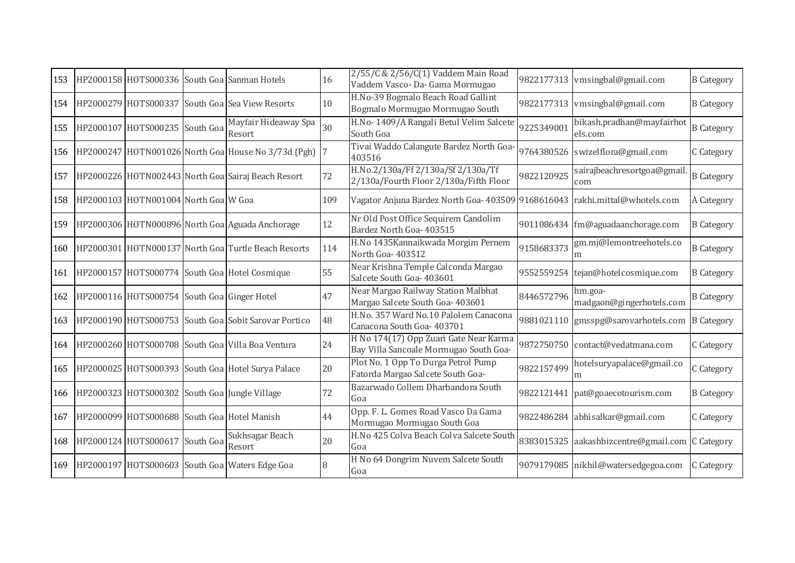| 153 |                                                   | HP2000158 HOTS000336 South Goa Sanman Hotels            | 16  | 2/55/C & 2/56/C(1) Vaddem Main Road<br>Vaddem Vasco- Da- Gama Mormugao           |            | 9822177313 vmsingbal@gmail.com       | <b>B</b> Category |
|-----|---------------------------------------------------|---------------------------------------------------------|-----|----------------------------------------------------------------------------------|------------|--------------------------------------|-------------------|
| 154 |                                                   | HP2000279 HOTS000337 South Goa Sea View Resorts         | 10  | H.No-39 Bogmalo Beach Road Gallint<br>Bogmalo Mormugao Mormugao South            |            | 9822177313 vmsingbal@gmail.com       | <b>B</b> Category |
| 155 | HP2000107 HOTS000235 South Goa                    | Mayfair Hideaway Spa<br>Resort                          | 30  | H.No- 1409/A Rangali Betul Velim Salcete<br>South Goa                            | 9225349001 | bikash.pradhan@mayfairhot<br>els.com | <b>B</b> Category |
|     |                                                   | 156 HP2000247 HOTN001026 North Goa House No 3/73d (Pgh) |     | Tivai Waddo Calangute Bardez North Goa-<br>403516                                |            | 9764380526 swizelflora@gmail.com     | C Category        |
| 157 |                                                   | HP2000226 HOTN002443 North Goa Sairaj Beach Resort      | 72  | H.No.2/130a/Ff 2/130a/Sf 2/130a/Tf<br>2/130a/Fourth Floor 2/130a/Fifth Floor     | 9822120925 | sairajbeachresortgoa@gmail.<br>com   | <b>B</b> Category |
|     | 158 HP2000103 HOTN001004 North Goa W Goa          |                                                         | 109 | Vagator Anjuna Bardez North Goa- 403509 9168616043 rakhi.mittal@whotels.com      |            |                                      | A Category        |
| 159 |                                                   | HP2000306 HOTN000896 North Goa Aguada Anchorage         | 12  | Nr Old Post Office Sequirem Candolim<br>Bardez North Goa- 403515                 |            | 9011086434 fm@aguadaanchorage.com    | <b>B</b> Category |
| 160 |                                                   | HP2000301 HOTN000137 North Goa Turtle Beach Resorts     | 114 | H.No 1435 Kannaikwada Morgim Pernem<br>North Goa-403512                          | 9158683373 | gm.mj@lemontreehotels.co<br>m        | <b>B</b> Category |
| 161 |                                                   | HP2000157 HOTS000774 South Goa Hotel Cosmique           | 55  | Near Krishna Temple Calconda Margao<br>Salcete South Goa- 403601                 |            | 9552559254 tejan@hotelcosmique.com   | <b>B</b> Category |
|     | 162 HP2000116 HOTS000754 South Goa Ginger Hotel   |                                                         | 47  | Near Margao Railway Station Malbhat<br>Margao Salcete South Goa- 403601          | 8446572796 | hm.goa-<br>madgaon@gingerhotels.com  | <b>B</b> Category |
| 163 |                                                   | HP2000190 HOTS000753 South Goa Sobit Sarovar Portico    | 48  | H.No. 357 Ward No.10 Palolem Canacona<br>Canacona South Goa- 403701              |            | 9881021110 gmsspg@sarovarhotels.com  | <b>B</b> Category |
| 164 |                                                   | HP2000260 HOTS000708 South Goa Villa Boa Ventura        | 24  | H No 174(17) Opp Zuari Gate Near Karma<br>Bay Villa Sancoale Mormugao South Goa- |            | 9872750750 contact@vedatmana.com     | C Category        |
| 165 |                                                   | HP2000025 HOTS000393 South Goa Hotel Surya Palace       | 20  | Plot No. 1 Opp To Durga Petrol Pump<br>Fatorda Margao Salcete South Goa-         | 9822157499 | hotelsuryapalace@gmail.co<br>m       | C Category        |
|     | 166 HP2000323 HOTS000302 South Goa Jungle Village |                                                         | 72  | Bazarwado Collem Dharbandora South<br>Goa                                        |            | 9822121441 pat@goaecotourism.com     | <b>B</b> Category |
| 167 | HP2000099 HOTS000688 South Goa Hotel Manish       |                                                         | 44  | Opp. F. L. Gomes Road Vasco Da Gama<br>Mormugao Mormugao South Goa               |            | 9822486284 abhisalkar@gmail.com      | C Category        |
|     | 168 HP2000124 HOTS000617 South Goa                | Sukhsagar Beach<br>Resort                               | 20  | H.No 425 Colva Beach Colva Salcete South<br>Goa                                  |            | 8383015325 aakashbizcentre@gmail.com | C Category        |
| 169 |                                                   | HP2000197 HOTS000603 South Goa Waters Edge Goa          |     | H No 64 Dongrim Nuvem Salcete South<br>Goa                                       |            | 9079179085 nikhil@watersedgegoa.com  | C Category        |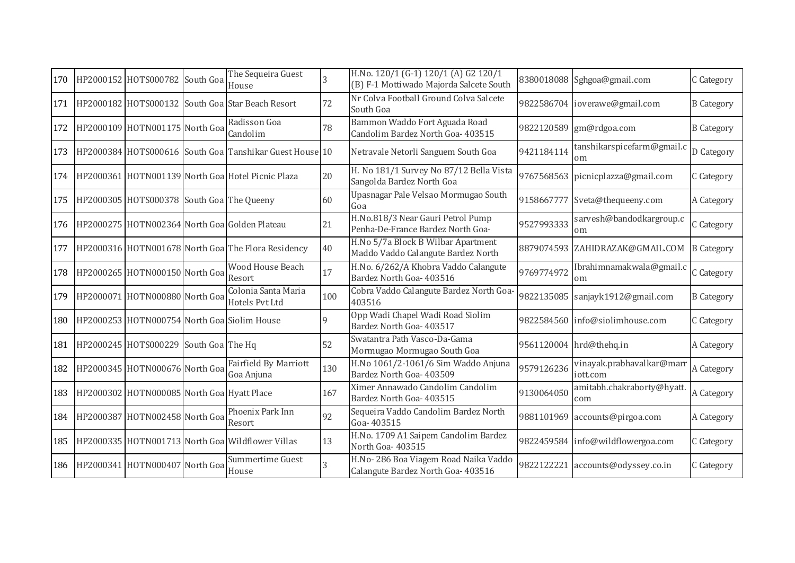| 170 | HP2000152 HOTS000782 South Goa              | The Sequeira Guest<br>House                             | $\mathcal{R}$ | H.No. 120/1 (G-1) 120/1 (A) G2 120/1<br>(B) F-1 Mottiwado Majorda Salcete South |            | 8380018088 Sghgoa@gmail.com                | C Category        |
|-----|---------------------------------------------|---------------------------------------------------------|---------------|---------------------------------------------------------------------------------|------------|--------------------------------------------|-------------------|
| 171 |                                             | HP2000182 HOTS000132 South Goa Star Beach Resort        | 72            | Nr Colva Football Ground Colva Salcete<br>South Goa                             |            | 9822586704 ioverawe@gmail.com              | <b>B</b> Category |
| 172 | HP2000109 HOTN001175 North Goa              | Radisson Goa<br>Candolim                                | 78            | Bammon Waddo Fort Aguada Road<br>Candolim Bardez North Goa- 403515              |            | 9822120589 gm@rdgoa.com                    | <b>B</b> Category |
| 173 |                                             | HP2000384 HOTS000616 South Goa Tanshikar Guest House 10 |               | Netravale Netorli Sanguem South Goa                                             | 9421184114 | tanshikarspicefarm@gmail.c<br>om           | D Category        |
| 174 |                                             | HP2000361 HOTN001139 North Goa Hotel Picnic Plaza       | 20            | H. No 181/1 Survey No 87/12 Bella Vista<br>Sangolda Bardez North Goa            |            | 9767568563 picnicplazza@gmail.com          | C Category        |
| 175 | HP2000305 HOTS000378 South Goa The Queeny   |                                                         | 60            | Upasnagar Pale Velsao Mormugao South<br>Goa                                     | 9158667777 | Sveta@thequeeny.com                        | A Category        |
| 176 |                                             | HP2000275 HOTN002364 North Goa Golden Plateau           | 21            | H.No.818/3 Near Gauri Petrol Pump<br>Penha-De-France Bardez North Goa-          | 9527993333 | sarvesh@bandodkargroup.c<br>om             | C Category        |
| 177 |                                             | HP2000316 HOTN001678 North Goa The Flora Residency      | 40            | H.No 5/7a Block B Wilbar Apartment<br>Maddo Vaddo Calangute Bardez North        |            | 8879074593 ZAHIDRAZAK@GMAIL.COM B Category |                   |
| 178 | HP2000265 HOTN000150 North Goa              | <b>Wood House Beach</b><br>Resort                       | 17            | H.No. 6/262/A Khobra Vaddo Calangute<br>Bardez North Goa- 403516                | 9769774972 | Ibrahimnamakwala@gmail.c<br>om             | C Category        |
| 179 | HP2000071 HOTN000880 North Goa              | Colonia Santa Maria<br>Hotels Pvt Ltd                   | 100           | Cobra Vaddo Calangute Bardez North Goa-<br>403516                               |            | 9822135085 sanjayk1912@gmail.com           | <b>B</b> Category |
| 180 | HP2000253 HOTN000754 North Goa Siolim House |                                                         | $\Omega$      | Opp Wadi Chapel Wadi Road Siolim<br>Bardez North Goa- 403517                    |            | 9822584560 info@siolimhouse.com            | C Category        |
| 181 | HP2000245 HOTS000229 South Goa The Hq       |                                                         | 52            | Swatantra Path Vasco-Da-Gama<br>Mormugao Mormugao South Goa                     |            | 9561120004 hrd@thehq.in                    | A Category        |
| 182 | HP2000345 HOTN000676 North Goa              | <b>Fairfield By Marriott</b><br>Goa Anjuna              | 130           | H.No 1061/2-1061/6 Sim Waddo Anjuna<br>Bardez North Goa- 403509                 | 9579126236 | vinayak.prabhavalkar@marr<br>iott.com      | A Category        |
| 183 | HP2000302 HOTN000085 North Goa Hyatt Place  |                                                         | 167           | Ximer Annawado Candolim Candolim<br>Bardez North Goa- 403515                    | 9130064050 | amitabh.chakraborty@hyatt.<br>com          | A Category        |
|     | 184 HP2000387 HOTN002458 North Goa          | Phoenix Park Inn<br>Resort                              | 92            | Sequeira Vaddo Candolim Bardez North<br>Goa-403515                              |            | 9881101969 accounts@pirgoa.com             | A Category        |
| 185 |                                             | HP2000335 HOTN001713 North Goa Wildflower Villas        | 13            | H.No. 1709 A1 Saipem Candolim Bardez<br>North Goa-403515                        |            | 9822459584 info@wildflowergoa.com          | C Category        |
| 186 | HP2000341 HOTN000407 North Goa              | Summertime Guest<br>House                               | 3             | H.No-286 Boa Viagem Road Naika Vaddo<br>Calangute Bardez North Goa-403516       |            | 9822122221 accounts@odyssey.co.in          | C Category        |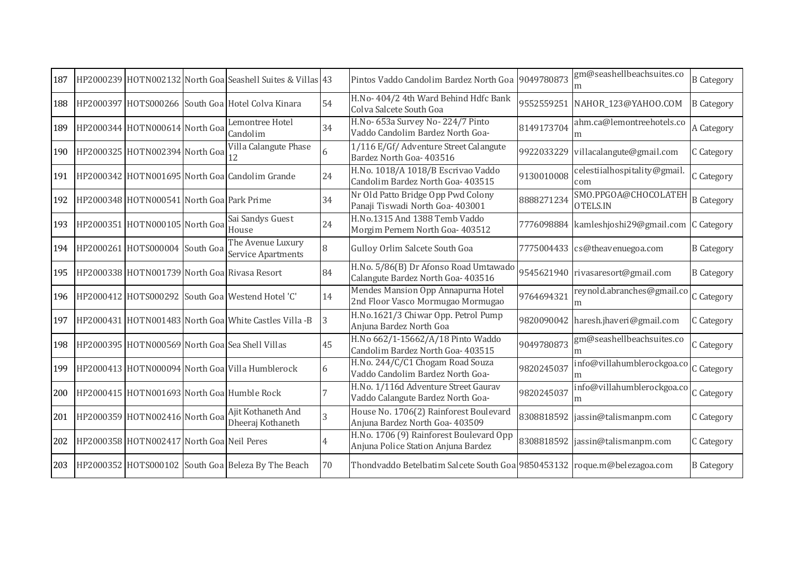| 187 |                                           | HP2000239 HOTN002132 North Goal Seashell Suites & Villas 43 |                | Pintos Vaddo Candolim Bardez North Goa 9049780873                              |            | gm@seashellbeachsuites.co<br>m                 | <b>B</b> Category |
|-----|-------------------------------------------|-------------------------------------------------------------|----------------|--------------------------------------------------------------------------------|------------|------------------------------------------------|-------------------|
| 188 |                                           | HP2000397 HOTS000266 South Goa Hotel Colva Kinara           | 54             | H.No- 404/2 4th Ward Behind Hdfc Bank<br>Colva Salcete South Goa               | 9552559251 | NAHOR_123@YAHOO.COM                            | <b>B</b> Category |
| 189 | HP2000344 HOTN000614 North Goa            | Lemontree Hotel<br>Candolim                                 | 34             | H.No- 653a Survey No- 224/7 Pinto<br>Vaddo Candolim Bardez North Goa-          | 8149173704 | ahm.ca@lemontreehotels.co<br>m                 | A Category        |
| 190 | HP2000325 HOTN002394 North Goal 12        | Villa Calangute Phase                                       | 6              | 1/116 E/Gf/ Adventure Street Calangute<br>Bardez North Goa- 403516             | 9922033229 | villacalangute@gmail.com                       | C Category        |
| 191 |                                           | HP2000342 HOTN001695 North Goa Candolim Grande              | 24             | H.No. 1018/A 1018/B Escrivao Vaddo<br>Candolim Bardez North Goa- 403515        | 9130010008 | celestiialhospitality@gmail.<br>com            | C Category        |
| 192 | HP2000348 HOTN000541 North Goa Park Prime |                                                             | 34             | Nr Old Patto Bridge Opp Pwd Colony<br>Panaji Tiswadi North Goa- 403001         | 8888271234 | SMO.PPGOA@CHOCOLATEH<br>OTELS.IN               | <b>B</b> Category |
| 193 | HP2000351 HOTN000105 North Goa            | Sai Sandys Guest<br>House                                   | 24             | H.No.1315 And 1388 Temb Vaddo<br>Morgim Pernem North Goa- 403512               |            | 7776098884 kamleshjoshi29@gmail.com C Category |                   |
| 194 | HP2000261 HOTS000004 South Goa            | The Avenue Luxury<br>Service Apartments                     | 8              | Gulloy Orlim Salcete South Goa                                                 |            | 7775004433 cs@theavenuegoa.com                 | <b>B</b> Category |
| 195 |                                           | HP2000338 HOTN001739 North Goa Rivasa Resort                | 84             | H.No. 5/86(B) Dr Afonso Road Umtawado<br>Calangute Bardez North Goa- 403516    |            | 9545621940 rivasaresort@gmail.com              | <b>B</b> Category |
| 196 |                                           | HP2000412 HOTS000292 South Goa Westend Hotel 'C'            | 14             | Mendes Mansion Opp Annapurna Hotel<br>2nd Floor Vasco Mormugao Mormugao        | 9764694321 | reynold.abranches@gmail.co C Category          |                   |
| 197 |                                           | HP2000431 HOTN001483 North Goa White Castles Villa -B       | 3              | H.No.1621/3 Chiwar Opp. Petrol Pump<br>Anjuna Bardez North Goa                 |            | 9820090042 haresh.jhaveri@gmail.com            | C Category        |
| 198 |                                           | HP2000395 HOTN000569 North Goal Sea Shell Villas            | 45             | H.No 662/1-15662/A/18 Pinto Waddo<br>Candolim Bardez North Goa- 403515         | 9049780873 | gm@seashellbeachsuites.co<br>m                 | C Category        |
| 199 |                                           | HP2000413 HOTN000094 North Goa Villa Humblerock             | 6              | H.No. 244/C/C1 Chogam Road Souza<br>Vaddo Candolim Bardez North Goa-           | 9820245037 | info@villahumblerockgoa.co<br>m                | C Category        |
| 200 |                                           | HP2000415 HOTN001693 North Goa Humble Rock                  |                | H.No. 1/116d Adventure Street Gaurav<br>Vaddo Calangute Bardez North Goa-      | 9820245037 | info@villahumblerockgoa.co C Category<br>m     |                   |
| 201 | HP2000359 HOTN002416 North Goa            | Ajit Kothaneth And<br>Dheeraj Kothaneth                     | $\overline{3}$ | House No. 1706(2) Rainforest Boulevard<br>Anjuna Bardez North Goa- 403509      |            | 8308818592  jassin@talismanpm.com              | C Category        |
| 202 | HP2000358 HOTN002417 North Goa Neil Peres |                                                             | $\overline{4}$ | H.No. 1706 (9) Rainforest Boulevard Opp<br>Anjuna Police Station Anjuna Bardez |            | 8308818592 jassin@talismanpm.com               | C Category        |
| 203 |                                           | HP2000352 HOTS000102 South Goa Beleza By The Beach          | 70             | Thondvaddo Betelbatim Salcete South Goa 9850453132 roque.m@belezagoa.com       |            |                                                | <b>B</b> Category |
|     |                                           |                                                             |                |                                                                                |            |                                                |                   |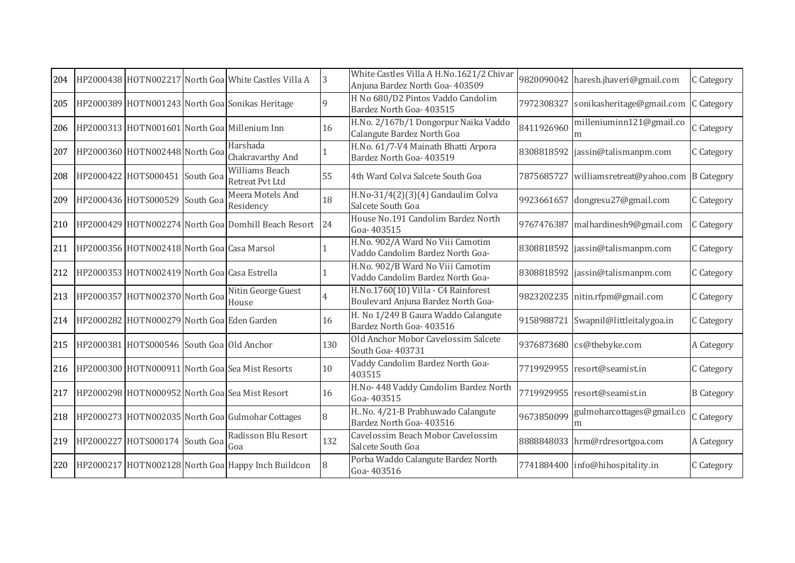| 204 |                                              | HP2000438 HOTN002217 North Goa White Castles Villa A | 3   | White Castles Villa A H.No.1621/2 Chivar<br>Anjuna Bardez North Goa- 403509 |            | 9820090042 haresh.jhaveri@gmail.com  | C Category        |
|-----|----------------------------------------------|------------------------------------------------------|-----|-----------------------------------------------------------------------------|------------|--------------------------------------|-------------------|
| 205 |                                              | HP2000389 HOTN001243 North Goa Sonikas Heritage      | 9   | H No 680/D2 Pintos Vaddo Candolim<br>Bardez North Goa- 403515               | 7972308327 | sonikasheritage@gmail.com C Category |                   |
| 206 |                                              | HP2000313 HOTN001601 North Goa Millenium Inn         | 16  | H.No. 2/167b/1 Dongorpur Naika Vaddo<br>Calangute Bardez North Goa          | 8411926960 | milleniuminn121@gmail.co<br>m        | C Category        |
| 207 | HP2000360 HOTN002448 North Goa               | Harshada<br>Chakravarthy And                         |     | H.No. 61/7-V4 Mainath Bhatti Arpora<br>Bardez North Goa- 403519             | 8308818592 | jassin@talismanpm.com                | C Category        |
| 208 | HP2000422 HOTS000451 South Goa               | <b>Williams Beach</b><br>Retreat Pvt Ltd             | 55  | 4th Ward Colva Salcete South Goa                                            | 7875685727 | williamsretreat@yahoo.com B Category |                   |
| 209 | HP2000436 HOTS000529 South Goa               | Meera Motels And<br>Residency                        | 18  | H.No-31/4(2)(3)(4) Gandaulim Colva<br>Salcete South Goa                     | 9923661657 | dongresu27@gmail.com                 | C Category        |
| 210 |                                              | HP2000429 HOTN002274 North Goa Domhill Beach Resort  | 24  | House No.191 Candolim Bardez North<br>Goa-403515                            | 9767476387 | malhardinesh9@gmail.com              | C Category        |
| 211 | HP2000356 HOTN002418 North Goa Casa Marsol   |                                                      |     | H.No. 902/A Ward No Viii Camotim<br>Vaddo Candolim Bardez North Goa-        |            | 8308818592 jassin@talismanpm.com     | C Category        |
| 212 | HP2000353 HOTN002419 North Goa Casa Estrella |                                                      |     | H.No. 902/B Ward No Viii Camotim<br>Vaddo Candolim Bardez North Goa-        |            | 8308818592 jassin@talismanpm.com     | C Category        |
| 213 | HP2000357 HOTN002370 North Goal House        | Nitin George Guest                                   | 4   | H.No.1760(10) Villa - C4 Rainforest<br>Boulevard Anjuna Bardez North Goa-   |            | 9823202235 nitin.rfpm@gmail.com      | C Category        |
| 214 | HP2000282 HOTN000279 North Goa Eden Garden   |                                                      | 16  | H. No 1/249 B Gaura Waddo Calangute<br>Bardez North Goa- 403516             | 9158988721 | Swapnil@littleitalygoa.in            | C Category        |
| 215 | HP2000381 HOTS000546 South Goa Old Anchor    |                                                      | 130 | Old Anchor Mobor Cavelossim Salcete<br>South Goa- 403731                    |            | 9376873680 cs@thebyke.com            | A Category        |
| 216 |                                              | HP2000300 HOTN000911 North Goa Sea Mist Resorts      | 10  | Vaddy Candolim Bardez North Goa-<br>403515                                  |            | 7719929955 resort@seamist.in         | C Category        |
| 217 |                                              | HP2000298 HOTN000952 North Goa Sea Mist Resort       | 16  | H.No- 448 Vaddy Candolim Bardez North<br>Goa-403515                         |            | 7719929955 resort@seamist.in         | <b>B</b> Category |
| 218 |                                              | HP2000273 HOTN002035 North Goa Gulmohar Cottages     | 8   | H. No. 4/21-B Prabhuwado Calangute<br>Bardez North Goa- 403516              | 9673850099 | gulmoharcottages@gmail.co<br>m       | C Category        |
| 219 | HP2000227 HOTS000174 South Goa               | Radisson Blu Resort<br>Goa                           | 132 | Cavelossim Beach Mobor Cavelossim<br>Salcete South Goa                      |            | 8888848033 hrm@rdresortgoa.com       | A Category        |
| 220 |                                              | HP2000217 HOTN002128 North Goa Happy Inch Buildcon   | 8   | Porba Waddo Calangute Bardez North<br>Goa-403516                            |            | 7741884400 info@hihospitality.in     | C Category        |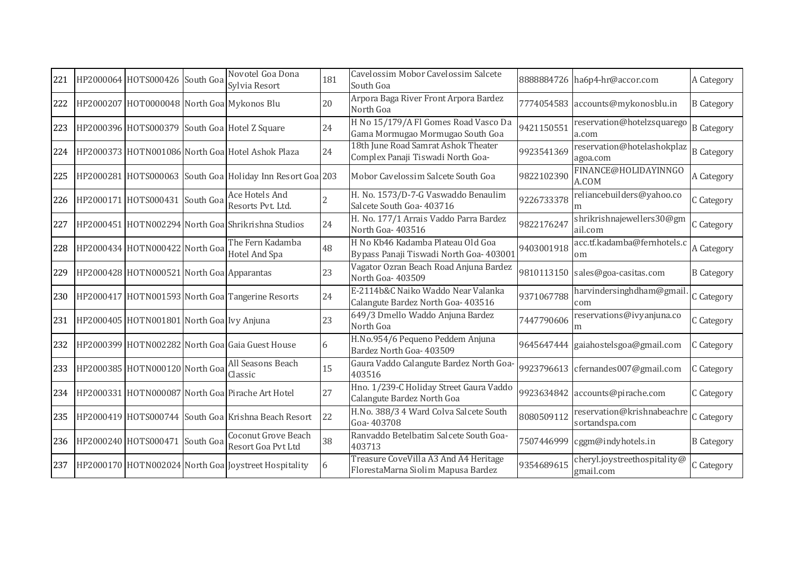| 221 | HP2000064 HOTS000426 South Goa             | Novotel Goa Dona<br>Sylvia Resort                         | 181            | Cavelossim Mobor Cavelossim Salcete<br>South Goa                             |            | 8888884726 ha6p4-hr@accor.com                | A Category        |
|-----|--------------------------------------------|-----------------------------------------------------------|----------------|------------------------------------------------------------------------------|------------|----------------------------------------------|-------------------|
| 222 | HP2000207 HOT0000048 North Goa Mykonos Blu |                                                           | 20             | Arpora Baga River Front Arpora Bardez<br>North Goa                           |            | 7774054583 accounts@mykonosblu.in            | <b>B</b> Category |
| 223 |                                            | HP2000396 HOTS000379 South Goa Hotel Z Square             | 24             | H No 15/179/A Fl Gomes Road Vasco Da<br>Gama Mormugao Mormugao South Goa     | 9421150551 | reservation@hotelzsquarego<br>a.com          | <b>B</b> Category |
| 224 |                                            | HP2000373 HOTN001086 North Goa Hotel Ashok Plaza          | 24             | 18th June Road Samrat Ashok Theater<br>Complex Panaji Tiswadi North Goa-     | 9923541369 | reservation@hotelashokplaz<br>agoa.com       | <b>B</b> Category |
| 225 |                                            | HP2000281 HOTS000063 South Goa Holiday Inn Resort Goa 203 |                | Mobor Cavelossim Salcete South Goa                                           | 9822102390 | FINANCE@HOLIDAYINNGO<br>A.COM                | A Category        |
| 226 | HP2000171 HOTS000431 South Goa             | Ace Hotels And<br>Resorts Pvt. Ltd.                       | $\overline{2}$ | H. No. 1573/D-7-G Vaswaddo Benaulim<br>Salcete South Goa- 403716             | 9226733378 | reliancebuilders@yahoo.co                    | C Category        |
| 227 |                                            | HP2000451 HOTN002294 North Goa Shrikrishna Studios        | 24             | H. No. 177/1 Arrais Vaddo Parra Bardez<br>North Goa-403516                   | 9822176247 | shrikrishnajewellers30@gm<br>ail.com         | C Category        |
| 228 | HP2000434 HOTN000422 North Goa             | The Fern Kadamba<br>Hotel And Spa                         | 48             | H No Kb46 Kadamba Plateau Old Goa<br>Bypass Panaji Tiswadi North Goa- 403001 | 9403001918 | acc.tf.kadamba@fernhotels.c<br>om            | A Category        |
| 229 | HP2000428 HOTN000521 North Goa Apparantas  |                                                           | 23             | Vagator Ozran Beach Road Anjuna Bardez<br>North Goa-403509                   | 9810113150 | sales@goa-casitas.com                        | <b>B</b> Category |
| 230 |                                            | HP2000417 HOTN001593 North Goa Tangerine Resorts          | 24             | E-2114b&C Naiko Waddo Near Valanka<br>Calangute Bardez North Goa- 403516     | 9371067788 | harvindersinghdham@gmail.<br>com             | C Category        |
| 231 | HP2000405 HOTN001801 North Goa Ivy Anjuna  |                                                           | 23             | 649/3 Dmello Waddo Anjuna Bardez<br>North Goa                                | 7447790606 | reservations@ivyanjuna.co<br>m               | C Category        |
| 232 |                                            | HP2000399 HOTN002282 North Goal Gaia Guest House          | 6              | H.No.954/6 Pequeno Peddem Anjuna<br>Bardez North Goa- 403509                 | 9645647444 | gaiahostelsgoa@gmail.com                     | C Category        |
| 233 | HP2000385 HOTN000120 North Goa             | All Seasons Beach<br>Classic                              | 15             | Gaura Vaddo Calangute Bardez North Goa-<br>403516                            |            | 9923796613 cfernandes007@gmail.com           | C Category        |
| 234 |                                            | HP2000331 HOTN000087 North Goa Pirache Art Hotel          | 27             | Hno. 1/239-C Holiday Street Gaura Vaddo<br>Calangute Bardez North Goa        | 9923634842 | accounts@pirache.com                         | C Category        |
|     |                                            | 235 HP2000419 HOTS000744 South Goa Krishna Beach Resort   | 22             | H.No. 388/3 4 Ward Colva Salcete South<br>Goa-403708                         | 8080509112 | reservation@krishnabeachre<br>sortandspa.com | C Category        |
| 236 | HP2000240 HOTS000471 South Goa             | Coconut Grove Beach<br>Resort Goa Pvt Ltd                 | 38             | Ranvaddo Betelbatim Salcete South Goa-<br>403713                             | 7507446999 | cggm@indyhotels.in                           | <b>B</b> Category |
| 237 |                                            | HP2000170 HOTN002024 North Goa Joystreet Hospitality      | 6              | Treasure CoveVilla A3 And A4 Heritage<br>FlorestaMarna Siolim Mapusa Bardez  | 9354689615 | cheryl.joystreethospitality@<br>gmail.com    | C Category        |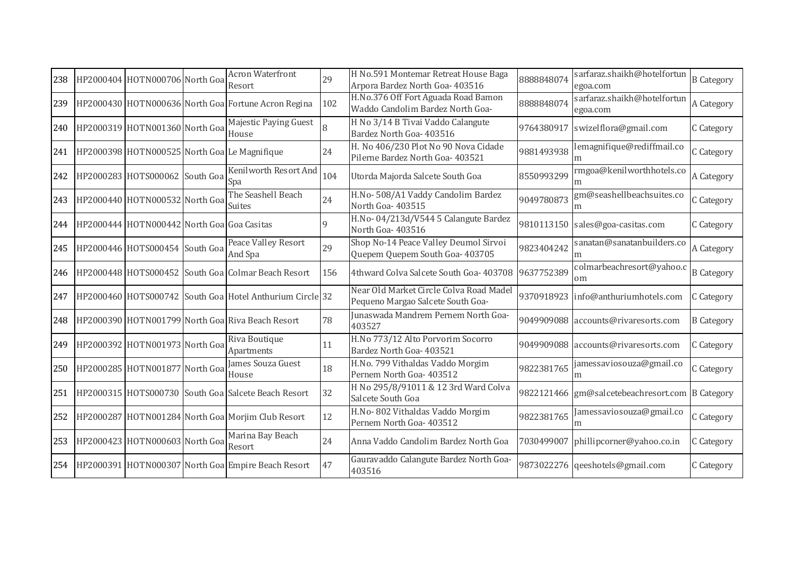| 238 | HP2000404 HOTN000706 North Goa             | <b>Acron Waterfront</b><br>Resort                        | 29  | H No.591 Montemar Retreat House Baga<br>Arpora Bardez North Goa- 403516      | 8888848074 | sarfaraz.shaikh@hotelfortun<br>egoa.com         | <b>B</b> Category |
|-----|--------------------------------------------|----------------------------------------------------------|-----|------------------------------------------------------------------------------|------------|-------------------------------------------------|-------------------|
| 239 |                                            | HP2000430 HOTN000636 North Goa Fortune Acron Regina      | 102 | H.No.376 Off Fort Aguada Road Bamon<br>Waddo Candolim Bardez North Goa-      | 8888848074 | sarfaraz.shaikh@hotelfortun<br>egoa.com         | A Category        |
| 240 | HP2000319 HOTN001360 North Goa             | Majestic Paying Guest<br>House                           | 8   | H No 3/14 B Tivai Vaddo Calangute<br>Bardez North Goa- 403516                | 9764380917 | swizelflora@gmail.com                           | C Category        |
| 241 |                                            | HP2000398 HOTN000525 North Goa Le Magnifique             | 24  | H. No 406/230 Plot No 90 Nova Cidade<br>Pilerne Bardez North Goa- 403521     | 9881493938 | lemagnifique@rediffmail.co<br>m                 | C Category        |
| 242 | HP2000283 HOTS000062 South Goa             | Kenilworth Resort And<br>Spa                             | 104 | Utorda Majorda Salcete South Goa                                             | 8550993299 | rmgoa@kenilworthhotels.co                       | A Category        |
| 243 | HP2000440 HOTN000532 North Goa             | The Seashell Beach<br><b>Suites</b>                      | 24  | H.No- 508/A1 Vaddy Candolim Bardez<br>North Goa-403515                       | 9049780873 | gm@seashellbeachsuites.co<br>m                  | C Category        |
| 244 | HP2000444 HOTN000442 North Goa Goa Casitas |                                                          |     | H.No-04/213d/V544 5 Calangute Bardez<br>North Goa-403516                     |            | 9810113150 sales@goa-casitas.com                | C Category        |
| 245 | HP2000446 HOTS000454 South Goa             | <b>Peace Valley Resort</b><br>And Spa                    | 29  | Shop No-14 Peace Valley Deumol Sirvoi<br>Quepem Quepem South Goa- 403705     | 9823404242 | sanatan@sanatanbuilders.co<br>m                 | A Category        |
| 246 |                                            | HP2000448 HOTS000452 South Goa Colmar Beach Resort       | 156 | 4thward Colva Salcete South Goa-403708 9637752389                            |            | colmarbeachresort@yahoo.c<br>om                 | <b>B</b> Category |
| 247 |                                            | HP2000460 HOTS000742 South Goa Hotel Anthurium Circle 32 |     | Near Old Market Circle Colva Road Madel<br>Pequeno Margao Salcete South Goa- |            | 9370918923 info@anthuriumhotels.com             | C Category        |
| 248 |                                            | HP2000390 HOTN001799 North Goa Riva Beach Resort         | 78  | Junaswada Mandrem Pernem North Goa-<br>403527                                |            | 9049909088 accounts@rivaresorts.com             | <b>B</b> Category |
| 249 | HP2000392 HOTN001973 North Goa             | Riva Boutique<br>Apartments                              | 11  | H.No 773/12 Alto Porvorim Socorro<br>Bardez North Goa- 403521                |            | 9049909088 accounts@rivaresorts.com             | C Category        |
| 250 | HP2000285 HOTN001877 North Goa             | James Souza Guest<br>House                               | 18  | H.No. 799 Vithaldas Vaddo Morgim<br>Pernem North Goa- 403512                 | 9822381765 | jamessaviosouza@gmail.co<br>m                   | C Category        |
| 251 |                                            | HP2000315 HOTS000730 South Goa Salcete Beach Resort      | 32  | H No 295/8/91011 & 12 3rd Ward Colva<br>Salcete South Goa                    |            | 9822121466 gm@salcetebeachresort.com B Category |                   |
| 252 |                                            | HP2000287 HOTN001284 North Goa Morjim Club Resort        | 12  | H.No-802 Vithaldas Vaddo Morgim<br>Pernem North Goa- 403512                  | 9822381765 | amessaviosouza@gmail.co                         | C Category        |
| 253 | HP2000423 HOTN000603 North Goa             | Marina Bay Beach<br>Resort                               | 24  | Anna Vaddo Candolim Bardez North Goa                                         |            | 7030499007 phillipcorner@yahoo.co.in            | C Category        |
| 254 |                                            | HP2000391 HOTN000307 North Goa Empire Beach Resort       | 47  | Gauravaddo Calangute Bardez North Goa-<br>403516                             |            | 9873022276 qeeshotels@gmail.com                 | C Category        |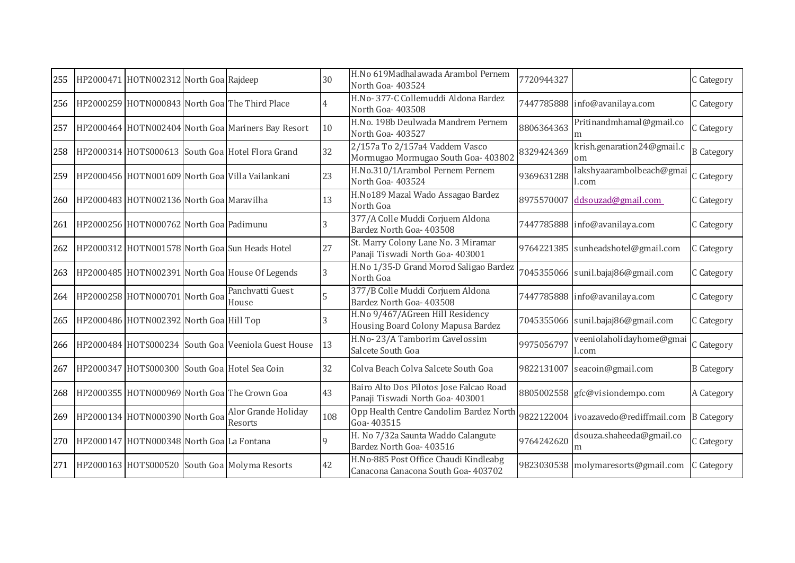| 255 | HP2000471 HOTN002312 North Goa Rajdeep              |                                                     | 30  | H.No 619Madhalawada Arambol Pernem<br>North Goa-403524                       | 7720944327 |                                      | C Category        |
|-----|-----------------------------------------------------|-----------------------------------------------------|-----|------------------------------------------------------------------------------|------------|--------------------------------------|-------------------|
| 256 |                                                     | HP2000259 HOTN000843 North Goa The Third Place      | 4   | H.No-377-C Collemuddi Aldona Bardez<br>North Goa- 403508                     |            | 7447785888 info@avanilaya.com        | C Category        |
| 257 |                                                     | HP2000464 HOTN002404 North Goa Mariners Bay Resort  | 10  | H.No. 198b Deulwada Mandrem Pernem<br>North Goa-403527                       | 8806364363 | Pritinandmhamal@gmail.co<br>m        | C Category        |
| 258 |                                                     | HP2000314 HOTS000613 South Goa Hotel Flora Grand    | 32  | 2/157a To 2/157a4 Vaddem Vasco<br>Mormugao Mormugao South Goa- 403802        | 8329424369 | krish.genaration24@gmail.c<br>om     | <b>B</b> Category |
| 259 |                                                     | HP2000456 HOTN001609 North Goa Villa Vailankani     | 23  | H.No.310/1Arambol Pernem Pernem<br>North Goa-403524                          | 9369631288 | akshyaarambolbeach@gmai<br>.com      | C Category        |
| 260 | HP2000483 HOTN002136 North Goa Maravilha            |                                                     | 13  | H.No189 Mazal Wado Assagao Bardez<br>North Goa                               | 8975570007 | ddsouzad@gmail.com                   | C Category        |
| 261 | HP2000256 HOTN000762 North Goa Padimunu             |                                                     | 3   | 377/A Colle Muddi Corjuem Aldona<br>Bardez North Goa- 403508                 |            | 7447785888 info@avanilaya.com        | C Category        |
| 262 |                                                     | HP2000312 HOTN001578 North Goal Sun Heads Hotel     | 27  | St. Marry Colony Lane No. 3 Miramar<br>Panaji Tiswadi North Goa- 403001      |            | 9764221385 sunheadshotel@gmail.com   | C Category        |
| 263 |                                                     | HP2000485 HOTN002391 North Goa House Of Legends     | 3   | H.No 1/35-D Grand Morod Saligao Bardez<br>North Goa                          |            | 7045355066 sunil.bajaj86@gmail.com   | C Category        |
|     | 264   HP2000258   HOTN000701   North Goa   A GILLIV | Panchvatti Guest                                    | 5   | 377/B Colle Muddi Corjuem Aldona<br>Bardez North Goa- 403508                 |            | 7447785888 info@avanilaya.com        | C Category        |
| 265 | HP2000486 HOTN002392 North Goa Hill Top             |                                                     |     | H.No 9/467/AGreen Hill Residency<br>Housing Board Colony Mapusa Bardez       |            | 7045355066 sunil.bajaj86@gmail.com   | C Category        |
| 266 |                                                     | HP2000484 HOTS000234 South Goa Veeniola Guest House | 13  | H.No-23/A Tamborim Cavelossim<br>Salcete South Goa                           | 9975056797 | veeniolaholidayhome@gmai<br>l.com    | C Category        |
| 267 |                                                     | HP2000347 HOTS000300 South Goa Hotel Sea Coin       | 32  | Colva Beach Colva Salcete South Goa                                          |            | 9822131007 seacoin@gmail.com         | <b>B</b> Category |
| 268 |                                                     | HP2000355 HOTN000969 North Goa The Crown Goa        | 43  | Bairo Alto Dos Pilotos Jose Falcao Road<br>Panaji Tiswadi North Goa- 403001  |            | 8805002558 gfc@visiondempo.com       | A Category        |
| 269 | HP2000134 HOTN000390 North Goa                      | Alor Grande Holiday<br>Resorts                      | 108 | Opp Health Centre Candolim Bardez North<br>Goa-403515                        |            | 9822122004 ivoazavedo@rediffmail.com | <b>B</b> Category |
| 270 | HP2000147 HOTN000348 North Goa La Fontana           |                                                     | 9   | H. No 7/32a Saunta Waddo Calangute<br>Bardez North Goa- 403516               | 9764242620 | dsouza.shaheeda@gmail.co<br>m        | C Category        |
| 271 |                                                     | HP2000163 HOTS000520 South Goa Molyma Resorts       | 42  | H.No-885 Post Office Chaudi Kindleabg<br>Canacona Canacona South Goa- 403702 |            | 9823030538 molymaresorts@gmail.com   | C Category        |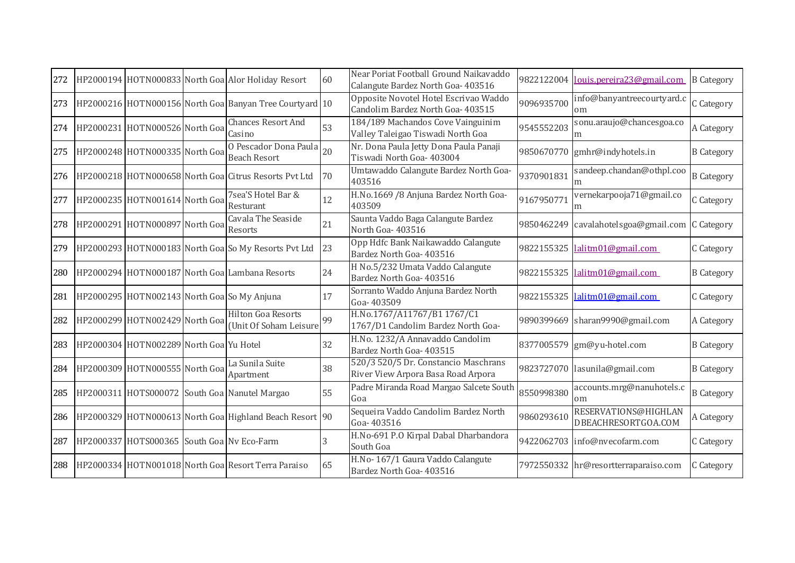| 272 |                                             | HP2000194 HOTN000833 North Goa Alor Holiday Resort      | 60 | Near Poriat Football Ground Naikavaddo<br>Calangute Bardez North Goa- 403516 |            | 9822122004 louis.pereira23@gmail.com        | <b>B</b> Category |
|-----|---------------------------------------------|---------------------------------------------------------|----|------------------------------------------------------------------------------|------------|---------------------------------------------|-------------------|
| 273 |                                             | HP2000216 HOTN000156 North Goa Banyan Tree Courtyard 10 |    | Opposite Novotel Hotel Escrivao Waddo<br>Candolim Bardez North Goa- 403515   | 9096935700 | info@banyantreecourtyard.c<br>om            | C Category        |
| 274 | HP2000231 HOTN000526 North Goa              | <b>Chances Resort And</b><br>Casino                     | 53 | 184/189 Machandos Cove Vainguinim<br>Valley Taleigao Tiswadi North Goa       | 9545552203 | sonu.araujo@chancesgoa.co<br>m              | A Category        |
| 275 | HP2000248 HOTN000335 North Goa              | 0 Pescador Dona Paula 20<br><b>Beach Resort</b>         |    | Nr. Dona Paula Jetty Dona Paula Panaji<br>Tiswadi North Goa- 403004          | 9850670770 | gmhr@indyhotels.in                          | <b>B</b> Category |
| 276 |                                             | HP2000218 HOTN000658 North Goa Citrus Resorts Pvt Ltd   | 70 | Umtawaddo Calangute Bardez North Goa-<br>403516                              | 9370901831 | sandeep.chandan@othpl.coo<br>m              | <b>B</b> Category |
| 277 | HP2000235 HOTN001614 North Goa              | 7sea'S Hotel Bar &<br>Resturant                         | 12 | H.No.1669 /8 Anjuna Bardez North Goa-<br>403509                              | 9167950771 | vernekarpooja71@gmail.co<br>m               | C Category        |
| 278 | HP2000291 HOTN000897 North Goa              | Cavala The Seaside<br>Resorts                           | 21 | Saunta Vaddo Baga Calangute Bardez<br>North Goa-403516                       | 9850462249 | cavalahotelsgoa@gmail.com C Category        |                   |
| 279 |                                             | HP2000293 HOTN000183 North Goal So My Resorts Pvt Ltd   | 23 | Opp Hdfc Bank Naikawaddo Calangute<br>Bardez North Goa- 403516               |            | 9822155325 lalitm01@gmail.com               | C Category        |
| 280 |                                             | HP2000294 HOTN000187 North Goa Lambana Resorts          | 24 | H No.5/232 Umata Vaddo Calangute<br>Bardez North Goa- 403516                 | 9822155325 | lalitm01@gmail.com                          | <b>B</b> Category |
| 281 | HP2000295 HOTN002143 North Goa So My Anjuna |                                                         | 17 | Sorranto Waddo Anjuna Bardez North<br>Goa-403509                             | 9822155325 | lalitm01@gmail.com                          | C Category        |
| 282 | HP2000299 HOTN002429 North Goa              | <b>Hilton Goa Resorts</b><br>(Unit Of Soham Leisure     | 99 | H.No.1767/A11767/B1 1767/C1<br>1767/D1 Candolim Bardez North Goa-            | 9890399669 | sharan9990@gmail.com                        | A Category        |
| 283 | HP2000304 HOTN002289 North Goa Yu Hotel     |                                                         | 32 | H.No. 1232/A Annavaddo Candolim<br>Bardez North Goa- 403515                  |            | 8377005579 gm@yu-hotel.com                  | <b>B</b> Category |
| 284 | HP2000309 HOTN000555 North Goa              | La Sunila Suite<br>Apartment                            | 38 | 520/3 520/5 Dr. Constancio Maschrans<br>River View Arpora Basa Road Arpora   |            | 9823727070 lasunila@gmail.com               | <b>B</b> Category |
| 285 |                                             | HP2000311 HOTS000072 South Goa Nanutel Margao           | 55 | Padre Miranda Road Margao Salcete South<br>Goa                               | 8550998380 | accounts.mrg@nanuhotels.c<br>om             | <b>B</b> Category |
| 286 |                                             | HP2000329 HOTN000613 North Goa Highland Beach Resort 90 |    | Sequeira Vaddo Candolim Bardez North<br>Goa-403516                           | 9860293610 | RESERVATIONS@HIGHLAN<br>DBEACHRESORTGOA.COM | A Category        |
| 287 | HP2000337 HOTS000365 South Goa Nv Eco-Farm  |                                                         | 3  | H.No-691 P.O Kirpal Dabal Dharbandora<br>South Goa                           |            | 9422062703 info@nvecofarm.com               | C Category        |
| 288 |                                             | HP2000334 HOTN001018 North Goa Resort Terra Paraiso     | 65 | H.No-167/1 Gaura Vaddo Calangute<br>Bardez North Goa- 403516                 |            | 7972550332 hr@resortterraparaiso.com        | C Category        |
|     |                                             |                                                         |    |                                                                              |            |                                             |                   |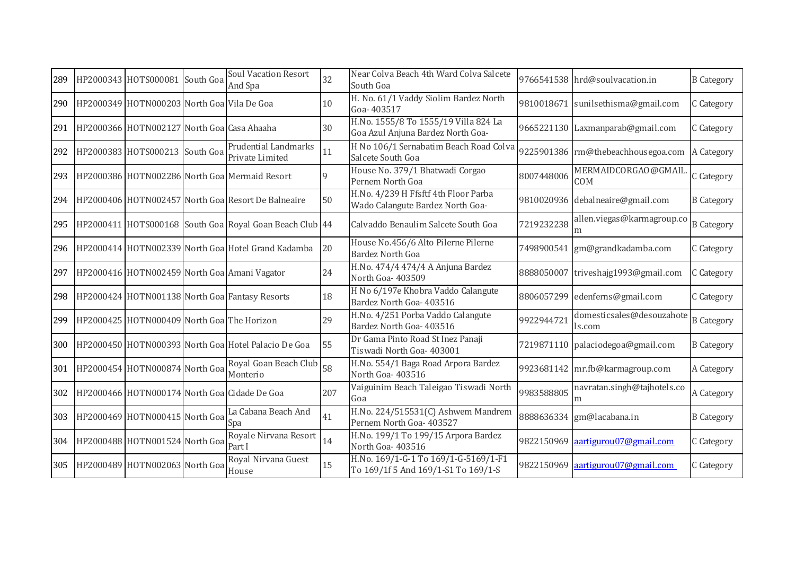| 289 | HP2000343 HOTS000081                       | South Goa | <b>Soul Vacation Resort</b><br>And Spa                  | 32  | Near Colva Beach 4th Ward Colva Salcete<br>South Goa                        |            | 9766541538 hrd@soulvacation.in      | <b>B</b> Category |
|-----|--------------------------------------------|-----------|---------------------------------------------------------|-----|-----------------------------------------------------------------------------|------------|-------------------------------------|-------------------|
| 290 | HP2000349 HOTN000203 North Goa Vila De Goa |           |                                                         | 10  | H. No. 61/1 Vaddy Siolim Bardez North<br>Goa-403517                         |            | 9810018671 sunilsethisma@gmail.com  | C Category        |
| 291 | HP2000366 HOTN002127 North Goa Casa Ahaaha |           |                                                         | 30  | H.No. 1555/8 To 1555/19 Villa 824 La<br>Goa Azul Anjuna Bardez North Goa-   |            | 9665221130 Laxmanparab@gmail.com    | C Category        |
| 292 | HP2000383 HOTS000213 South Goa             |           | Prudential Landmarks<br>Private Limited                 | 11  | H No 106/1 Sernabatim Beach Road Colva<br>Salcete South Goa                 |            | 9225901386 rm@thebeachhousegoa.com  | A Category        |
| 293 |                                            |           | HP2000386 HOTN002286 North Goa Mermaid Resort           | 9   | House No. 379/1 Bhatwadi Corgao<br>Pernem North Goa                         | 8007448006 | MERMAIDCORGAO@GMAIL<br><b>COM</b>   | C Category        |
| 294 |                                            |           | HP2000406 HOTN002457 North Goa Resort De Balneaire      | 50  | H.No. 4/239 H Ffsftf 4th Floor Parba<br>Wado Calangute Bardez North Goa-    |            | 9810020936 debalneaire@gmail.com    | <b>B</b> Category |
| 295 |                                            |           | HP2000411 HOTS000168 South Goa Royal Goan Beach Club 44 |     | Calvaddo Benaulim Salcete South Goa                                         | 7219232238 | allen.viegas@karmagroup.co<br>m     | <b>B</b> Category |
| 296 |                                            |           | HP2000414 HOTN002339 North Goa Hotel Grand Kadamba      | 20  | House No.456/6 Alto Pilerne Pilerne<br><b>Bardez North Goa</b>              |            | 7498900541 gm@grandkadamba.com      | C Category        |
| 297 |                                            |           | HP2000416 HOTN002459 North Goa Amani Vagator            | 24  | H.No. 474/4 474/4 A Anjuna Bardez<br>North Goa- 403509                      |            | 8888050007 triveshajg1993@gmail.com | C Category        |
| 298 |                                            |           | HP2000424 HOTN001138 North Goa Fantasy Resorts          | 18  | H No 6/197e Khobra Vaddo Calangute<br>Bardez North Goa- 403516              |            | 8806057299 edenferns@gmail.com      | C Category        |
| 299 | HP2000425 HOTN000409 North Goa The Horizon |           |                                                         | 29  | H.No. 4/251 Porba Vaddo Calangute<br>Bardez North Goa- 403516               | 9922944721 | domesticsales@desouzahote<br>ls.com | <b>B</b> Category |
| 300 |                                            |           | HP2000450 HOTN000393 North Goa Hotel Palacio De Goa     | 55  | Dr Gama Pinto Road St Inez Panaji<br>Tiswadi North Goa- 403001              |            | 7219871110 palaciodegoa@gmail.com   | <b>B</b> Category |
| 301 | HP2000454 HOTN000874 North Goa             |           | Royal Goan Beach Club<br>Monterio                       | 58  | H.No. 554/1 Baga Road Arpora Bardez<br>North Goa-403516                     |            | 9923681142 mr.fb@karmagroup.com     | A Category        |
| 302 |                                            |           | HP2000466 HOTN000174 North Goa Cidade De Goa            | 207 | Vaiguinim Beach Taleigao Tiswadi North<br>Goa                               | 9983588805 | navratan.singh@tajhotels.co<br>m    | A Category        |
| 303 | HP2000469 HOTN000415 North Goa             |           | La Cabana Beach And<br>Spa                              | 41  | H.No. 224/515531(C) Ashwem Mandrem<br>Pernem North Goa- 403527              |            | 8888636334 gm@lacabana.in           | <b>B</b> Category |
| 304 | HP2000488 HOTN001524 North Goa             |           | Royale Nirvana Resort<br>Part I                         | 14  | H.No. 199/1 To 199/15 Arpora Bardez<br>North Goa- 403516                    |            | 9822150969 aartigurou07@gmail.com   | C Category        |
| 305 | HP2000489 HOTN002063 North Goa             |           | Royal Nirvana Guest<br>House                            | 15  | H.No. 169/1-G-1 To 169/1-G-5169/1-F1<br>To 169/1f 5 And 169/1-S1 To 169/1-S |            | 9822150969 aartigurou07@gmail.com   | C Category        |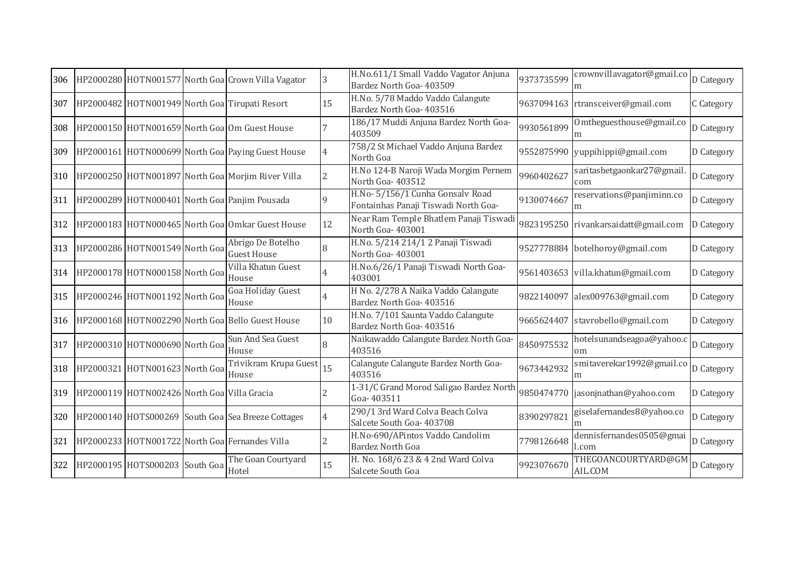| 306 |                                             | HP2000280 HOTN001577 North Goa Crown Villa Vagator | 3              | H.No.611/1 Small Vaddo Vagator Anjuna<br>Bardez North Goa- 403509        | 9373735599 | crownvillavagator@gmail.co<br>m      | D Category |
|-----|---------------------------------------------|----------------------------------------------------|----------------|--------------------------------------------------------------------------|------------|--------------------------------------|------------|
| 307 |                                             | HP2000482 HOTN001949 North Goa Tirupati Resort     | 15             | H.No. 5/78 Maddo Vaddo Calangute<br>Bardez North Goa- 403516             |            | 9637094163 rtransceiver@gmail.com    | C Category |
| 308 |                                             | HP2000150 HOTN001659 North Goa Om Guest House      |                | 186/17 Muddi Anjuna Bardez North Goa-<br>403509                          | 9930561899 | Omtheguesthouse@gmail.co<br>m        | D Category |
| 309 |                                             | HP2000161 HOTN000699 North Goa Paying Guest House  | 4              | 758/2 St Michael Vaddo Anjuna Bardez<br>North Goa                        |            | 9552875990 yuppihippi@gmail.com      | D Category |
| 310 |                                             | HP2000250 HOTN001897 North Goa Morjim River Villa  | 2              | H.No 124-B Naroji Wada Morgim Pernem<br>North Goa-403512                 | 9960402627 | saritashetgaonkar27@gmail.<br>com    | D Category |
| 311 |                                             | HP2000289 HOTN000401 North Goa Panjim Pousada      | 9              | H.No- 5/156/1 Cunha Gonsalv Road<br>Fontainhas Panaji Tiswadi North Goa- | 9130074667 | reservations@panjiminn.co<br>m       | D Category |
| 312 |                                             | HP2000183 HOTN000465 North Goa Omkar Guest House   | 12             | Near Ram Temple Bhatlem Panaji Tiswadi<br>North Goa-403001               |            | 9823195250 rivankarsaidatt@gmail.com | D Category |
| 313 | HP2000286 HOTN001549 North Goa              | Abrigo De Botelho<br><b>Guest House</b>            | 8              | H.No. 5/214 214/1 2 Panaji Tiswadi<br>North Goa-403001                   |            | 9527778884 botelhoroy@gmail.com      | D Category |
| 314 | HP2000178 HOTN000158 North Goa              | Villa Khatun Guest<br>House                        |                | H.No.6/26/1 Panaji Tiswadi North Goa-<br>403001                          |            | 9561403653 villa.khatun@gmail.com    | D Category |
| 315 | HP2000246 HOTN001192 North Goaluva          | Goa Holiday Guest                                  | $\overline{4}$ | H No. 2/278 A Naika Vaddo Calangute<br>Bardez North Goa- 403516          |            | 9822140097 alex009763@gmail.com      | D Category |
| 316 |                                             | HP2000168 HOTN002290 North Goa Bello Guest House   | 10             | H.No. 7/101 Saunta Vaddo Calangute<br>Bardez North Goa- 403516           | 9665624407 | stavrobello@gmail.com                | D Category |
| 317 | HP2000310 HOTN000690 North Goa              | Sun And Sea Guest<br>House                         |                | Naikawaddo Calangute Bardez North Goa-<br>403516                         | 8450975532 | hotelsunandseagoa@yahoo.c<br>om      | D Category |
| 318 | HP2000321 HOTN001623 North Goa House        | Trivikram Krupa Guest                              | 15             | Calangute Calangute Bardez North Goa-<br>403516                          | 9673442932 | smitaverekar1992@gmail.co<br>m       | D Category |
| 319 | HP2000119 HOTN002426 North Goa Villa Gracia |                                                    | 2              | 1-31/C Grand Morod Saligao Bardez North<br>Goa-403511                    |            | 9850474770 jasonjnathan@yahoo.com    | D Category |
| 320 |                                             | HP2000140 HOTS000269 South Goa Sea Breeze Cottages | 4              | 290/1 3rd Ward Colva Beach Colva<br>Salcete South Goa- 403708            | 8390297821 | giselafernandes8@yahoo.co<br>m       | D Category |
| 321 |                                             | HP2000233 HOTN001722 North Goa Fernandes Villa     | $\overline{2}$ | H.No-690/APintos Vaddo Candolim<br>Bardez North Goa                      | 7798126648 | dennisfernandes0505@gmai<br>l.com    | D Category |
| 322 | HP2000195 HOTS000203 South Goa              | The Goan Courtyard<br>Hotel                        | 15             | H. No. 168/6 23 & 4 2nd Ward Colva<br>Salcete South Goa                  | 9923076670 | THEGOANCOURTYARD@GM<br>AIL.COM       | D Category |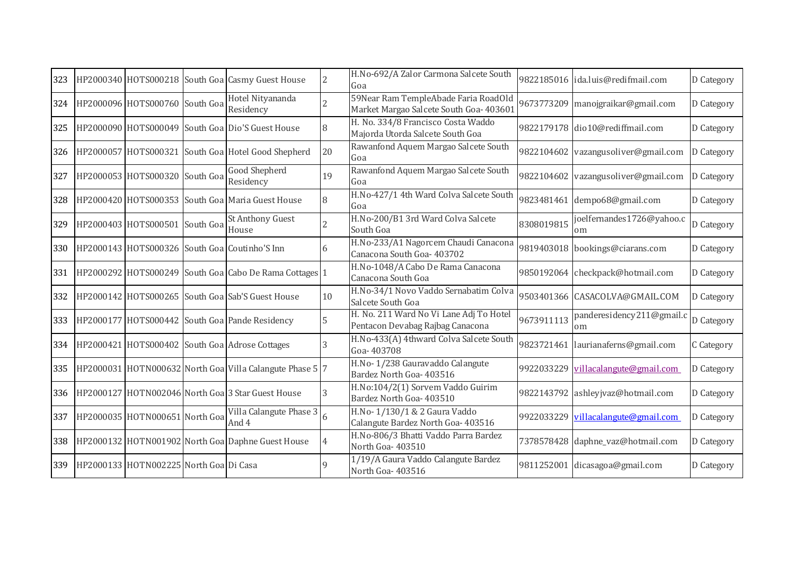| 323 |                                        |           | HP2000340 HOTS000218 South Goa Casmy Guest House         | $\overline{2}$ | H.No-692/A Zalor Carmona Salcete South<br>Goa                                  |            | 9822185016 ida.luis@redifmail.com   | D Category |
|-----|----------------------------------------|-----------|----------------------------------------------------------|----------------|--------------------------------------------------------------------------------|------------|-------------------------------------|------------|
| 324 | HP2000096 HOTS000760 South Goa         |           | Hotel Nityananda<br>Residency                            |                | 59Near Ram TempleAbade Faria RoadOld<br>Market Margao Salcete South Goa- 40360 |            | 9673773209 manojgraikar@gmail.com   | D Category |
| 325 |                                        |           | HP2000090 HOTS000049 South Goa Dio'S Guest House         | 8              | H. No. 334/8 Francisco Costa Waddo<br>Majorda Utorda Salcete South Goa         |            | 9822179178 dio10@rediffmail.com     | D Category |
| 326 |                                        |           | HP2000057 HOTS000321 South Goa Hotel Good Shepherd       | 20             | Rawanfond Aquem Margao Salcete South<br>Goa                                    |            | 9822104602 vazangusoliver@gmail.com | D Category |
| 327 | HP2000053 HOTS000320 South Goa         |           | <b>Good Shepherd</b><br>Residency                        | 19             | Rawanfond Aquem Margao Salcete South<br>Goa                                    |            | 9822104602 vazangusoliver@gmail.com | D Category |
| 328 |                                        |           | HP2000420 HOTS000353 South Goa Maria Guest House         | 8              | H.No-427/1 4th Ward Colva Salcete South<br>Goa                                 |            | 9823481461 dempo68@gmail.com        | D Category |
| 329 | HP2000403 HOTS000501                   | South Goa | St Anthony Guest<br>House                                |                | H.No-200/B1 3rd Ward Colva Salcete<br>South Goa                                | 8308019815 | joelfernandes1726@yahoo.c<br>om     | D Category |
| 330 |                                        |           | HP2000143 HOTS000326 South Goa Coutinho'S Inn            | 6              | H.No-233/A1 Nagorcem Chaudi Canacona<br>Canacona South Goa- 403702             |            | 9819403018 bookings@ciarans.com     | D Category |
| 331 |                                        |           | HP2000292 HOTS000249 South Goa Cabo De Rama Cottages     |                | H.No-1048/A Cabo De Rama Canacona<br>Canacona South Goa                        |            | 9850192064 checkpack@hotmail.com    | D Category |
| 332 |                                        |           | HP2000142 HOTS000265 South Goa Sab'S Guest House         | 10             | H.No-34/1 Novo Vaddo Sernabatim Colva<br>Salcete South Goa                     |            | 9503401366 CASACOLVA@GMAIL.COM      | D Category |
| 333 |                                        |           | HP2000177 HOTS000442 South Goa Pande Residency           |                | H. No. 211 Ward No Vi Lane Adj To Hotel<br>Pentacon Devabag Rajbag Canacona    | 9673911113 | panderesidency211@gmail.c<br>om     | D Category |
| 334 |                                        |           | HP2000421 HOTS000402 South Goa Adrose Cottages           |                | H.No-433(A) 4thward Colva Salcete South<br>Goa-403708                          |            | 9823721461 laurianaferns@gmail.com  | C Category |
| 335 |                                        |           | HP2000031 HOTN000632 North Goa Villa Calangute Phase 5 7 |                | H.No-1/238 Gauravaddo Calangute<br>Bardez North Goa- 403516                    |            | 9922033229 villacalangute@gmail.com | D Category |
| 336 |                                        |           | HP2000127 HOTN002046 North Goa 3 Star Guest House        | 3              | H.No:104/2(1) Sorvem Vaddo Guirim<br>Bardez North Goa- 403510                  |            | 9822143792 ashleyjvaz@hotmail.com   | D Category |
| 337 | HP2000035 HOTN000651 North Goa         |           | Villa Calangute Phase 3<br>And 4                         | 6              | H.No-1/130/1 & 2 Gaura Vaddo<br>Calangute Bardez North Goa- 403516             |            | 9922033229 villacalangute@gmail.com | D Category |
|     |                                        |           | 338 HP2000132 HOTN001902 North Goa Daphne Guest House    | 4              | H.No-806/3 Bhatti Vaddo Parra Bardez<br>North Goa-403510                       |            | 7378578428 daphne_vaz@hotmail.com   | D Category |
| 339 | HP2000133 HOTN002225 North Goa Di Casa |           |                                                          |                | 1/19/A Gaura Vaddo Calangute Bardez<br>North Goa- 403516                       |            | 9811252001 dicasagoa@gmail.com      | D Category |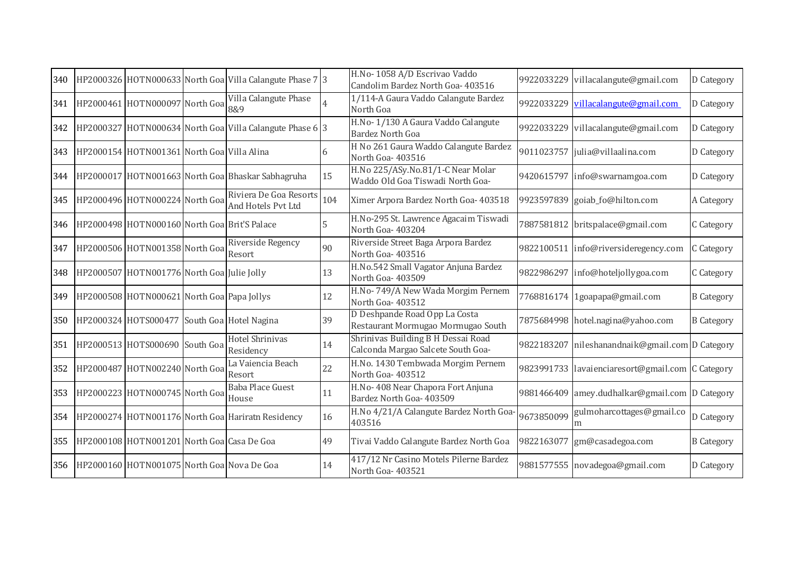| 340 |                                              | HP2000326 HOTN000633 North Goa Villa Calangute Phase 7 3 |     | H.No-1058 A/D Escrivao Vaddo<br>Candolim Bardez North Goa- 403516        | 9922033229 | villacalangute@gmail.com                         | D Category        |
|-----|----------------------------------------------|----------------------------------------------------------|-----|--------------------------------------------------------------------------|------------|--------------------------------------------------|-------------------|
| 341 | HP2000461 HOTN000097 North Goa               | Villa Calangute Phase<br>8&9                             |     | 1/114-A Gaura Vaddo Calangute Bardez<br>North Goa                        | 9922033229 | villacalangute@gmail.com                         | D Category        |
| 342 |                                              | HP2000327 HOTN000634 North Goa Villa Calangute Phase 6 3 |     | H.No-1/130 A Gaura Vaddo Calangute<br><b>Bardez North Goa</b>            |            | 9922033229 villacalangute@gmail.com              | D Category        |
| 343 | HP2000154 HOTN001361 North Goa Villa Alina   |                                                          |     | H No 261 Gaura Waddo Calangute Bardez<br>North Goa-403516                | 9011023757 | julia@villaalina.com                             | D Category        |
| 344 |                                              | HP2000017 HOTN001663 North Goa Bhaskar Sabhagruha        | 15  | H.No 225/ASy.No.81/1-C Near Molar<br>Waddo Old Goa Tiswadi North Goa-    | 9420615797 | info@swarnamgoa.com                              | D Category        |
| 345 | HP2000496 HOTN000224 North Goa               | Riviera De Goa Resorts<br>And Hotels Pvt Ltd             | 104 | Ximer Arpora Bardez North Goa- 403518                                    |            | 9923597839 goiab_fo@hilton.com                   | A Category        |
| 346 | HP2000498 HOTN000160 North Goa Brit'S Palace |                                                          | 5   | H.No-295 St. Lawrence Agacaim Tiswadi<br>North Goa-403204                |            | 7887581812 britspalace@gmail.com                 | C Category        |
| 347 | HP2000506 HOTN001358 North Goa               | Riverside Regency<br>Resort                              | 90  | Riverside Street Baga Arpora Bardez<br>North Goa-403516                  |            | 9822100511 info@riversideregency.com             | C Category        |
| 348 | HP2000507 HOTN001776 North Goa Julie Jolly   |                                                          | 13  | H.No.542 Small Vagator Anjuna Bardez<br>North Goa- 403509                | 9822986297 | info@hoteljollygoa.com                           | C Category        |
| 349 | HP2000508 HOTN000621 North Goa Papa Jollys   |                                                          | 12  | H.No-749/A New Wada Morgim Pernem<br>North Goa-403512                    |            | 7768816174 1goapapa@gmail.com                    | <b>B</b> Category |
| 350 | HP2000324 HOTS000477 South Goa Hotel Nagina  |                                                          | 39  | D Deshpande Road Opp La Costa<br>Restaurant Mormugao Mormugao South      |            | 7875684998 hotel.nagina@yahoo.com                | <b>B</b> Category |
| 351 | HP2000513 HOTS000690 South Goa               | Hotel Shrinivas<br>Residency                             | 14  | Shrinivas Building B H Dessai Road<br>Calconda Margao Salcete South Goa- | 9822183207 | nileshanandnaik@gmail.com D Category             |                   |
| 352 | HP2000487 HOTN002240 North Goa               | La Vaiencia Beach<br>Resort                              | 22  | H.No. 1430 Tembwada Morgim Pernem<br>North Goa-403512                    |            | 9823991733 lavaienciaresort@gmail.com C Category |                   |
| 353 | HP2000223 HOTN000745 North Goa               | <b>Baba Place Guest</b><br>House                         | 11  | H.No- 408 Near Chapora Fort Anjuna<br>Bardez North Goa- 403509           | 9881466409 | amey.dudhalkar@gmail.com D Category              |                   |
|     |                                              | 354 HP2000274 HOTN001176 North Goa Hariratn Residency    | 16  | H.No 4/21/A Calangute Bardez North Goa-<br>403516                        | 9673850099 | gulmoharcottages@gmail.co<br>m                   | D Category        |
| 355 | HP2000108 HOTN001201 North Goa Casa De Goa   |                                                          | 49  | Tivai Vaddo Calangute Bardez North Goa                                   | 9822163077 | gm@casadegoa.com                                 | <b>B</b> Category |
| 356 | HP2000160 HOTN001075 North Goa Nova De Goa   |                                                          | 14  | 417/12 Nr Casino Motels Pilerne Bardez<br>North Goa-403521               |            | 9881577555 novadegoa@gmail.com                   | D Category        |
|     |                                              |                                                          |     |                                                                          |            |                                                  |                   |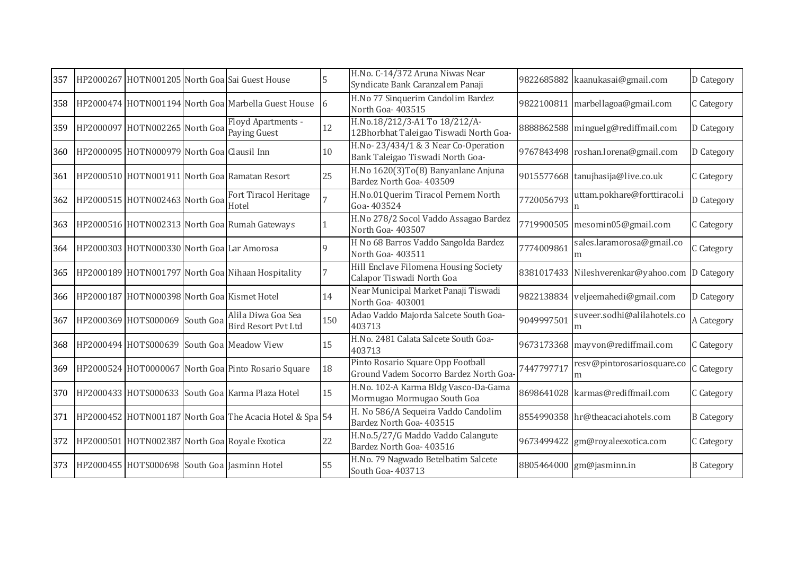| 357 |                                             | HP2000267 HOTN001205 North Goal Sai Guest House                    |     | H.No. C-14/372 Aruna Niwas Near<br>Syndicate Bank Caranzalem Panaji         | 9822685882 | kaanukasai@gmail.com                           | D Category        |
|-----|---------------------------------------------|--------------------------------------------------------------------|-----|-----------------------------------------------------------------------------|------------|------------------------------------------------|-------------------|
| 358 |                                             | HP2000474 HOTN001194 North Goa Marbella Guest House                | 6   | H.No 77 Sinquerim Candolim Bardez<br>North Goa-403515                       | 9822100811 | marbellagoa@gmail.com                          | C Category        |
| 359 |                                             | Floyd Apartments -<br>HP2000097 HOTN002265 North Goal Paying Guest | 12  | H.No.18/212/3-A1 To 18/212/A-<br>12Bhorbhat Taleigao Tiswadi North Goa-     |            | 8888862588 minguelg@rediffmail.com             | D Category        |
| 360 | HP2000095 HOTN000979 North Goa Clausil Inn  |                                                                    | 10  | H.No-23/434/1 & 3 Near Co-Operation<br>Bank Taleigao Tiswadi North Goa-     |            | 9767843498 roshan.lorena@gmail.com             | D Category        |
| 361 |                                             | HP2000510 HOTN001911 North Goa Ramatan Resort                      | 25  | H.No 1620(3)To(8) Banyanlane Anjuna<br>Bardez North Goa- 403509             |            | 9015577668 tanujhasija@live.co.uk              | C Category        |
| 362 | HP2000515 HOTN002463 North Goa              | Fort Tiracol Heritage<br>Hotel                                     |     | H.No.01Querim Tiracol Pernem North<br>Goa-403524                            | 7720056793 | uttam.pokhare@forttiracol.i                    | D Category        |
| 363 |                                             | HP2000516 HOTN002313 North Goa Rumah Gateways                      |     | H.No 278/2 Socol Vaddo Assagao Bardez<br>North Goa- 403507                  |            | 7719900505 mesomin05@gmail.com                 | C Category        |
| 364 | HP2000303 HOTN000330 North Goa Lar Amorosa  |                                                                    | 9   | H No 68 Barros Vaddo Sangolda Bardez<br>North Goa-403511                    | 7774009861 | sales.laramorosa@gmail.co<br>m                 | C Category        |
| 365 |                                             | HP2000189 HOTN001797 North Goa Nihaan Hospitality                  |     | Hill Enclave Filomena Housing Society<br>Calapor Tiswadi North Goa          |            | 8381017433 Nileshverenkar@yahoo.com D Category |                   |
| 366 | HP2000187 HOTN000398 North Goa Kismet Hotel |                                                                    | 14  | Near Municipal Market Panaji Tiswadi<br>North Goa-403001                    |            | 9822138834 veljeemahedi@gmail.com              | D Category        |
| 367 | HP2000369 HOTS000069 South Goa              | Alila Diwa Goa Sea<br><b>Bird Resort Pvt Ltd</b>                   | 150 | Adao Vaddo Majorda Salcete South Goa-<br>403713                             | 9049997501 | suveer.sodhi@alilahotels.co<br>m               | A Category        |
| 368 |                                             | HP2000494 HOTS000639 South Goa Meadow View                         | 15  | H.No. 2481 Calata Salcete South Goa-<br>403713                              |            | 9673173368 mayvon@rediffmail.com               | C Category        |
| 369 |                                             | HP2000524 HOT0000067 North Goa Pinto Rosario Square                | 18  | Pinto Rosario Square Opp Football<br>Ground Vadem Socorro Bardez North Goa- | 7447797717 | resv@pintorosariosquare.co<br>m                | C Category        |
| 370 |                                             | HP2000433 HOTS000633 South Goa Karma Plaza Hotel                   | 15  | H.No. 102-A Karma Bldg Vasco-Da-Gama<br>Mormugao Mormugao South Goa         | 8698641028 | karmas@rediffmail.com                          | C Category        |
| 371 |                                             | HP2000452 HOTN001187 North Goa The Acacia Hotel & Spa 54           |     | H. No 586/A Sequeira Vaddo Candolim<br>Bardez North Goa- 403515             |            | 8554990358 hr@theacaciahotels.com              | <b>B</b> Category |
| 372 |                                             | HP2000501 HOTN002387 North Goa Royale Exotica                      | 22  | H.No.5/27/G Maddo Vaddo Calangute<br>Bardez North Goa- 403516               | 9673499422 | gm@royaleexotica.com                           | C Category        |
| 373 |                                             | HP2000455 HOTS000698 South Goa Jasminn Hotel                       | 55  | H.No. 79 Nagwado Betelbatim Salcete<br>South Goa- 403713                    |            | 8805464000 gm@jasminn.in                       | <b>B</b> Category |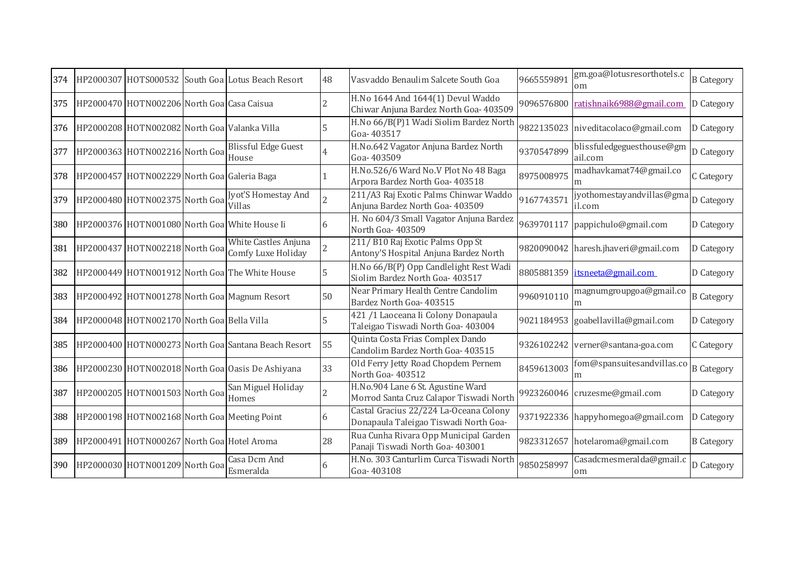| 374 |                                              | HP2000307 HOTS000532 South Goa Lotus Beach Resort                          | 48             | Vasvaddo Benaulim Salcete South Goa                                             | 9665559891 | gm.goa@lotusresorthotels.c<br>om     | <b>B</b> Category |
|-----|----------------------------------------------|----------------------------------------------------------------------------|----------------|---------------------------------------------------------------------------------|------------|--------------------------------------|-------------------|
| 375 | HP2000470 HOTN002206 North Goa Casa Caisua   |                                                                            | $\overline{2}$ | H.No 1644 And 1644(1) Devul Waddo<br>Chiwar Anjuna Bardez North Goa- 403509     | 9096576800 | ratishnaik6988@gmail.com             | D Category        |
| 376 | HP2000208 HOTN002082 North Goa Valanka Villa |                                                                            |                | H.No 66/B(P)1 Wadi Siolim Bardez North<br>Goa-403517                            |            | 9822135023 niveditacolaco@gmail.com  | D Category        |
| 377 | HP2000363 HOTN002216 North Goa House         | <b>Blissful Edge Guest</b>                                                 |                | H.No.642 Vagator Anjuna Bardez North<br>Goa-403509                              | 9370547899 | blissfuledgeguesthouse@gm<br>ail.com | D Category        |
| 378 | HP2000457 HOTN002229 North Goa Galeria Baga  |                                                                            |                | H.No.526/6 Ward No.V Plot No 48 Baga<br>Arpora Bardez North Goa- 403518         | 8975008975 | madhavkamat74@gmail.co<br>m          | C Category        |
| 379 | HP2000480 HOTN002375 North Goa               | Jyot'S Homestay And<br><b>Villas</b>                                       | $\overline{2}$ | 211/A3 Raj Exotic Palms Chinwar Waddo<br>Anjuna Bardez North Goa- 403509        | 9167743571 | iyothomestayandvillas@gma<br>il.com  | D Category        |
| 380 |                                              | HP2000376 HOTN001080 North Goa White House Ii                              | 6              | H. No 604/3 Small Vagator Anjuna Bardez<br>North Goa- 403509                    |            | 9639701117 pappichulo@gmail.com      | D Category        |
| 381 |                                              | White Castles Anjuna<br>HP2000437 HOTN002218 North Goal Comfy Luxe Holiday | $\overline{2}$ | 211/B10 Raj Exotic Palms Opp St<br>Antony'S Hospital Anjuna Bardez North        |            | 9820090042 haresh.jhaveri@gmail.com  | D Category        |
| 382 |                                              | HP2000449 HOTN001912 North Goa The White House                             |                | H.No 66/B(P) Opp Candlelight Rest Wadi<br>Siolim Bardez North Goa- 403517       |            | 8805881359 itsneeta@gmail.com        | D Category        |
| 383 |                                              | HP2000492 HOTN001278 North Goa Magnum Resort                               | 50             | Near Primary Health Centre Candolim<br>Bardez North Goa- 403515                 | 9960910110 | magnumgroupgoa@gmail.co<br>m         | <b>B</b> Category |
| 384 | HP2000048 HOTN002170 North Goa Bella Villa   |                                                                            |                | 421 /1 Laoceana Ii Colony Donapaula<br>Taleigao Tiswadi North Goa- 403004       |            | 9021184953 goabellavilla@gmail.com   | D Category        |
| 385 |                                              | HP2000400 HOTN000273 North Goa Santana Beach Resort                        | 55             | Quinta Costa Frias Complex Dando<br>Candolim Bardez North Goa- 403515           |            | 9326102242 verner@santana-goa.com    | C Category        |
| 386 |                                              | HP2000230 HOTN002018 North Goa Oasis De Ashiyana                           | 33             | Old Ferry Jetty Road Chopdem Pernem<br>North Goa-403512                         | 8459613003 | fom@spansuitesandvillas.co<br>m      | <b>B</b> Category |
| 387 | HP2000205 HOTN001503 North Goa               | San Miguel Holiday<br>Homes                                                | $\overline{2}$ | H.No.904 Lane 6 St. Agustine Ward<br>Morrod Santa Cruz Calapor Tiswadi North    | 9923260046 | cruzesme@gmail.com                   | D Category        |
| 388 |                                              | HP2000198 HOTN002168 North Goa Meeting Point                               | 6              | Castal Gracius 22/224 La-Oceana Colony<br>Donapaula Taleigao Tiswadi North Goa- |            | 9371922336 happyhomegoa@gmail.com    | D Category        |
| 389 | HP2000491 HOTN000267 North Goa Hotel Aroma   |                                                                            | 28             | Rua Cunha Rivara Opp Municipal Garden<br>Panaji Tiswadi North Goa- 403001       |            | 9823312657 hotelaroma@gmail.com      | <b>B</b> Category |
| 390 | HP2000030 HOTN001209 North Goa               | Casa Dcm And<br>Esmeralda                                                  | 6              | H.No. 303 Canturlim Curca Tiswadi North<br>Goa-403108                           | 9850258997 | Casadcmesmeralda@gmail.c<br>om       | D Category        |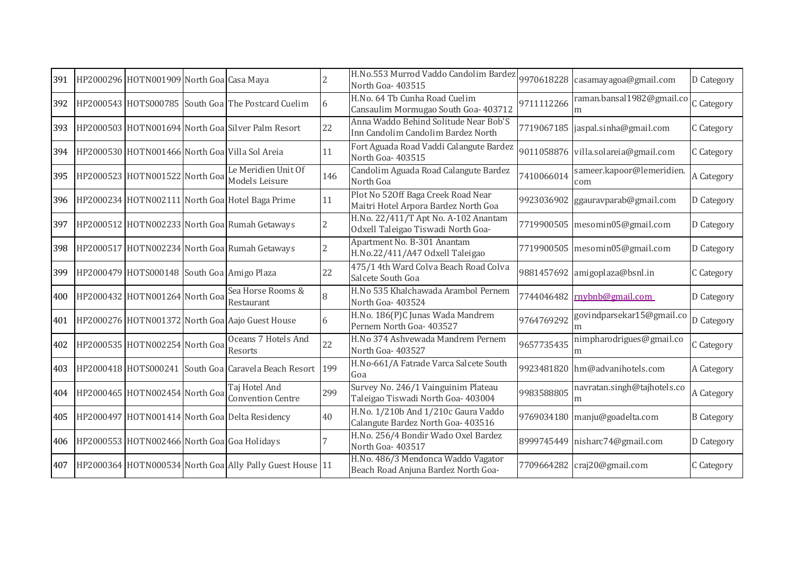| 391 | HP2000296 HOTN001909 North Goa Casa Maya    |                                                          |                | H.No.553 Murrod Vaddo Candolim Bardez<br>North Goa-403515                   | 9970618228 | casamayagoa@gmail.com               | D Category        |
|-----|---------------------------------------------|----------------------------------------------------------|----------------|-----------------------------------------------------------------------------|------------|-------------------------------------|-------------------|
| 392 |                                             | HP2000543 HOTS000785 South Goa The Postcard Cuelim       | 6              | H.No. 64 Tb Cunha Road Cuelim<br>Cansaulim Mormugao South Goa- 403712       | 9711112266 | raman.bansal1982@gmail.co           | C Category        |
| 393 |                                             | HP2000503 HOTN001694 North Goa Silver Palm Resort        | 22             | Anna Waddo Behind Solitude Near Bob'S<br>Inn Candolim Candolim Bardez North |            | 7719067185  jaspal.sinha@gmail.com  | C Category        |
| 394 |                                             | HP2000530 HOTN001466 North Goa Villa Sol Areia           | 11             | Fort Aguada Road Vaddi Calangute Bardez<br>North Goa-403515                 |            | 9011058876 villa.solareia@gmail.com | C Category        |
| 395 | HP2000523 HOTN001522 North Goa              | Le Meridien Unit Of<br>Models Leisure                    | 146            | Candolim Aguada Road Calangute Bardez<br>North Goa                          | 7410066014 | sameer.kapoor@lemeridien.<br>com    | A Category        |
| 396 |                                             | HP2000234 HOTN002111 North Goa Hotel Baga Prime          | 11             | Plot No 520ff Baga Creek Road Near<br>Maitri Hotel Arpora Bardez North Goa  | 9923036902 | ggauravparab@gmail.com              | D Category        |
| 397 |                                             | HP2000512 HOTN002233 North Goa Rumah Getaways            | $\overline{2}$ | H.No. 22/411/T Apt No. A-102 Anantam<br>Odxell Taleigao Tiswadi North Goa-  |            | 7719900505 mesomin05@gmail.com      | D Category        |
| 398 |                                             | HP2000517 HOTN002234 North Goa Rumah Getaways            | $\overline{2}$ | Apartment No. B-301 Anantam<br>H.No.22/411/A47 Odxell Taleigao              |            | 7719900505 mesomin05@gmail.com      | D Category        |
| 399 | HP2000479 HOTS000148 South Goa Amigo Plaza  |                                                          | 22             | 475/1 4th Ward Colva Beach Road Colva<br>Salcete South Goa                  | 9881457692 | amigoplaza@bsnl.in                  | C Category        |
| 400 | HP2000432 HOTN001264 North Goa              | Sea Horse Rooms &<br>Restaurant                          | 8              | H.No 535 Khalchawada Arambol Pernem<br>North Goa-403524                     |            | 7744046482 mybnb@gmail.com          | D Category        |
| 401 |                                             | HP2000276 HOTN001372 North Goa Aajo Guest House          | 6              | H.No. 186(P)C Junas Wada Mandrem<br>Pernem North Goa- 403527                | 9764769292 | govindparsekar15@gmail.co           | D Category        |
| 402 | HP2000535 HOTN002254 North Goa              | Oceans 7 Hotels And<br>Resorts                           | 22             | H.No 374 Ashvewada Mandrem Pernem<br>North Goa-403527                       | 9657735435 | nimpharodrigues@gmail.co<br>m       | C Category        |
| 403 |                                             | HP2000418 HOTS000241 South Goa Caravela Beach Resort     | 199            | H.No-661/A Fatrade Varca Salcete South<br>Goa                               |            | 9923481820 hm@advanihotels.com      | A Category        |
| 404 | HP2000465 HOTN002454 North Goa              | Taj Hotel And<br><b>Convention Centre</b>                | 299            | Survey No. 246/1 Vainguinim Plateau<br>Taleigao Tiswadi North Goa- 403004   | 9983588805 | navratan.singh@tajhotels.co<br>m    | A Category        |
| 405 |                                             | HP2000497 HOTN001414 North Goa Delta Residency           | 40             | H.No. 1/210b And 1/210c Gaura Vaddo<br>Calangute Bardez North Goa- 403516   |            | 9769034180 manju@goadelta.com       | <b>B</b> Category |
| 406 | HP2000553 HOTN002466 North Goa Goa Holidays |                                                          |                | H.No. 256/4 Bondir Wado Oxel Bardez<br>North Goa-403517                     | 8999745449 | nisharc74@gmail.com                 | D Category        |
| 407 |                                             | HP2000364 HOTN000534 North Goa Ally Pally Guest House 11 |                | H.No. 486/3 Mendonca Waddo Vagator<br>Beach Road Anjuna Bardez North Goa-   |            | 7709664282 craj20@gmail.com         | C Category        |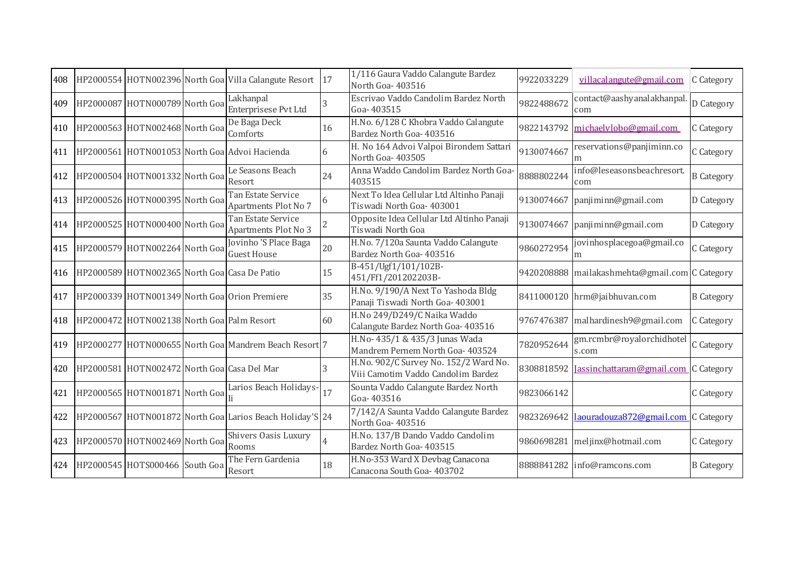| 408 |                                              | HP2000554 HOTN002396 North Goa Villa Calangute Resort 17 |    | 1/116 Gaura Vaddo Calangute Bardez<br>North Goa- 403516                     | 9922033229 | villacalangute@gmail.com                              | C Category        |
|-----|----------------------------------------------|----------------------------------------------------------|----|-----------------------------------------------------------------------------|------------|-------------------------------------------------------|-------------------|
| 409 | HP2000087 HOTN000789 North Goa               | Lakhanpal<br>Enterprisese Pvt Ltd                        |    | Escrivao Vaddo Candolim Bardez North<br>Goa-403515                          | 9822488672 | contact@aashyanalakhanpal<br>com                      | D Category        |
| 410 | HP2000563 HOTN002468 North Goa               | De Baga Deck<br>Comforts                                 | 16 | H.No. 6/128 C Khobra Vaddo Calangute<br>Bardez North Goa- 403516            |            | 9822143792 michaelylobo@gmail.com                     | C Category        |
| 411 |                                              | HP2000561 HOTN001053 North Goa Advoi Hacienda            |    | H. No 164 Advoi Valpoi Birondem Sattari<br>North Goa- 403505                | 9130074667 | reservations@panjiminn.co<br>m                        | C Category        |
| 412 | HP2000504 HOTN001332 North Goa               | Le Seasons Beach<br>Resort                               | 24 | Anna Waddo Candolim Bardez North Goa-<br>403515                             | 8888802244 | info@leseasonsbeachresort.<br>com                     | <b>B</b> Category |
| 413 | HP2000526 HOTN000395 North Goa               | Tan Estate Service<br>Apartments Plot No 7               |    | Next To Idea Cellular Ltd Altinho Panaji<br>Tiswadi North Goa- 403001       | 9130074667 | panjiminn@gmail.com                                   | D Category        |
| 414 | HP2000525 HOTN000400 North Goa               | Tan Estate Service<br>Apartments Plot No 3               |    | Opposite Idea Cellular Ltd Altinho Panaji<br>Tiswadi North Goa              | 9130074667 | panjiminn@gmail.com                                   | D Category        |
| 415 | HP2000579 HOTN002264 North Goa               | Jovinho 'S Place Baga<br><b>Guest House</b>              | 20 | H.No. 7/120a Saunta Vaddo Calangute<br>Bardez North Goa- 403516             | 9860272954 | jovinhosplacegoa@gmail.co<br>m                        | C Category        |
| 416 | HP2000589 HOTN002365 North Goa Casa De Patio |                                                          | 15 | B-451/Ugf1/101/102B-<br>451/Ff1/201202203B-                                 | 9420208888 | mailakashmehta@gmail.com C Category                   |                   |
| 417 |                                              | HP2000339 HOTN001349 North Goa Orion Premiere            | 35 | H.No. 9/190/A Next To Yashoda Bldg<br>Panaji Tiswadi North Goa- 403001      |            | 8411000120 hrm@jaibhuvan.com                          | <b>B</b> Category |
| 418 | HP2000472 HOTN002138 North Goa Palm Resort   |                                                          | 60 | H.No 249/D249/C Naika Waddo<br>Calangute Bardez North Goa- 403516           | 9767476387 | malhardinesh9@gmail.com                               | C Category        |
| 419 |                                              | HP2000277 HOTN000655 North Goa Mandrem Beach Resort 7    |    | H.No- 435/1 & 435/3 Junas Wada<br>Mandrem Pernem North Goa- 403524          | 7820952644 | gm.rcmbr@royalorchidhotel<br>s.com                    | C Category        |
| 420 | HP2000581 HOTN002472 North Goa Casa Del Mar  |                                                          |    | H.No. 902/C Survey No. 152/2 Ward No.<br>Viii Camotim Vaddo Candolim Bardez |            | 8308818592 Jassinchattaram@gmail.com C Category       |                   |
| 421 | HP2000565 HOTN001871 North Goa               | Larios Beach Holidays-                                   | 17 | Sounta Vaddo Calangute Bardez North<br>Goa-403516                           | 9823066142 |                                                       | C Category        |
| 422 |                                              | HP2000567 HOTN001872 North Goa Larios Beach Holiday'S 24 |    | 7/142/A Saunta Vaddo Calangute Bardez<br>North Goa-403516                   |            | 9823269642 <u>laouradouza872@gmail.com</u> C Category |                   |
| 423 | HP2000570 HOTN002469 North Goa               | Shivers Oasis Luxury<br>Rooms                            |    | H.No. 137/B Dando Vaddo Candolim<br>Bardez North Goa- 403515                | 9860698281 | meljinx@hotmail.com                                   | C Category        |
| 424 | HP2000545 HOTS000466 South Goa               | The Fern Gardenia<br>Resort                              | 18 | H.No-353 Ward X Devbag Canacona<br>Canacona South Goa-403702                |            | 8888841282 info@ramcons.com                           | <b>B</b> Category |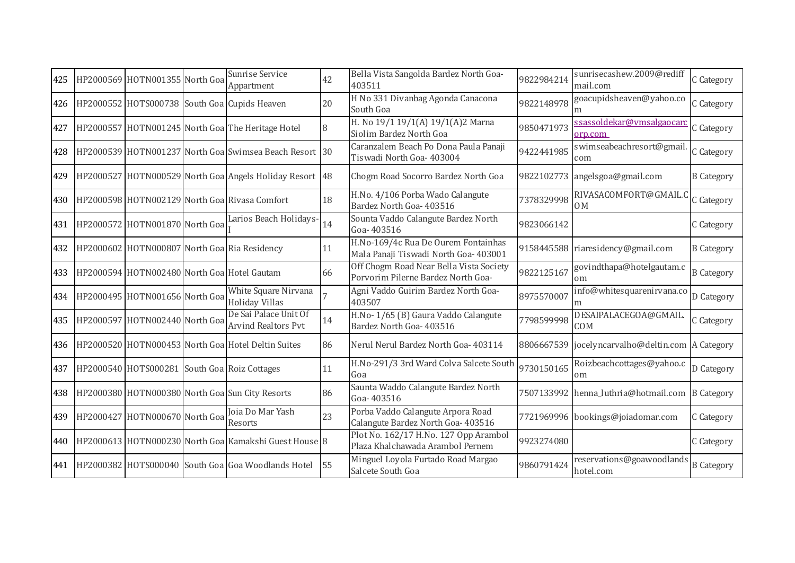| 425 | HP2000569 HOTN001355 North Goa               | Sunrise Service<br>Appartment                           | 42 | Bella Vista Sangolda Bardez North Goa-<br>403511                              | 9822984214 | sunrisecashew.2009@rediff<br>mail.com            | C Category        |
|-----|----------------------------------------------|---------------------------------------------------------|----|-------------------------------------------------------------------------------|------------|--------------------------------------------------|-------------------|
| 426 |                                              | HP2000552 HOTS000738 South Goa Cupids Heaven            | 20 | H No 331 Divanbag Agonda Canacona<br>South Goa                                | 9822148978 | goacupidsheaven@yahoo.co                         | C Category        |
| 427 |                                              | HP2000557 HOTN001245 North Goa The Heritage Hotel       | 8  | H. No 19/1 19/1(A) 19/1(A)2 Marna<br>Siolim Bardez North Goa                  | 9850471973 | <u>ssassoldekar@vmsalgaocarc</u><br>orp.com      | C Category        |
| 428 |                                              | HP2000539 HOTN001237 North Goa Swimsea Beach Resort 30  |    | Caranzalem Beach Po Dona Paula Panaji<br>Tiswadi North Goa- 403004            | 9422441985 | swimseabeachresort@gmail.<br>com                 | C Category        |
| 429 |                                              | HP2000527 HOTN000529 North Goa Angels Holiday Resort 48 |    | Chogm Road Socorro Bardez North Goa                                           | 9822102773 | angelsgoa@gmail.com                              | <b>B</b> Category |
| 430 |                                              | HP2000598 HOTN002129 North Goa Rivasa Comfort           | 18 | H.No. 4/106 Porba Wado Calangute<br>Bardez North Goa- 403516                  | 7378329998 | RIVASACOMFORT@GMAIL.C<br>0 <sub>M</sub>          | C Category        |
| 431 | HP2000572 HOTN001870 North Goa               | Larios Beach Holidays-                                  | 14 | Sounta Vaddo Calangute Bardez North<br>Goa-403516                             | 9823066142 |                                                  | C Category        |
| 432 |                                              | HP2000602 HOTN000807 North Goa Ria Residency            | 11 | H.No-169/4c Rua De Ourem Fontainhas<br>Mala Panaji Tiswadi North Goa- 403001  |            | 9158445588 riaresidency@gmail.com                | <b>B</b> Category |
| 433 | HP2000594 HOTN002480 North Goa Hotel Gautam  |                                                         | 66 | Off Chogm Road Near Bella Vista Society<br>Porvorim Pilerne Bardez North Goa- | 9822125167 | govindthapa@hotelgautam.c<br>om                  | <b>B</b> Category |
|     | 434 HP2000495 HOTN001656 North Goa           | White Square Nirvana<br><sup>1</sup> Holiday Villas     |    | Agni Vaddo Guirim Bardez North Goa-<br>403507                                 | 8975570007 | info@whitesquarenirvana.co<br>m                  | D Category        |
| 435 | HP2000597 HOTN002440 North Goa               | De Sai Palace Unit Of<br><b>Arvind Realtors Pvt</b>     | 14 | H.No-1/65 (B) Gaura Vaddo Calangute<br>Bardez North Goa- 403516               | 7798599998 | DESAIPALACEGOA@GMAIL<br><b>COM</b>               | C Category        |
| 436 |                                              | HP2000520 HOTN000453 North Goa Hotel Deltin Suites      | 86 | Nerul Nerul Bardez North Goa- 403114                                          |            | 8806667539 jocelyncarvalho@deltin.com A Category |                   |
| 437 | HP2000540 HOTS000281 South Goa Roiz Cottages |                                                         | 11 | H.No-291/3 3rd Ward Colva Salcete South<br>Goa                                | 9730150165 | Roizbeachcottages@yahoo.c<br>om                  | D Category        |
| 438 |                                              | HP2000380 HOTN000380 North Goa Sun City Resorts         | 86 | Saunta Waddo Calangute Bardez North<br>Goa-403516                             |            | 7507133992 henna_luthria@hotmail.com             | <b>B</b> Category |
| 439 | HP2000427 HOTN000670 North Goa               | Joia Do Mar Yash<br>Resorts                             | 23 | Porba Vaddo Calangute Arpora Road<br>Calangute Bardez North Goa- 403516       |            | 7721969996 bookings@joiadomar.com                | C Category        |
| 440 |                                              | HP2000613 HOTN000230 North Goa Kamakshi Guest House 8   |    | Plot No. 162/17 H.No. 127 Opp Arambol<br>Plaza Khalchawada Arambol Pernem     | 9923274080 |                                                  | C Category        |
| 441 |                                              | HP2000382 HOTS000040 South Goa Goa Woodlands Hotel      | 55 | Minguel Loyola Furtado Road Margao<br>Salcete South Goa                       | 9860791424 | reservations@goawoodlands<br>hotel.com           | <b>B</b> Category |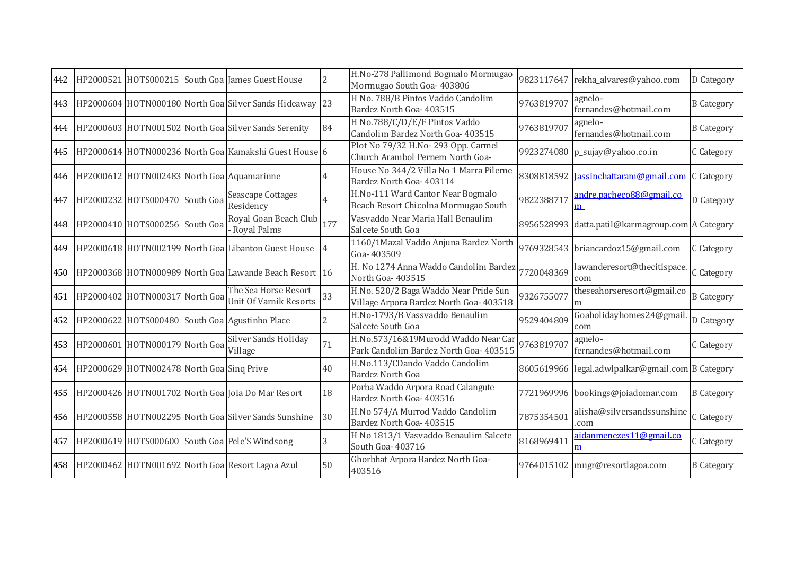| 442 |                                            | HP2000521 HOTS000215 South Goa James Guest House        | 2                        | H.No-278 Pallimond Bogmalo Mormugao<br>Mormugao South Goa- 403806                | 9823117647 | rekha_alvares@yahoo.com                                | D Category        |
|-----|--------------------------------------------|---------------------------------------------------------|--------------------------|----------------------------------------------------------------------------------|------------|--------------------------------------------------------|-------------------|
| 443 |                                            | HP2000604 HOTN000180 North Goa Silver Sands Hideaway 23 |                          | H No. 788/B Pintos Vaddo Candolim<br>Bardez North Goa- 403515                    | 9763819707 | agnelo-<br>fernandes@hotmail.com                       | <b>B</b> Category |
| 444 |                                            | HP2000603 HOTN001502 North Goa Silver Sands Serenity    | 84                       | H No.788/C/D/E/F Pintos Vaddo<br>Candolim Bardez North Goa- 403515               | 9763819707 | agnelo-<br>fernandes@hotmail.com                       | <b>B</b> Category |
| 445 |                                            | HP2000614 HOTN000236 North Goa Kamakshi Guest House 6   |                          | Plot No 79/32 H.No-293 Opp. Carmel<br>Church Arambol Pernem North Goa-           |            | 9923274080 p_sujay@yahoo.co.in                         | C Category        |
| 446 | HP2000612 HOTN002483 North Goa Aquamarinne |                                                         |                          | House No 344/2 Villa No 1 Marra Pilerne<br>Bardez North Goa- 403114              |            | 8308818592 <b>Jassinchattaram@gmail.com</b> C Category |                   |
| 447 | HP2000232 HOTS000470 South Goa             | <b>Seascape Cottages</b><br>Residency                   |                          | H.No-111 Ward Cantor Near Bogmalo<br>Beach Resort Chicolna Mormugao South        | 9822388717 | andre.pacheco88@gmail.co<br>m                          | D Category        |
| 448 | HP2000410 HOTS000256 South Goa             | Royal Goan Beach Club<br>Royal Palms                    | 177                      | Vasvaddo Near Maria Hall Benaulim<br>Salcete South Goa                           |            | 8956528993 datta.patil@karmagroup.com A Category       |                   |
| 449 |                                            | HP2000618 HOTN002199 North Goa Libanton Guest House     |                          | 1160/1Mazal Vaddo Anjuna Bardez North<br>Goa-403509                              |            | 9769328543 briancardoz15@gmail.com                     | C Category        |
| 450 |                                            | HP2000368 HOTN000989 North Goa Lawande Beach Resort 16  |                          | H. No 1274 Anna Waddo Candolim Bardez<br>North Goa-403515                        | 7720048369 | lawanderesort@thecitispace.<br>com                     | C Category        |
| 451 | HP2000402 HOTN000317 North Goa             | The Sea Horse Resort<br><b>Unit Of Varnik Resorts</b>   | 33                       | H.No. 520/2 Baga Waddo Near Pride Sun<br>Village Arpora Bardez North Goa- 403518 | 9326755077 | theseahorseresort@gmail.co                             | <b>B</b> Category |
| 452 |                                            | HP2000622 HOTS000480 South Goa Agustinho Place          | $\overline{\mathcal{L}}$ | H.No-1793/B Vassvaddo Benaulim<br>Salcete South Goa                              | 9529404809 | Goaholidayhomes24@gmail<br>com                         | D Category        |
| 453 | HP2000601 HOTN000179 North Goa             | <b>Silver Sands Holiday</b><br>Village                  | 71                       | H.No.573/16&19Murodd Waddo Near Car<br>Park Candolim Bardez North Goa- 403515    | 9763819707 | agnelo-<br>fernandes@hotmail.com                       | C Category        |
| 454 | HP2000629 HOTN002478 North Goa Sinq Prive  |                                                         | 40                       | H.No.113/CDando Vaddo Candolim<br><b>Bardez North Goa</b>                        |            | 8605619966 legal.adwlpalkar@gmail.com B Category       |                   |
| 455 |                                            | HP2000426 HOTN001702 North Goa Joia Do Mar Resort       | 18                       | Porba Waddo Arpora Road Calangute<br>Bardez North Goa- 403516                    |            | 7721969996 bookings@joiadomar.com                      | <b>B</b> Category |
| 456 |                                            | HP2000558 HOTN002295 North Goa Silver Sands Sunshine    | 30                       | H.No 574/A Murrod Vaddo Candolim<br>Bardez North Goa- 403515                     | 7875354501 | alisha@silversandssunshine<br>com                      | C Category        |
| 457 |                                            | HP2000619 HOTS000600 South Goa Pele'S Windsong          | 3                        | H No 1813/1 Vasvaddo Benaulim Salcete<br>South Goa- 403716                       | 8168969411 | aidanmenezes11@gmail.co<br>m                           | C Category        |
| 458 |                                            | HP2000462 HOTN001692 North Goa Resort Lagoa Azul        | 50                       | Ghorbhat Arpora Bardez North Goa-<br>403516                                      |            | 9764015102 mngr@resortlagoa.com                        | <b>B</b> Category |
|     |                                            |                                                         |                          |                                                                                  |            |                                                        |                   |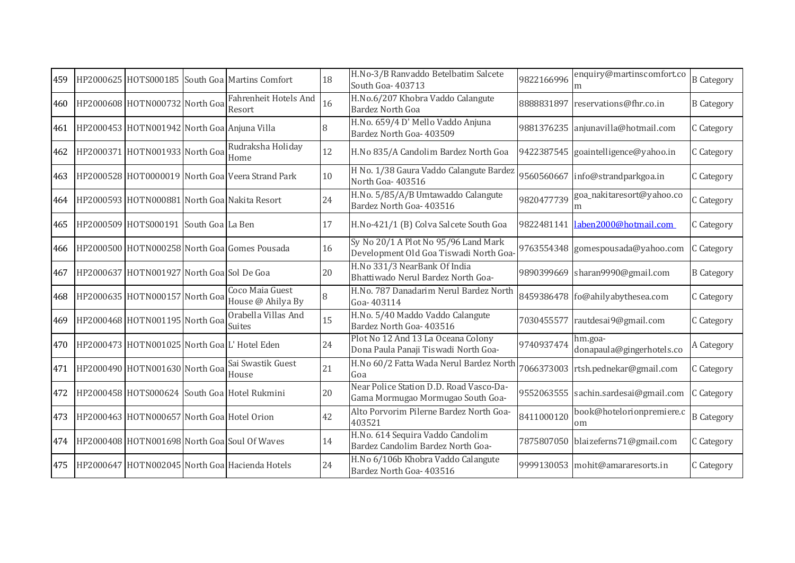| 459 |                                              | HP2000625 HOTS000185 South Goa Martins Comfort   | 18 | H.No-3/B Ranvaddo Betelbatim Salcete<br>South Goa- 403713                      | 9822166996 | enquiry@martinscomfort.co<br>m       | <b>B</b> Category |
|-----|----------------------------------------------|--------------------------------------------------|----|--------------------------------------------------------------------------------|------------|--------------------------------------|-------------------|
| 460 | HP2000608 HOTN000732 North Goa               | Fahrenheit Hotels And<br>Resort                  | 16 | H.No.6/207 Khobra Vaddo Calangute<br><b>Bardez North Goa</b>                   |            | 8888831897 reservations@fhr.co.in    | <b>B</b> Category |
| 461 | HP2000453 HOTN001942 North Goa Anjuna Villa  |                                                  | 8  | H.No. 659/4 D' Mello Vaddo Anjuna<br>Bardez North Goa- 403509                  |            | 9881376235 anjunavilla@hotmail.com   | C Category        |
| 462 | HP2000371 HOTN001933 North Goa               | Rudraksha Holiday<br>Home                        | 12 | H.No 835/A Candolim Bardez North Goa                                           |            | 9422387545 goaintelligence@yahoo.in  | C Category        |
| 463 |                                              | HP2000528 HOT0000019 North Goa Veera Strand Park | 10 | H No. 1/38 Gaura Vaddo Calangute Bardez<br>North Goa-403516                    |            | 9560560667 info@strandparkgoa.in     | C Category        |
| 464 |                                              | HP2000593 HOTN000881 North Goa Nakita Resort     | 24 | H.No. 5/85/A/B Umtawaddo Calangute<br>Bardez North Goa- 403516                 | 9820477739 | goa_nakitaresort@yahoo.co<br>m       | C Category        |
| 465 | HP2000509 HOTS000191 South Goa La Ben        |                                                  | 17 | H.No-421/1 (B) Colva Salcete South Goa                                         |            | 9822481141 laben2000@hotmail.com     | C Category        |
| 466 |                                              | HP2000500 HOTN000258 North Goal Gomes Pousada    | 16 | Sy No 20/1 A Plot No 95/96 Land Mark<br>Development Old Goa Tiswadi North Goa- |            | 9763554348 gomespousada@yahoo.com    | C Category        |
| 467 | HP2000637 HOTN001927 North Goa Sol De Goa    |                                                  | 20 | H.No 331/3 NearBank Of India<br>Bhattiwado Nerul Bardez North Goa-             |            | 9890399669 sharan9990@gmail.com      | <b>B</b> Category |
| 468 | HP2000635 HOTN000157 North Goa               | Coco Maia Guest<br>House @ Ahilya By             | 8  | H.No. 787 Danadarim Nerul Bardez North<br>Goa-403114                           |            | 8459386478 fo@ahilyabythesea.com     | C Category        |
| 469 | HP2000468 HOTN001195 North Goa               | Orabella Villas And<br><b>Suites</b>             | 15 | H.No. 5/40 Maddo Vaddo Calangute<br>Bardez North Goa- 403516                   |            | 7030455577 rautdesai9@gmail.com      | C Category        |
| 470 | HP2000473 HOTN001025 North Goa L' Hotel Eden |                                                  | 24 | Plot No 12 And 13 La Oceana Colony<br>Dona Paula Panaji Tiswadi North Goa-     | 9740937474 | hm.goa-<br>donapaula@gingerhotels.co | A Category        |
| 471 | HP2000490 HOTN001630 North Goa               | Sai Swastik Guest<br>House                       | 21 | H.No 60/2 Fatta Wada Nerul Bardez North<br>Goa                                 |            | 7066373003 rtsh.pednekar@gmail.com   | C Category        |
| 472 |                                              | HP2000458 HOTS000624 South Goa Hotel Rukmini     | 20 | Near Police Station D.D. Road Vasco-Da-<br>Gama Mormugao Mormugao South Goa-   |            | 9552063555 sachin.sardesai@gmail.com | C Category        |
| 473 | HP2000463 HOTN000657 North Goa Hotel Orion   |                                                  | 42 | Alto Porvorim Pilerne Bardez North Goa-<br>403521                              | 8411000120 | book@hotelorionpremiere.c<br>om      | <b>B</b> Category |
| 474 |                                              | HP2000408 HOTN001698 North Goa Soul Of Waves     | 14 | H.No. 614 Sequira Vaddo Candolim<br>Bardez Candolim Bardez North Goa-          |            | 7875807050 blaizeferns71@gmail.com   | C Category        |
| 475 |                                              | HP2000647 HOTN002045 North Goa Hacienda Hotels   | 24 | H.No 6/106b Khobra Vaddo Calangute<br>Bardez North Goa- 403516                 |            | 9999130053 mohit@amararesorts.in     | C Category        |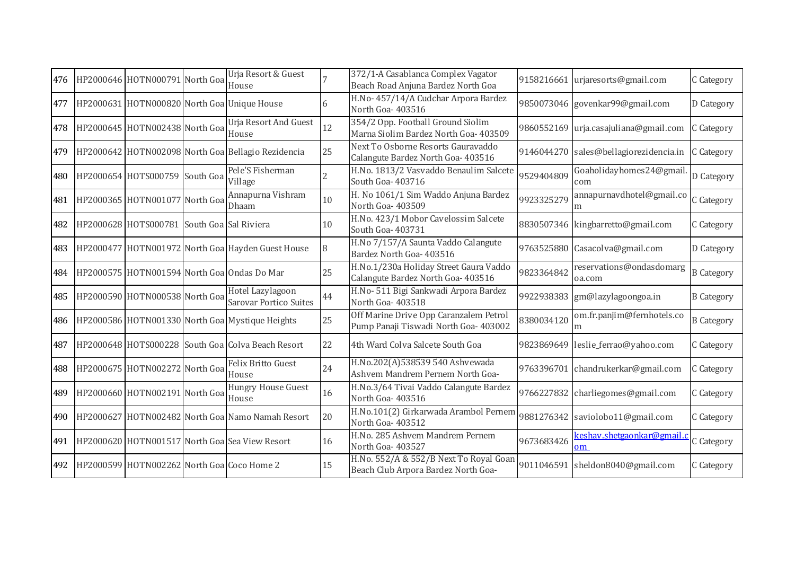| 476 | HP2000646 HOTN000791 North Goa             | Urja Resort & Guest<br>House                       |    | 372/1-A Casablanca Complex Vagator<br>Beach Road Anjuna Bardez North Goa        | 9158216661 | urjaresorts@gmail.com                  | C Category        |
|-----|--------------------------------------------|----------------------------------------------------|----|---------------------------------------------------------------------------------|------------|----------------------------------------|-------------------|
| 477 |                                            | HP2000631 HOTN000820 North Goa Unique House        | 6  | H.No-457/14/A Cudchar Arpora Bardez<br>North Goa- 403516                        |            | 9850073046 govenkar99@gmail.com        | D Category        |
| 478 | HP2000645 HOTN002438 North Goa             | <b>Urja Resort And Guest</b><br>House              | 12 | 354/2 Opp. Football Ground Siolim<br>Marna Siolim Bardez North Goa- 403509      |            | 9860552169 urja.casajuliana@gmail.com  | C Category        |
| 479 |                                            | HP2000642 HOTN002098 North Goa Bellagio Rezidencia | 25 | Next To Osborne Resorts Gauravaddo<br>Calangute Bardez North Goa- 403516        |            | 9146044270 sales@bellagiorezidencia.in | C Category        |
| 480 | HP2000654 HOTS000759 South Goa             | Pele'S Fisherman<br>Village                        |    | H.No. 1813/2 Vasvaddo Benaulim Salcete<br>South Goa- 403716                     | 9529404809 | Goaholidayhomes24@gmail.<br>com        | D Category        |
| 481 | HP2000365 HOTN001077 North Goa             | Annapurna Vishram<br>Dhaam                         | 10 | H. No 1061/1 Sim Waddo Anjuna Bardez<br>North Goa- 403509                       | 9923325279 | annapurnavdhotel@gmail.co<br>m         | C Category        |
| 482 | HP2000628 HOTS000781                       | South Goa Sal Riviera                              | 10 | H.No. 423/1 Mobor Cavelossim Salcete<br>South Goa- 403731                       |            | 8830507346 kingbarretto@gmail.com      | C Category        |
| 483 |                                            | HP2000477 HOTN001972 North Goa Hayden Guest House  | 8  | H.No 7/157/A Saunta Vaddo Calangute<br>Bardez North Goa- 403516                 |            | 9763525880 Casacolva@gmail.com         | D Category        |
| 484 |                                            | HP2000575 HOTN001594 North Goa Ondas Do Mar        | 25 | H.No.1/230a Holiday Street Gaura Vaddo<br>Calangute Bardez North Goa- 403516    | 9823364842 | reservations@ondasdomarg<br>oa.com     | <b>B</b> Category |
| 485 | HP2000590 HOTN000538 North Goa             | Hotel Lazylagoon<br><b>Sarovar Portico Suites</b>  | 44 | H.No- 511 Bigi Sankwadi Arpora Bardez<br>North Goa-403518                       |            | 9922938383 gm@lazylagoongoa.in         | <b>B</b> Category |
| 486 |                                            | HP2000586 HOTN001330 North Goa Mystique Heights    | 25 | Off Marine Drive Opp Caranzalem Petrol<br>Pump Panaji Tiswadi North Goa- 403002 | 8380034120 | om.fr.panjim@fernhotels.co<br>m        | <b>B</b> Category |
| 487 |                                            | HP2000648 HOTS000228 South Goa Colva Beach Resort  | 22 | 4th Ward Colva Salcete South Goa                                                |            | 9823869649 leslie_ferrao@yahoo.com     | C Category        |
| 488 | HP2000675 HOTN002272 North Goa             | Felix Britto Guest<br>House                        | 24 | H.No.202(A)538539 540 Ashvewada<br>Ashvem Mandrem Pernem North Goa-             |            | 9763396701 chandrukerkar@gmail.com     | C Category        |
| 489 | HP2000660 HOTN002191 North Goa             | Hungry House Guest<br>House                        | 16 | H.No.3/64 Tivai Vaddo Calangute Bardez<br>North Goa-403516                      | 9766227832 | charliegomes@gmail.com                 | C Category        |
| 490 |                                            | HP2000627 HOTN002482 North Goa Namo Namah Resort   | 20 | H.No.101(2) Girkarwada Arambol Pernem<br>North Goa-403512                       |            | 9881276342 saviolobo11@gmail.com       | C Category        |
| 491 |                                            | HP2000620 HOTN001517 North Goa Sea View Resort     | 16 | H.No. 285 Ashvem Mandrem Pernem<br>North Goa-403527                             | 9673683426 | <u>ceshav.shetgaonkar@gmail.</u><br>om | C Category        |
| 492 | HP2000599 HOTN002262 North Goa Coco Home 2 |                                                    | 15 | H.No. 552/A & 552/B Next To Royal Goar<br>Beach Club Arpora Bardez North Goa-   | 9011046591 | sheldon8040@gmail.com                  | C Category        |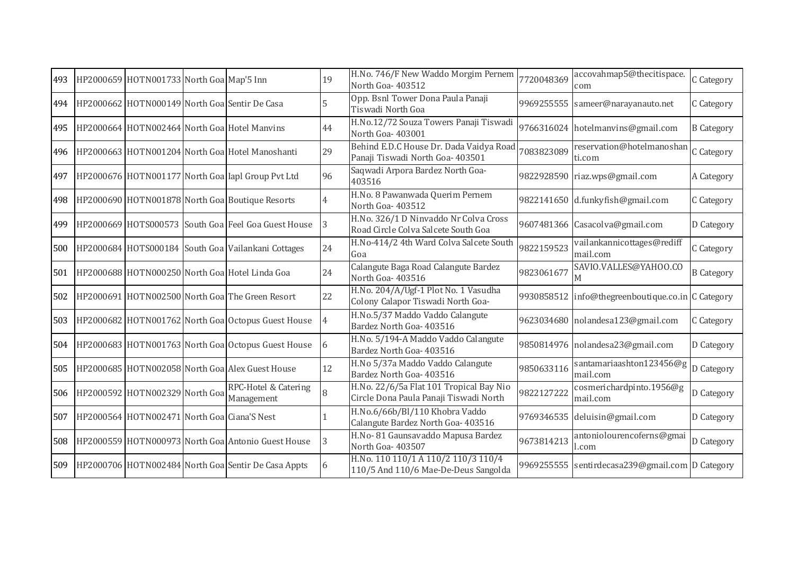| 493 | HP2000659 HOTN001733 North Goa Map'5 Inn    |                                                     | 19 | H.No. 746/F New Waddo Morgim Pernem<br>North Goa-403512                           | 7720048369 | accovahmap5@thecitispace<br>com                 | C Category        |
|-----|---------------------------------------------|-----------------------------------------------------|----|-----------------------------------------------------------------------------------|------------|-------------------------------------------------|-------------------|
| 494 |                                             | HP2000662 HOTN000149 North Goal Sentir De Casa      |    | Opp. Bsnl Tower Dona Paula Panaji<br>Tiswadi North Goa                            | 9969255555 | sameer@narayanauto.net                          | C Category        |
| 495 |                                             | HP2000664 HOTN002464 North Goa Hotel Manvins        | 44 | H.No.12/72 Souza Towers Panaji Tiswadi<br>North Goa-403001                        |            | 9766316024 hotelmanvins@gmail.com               | <b>B</b> Category |
| 496 |                                             | HP2000663 HOTN001204 North Goa Hotel Manoshanti     | 29 | Behind E.D.C House Dr. Dada Vaidya Road<br>Panaji Tiswadi North Goa- 403501       | 7083823089 | reservation@hotelmanoshan<br>ti.com             | C Category        |
| 497 |                                             | HP2000676 HOTN001177 North Goa Iapl Group Pvt Ltd   | 96 | Saqwadi Arpora Bardez North Goa-<br>403516                                        |            | 9822928590 riaz.wps@gmail.com                   | A Category        |
| 498 |                                             | HP2000690 HOTN001878 North Goa Boutique Resorts     |    | H.No. 8 Pawanwada Querim Pernem<br>North Goa-403512                               |            | 9822141650 d.funkyfish@gmail.com                | C Category        |
| 499 |                                             | HP2000669 HOTS000573 South Goa Feel Goa Guest House | Ι3 | H.No. 326/1 D Ninvaddo Nr Colva Cross<br>Road Circle Colva Salcete South Goa      |            | 9607481366 Casacolva@gmail.com                  | D Category        |
| 500 |                                             | HP2000684 HOTS000184 South Goa Vailankani Cottages  | 24 | H.No-414/2 4th Ward Colva Salcete South<br>Goa                                    | 9822159523 | vailankannicottages@rediff<br>mail.com          | C Category        |
| 501 |                                             | HP2000688 HOTN000250 North Goa Hotel Linda Goa      | 24 | Calangute Baga Road Calangute Bardez<br>North Goa-403516                          | 9823061677 | SAVIO.VALLES@YAHOO.CO<br>M                      | <b>B</b> Category |
| 502 |                                             | HP2000691 HOTN002500 North Goa The Green Resort     | 22 | H.No. 204/A/Ugf-1 Plot No. 1 Vasudha<br>Colony Calapor Tiswadi North Goa-         | 9930858512 | info@thegreenboutique.co.in C Category          |                   |
| 503 |                                             | HP2000682 HOTN001762 North Goa Octopus Guest House  |    | H.No.5/37 Maddo Vaddo Calangute<br>Bardez North Goa- 403516                       | 9623034680 | nolandesa123@gmail.com                          | C Category        |
| 504 |                                             | HP2000683 HOTN001763 North Goa Octopus Guest House  | 6  | H.No. 5/194-A Maddo Vaddo Calangute<br>Bardez North Goa- 403516                   |            | 9850814976 nolandesa23@gmail.com                | D Category        |
| 505 |                                             | HP2000685 HOTN002058 North Goa Alex Guest House     | 12 | H.No 5/37a Maddo Vaddo Calangute<br>Bardez North Goa- 403516                      | 9850633116 | santamariaashton123456@g D Category<br>mail.com |                   |
| 506 | HP2000592 HOTN002329 North Goa              | RPC-Hotel & Catering<br>Management                  |    | H.No. 22/6/5a Flat 101 Tropical Bay Nio<br>Circle Dona Paula Panaji Tiswadi North | 9822127222 | cosmerichardpinto.1956@g<br>mail.com            | D Category        |
| 507 | HP2000564 HOTN002471 North Goa Ciana'S Nest |                                                     |    | H.No.6/66b/Bl/110 Khobra Vaddo<br>Calangute Bardez North Goa- 403516              | 9769346535 | deluisin@gmail.com                              | D Category        |
| 508 |                                             | HP2000559 HOTN000973 North Goa Antonio Guest House  | 3  | H.No-81 Gaunsavaddo Mapusa Bardez<br>North Goa- 403507                            | 9673814213 | antoniolourencoferns@gmai<br>.com               | D Category        |
| 509 |                                             | HP2000706 HOTN002484 North Goa Sentir De Casa Appts | 6  | H.No. 110 110/1 A 110/2 110/3 110/4<br>110/5 And 110/6 Mae-De-Deus Sangolda       |            | 9969255555 sentirdecasa239@gmail.com D Category |                   |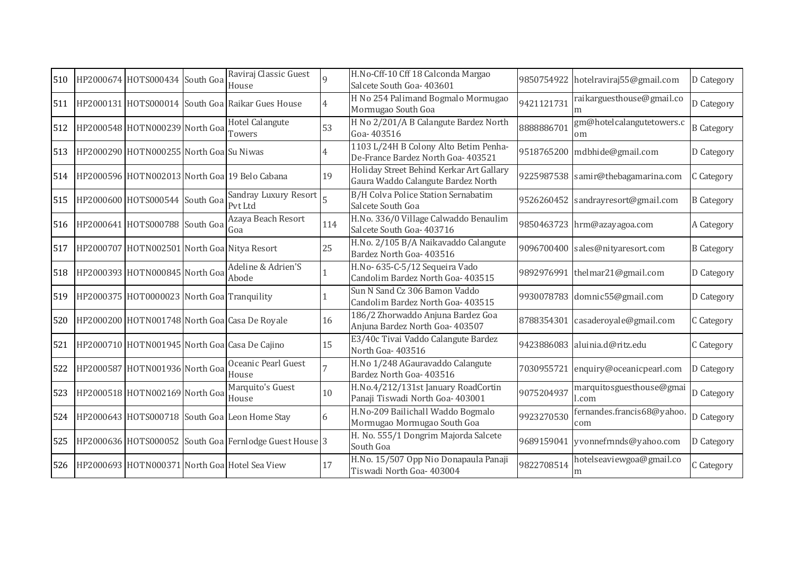| 510 | HP2000674 HOTS000434 South Goa                 | Raviraj Classic Guest<br>House                         | $\Omega$ | H.No-Cff-10 Cff 18 Calconda Margao<br>Salcete South Goa- 403601                | 9850754922 | hotelraviraj55@gmail.com            | D Category        |
|-----|------------------------------------------------|--------------------------------------------------------|----------|--------------------------------------------------------------------------------|------------|-------------------------------------|-------------------|
|     |                                                | 511 HP2000131 HOTS000014 South Goa Raikar Gues House   | 4        | H No 254 Palimand Bogmalo Mormugao<br>Mormugao South Goa                       | 9421121731 | raikarguesthouse@gmail.co           | D Category        |
|     | 512 HP2000548 HOTN000239 North Goa             | Hotel Calangute<br>Towers                              | 53       | H No 2/201/A B Calangute Bardez North<br>Goa-403516                            | 8888886701 | gm@hotelcalangutetowers.c<br>om     | <b>B</b> Category |
| 513 | HP2000290 HOTN000255 North Goa Su Niwas        |                                                        |          | 1103 L/24H B Colony Alto Betim Penha-<br>De-France Bardez North Goa- 403521    | 9518765200 | mdbhide@gmail.com                   | D Category        |
|     |                                                | 514 HP2000596 HOTN002013 North Goa 19 Belo Cabana      | 19       | Holiday Street Behind Kerkar Art Gallary<br>Gaura Waddo Calangute Bardez North |            | 9225987538 samir@thebagamarina.com  | C Category        |
| 515 | HP2000600 HOTS000544 South Goa                 | Sandray Luxury Resort<br>Pvt Ltd                       |          | <b>B/H Colva Police Station Sernabatim</b><br>Salcete South Goa                | 9526260452 | sandrayresort@gmail.com             | <b>B</b> Category |
|     | 516 HP2000641 HOTS000788 South Goa             | Azaya Beach Resort<br>Goa                              | 114      | H.No. 336/0 Village Calwaddo Benaulim<br>Salcete South Goa- 403716             |            | 9850463723 hrm@azayagoa.com         | A Category        |
| 517 | HP2000707 HOTN002501 North Goa Nitya Resort    |                                                        | 25       | H.No. 2/105 B/A Naikavaddo Calangute<br>Bardez North Goa- 403516               |            | 9096700400 sales@nityaresort.com    | <b>B</b> Category |
|     | 518 HP2000393 HOTN000845 North Goa             | Adeline & Adrien'S<br>Abode                            |          | H.No-635-C-5/12 Sequeira Vado<br>Candolim Bardez North Goa- 403515             |            | 9892976991 thelmar21@gmail.com      | D Category        |
|     | 519 HP2000375 HOT0000023 North Goa Tranquility |                                                        |          | Sun N Sand Cz 306 Bamon Vaddo<br>Candolim Bardez North Goa- 403515             |            | 9930078783 domnic55@gmail.com       | D Category        |
| 520 |                                                | HP2000200 HOTN001748 North Goa Casa De Royale          | 16       | 186/2 Zhorwaddo Anjuna Bardez Goa<br>Anjuna Bardez North Goa- 403507           | 8788354301 | casaderoyale@gmail.com              | C Category        |
| 521 |                                                | HP2000710 HOTN001945 North Goa Casa De Cajino          | 15       | E3/40c Tivai Vaddo Calangute Bardez<br>North Goa- 403516                       |            | 9423886083 aluinia.d@ritz.edu       | C Category        |
| 522 | HP2000587 HOTN001936 North Goa                 | Oceanic Pearl Guest<br>House                           |          | H.No 1/248 AGauravaddo Calangute<br>Bardez North Goa- 403516                   |            | 7030955721 enquiry@oceanicpearl.com | D Category        |
| 523 | HP2000518 HOTN002169 North Goa                 | Marquito's Guest<br>House                              | 10       | H.No.4/212/131st January RoadCortin<br>Panaji Tiswadi North Goa- 403001        | 9075204937 | marquitosguesthouse@gmai<br>l.com   | D Category        |
| 524 |                                                | HP2000643 HOTS000718 South Goa Leon Home Stay          | 6        | H.No-209 Bailichall Waddo Bogmalo<br>Mormugao Mormugao South Goa               | 9923270530 | fernandes.francis68@yahoo.<br>com   | D Category        |
| 525 |                                                | HP2000636 HOTS000052 South Goa Fernlodge Guest House 3 |          | H. No. 555/1 Dongrim Majorda Salcete<br>South Goa                              | 9689159041 | yvonnefrnnds@yahoo.com              | D Category        |
| 526 |                                                | HP2000693 HOTN000371 North Goa Hotel Sea View          | 17       | H.No. 15/507 Opp Nio Donapaula Panaji<br>Tiswadi North Goa- 403004             | 9822708514 | hotelseaviewgoa@gmail.co<br>m       | C Category        |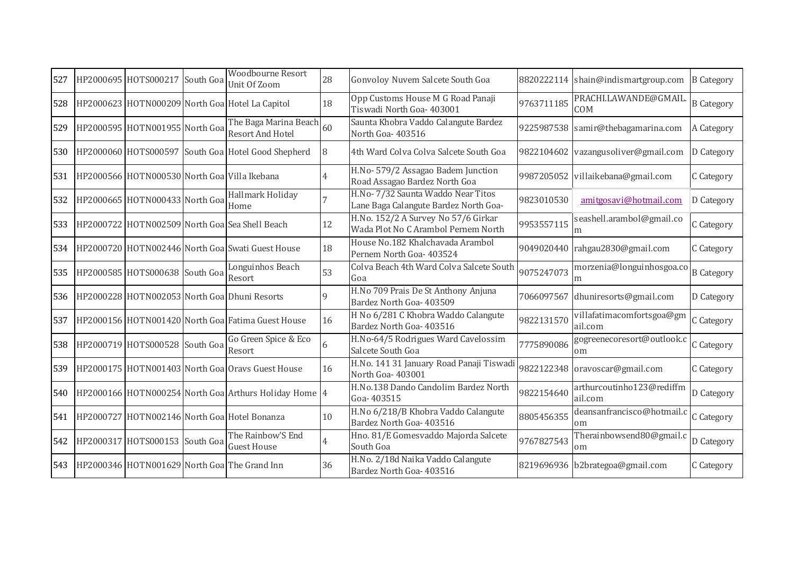| 527 | HP2000695 HOTS000217 South Goa               | <b>Woodbourne Resort</b><br>Unit Of Zoom              | 28             | Gonvoloy Nuvem Salcete South Goa                                            |            | 8820222114 shain@indismartgroup.com  | <b>B</b> Category |
|-----|----------------------------------------------|-------------------------------------------------------|----------------|-----------------------------------------------------------------------------|------------|--------------------------------------|-------------------|
| 528 |                                              | HP2000623 HOTN000209 North Goa Hotel La Capitol       | 18             | Opp Customs House M G Road Panaji<br>Tiswadi North Goa- 403001              | 9763711185 | PRACHI.LAWANDE@GMAIL.<br>COM         | <b>B</b> Category |
| 529 | HP2000595 HOTN001955 North Goa               | The Baga Marina Beach 60<br>Resort And Hotel          |                | Saunta Khobra Vaddo Calangute Bardez<br>North Goa-403516                    |            | 9225987538 samir@thebagamarina.com   | A Category        |
| 530 |                                              | HP2000060 HOTS000597 South Goa Hotel Good Shepherd    | 8              | 4th Ward Colva Colva Salcete South Goa                                      | 9822104602 | vazangusoliver@gmail.com             | D Category        |
| 531 | HP2000566 HOTN000530 North Goa Villa Ikebana |                                                       | 4              | H.No- 579/2 Assagao Badem Junction<br>Road Assagao Bardez North Goa         |            | 9987205052 villaikebana@gmail.com    | C Category        |
| 532 | HP2000665 HOTN000433 North Goa               | Hallmark Holiday<br>Home                              |                | H.No- 7/32 Saunta Waddo Near Titos<br>Lane Baga Calangute Bardez North Goa- | 9823010530 | amitgosavi@hotmail.com               | D Category        |
| 533 |                                              | HP2000722 HOTN002509 North Goal Sea Shell Beach       | 12             | H.No. 152/2 A Survey No 57/6 Girkar<br>Wada Plot No C Arambol Pernem North  | 9953557115 | seashell.arambol@gmail.co<br>m       | C Category        |
| 534 |                                              | HP2000720 HOTN002446 North Goa Swati Guest House      | 18             | House No.182 Khalchavada Arambol<br>Pernem North Goa- 403524                | 9049020440 | rahgau2830@gmail.com                 | C Category        |
| 535 | HP2000585 HOTS000638 South Goa               | Longuinhos Beach<br>Resort                            | 53             | Colva Beach 4th Ward Colva Salcete South<br>Goa                             | 9075247073 | morzenia@longuinhosgoa.co<br>m       | <b>B</b> Category |
| 536 |                                              | HP2000228 HOTN002053 North Goa Dhuni Resorts          | 9              | H.No 709 Prais De St Anthony Anjuna<br>Bardez North Goa- 403509             | 7066097567 | dhuniresorts@gmail.com               | D Category        |
| 537 |                                              | HP2000156 HOTN001420 North Goa Fatima Guest House     | 16             | H No 6/281 C Khobra Waddo Calangute<br>Bardez North Goa- 403516             | 9822131570 | villafatimacomfortsgoa@gm<br>ail.com | C Category        |
| 538 | HP2000719 HOTS000528 South Goa               | Go Green Spice & Eco<br>Resort                        | 6              | H.No-64/5 Rodrigues Ward Cavelossim<br>Salcete South Goa                    | 7775890086 | gogreenecoresort@outlook.c<br>om     | C Category        |
| 539 |                                              | HP2000175 HOTN001403 North Goa Oravs Guest House      | 16             | H.No. 141 31 January Road Panaji Tiswadi<br>North Goa-403001                |            | 9822122348 oravoscar@gmail.com       | C Category        |
| 540 |                                              | HP2000166 HOTN000254 North Goa Arthurs Holiday Home 4 |                | H.No.138 Dando Candolim Bardez North<br>Goa-403515                          | 9822154640 | arthurcoutinho123@rediffm<br>ail.com | D Category        |
| 541 |                                              | HP2000727 HOTN002146 North Goa Hotel Bonanza          | 10             | H.No 6/218/B Khobra Vaddo Calangute<br>Bardez North Goa- 403516             | 8805456355 | deansanfrancisco@hotmail.c<br>om     | C Category        |
| 542 | HP2000317 HOTS000153 South Goa               | The Rainbow'S End<br><b>Guest House</b>               | $\overline{4}$ | Hno. 81/E Gomesvaddo Majorda Salcete<br>South Goa                           | 9767827543 | Therainbowsend80@gmail.c<br>om       | D Category        |
| 543 |                                              | HP2000346 HOTN001629 North Goal The Grand Inn         | 36             | H.No. 2/18d Naika Vaddo Calangute<br>Bardez North Goa- 403516               |            | 8219696936 b2brategoa@gmail.com      | C Category        |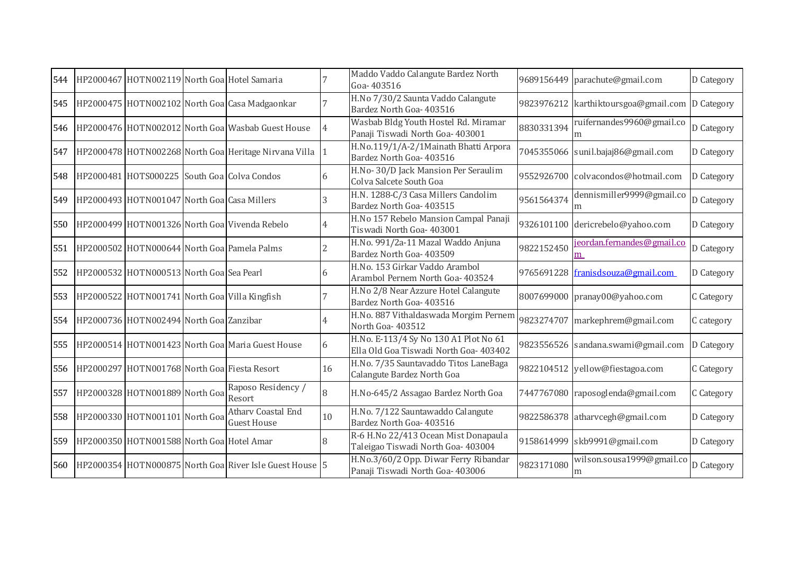| 544 |                                               | HP2000467 HOTN002119 North Goa Hotel Samaria            |                | Maddo Vaddo Calangute Bardez North<br>Goa-403516                                |            | 9689156449 parachute@gmail.com                  | D Category |
|-----|-----------------------------------------------|---------------------------------------------------------|----------------|---------------------------------------------------------------------------------|------------|-------------------------------------------------|------------|
| 545 |                                               | HP2000475 HOTN002102 North Goa Casa Madgaonkar          |                | H.No 7/30/2 Saunta Vaddo Calangute<br>Bardez North Goa- 403516                  |            | 9823976212 karthiktoursgoa@gmail.com D Category |            |
| 546 |                                               | HP2000476 HOTN002012 North Goa Wasbab Guest House       | $\overline{4}$ | Wasbab Bldg Youth Hostel Rd. Miramar<br>Panaji Tiswadi North Goa- 403001        | 8830331394 | ruifernandes9960@gmail.co<br>m                  | D Category |
| 547 |                                               | HP2000478 HOTN002268 North Goa Heritage Nirvana Villa   | $\mathbf{11}$  | H.No.119/1/A-2/1Mainath Bhatti Arpora<br>Bardez North Goa- 403516               | 7045355066 | sunil.bajaj86@gmail.com                         | D Category |
| 548 | HP2000481 HOTS000225 South Goa Colva Condos   |                                                         | 6              | H.No-30/D Jack Mansion Per Seraulim<br>Colva Salcete South Goa                  |            | 9552926700 colvacondos@hotmail.com              | D Category |
| 549 | HP2000493 HOTN001047 North Goa Casa Millers   |                                                         |                | H.N. 1288-C/3 Casa Millers Candolim<br>Bardez North Goa- 403515                 | 9561564374 | dennismiller9999@gmail.co<br>m                  | D Category |
| 550 |                                               | HP2000499 HOTN001326 North Goa Vivenda Rebelo           | 4              | H.No 157 Rebelo Mansion Campal Panaji<br>Tiswadi North Goa- 403001              |            | 9326101100 dericrebelo@yahoo.com                | D Category |
| 551 |                                               | HP2000502 HOTN000644 North Goa Pamela Palms             | 2              | H.No. 991/2a-11 Mazal Waddo Anjuna<br>Bardez North Goa- 403509                  | 9822152450 | jeordan.fernandes@gmail.co<br>m                 | D Category |
| 552 | HP2000532 HOTN000513 North Goal Sea Pearl     |                                                         |                | H.No. 153 Girkar Vaddo Arambol<br>Arambol Pernem North Goa- 403524              | 9765691228 | franisdsouza@gmail.com                          | D Category |
| 553 | HP2000522 HOTN001741 North Goa Villa Kingfish |                                                         |                | H.No 2/8 Near Azzure Hotel Calangute<br>Bardez North Goa- 403516                |            | 8007699000 pranay00@yahoo.com                   | C Category |
| 554 | HP2000736 HOTN002494 North Goa Zanzibar       |                                                         |                | H.No. 887 Vithaldaswada Morgim Pernem<br>North Goa-403512                       | 9823274707 | markephrem@gmail.com                            | C category |
| 555 |                                               | HP2000514 HOTN001423 North Goa Maria Guest House        | 6              | H.No. E-113/4 Sy No 130 A1 Plot No 61<br>Ella Old Goa Tiswadi North Goa- 403402 |            | 9823556526 sandana.swami@gmail.com              | D Category |
| 556 | HP2000297 HOTN001768 North Goa Fiesta Resort  |                                                         | 16             | H.No. 7/35 Sauntavaddo Titos LaneBaga<br>Calangute Bardez North Goa             |            | 9822104512 yellow@fiestagoa.com                 | C Category |
| 557 | HP2000328 HOTN001889 North Goa                | Raposo Residency /<br>Resort                            | 8              | H.No-645/2 Assagao Bardez North Goa                                             |            | 7447767080 raposoglenda@gmail.com               | C Category |
| 558 | HP2000330 HOTN001101 North Goa                | <b>Athary Coastal End</b><br><b>Guest House</b>         | 10             | H.No. 7/122 Sauntawaddo Calangute<br>Bardez North Goa- 403516                   |            | 9822586378 atharvcegh@gmail.com                 | D Category |
| 559 | HP2000350 HOTN001588 North Goa Hotel Amar     |                                                         |                | R-6 H.No 22/413 Ocean Mist Donapaula<br>Taleigao Tiswadi North Goa- 403004      |            | 9158614999 skb9991@gmail.com                    | D Category |
| 560 |                                               | HP2000354 HOTN000875 North Goa River Isle Guest House 5 |                | H.No.3/60/2 Opp. Diwar Ferry Ribandar<br>Panaji Tiswadi North Goa- 403006       | 9823171080 | wilson.sousa1999@gmail.co<br>m                  | D Category |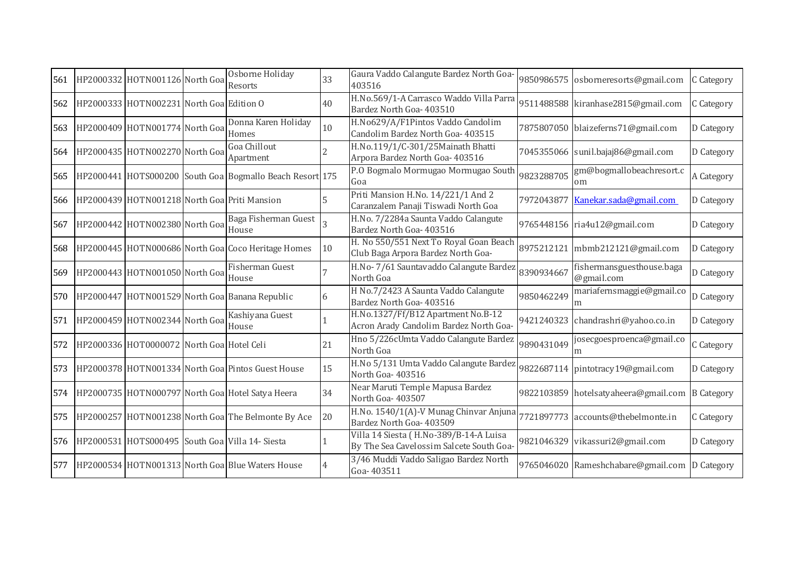| 561 | HP2000332 HOTN001126 North Goa               | Osborne Holiday<br>Resorts                               | 33 | Gaura Vaddo Calangute Bardez North Goa-<br>403516                                  |            | 9850986575 osborneresorts@gmail.com     | C Category        |
|-----|----------------------------------------------|----------------------------------------------------------|----|------------------------------------------------------------------------------------|------------|-----------------------------------------|-------------------|
| 562 | HP2000333 HOTN002231 North Goa Edition O     |                                                          | 40 | H.No.569/1-A Carrasco Waddo Villa Parra<br>Bardez North Goa- 403510                |            | 9511488588 kiranhase2815@gmail.com      | C Category        |
| 563 | HP2000409 HOTN001774 North Goa               | Donna Karen Holiday<br>Homes                             | 10 | H.No629/A/F1Pintos Vaddo Candolim<br>Candolim Bardez North Goa- 403515             |            | 7875807050 blaizeferns71@gmail.com      | D Category        |
| 564 | HP2000435 HOTN002270 North Goa               | Goa Chillout<br>Apartment                                |    | H.No.119/1/C-301/25Mainath Bhatti<br>Arpora Bardez North Goa- 403516               |            | 7045355066 sunil.bajaj86@gmail.com      | D Category        |
| 565 |                                              | HP2000441 HOTS000200 South Goa Bogmallo Beach Resort 175 |    | P.O Bogmalo Mormugao Mormugao South<br>Goa                                         | 9823288705 | gm@bogmallobeachresort.c<br>om          | A Category        |
| 566 | HP2000439 HOTN001218 North Goa Priti Mansion |                                                          |    | Priti Mansion H.No. 14/221/1 And 2<br>Caranzalem Panaji Tiswadi North Goa          | 7972043877 | Kanekar.sada@gmail.com                  | D Category        |
| 567 | HP2000442 HOTN002380 North Goa               | Baga Fisherman Guest<br>House                            |    | H.No. 7/2284a Saunta Vaddo Calangute<br>Bardez North Goa- 403516                   |            | 9765448156 ria4u12@gmail.com            | D Category        |
| 568 |                                              | HP2000445 HOTN000686 North Goal Coco Heritage Homes      | 10 | H. No 550/551 Next To Royal Goan Beach<br>Club Baga Arpora Bardez North Goa-       |            | 8975212121 mbmb212121@gmail.com         | D Category        |
| 569 | HP2000443 HOTN001050 North Goa               | Fisherman Guest<br>House                                 |    | H.No-7/61 Sauntavaddo Calangute Bardez<br>North Goa                                | 8390934667 | fishermansguesthouse.baga<br>@gmail.com | D Category        |
| 570 |                                              | HP2000447 HOTN001529 North Goa Banana Republic           | 6  | H No.7/2423 A Saunta Vaddo Calangute<br>Bardez North Goa- 403516                   | 9850462249 | mariafernsmaggie@gmail.co<br>m          | D Category        |
| 571 | HP2000459 HOTN002344 North Goa               | Kashiyana Guest<br>House                                 |    | H.No.1327/Ff/B12 Apartment No.B-12<br>Acron Arady Candolim Bardez North Goa-       |            | 9421240323 chandrashri@yahoo.co.in      | D Category        |
| 572 | HP2000336 HOT0000072 North Goa Hotel Celi    |                                                          | 21 | Hno 5/226cUmta Vaddo Calangute Bardez<br>North Goa                                 | 9890431049 | josecgoesproenca@gmail.co<br>m          | C Category        |
| 573 |                                              | HP2000378 HOTN001334 North Goa Pintos Guest House        | 15 | H.No 5/131 Umta Vaddo Calangute Bardez<br>North Goa-403516                         |            | 9822687114 pintotracy19@gmail.com       | D Category        |
| 574 |                                              | HP2000735 HOTN000797 North Goa Hotel Satya Heera         | 34 | Near Maruti Temple Mapusa Bardez<br>North Goa-403507                               |            | 9822103859 hotelsatyaheera@gmail.com    | <b>B</b> Category |
| 575 |                                              | HP2000257 HOTN001238 North Goa The Belmonte By Ace       | 20 | H.No. 1540/1(A)-V Munag Chinvar Anjuna<br>Bardez North Goa- 403509                 |            | 7721897773 accounts@thebelmonte.in      | C Category        |
| 576 |                                              | HP2000531 HOTS000495 South Goa Villa 14- Siesta          |    | Villa 14 Siesta (H.No-389/B-14-A Luisa<br>By The Sea Cavelossim Salcete South Goa- |            | 9821046329 vikassuri2@gmail.com         | D Category        |
| 577 |                                              | HP2000534 HOTN001313 North Goa Blue Waters House         | 4  | 3/46 Muddi Vaddo Saligao Bardez North<br>Goa-403511                                |            | 9765046020 Rameshchabare@gmail.com      | D Category        |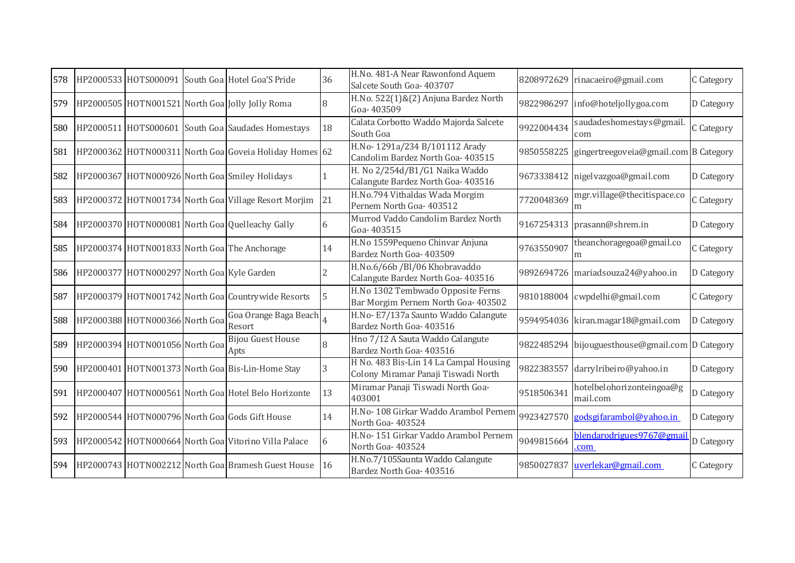| 578 |                                            | HP2000533 HOTS000091 South Goa Hotel Goa'S Pride       | 36 | H.No. 481-A Near Rawonfond Aquem<br>Salcete South Goa- 403707                 | 8208972629 | rinacaeiro@gmail.com                            | C Category |
|-----|--------------------------------------------|--------------------------------------------------------|----|-------------------------------------------------------------------------------|------------|-------------------------------------------------|------------|
| 579 |                                            | HP2000505 HOTN001521 North Goa Jolly Jolly Roma        | 8  | H.No. 522(1)&(2) Anjuna Bardez North<br>Goa-403509                            | 9822986297 | info@hoteljollygoa.com                          | D Category |
| 580 |                                            | HP2000511 HOTS000601 South Goa Saudades Homestays      | 18 | Calata Corbotto Waddo Majorda Salcete<br>South Goa                            | 9922004434 | saudadeshomestays@gmail<br>com                  | C Category |
| 581 |                                            | HP2000362 HOTN000311 North Goa Goveia Holiday Homes 62 |    | H.No-1291a/234 B/101112 Arady<br>Candolim Bardez North Goa- 403515            | 9850558225 | gingertreegoveia@gmail.com B Category           |            |
| 582 |                                            | HP2000367 HOTN000926 North Goa Smiley Holidays         |    | H. No 2/254d/B1/G1 Naika Waddo<br>Calangute Bardez North Goa- 403516          |            | 9673338412 nigelvazgoa@gmail.com                | D Category |
| 583 |                                            | HP2000372 HOTN001734 North Goa Village Resort Morjim   | 21 | H.No.794 Vithaldas Wada Morgim<br>Pernem North Goa- 403512                    | 7720048369 | mgr.village@thecitispace.co<br>m                | C Category |
| 584 |                                            | HP2000370 HOTN000081 North Goa Quelleachy Gally        | 6  | Murrod Vaddo Candolim Bardez North<br>Goa-403515                              |            | 9167254313 prasann@shrem.in                     | D Category |
| 585 |                                            | HP2000374 HOTN001833 North Goa The Anchorage           | 14 | H.No 1559Pequeno Chinvar Anjuna<br>Bardez North Goa- 403509                   | 9763550907 | theanchoragegoa@gmail.co<br>m                   | C Category |
| 586 | HP2000377 HOTN000297 North Goa Kyle Garden |                                                        |    | H.No.6/66b /Bl/06 Khobravaddo<br>Calangute Bardez North Goa- 403516           |            | 9892694726 mariadsouza24@yahoo.in               | D Category |
| 587 |                                            | HP2000379 HOTN001742 North Goa Countrywide Resorts     | 5  | H.No 1302 Tembwado Opposite Ferns<br>Bar Morgim Pernem North Goa- 403502      |            | 9810188004 cwpdelhi@gmail.com                   | C Category |
| 588 | HP2000388 HOTN000366 North Goa             | Goa Orange Baga Beach<br>Resort                        |    | H.No-E7/137a Saunto Waddo Calangute<br>Bardez North Goa- 403516               |            | 9594954036 kiran.magar18@gmail.com              | D Category |
| 589 | HP2000394 HOTN001056 North Goa             | <b>Bijou Guest House</b><br>Apts                       | 8  | Hno 7/12 A Sauta Waddo Calangute<br>Bardez North Goa- 403516                  |            | 9822485294 bijouguesthouse@gmail.com D Category |            |
| 590 |                                            | HP2000401 HOTN001373 North Goa Bis-Lin-Home Stay       | 3  | H No. 483 Bis-Lin 14 La Campal Housing<br>Colony Miramar Panaji Tiswadi North |            | 9822383557 darrylribeiro@yahoo.in               | D Category |
| 591 |                                            | HP2000407 HOTN000561 North Goa Hotel Belo Horizonte    | 13 | Miramar Panaji Tiswadi North Goa-<br>403001                                   | 9518506341 | hotelbelohorizonteingoa@g<br>mail.com           | D Category |
| 592 |                                            | HP2000544 HOTN000796 North Goa Gods Gift House         | 14 | H.No-108 Girkar Waddo Arambol Pernem<br>North Goa-403524                      | 9923427570 | godsgifarambol@yahoo.in                         | D Category |
| 593 |                                            | HP2000542 HOTN000664 North Goa Vitorino Villa Palace   | 6  | H.No-151 Girkar Vaddo Arambol Pernem<br>North Goa-403524                      | 9049815664 | blendarodrigues9767@gmai<br>com                 | D Category |
| 594 |                                            | HP2000743 HOTN002212 North Goa Bramesh Guest House     | 16 | H.No.7/105Saunta Waddo Calangute<br>Bardez North Goa- 403516                  | 9850027837 | uverlekar@gmail.com                             | C Category |
|     |                                            |                                                        |    |                                                                               |            |                                                 |            |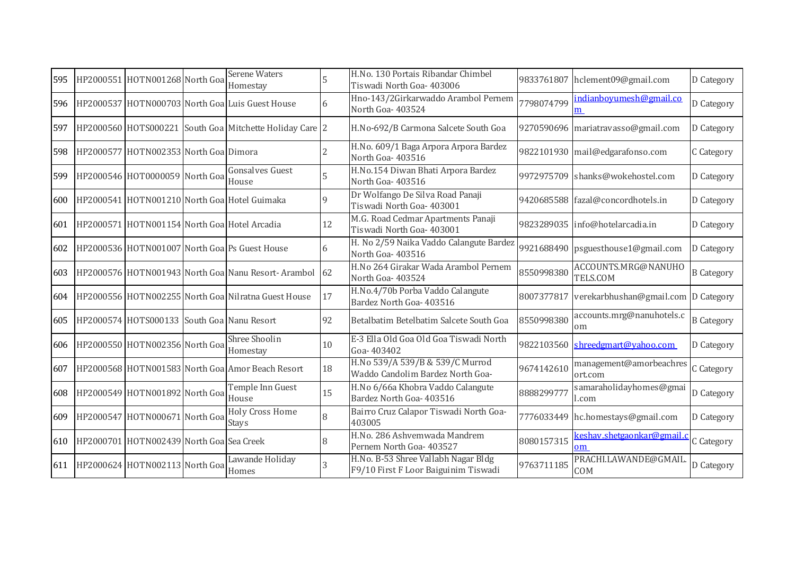| 595 | HP2000551 HOTN001268 North Goa               | <b>Serene Waters</b><br>Homestay                        |    | H.No. 130 Portais Ribandar Chimbel<br>Tiswadi North Goa- 403006             |            | 9833761807 hclement09@gmail.com       | D Category        |
|-----|----------------------------------------------|---------------------------------------------------------|----|-----------------------------------------------------------------------------|------------|---------------------------------------|-------------------|
| 596 |                                              | HP2000537 HOTN000703 North Goa Luis Guest House         | 6  | Hno-143/2Girkarwaddo Arambol Pernem<br>North Goa-403524                     | 7798074799 | indianboyumesh@gmail.co<br>m          | D Category        |
| 597 |                                              | HP2000560 HOTS000221 South Goa Mitchette Holiday Care 2 |    | H.No-692/B Carmona Salcete South Goa                                        |            | 9270590696 mariatravasso@gmail.com    | D Category        |
| 598 | HP2000577 HOTN002353 North Goa Dimora        |                                                         |    | H.No. 609/1 Baga Arpora Arpora Bardez<br>North Goa-403516                   |            | 9822101930 mail@edgarafonso.com       | C Category        |
| 599 | HP2000546 HOT0000059 North GoalHouse         | <b>Gonsalves Guest</b>                                  | 5  | H.No.154 Diwan Bhati Arpora Bardez<br>North Goa-403516                      |            | 9972975709 shanks@wokehostel.com      | D Category        |
| 600 |                                              | HP2000541 HOTN001210 North Goa Hotel Guimaka            | 9  | Dr Wolfango De Silva Road Panaji<br>Tiswadi North Goa- 403001               |            | 9420685588 fazal@concordhotels.in     | D Category        |
| 601 | HP2000571 HOTN001154 North Goa Hotel Arcadia |                                                         | 12 | M.G. Road Cedmar Apartments Panaji<br>Tiswadi North Goa- 403001             |            | 9823289035 info@hotelarcadia.in       | D Category        |
| 602 |                                              | HP2000536 HOTN001007 North Goa Ps Guest House           | 6  | H. No 2/59 Naika Vaddo Calangute Bardez<br>North Goa-403516                 |            | 9921688490 psguesthouse1@gmail.com    | D Category        |
| 603 |                                              | HP2000576 HOTN001943 North Goa Nanu Resort-Arambol      | 62 | H.No 264 Girakar Wada Arambol Pernem<br>North Goa-403524                    | 8550998380 | ACCOUNTS.MRG@NANUHO<br>TELS.COM       | <b>B</b> Category |
| 604 |                                              | HP2000556 HOTN002255 North Goa Nilratna Guest House     | 17 | H.No.4/70b Porba Vaddo Calangute<br>Bardez North Goa- 403516                | 8007377817 | verekarbhushan@gmail.com D Category   |                   |
| 605 | HP2000574 HOTS000133 South Goa Nanu Resort   |                                                         | 92 | Betalbatim Betelbatim Salcete South Goa                                     | 8550998380 | accounts.mrg@nanuhotels.c<br>om       | <b>B</b> Category |
| 606 | HP2000550 HOTN002356 North Goa               | Shree Shoolin<br>Homestay                               | 10 | E-3 Ella Old Goa Old Goa Tiswadi North<br>Goa-403402                        | 9822103560 | shreedgmart@yahoo.com                 | D Category        |
| 607 |                                              | HP2000568 HOTN001583 North Goa Amor Beach Resort        | 18 | H.No 539/A 539/B & 539/C Murrod<br>Waddo Candolim Bardez North Goa-         | 9674142610 | management@amorbeachres<br>ort.com    | C Category        |
| 608 | HP2000549 HOTN001892 North Goa House         | Temple Inn Guest                                        | 15 | H.No 6/66a Khobra Vaddo Calangute<br>Bardez North Goa- 403516               | 8888299777 | samaraholidayhomes@gmai<br>l.com      | D Category        |
| 609 | HP2000547 HOTN000671 North Goa               | <b>Holy Cross Home</b><br><b>Stays</b>                  | 8  | Bairro Cruz Calapor Tiswadi North Goa-<br>403005                            |            | 7776033449 hc.homestays@gmail.com     | D Category        |
| 610 | HP2000701 HOTN002439 North Goa Sea Creek     |                                                         |    | H.No. 286 Ashvemwada Mandrem<br>Pernem North Goa- 403527                    | 8080157315 | <u>keshav.shetgaonkar@gmail</u><br>om | C Category        |
| 611 | HP2000624 HOTN002113 North Goa               | Lawande Holiday<br>Homes                                | 3  | H.No. B-53 Shree Vallabh Nagar Bldg<br>F9/10 First F Loor Baiguinim Tiswadi | 9763711185 | PRACHI.LAWANDE@GMAII<br>COM           | D Category        |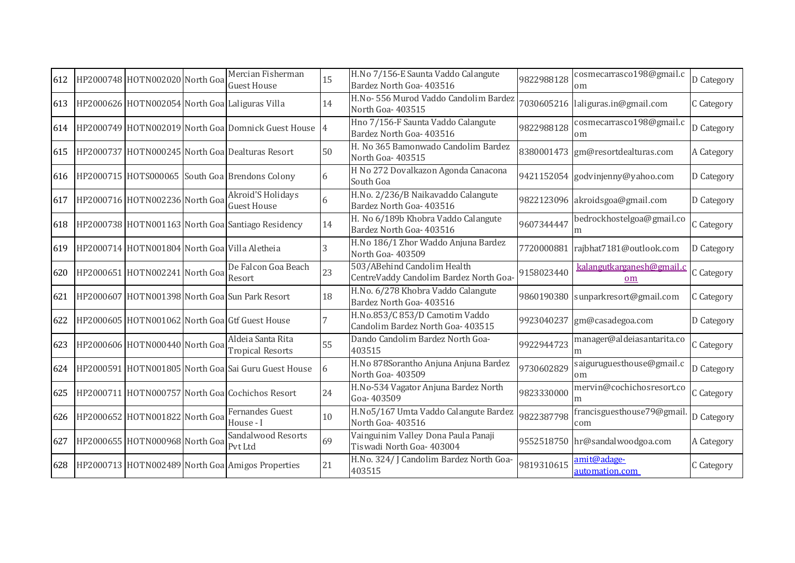| 612 | HP2000748 HOTN002020 North Goa                | Mercian Fisherman<br><b>Guest House</b>              | 15 | H.No 7/156-E Saunta Vaddo Calangute<br>Bardez North Goa- 403516       | 9822988128 | cosmecarrasco198@gmail.c<br><sub>om</sub> | D Category |
|-----|-----------------------------------------------|------------------------------------------------------|----|-----------------------------------------------------------------------|------------|-------------------------------------------|------------|
| 613 |                                               | HP2000626 HOTN002054 North Goa Laliguras Villa       | 14 | H.No- 556 Murod Vaddo Candolim Bardez<br>North Goa-403515             |            | 7030605216 laliguras.in@gmail.com         | C Category |
| 614 |                                               | HP2000749 HOTN002019 North Goa Domnick Guest House 4 |    | Hno 7/156-F Saunta Vaddo Calangute<br>Bardez North Goa- 403516        | 9822988128 | cosmecarrasco198@gmail.c<br>om            | D Category |
| 615 |                                               | HP2000737 HOTN000245 North Goa Dealturas Resort      | 50 | H. No 365 Bamonwado Candolim Bardez<br>North Goa-403515               |            | 8380001473 gm@resortdealturas.com         | A Category |
|     |                                               | 616 HP2000715 HOTS000065 South Goa Brendons Colony   | 6  | H No 272 Dovalkazon Agonda Canacona<br>South Goa                      |            | 9421152054 godvinjenny@yahoo.com          | D Category |
| 617 | HP2000716 HOTN002236 North Goa                | Akroid'S Holidays<br><b>Guest House</b>              | 6  | H.No. 2/236/B Naikavaddo Calangute<br>Bardez North Goa- 403516        | 9822123096 | akroidsgoa@gmail.com                      | D Category |
| 618 |                                               | HP2000738 HOTN001163 North Goa Santiago Residency    | 14 | H. No 6/189b Khobra Vaddo Calangute<br>Bardez North Goa- 403516       | 9607344447 | bedrockhostelgoa@gmail.co                 | C Category |
| 619 | HP2000714 HOTN001804 North Goa Villa Aletheia |                                                      | 3  | H.No 186/1 Zhor Waddo Anjuna Bardez<br>North Goa- 403509              | 7720000881 | rajbhat7181@outlook.com                   | D Category |
| 620 | HP2000651 HOTN002241 North Goa                | De Falcon Goa Beach<br>Resort                        | 23 | 503/ABehind Candolim Health<br>CentreVaddy Candolim Bardez North Goa- | 9158023440 | <u>kalangutkarganesh@gmail.c</u><br>om    | C Category |
| 621 |                                               | HP2000607 HOTN001398 North Goa Sun Park Resort       | 18 | H.No. 6/278 Khobra Vaddo Calangute<br>Bardez North Goa- 403516        | 9860190380 | sunparkresort@gmail.com                   | C Category |
| 622 |                                               | HP2000605 HOTN001062 North Goal Gtf Guest House      |    | H.No.853/C 853/D Camotim Vaddo<br>Candolim Bardez North Goa- 403515   | 9923040237 | gm@casadegoa.com                          | D Category |
| 623 | HP2000606 HOTN000440 North Goa                | Aldeia Santa Rita<br><b>Tropical Resorts</b>         | 55 | Dando Candolim Bardez North Goa-<br>403515                            | 9922944723 | manager@aldeiasantarita.co                | C Category |
| 624 |                                               | HP2000591 HOTN001805 North Goa Sai Guru Guest House  | 6  | H.No 878Sorantho Anjuna Anjuna Bardez<br>North Goa-403509             | 9730602829 | saiguruguesthouse@gmail.c<br>om           | D Category |
| 625 |                                               | HP2000711 HOTN000757 North Goa Cochichos Resort      | 24 | H.No-534 Vagator Anjuna Bardez North<br>Goa-403509                    | 9823330000 | mervin@cochichosresort.co<br>m            | C Category |
| 626 | HP2000652 HOTN001822 North Goa                | Fernandes Guest<br>House - I                         | 10 | H.No5/167 Umta Vaddo Calangute Bardez<br>North Goa-403516             | 9822387798 | francisguesthouse79@gmail<br>com          | D Category |
| 627 | HP2000655 HOTN000968 North Goa                | Sandalwood Resorts<br>Pvt Ltd                        | 69 | Vainguinim Valley Dona Paula Panaji<br>Tiswadi North Goa- 403004      |            | 9552518750 hr@sandalwoodgoa.com           | A Category |
| 628 |                                               | HP2000713 HOTN002489 North Goa Amigos Properties     | 21 | H.No. 324/ J Candolim Bardez North Goa-<br>403515                     | 9819310615 | amit@adage-<br>automation.com             | C Category |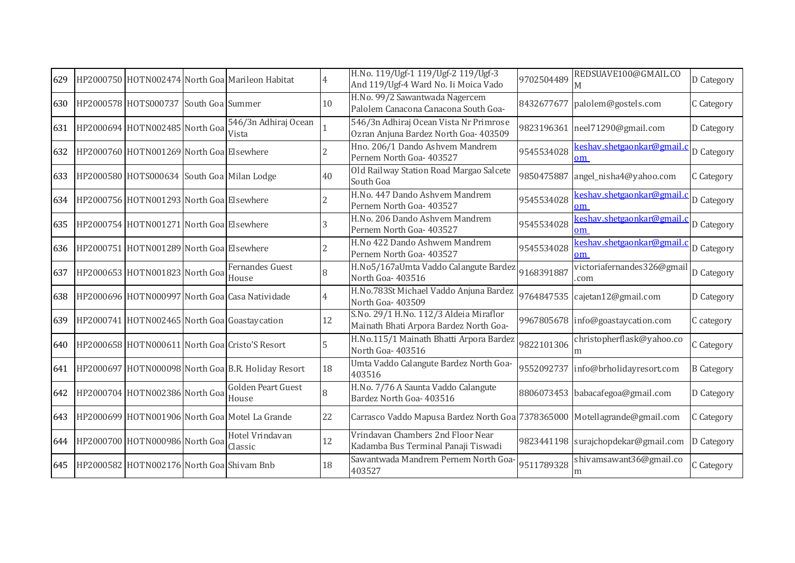|  |                      |                               | 4                                                                                                                                                                                                                                                                                                                                                                                                                                                                                                                                                                                                                                                                                                                                                       | And 119/Ugf-4 Ward No. Ii Moica Vado                                            | 9702504489                                                                                                      | M                                       | D Category                                                                                                                                                                                                                                                                                                                                                                                                         |
|--|----------------------|-------------------------------|---------------------------------------------------------------------------------------------------------------------------------------------------------------------------------------------------------------------------------------------------------------------------------------------------------------------------------------------------------------------------------------------------------------------------------------------------------------------------------------------------------------------------------------------------------------------------------------------------------------------------------------------------------------------------------------------------------------------------------------------------------|---------------------------------------------------------------------------------|-----------------------------------------------------------------------------------------------------------------|-----------------------------------------|--------------------------------------------------------------------------------------------------------------------------------------------------------------------------------------------------------------------------------------------------------------------------------------------------------------------------------------------------------------------------------------------------------------------|
|  |                      |                               | 10                                                                                                                                                                                                                                                                                                                                                                                                                                                                                                                                                                                                                                                                                                                                                      | Palolem Canacona Canacona South Goa-                                            | 8432677677                                                                                                      |                                         | C Category                                                                                                                                                                                                                                                                                                                                                                                                         |
|  |                      | 546/3n Adhiraj Ocean<br>Vista |                                                                                                                                                                                                                                                                                                                                                                                                                                                                                                                                                                                                                                                                                                                                                         | 546/3n Adhiraj Ocean Vista Nr Primrose<br>Ozran Anjuna Bardez North Goa- 403509 |                                                                                                                 |                                         | D Category                                                                                                                                                                                                                                                                                                                                                                                                         |
|  |                      |                               |                                                                                                                                                                                                                                                                                                                                                                                                                                                                                                                                                                                                                                                                                                                                                         | Hno. 206/1 Dando Ashvem Mandrem<br>Pernem North Goa- 403527                     | 9545534028                                                                                                      | keshav.shetgaonkar@gmail.c<br>om        | D Category                                                                                                                                                                                                                                                                                                                                                                                                         |
|  |                      |                               | 40                                                                                                                                                                                                                                                                                                                                                                                                                                                                                                                                                                                                                                                                                                                                                      | Old Railway Station Road Margao Salcete<br>South Goa                            | 9850475887                                                                                                      |                                         | C Category                                                                                                                                                                                                                                                                                                                                                                                                         |
|  |                      |                               |                                                                                                                                                                                                                                                                                                                                                                                                                                                                                                                                                                                                                                                                                                                                                         | H.No. 447 Dando Ashvem Mandrem<br>Pernem North Goa- 403527                      | 9545534028                                                                                                      | <u>keshav.shetgaonkar@gmail.o</u><br>om | D Category                                                                                                                                                                                                                                                                                                                                                                                                         |
|  |                      |                               |                                                                                                                                                                                                                                                                                                                                                                                                                                                                                                                                                                                                                                                                                                                                                         | H.No. 206 Dando Ashvem Mandrem<br>Pernem North Goa- 403527                      | 9545534028                                                                                                      | om                                      | D Category                                                                                                                                                                                                                                                                                                                                                                                                         |
|  |                      |                               |                                                                                                                                                                                                                                                                                                                                                                                                                                                                                                                                                                                                                                                                                                                                                         | H.No 422 Dando Ashwem Mandrem<br>Pernem North Goa- 403527                       | 9545534028                                                                                                      | keshav.shetgaonkar@gmail.c<br>om        | D Category                                                                                                                                                                                                                                                                                                                                                                                                         |
|  |                      | Fernandes Guest<br>House      |                                                                                                                                                                                                                                                                                                                                                                                                                                                                                                                                                                                                                                                                                                                                                         | H.No5/167aUmta Vaddo Calangute Bardez<br>North Goa-403516                       | 9168391887                                                                                                      | victoriafernandes326@gmail<br>.com      | D Category                                                                                                                                                                                                                                                                                                                                                                                                         |
|  |                      |                               | 4                                                                                                                                                                                                                                                                                                                                                                                                                                                                                                                                                                                                                                                                                                                                                       | H.No.783St Michael Vaddo Anjuna Bardez<br>North Goa- 403509                     |                                                                                                                 |                                         | D Category                                                                                                                                                                                                                                                                                                                                                                                                         |
|  |                      |                               | 12                                                                                                                                                                                                                                                                                                                                                                                                                                                                                                                                                                                                                                                                                                                                                      | Mainath Bhati Arpora Bardez North Goa-                                          |                                                                                                                 |                                         | C category                                                                                                                                                                                                                                                                                                                                                                                                         |
|  |                      |                               |                                                                                                                                                                                                                                                                                                                                                                                                                                                                                                                                                                                                                                                                                                                                                         | H.No.115/1 Mainath Bhatti Arpora Bardez<br>North Goa- 403516                    | 9822101306                                                                                                      | christopherflask@yahoo.co<br>m          | C Category                                                                                                                                                                                                                                                                                                                                                                                                         |
|  |                      |                               | 18                                                                                                                                                                                                                                                                                                                                                                                                                                                                                                                                                                                                                                                                                                                                                      | Umta Vaddo Calangute Bardez North Goa-<br>403516                                |                                                                                                                 |                                         | <b>B</b> Category                                                                                                                                                                                                                                                                                                                                                                                                  |
|  |                      | Golden Peart Guest<br>House   | 8                                                                                                                                                                                                                                                                                                                                                                                                                                                                                                                                                                                                                                                                                                                                                       | H.No. 7/76 A Saunta Vaddo Calangute<br>Bardez North Goa- 403516                 |                                                                                                                 |                                         | D Category                                                                                                                                                                                                                                                                                                                                                                                                         |
|  |                      |                               | 22                                                                                                                                                                                                                                                                                                                                                                                                                                                                                                                                                                                                                                                                                                                                                      |                                                                                 |                                                                                                                 |                                         | C Category                                                                                                                                                                                                                                                                                                                                                                                                         |
|  |                      | Hotel Vrindavan<br>Classic    | 12                                                                                                                                                                                                                                                                                                                                                                                                                                                                                                                                                                                                                                                                                                                                                      | Vrindavan Chambers 2nd Floor Near<br>Kadamba Bus Terminal Panaji Tiswadi        |                                                                                                                 |                                         | D Category                                                                                                                                                                                                                                                                                                                                                                                                         |
|  |                      |                               | 18                                                                                                                                                                                                                                                                                                                                                                                                                                                                                                                                                                                                                                                                                                                                                      | Sawantwada Mandrem Pernem North Goa-<br>403527                                  | 9511789328                                                                                                      | shivamsawant36@gmail.co<br>m            | C Category                                                                                                                                                                                                                                                                                                                                                                                                         |
|  | HP2000578 HOTS000737 |                               | HP2000750 HOTN002474 North Goa Marileon Habitat<br>South Goa Summer<br>HP2000694 HOTN002485 North Goa<br>HP2000760 HOTN001269 North Goa Elsewhere<br>HP2000580 HOTS000634 South Goa Milan Lodge<br>HP2000756 HOTN001293 North Goa Elsewhere<br>HP2000754 HOTN001271 North Goa Elsewhere<br>HP2000751 HOTN001289 North Goa Elsewhere<br>HP2000653 HOTN001823 North Goa<br>HP2000696 HOTN000997 North Goa Casa Natividade<br>HP2000741 HOTN002465 North Goa Goastay cation<br>HP2000658 HOTN000611 North Goa Cristo'S Resort<br>HP2000697 HOTN000098 North Goa B.R. Holiday Resort<br>HP2000704 HOTN002386 North Goa<br>HP2000699 HOTN001906 North Goa Motel La Grande<br>644 HP2000700 HOTN000986 North Goa<br>HP2000582 HOTN002176 North Goa Shivam Bnb |                                                                                 | H.No. 119/Ugf-1 119/Ugf-2 119/Ugf-3<br>H.No. 99/2 Sawantwada Nagercem<br>S.No. 29/1 H.No. 112/3 Aldeia Miraflor |                                         | REDSUAVE100@GMAIL.CO<br>palolem@gostels.com<br>9823196361 neel71290@gmail.com<br>angel_nisha4@yahoo.com<br><u>keshav.shetgaonkar@gmail.q</u><br>9764847535 cajetan12@gmail.com<br>9967805678 info@goastaycation.com<br>9552092737 info@brholidayresort.com<br>8806073453 babacafegoa@gmail.com<br>Carrasco Vaddo Mapusa Bardez North Goa 7378365000 Motellagrande@gmail.com<br>9823441198 surajchopdekar@gmail.com |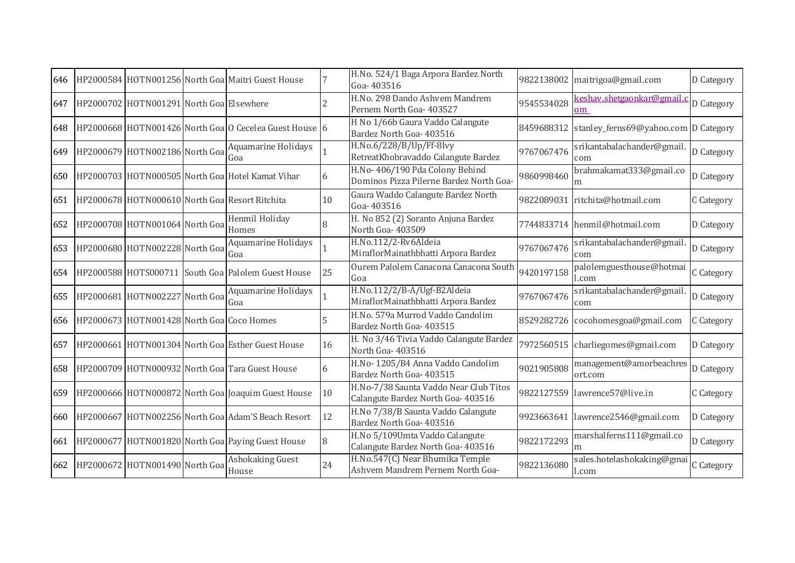| 646 |                                           | HP2000584 HOTN001256 North Goa Maitri Guest House      |    | H.No. 524/1 Baga Arpora Bardez North<br>Goa-403516                           | 9822138002 | maitrigoa@gmail.com                  | D Category |
|-----|-------------------------------------------|--------------------------------------------------------|----|------------------------------------------------------------------------------|------------|--------------------------------------|------------|
| 647 | HP2000702 HOTN001291 North Goa Elsewhere  |                                                        |    | H.No. 298 Dando Ashvem Mandrem<br>Pernem North Goa- 403527                   | 9545534028 | keshav.shetgaonkar@gmail.c<br>om     | D Category |
| 648 |                                           | HP2000668 HOTN001426 North Goa O Cecelea Guest House 6 |    | H No 1/66b Gaura Vaddo Calangute<br>Bardez North Goa- 403516                 | 8459688312 | stanley_ferns69@yahoo.com D Category |            |
| 649 | HP2000679 HOTN002186 North Goa            | Aquamarine Holidays<br>Goa                             |    | H.No.6/228/B/Up/Ff-8Ivy<br>RetreatKhobravaddo Calangute Bardez               | 9767067476 | srikantabalachander@gmail<br>com     | D Category |
| 650 |                                           | HP2000703 HOTN000505 North Goa Hotel Kamat Vihar       | 6  | H.No-406/190 Pda Colony Behind<br>Dominos Pizza Pilerne Bardez North Goa-    | 9860998460 | brahmakamat333@gmail.co              | D Category |
| 651 |                                           | HP2000678 HOTN000610 North Goa Resort Ritchita         | 10 | Gaura Waddo Calangute Bardez North<br>Goa-403516                             | 9822089031 | ritchita@hotmail.com                 | C Category |
| 652 | HP2000708 HOTN001064 North Goa            | Henmil Holiday<br>Homes                                |    | H. No 852 (2) Soranto Anjuna Bardez<br>North Goa- 403509                     |            | 7744833714 henmil@hotmail.com        | D Category |
| 653 | HP2000680 HOTN002228 North Goa            | <b>Aquamarine Holidays</b><br>Goa                      |    | H.No.112/2-Rv6Aldeia<br>MiraflorMainathbhatti Arpora Bardez                  | 9767067476 | srikantabalachander@gmail<br>com     | D Category |
| 654 |                                           | HP2000588 HOTS000711 South Goa Palolem Guest House     | 25 | Ourem Palolem Canacona Canacona South<br>Goa                                 | 9420197158 | palolemguesthouse@hotmai<br>.com     | C Category |
| 655 | HP2000681 HOTN002227 North Goa            | Aquamarine Holidays<br>Goa                             |    | H.No.112/2/B-A/Ugf-B2Aldeia<br>MiraflorMainathbhatti Arpora Bardez           | 9767067476 | srikantabalachander@gmail.<br>com    | D Category |
| 656 | HP2000673 HOTN001428 North Goa Coco Homes |                                                        |    | H.No. 579a Murrod Vaddo Candolim<br>Bardez North Goa- 403515                 | 8529282726 | cocohomesgoa@gmail.com               | C Category |
| 657 |                                           | HP2000661 HOTN001304 North Goa Esther Guest House      | 16 | H. No 3/46 Tivia Vaddo Calangute Bardez<br>North Goa-403516                  | 7972560515 | charliegomes@gmail.com               | D Category |
| 658 |                                           | HP2000709 HOTN000932 North Goa Tara Guest House        | 6  | H.No-1205/B4 Anna Vaddo Candolim<br>Bardez North Goa- 403515                 | 9021905808 | management@amorbeachres<br>ort.com   | D Category |
| 659 |                                           | HP2000666 HOTN000872 North Goal Joaquim Guest House    | 10 | H.No-7/38 Saunta Vaddo Near Club Titos<br>Calangute Bardez North Goa- 403516 | 9822127559 | lawrence57@live.in                   | C Category |
| 660 |                                           | HP2000667 HOTN002256 North Goa Adam'S Beach Resort     | 12 | H.No 7/38/B Saunta Vaddo Calangute<br>Bardez North Goa- 403516               | 9923663641 | lawrence2546@gmail.com               | D Category |
| 661 |                                           | HP2000677 HOTN001820 North Goa Paying Guest House      | 8  | H.No 5/109Umta Vaddo Calangute<br>Calangute Bardez North Goa- 403516         | 9822172293 | marshalferns111@gmail.co             | D Category |
| 662 | HP2000672 HOTN001490 North Goa            | Ashokaking Guest<br>House                              | 24 | H.No.547(C) Near Bhumika Temple<br>Ashvem Mandrem Pernem North Goa-          | 9822136080 | sales.hotelashokaking@gmai<br>l.com  | C Category |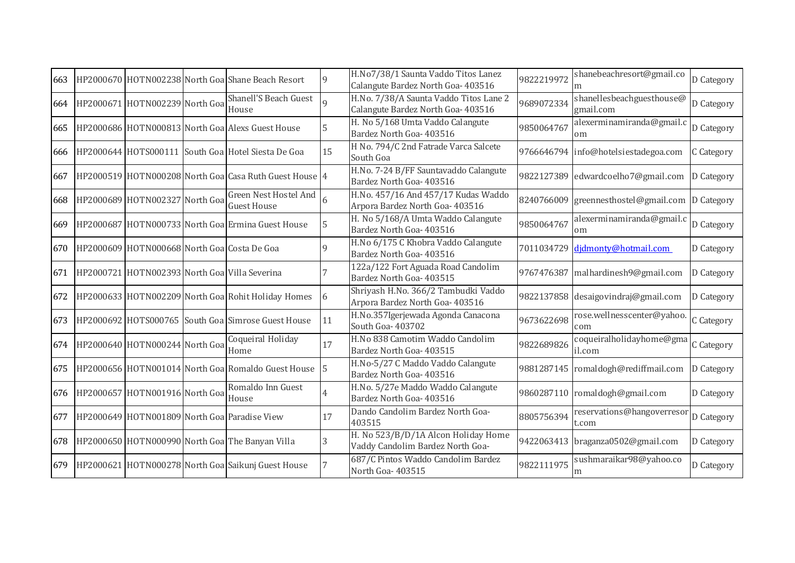| 663 |                                               | HP2000670 HOTN002238 North Goa Shane Beach Resort      |             | H.No7/38/1 Saunta Vaddo Titos Lanez<br>Calangute Bardez North Goa- 403516    | 9822219972 | shanebeachresort@gmail.co              | D Category |
|-----|-----------------------------------------------|--------------------------------------------------------|-------------|------------------------------------------------------------------------------|------------|----------------------------------------|------------|
| 664 | HP2000671 HOTN002239 North Goa                | <b>Shanell'S Beach Guest</b><br>House                  | $\mathbf Q$ | H.No. 7/38/A Saunta Vaddo Titos Lane 2<br>Calangute Bardez North Goa- 403516 | 9689072334 | shanellesbeachguesthouse@<br>gmail.com | D Category |
| 665 |                                               | HP2000686 HOTN000813 North Goa Alexs Guest House       | 5           | H. No 5/168 Umta Vaddo Calangute<br>Bardez North Goa- 403516                 | 9850064767 | alexerminamiranda@gmail.c<br>om        | D Category |
| 666 |                                               | HP2000644 HOTS000111 South Goa Hotel Siesta De Goa     | 15          | H No. 794/C 2nd Fatrade Varca Salcete<br>South Goa                           |            | 9766646794 info@hotelsiestadegoa.com   | C Category |
| 667 |                                               | HP2000519 HOTN000208 North Goa Casa Ruth Guest House 4 |             | H.No. 7-24 B/FF Sauntavaddo Calangute<br>Bardez North Goa- 403516            |            | 9822127389 edwardcoelho7@gmail.com     | D Category |
| 668 | HP2000689 HOTN002327 North Goa                | Green Nest Hostel And<br><b>Guest House</b>            |             | H.No. 457/16 And 457/17 Kudas Waddo<br>Arpora Bardez North Goa- 403516       | 8240766009 | greennesthostel@gmail.com              | D Category |
| 669 |                                               | HP2000687 HOTN000733 North Goa Ermina Guest House      | 5           | H. No 5/168/A Umta Waddo Calangute<br>Bardez North Goa- 403516               | 9850064767 | alexerminamiranda@gmail.c<br>om        | D Category |
| 670 | HP2000609 HOTN000668 North Goa Costa De Goa   |                                                        |             | H.No 6/175 C Khobra Vaddo Calangute<br>Bardez North Goa- 403516              |            | 7011034729 didmonty@hotmail.com        | D Category |
| 671 | HP2000721 HOTN002393 North Goa Villa Severina |                                                        |             | 122a/122 Fort Aguada Road Candolim<br>Bardez North Goa- 403515               | 9767476387 | malhardinesh9@gmail.com                | D Category |
| 672 |                                               | HP2000633 HOTN002209 North Goa Rohit Holiday Homes     | 6           | Shriyash H.No. 366/2 Tambudki Vaddo<br>Arpora Bardez North Goa- 403516       |            | 9822137858 desaigovindraj@gmail.com    | D Category |
| 673 |                                               | HP2000692 HOTS000765 South Goa Simrose Guest House     | 11          | H.No.357Igerjewada Agonda Canacona<br>South Goa- 403702                      | 9673622698 | rose.wellnesscenter@yahoo.<br>com      | C Category |
| 674 | HP2000640 HOTN000244 North Goa                | Coqueiral Holiday<br>Home                              | 17          | H.No 838 Camotim Waddo Candolim<br>Bardez North Goa- 403515                  | 9822689826 | coqueiralholidayhome@gma<br>il.com     | C Category |
| 675 |                                               | HP2000656 HOTN001014 North Goa Romaldo Guest House     | 5           | H.No-5/27 C Maddo Vaddo Calangute<br>Bardez North Goa- 403516                |            | 9881287145 romaldogh@rediffmail.com    | D Category |
| 676 | HP2000657 HOTN001916 North Goa                | Romaldo Inn Guest<br>House                             | 4           | H.No. 5/27e Maddo Waddo Calangute<br>Bardez North Goa- 403516                | 9860287110 | romaldogh@gmail.com                    | D Category |
| 677 |                                               | HP2000649 HOTN001809 North Goa Paradise View           | 17          | Dando Candolim Bardez North Goa-<br>403515                                   | 8805756394 | reservations@hangoverresor<br>t.com    | D Category |
|     |                                               | 678   HP2000650 HOTN000990 North Goa The Banyan Villa  | 3           | H. No 523/B/D/1A Alcon Holiday Home<br>Vaddy Candolim Bardez North Goa-      |            | 9422063413 braganza0502@gmail.com      | D Category |
| 679 |                                               | HP2000621 HOTN000278 North Goa Saikunj Guest House     |             | 687/C Pintos Waddo Candolim Bardez<br>North Goa-403515                       | 9822111975 | sushmaraikar98@yahoo.co<br>m           | D Category |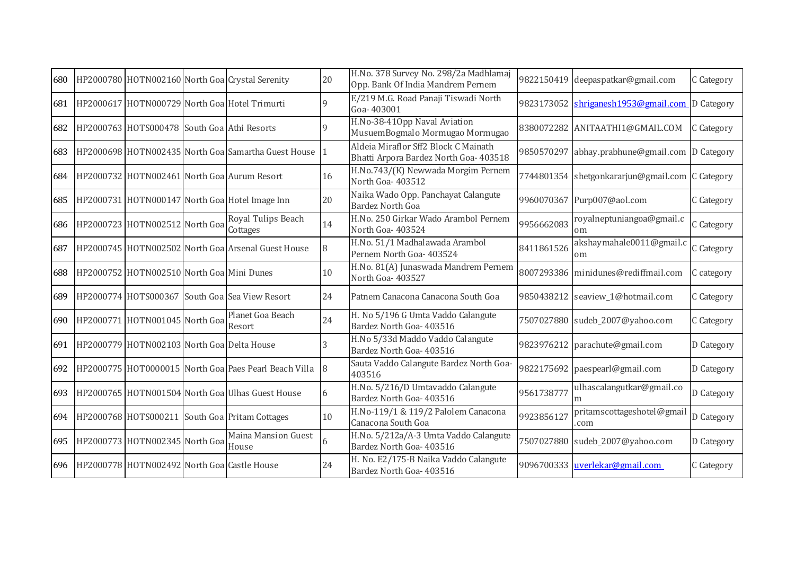| 680 |                                                 | HP2000780 HOTN002160 North Goa Crystal Serenity       | 20          | H.No. 378 Survey No. 298/2a Madhlamaj<br>Opp. Bank Of India Mandrem Pernem     |            | 9822150419 deepaspatkar@gmail.com               | C Category |
|-----|-------------------------------------------------|-------------------------------------------------------|-------------|--------------------------------------------------------------------------------|------------|-------------------------------------------------|------------|
| 681 |                                                 | HP2000617 HOTN000729 North Goa Hotel Trimurti         | 9           | E/219 M.G. Road Panaji Tiswadi North<br>Goa-403001                             | 9823173052 | shriganesh1953@gmail.com D Category             |            |
| 682 | HP2000763 HOTS000478 South Goa Athi Resorts     |                                                       | $\mathbf Q$ | H.No-38-410pp Naval Aviation<br>MusuemBogmalo Mormugao Mormugao                |            | 8380072282 ANITAATHI1@GMAIL.COM                 | C Category |
| 683 |                                                 | HP2000698 HOTN002435 North Goa Samartha Guest House   |             | Aldeia Miraflor Sff2 Block C Mainath<br>Bhatti Arpora Bardez North Goa- 403518 | 9850570297 | abhay.prabhune@gmail.com D Category             |            |
| 684 |                                                 | HP2000732 HOTN002461 North Goa Aurum Resort           | 16          | H.No.743/(K) Newwada Morgim Pernem<br>North Goa-403512                         |            | 7744801354 shetgonkararjun@gmail.com C Category |            |
|     |                                                 | 685 HP2000731 HOTN000147 North Goa Hotel Image Inn    | 20          | Naika Wado Opp. Panchayat Calangute<br><b>Bardez North Goa</b>                 |            | 9960070367 Purp007@aol.com                      | C Category |
| 686 | HP2000723 HOTN002512 North Goa                  | Royal Tulips Beach<br>Cottages                        | 14          | H.No. 250 Girkar Wado Arambol Pernem<br>North Goa- 403524                      | 9956662083 | royalneptuniangoa@gmail.c<br>om                 | C Category |
| 687 |                                                 | HP2000745 HOTN002502 North Goa Arsenal Guest House    | 8           | H.No. 51/1 Madhalawada Arambol<br>Pernem North Goa- 403524                     | 8411861526 | akshaymahale0011@gmail.c<br>om                  | C Category |
| 688 | HP2000752 HOTN002510 North Goa Mini Dunes       |                                                       | 10          | H.No. 81(A) Junaswada Mandrem Pernem<br>North Goa- 403527                      |            | 8007293386 minidunes@rediffmail.com             | C category |
| 689 |                                                 | HP2000774 HOTS000367 South Goa Sea View Resort        | 24          | Patnem Canacona Canacona South Goa                                             |            | 9850438212 seaview_1@hotmail.com                | C Category |
|     | 690 HP2000771 HOTN001045 North Goa              | Planet Goa Beach<br>Resort                            | 24          | H. No 5/196 G Umta Vaddo Calangute<br>Bardez North Goa- 403516                 |            | 7507027880 sudeb_2007@yahoo.com                 | C Category |
| 691 | HP2000779 HOTN002103 North Goa Delta House      |                                                       |             | H.No 5/33d Maddo Vaddo Calangute<br>Bardez North Goa- 403516                   |            | 9823976212 parachute@gmail.com                  | D Category |
| 692 |                                                 | HP2000775 HOT0000015 North Goa Paes Pearl Beach Villa | 8           | Sauta Vaddo Calangute Bardez North Goa-<br>403516                              |            | 9822175692 paespearl@gmail.com                  | D Category |
| 693 |                                                 | HP2000765 HOTN001504 North Goa Ulhas Guest House      |             | H.No. 5/216/D Umtavaddo Calangute<br>Bardez North Goa- 403516                  | 9561738777 | ulhascalangutkar@gmail.co<br>m                  | D Category |
|     |                                                 | 694 HP2000768 HOTS000211 South Goa Pritam Cottages    | 10          | H.No-119/1 & 119/2 Palolem Canacona<br>Canacona South Goa                      | 992385612  | pritamscottageshotel@gmail<br>com               | D Category |
|     | 695 HP2000773 HOTN002345 North Goa              | <b>Maina Mansion Guest</b><br>House                   | 6           | H.No. 5/212a/A-3 Umta Vaddo Calangute<br>Bardez North Goa- 403516              |            | 7507027880 sudeb_2007@yahoo.com                 | D Category |
|     | 696 HP2000778 HOTN002492 North Goa Castle House |                                                       | 24          | H. No. E2/175-B Naika Vaddo Calangute<br>Bardez North Goa- 403516              |            | 9096700333 uverlekar@gmail.com                  | C Category |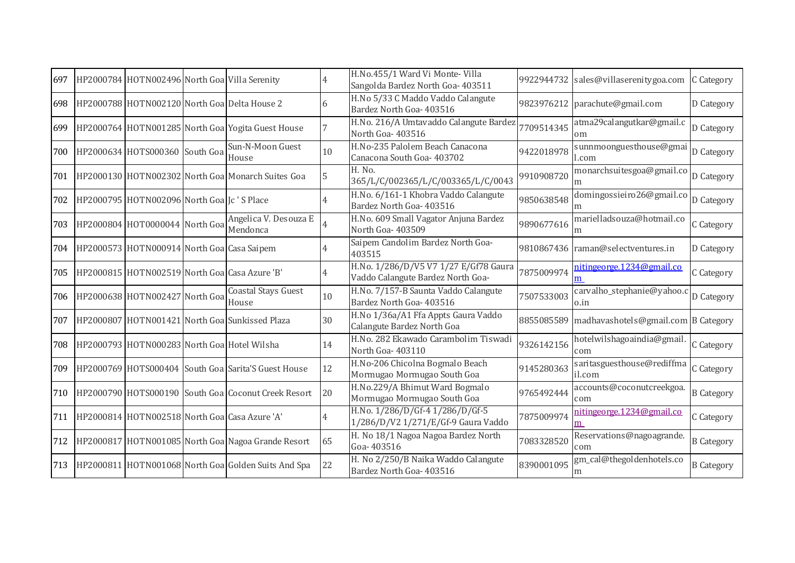| 697 | HP2000784 HOTN002496 North Goa Villa Serenity |                                                            |    | H.No.455/1 Ward Vi Monte- Villa<br>Sangolda Bardez North Goa- 403511       | 9922944732 | sales@villaserenitygoa.com                    | C Category        |
|-----|-----------------------------------------------|------------------------------------------------------------|----|----------------------------------------------------------------------------|------------|-----------------------------------------------|-------------------|
| 698 |                                               | HP2000788 HOTN002120 North Goa Delta House 2               | 6  | H.No 5/33 C Maddo Vaddo Calangute<br>Bardez North Goa- 403516              | 9823976212 | parachute@gmail.com                           | D Category        |
| 699 |                                               | HP2000764 HOTN001285 North Goa Yogita Guest House          |    | H.No. 216/A Umtavaddo Calangute Bardez<br>North Goa-403516                 | 7709514345 | atma29calangutkar@gmail.c<br>om               | D Category        |
| 700 | HP2000634 HOTS000360 South Goa                | Sun-N-Moon Guest<br>House                                  | 10 | H.No-235 Palolem Beach Canacona<br>Canacona South Goa- 403702              | 9422018978 | sunnmoonguesthouse@gmai<br>l.com              | D Category        |
| 701 |                                               | HP2000130 HOTN002302 North Goa Monarch Suites Goa          | 5  | H. No.<br>365/L/C/002365/L/C/003365/L/C/0043                               | 9910908720 | monarchsuitesgoa@gmail.co                     | D Category        |
| 702 | HP2000795 HOTN002096 North Goalc'S Place      |                                                            |    | H.No. 6/161-1 Khobra Vaddo Calangute<br>Bardez North Goa- 403516           | 9850638548 | domingossieiro26@gmail.co                     | D Category        |
| 703 | HP2000804 HOT0000044 North Goa                | Angelica V. Desouza E<br>Mendonca                          |    | H.No. 609 Small Vagator Anjuna Bardez<br>North Goa- 403509                 | 9890677616 | marielladsouza@hotmail.co<br>m                | C Category        |
| 704 | HP2000573 HOTN000914 North Goa Casa Saipem    |                                                            |    | Saipem Candolim Bardez North Goa-<br>403515                                |            | 9810867436 raman@selectventures.in            | D Category        |
| 705 | HP2000815 HOTN002519 North Goa Casa Azure 'B' |                                                            |    | H.No. 1/286/D/V5 V7 1/27 E/Gf78 Gaura<br>Vaddo Calangute Bardez North Goa- | 7875009974 | nitingeorge.1234@gmail.co<br>m                | C Category        |
| 706 | HP2000638 HOTN002427 North Goa                | Coastal Stays Guest<br>House                               | 10 | H.No. 7/157-B Saunta Vaddo Calangute<br>Bardez North Goa- 403516           | 7507533003 | carvalho_stephanie@yahoo.c D Category<br>o.in |                   |
| 707 |                                               | HP2000807 HOTN001421 North Goa Sunkissed Plaza             | 30 | H.No 1/36a/A1 Ffa Appts Gaura Vaddo<br>Calangute Bardez North Goa          | 8855085589 | madhavashotels@gmail.com B Category           |                   |
| 708 | HP2000793 HOTN000283 North Goa Hotel Wilsha   |                                                            | 14 | H.No. 282 Ekawado Carambolim Tiswadi<br>North Goa-403110                   | 9326142156 | hotelwilshagoaindia@gmail<br>com              | C Category        |
| 709 |                                               | HP2000769 HOTS000404 South Goa Sarita'S Guest House        | 12 | H.No-206 Chicolna Bogmalo Beach<br>Mormugao Mormugao South Goa             | 9145280363 | saritasguesthouse@rediffma<br>il.com          | C Category        |
| 710 |                                               | HP2000790 HOTS000190 South Goa Coconut Creek Resort        | 20 | H.No.229/A Bhimut Ward Bogmalo<br>Mormugao Mormugao South Goa              | 9765492444 | accounts@coconutcreekgoa.<br>com              | <b>B</b> Category |
| 711 | HP2000814 HOTN002518 North Goa Casa Azure 'A' |                                                            |    | H.No. 1/286/D/Gf-4 1/286/D/Gf-5<br>1/286/D/V2 1/271/E/Gf-9 Gaura Vaddo     | 7875009974 | nitingeorge.1234@gmail.co<br>m                | C Category        |
| 712 |                                               | HP2000817 HOTN001085 North Goa Nagoa Grande Resort         | 65 | H. No 18/1 Nagoa Nagoa Bardez North<br>Goa-403516                          | 7083328520 | Reservations@nagoagrande.<br>com              | <b>B</b> Category |
|     |                                               | 713   HP2000811 HOTN001068 North Goal Golden Suits And Spa | 22 | H. No 2/250/B Naika Waddo Calangute<br>Bardez North Goa- 403516            | 8390001095 | gm_cal@thegoldenhotels.co<br>m                | <b>B</b> Category |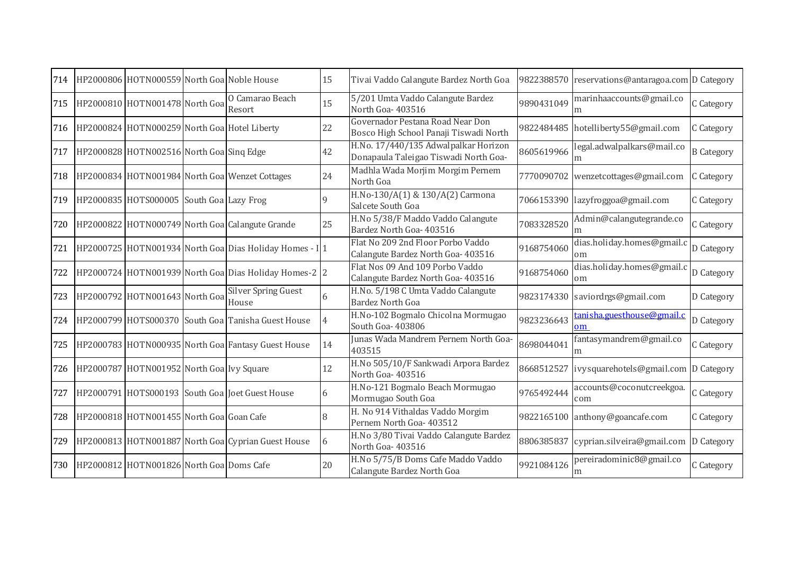| 714 | HP2000806 HOTN000559 North Goa Noble House   |                                                         | 15 | Tivai Vaddo Calangute Bardez North Goa                                        | 9822388570 | reservations@antaragoa.com D Category |                   |
|-----|----------------------------------------------|---------------------------------------------------------|----|-------------------------------------------------------------------------------|------------|---------------------------------------|-------------------|
| 715 | HP2000810 HOTN001478 North Goa               | O Camarao Beach<br>Resort                               | 15 | 5/201 Umta Vaddo Calangute Bardez<br>North Goa-403516                         | 9890431049 | marinhaaccounts@gmail.co<br>m         | C Category        |
| 716 | HP2000824 HOTN000259 North Goa Hotel Liberty |                                                         | 22 | Governador Pestana Road Near Don<br>Bosco High School Panaji Tiswadi North    |            | 9822484485 hotelliberty55@gmail.com   | C Category        |
| 717 | HP2000828 HOTN002516 North Goa Sing Edge     |                                                         | 42 | H.No. 17/440/135 Adwalpalkar Horizon<br>Donapaula Taleigao Tiswadi North Goa- | 8605619966 | legal.adwalpalkars@mail.co<br>m       | <b>B</b> Category |
| 718 |                                              | HP2000834 HOTN001984 North Goa Wenzet Cottages          | 24 | Madhla Wada Morjim Morgim Pernem<br>North Goa                                 |            | 7770090702 wenzetcottages@gmail.com   | C Category        |
| 719 | HP2000835 HOTS000005 South Goa Lazy Frog     |                                                         | q  | H.No-130/A(1) & 130/A(2) Carmona<br>Salcete South Goa                         |            | 7066153390 lazyfroggoa@gmail.com      | C Category        |
| 720 |                                              | HP2000822 HOTN000749 North Goa Calangute Grande         | 25 | H.No 5/38/F Maddo Vaddo Calangute<br>Bardez North Goa- 403516                 | 7083328520 | Admin@calangutegrande.co              | C Category        |
| 721 |                                              | HP2000725 HOTN001934 North Goa Dias Holiday Homes - I 1 |    | Flat No 209 2nd Floor Porbo Vaddo<br>Calangute Bardez North Goa- 403516       | 9168754060 | dias.holiday.homes@gmail.c<br>om      | D Category        |
| 722 |                                              | HP2000724 HOTN001939 North Goa Dias Holiday Homes-2 2   |    | Flat Nos 09 And 109 Porbo Vaddo<br>Calangute Bardez North Goa- 403516         | 9168754060 | dias.holiday.homes@gmail.<br>om       | D Category        |
| 723 | HP2000792 HOTN001643 North Goa               | Silver Spring Guest<br>House                            |    | H.No. 5/198 C Umta Vaddo Calangute<br><b>Bardez North Goa</b>                 | 9823174330 | saviordrgs@gmail.com                  | D Category        |
| 724 |                                              | HP2000799 HOTS000370 South Goa Tanisha Guest House      | 4  | H.No-102 Bogmalo Chicolna Mormugao<br>South Goa- 403806                       | 9823236643 | tanisha.guesthouse@gmail.c<br>om      | D Category        |
| 725 |                                              | HP2000783 HOTN000935 North Goa Fantasy Guest House      | 14 | Junas Wada Mandrem Pernem North Goa-<br>403515                                | 8698044041 | fantasymandrem@gmail.co<br>m          | C Category        |
| 726 | HP2000787 HOTN001952 North Goa Ivy Square    |                                                         | 12 | H.No 505/10/F Sankwadi Arpora Bardez<br>North Goa- 403516                     | 8668512527 | ivysquarehotels@gmail.com D Category  |                   |
| 727 |                                              | HP2000791 HOTS000193 South Goa Joet Guest House         |    | H.No-121 Bogmalo Beach Mormugao<br>Mormugao South Goa                         | 9765492444 | accounts@coconutcreekgoa.<br>com      | C Category        |
| 728 | HP2000818 HOTN001455 North Goa Goan Cafe     |                                                         |    | H. No 914 Vithaldas Vaddo Morgim<br>Pernem North Goa- 403512                  | 9822165100 | anthony@goancafe.com                  | C Category        |
| 729 |                                              | HP2000813 HOTN001887 North Goa Cyprian Guest House      | 6  | H.No 3/80 Tivai Vaddo Calangute Bardez<br>North Goa-403516                    | 8806385837 | cyprian.silveira@gmail.com            | D Category        |
| 730 | HP2000812 HOTN001826 North Goa Doms Cafe     |                                                         | 20 | H.No 5/75/B Doms Cafe Maddo Vaddo<br>Calangute Bardez North Goa               | 9921084126 | pereiradominic8@gmail.co<br>m         | C Category        |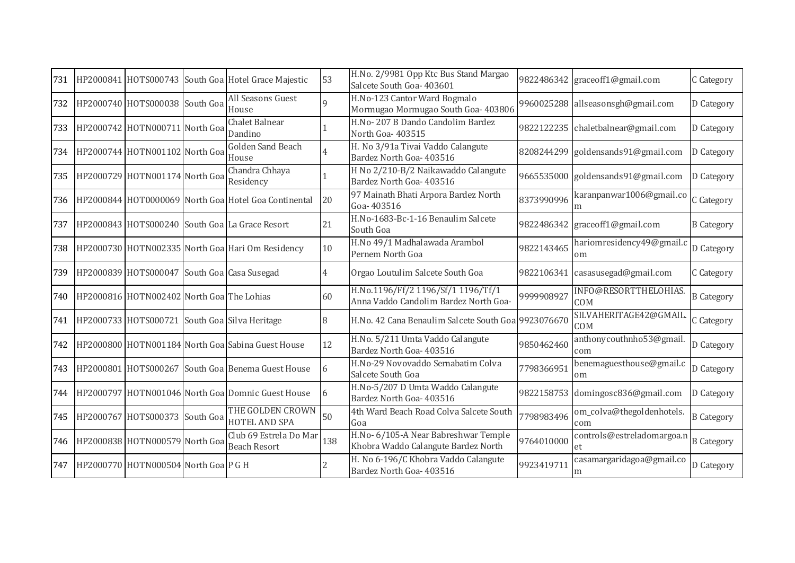| 731 |                                             | HP2000841 HOTS000743 South Goa Hotel Grace Majestic  | 53  | H.No. 2/9981 Opp Ktc Bus Stand Margao<br>Salcete South Goa- 403601          |            | 9822486342 graceoff1@gmail.com       | C Category        |
|-----|---------------------------------------------|------------------------------------------------------|-----|-----------------------------------------------------------------------------|------------|--------------------------------------|-------------------|
| 732 | HP2000740 HOTS000038 South Goa              | All Seasons Guest<br>House                           |     | H.No-123 Cantor Ward Bogmalo<br>Mormugao Mormugao South Goa- 403806         |            | 9960025288 allseasonsgh@gmail.com    | D Category        |
| 733 | HP2000742 HOTN000711 North Goa              | Chalet Balnear<br>Dandino                            |     | H.No-207 B Dando Candolim Bardez<br>North Goa-403515                        |            | 9822122235 chaletbalnear@gmail.com   | D Category        |
| 734 | HP2000744 HOTN001102 North Goa              | <b>Golden Sand Beach</b><br>House                    |     | H. No 3/91a Tivai Vaddo Calangute<br>Bardez North Goa- 403516               |            | 8208244299 goldensands91@gmail.com   | D Category        |
| 735 | HP2000729 HOTN001174 North Goa              | Chandra Chhaya<br>Residency                          |     | H No 2/210-B/2 Naikawaddo Calangute<br>Bardez North Goa- 403516             |            | 9665535000 goldensands91@gmail.com   | D Category        |
| 736 |                                             | HP2000844 HOT0000069 North Goa Hotel Goa Continental | 20  | 97 Mainath Bhati Arpora Bardez North<br>Goa-403516                          | 8373990996 | karanpanwar1006@gmail.co             | C Category        |
| 737 |                                             | HP2000843 HOTS000240 South Goa La Grace Resort       | 21  | H.No-1683-Bc-1-16 Benaulim Salcete<br>South Goa                             |            | 9822486342 graceoff1@gmail.com       | <b>B</b> Category |
| 738 |                                             | HP2000730 HOTN002335 North Goa Hari Om Residency     | 10  | H.No 49/1 Madhalawada Arambol<br>Pernem North Goa                           | 9822143465 | hariomresidency49@gmail.c<br>om      | D Category        |
| 739 | HP2000839 HOTS000047 South Goa Casa Susegad |                                                      |     | Orgao Loutulim Salcete South Goa                                            | 9822106341 | casasusegad@gmail.com                | C Category        |
| 740 | HP2000816 HOTN002402 North Goa The Lohias   |                                                      | 60  | H.No.1196/Ff/2 1196/Sf/1 1196/Tf/1<br>Anna Vaddo Candolim Bardez North Goa- | 9999908927 | INFO@RESORTTHELOHIAS.<br>COM         | <b>B</b> Category |
| 741 |                                             | HP2000733 HOTS000721 South Goa Silva Heritage        | 8   | H.No. 42 Cana Benaulim Salcete South Goa 9923076670                         |            | SILVAHERITAGE42@GMAIL.<br><b>COM</b> | C Category        |
| 742 |                                             | HP2000800 HOTN001184 North Goa Sabina Guest House    | 12  | H.No. 5/211 Umta Vaddo Calangute<br>Bardez North Goa- 403516                | 9850462460 | anthonycouthnho53@gmail<br>com       | D Category        |
| 743 |                                             | HP2000801 HOTS000267 South Goa Benema Guest House    | 6   | H.No-29 Novovaddo Sernabatim Colva<br>Salcete South Goa                     | 7798366951 | benemaguesthouse@gmail.c<br>om       | D Category        |
| 744 |                                             | HP2000797 HOTN001046 North Goa Domnic Guest House    | 6   | H.No-5/207 D Umta Waddo Calangute<br>Bardez North Goa- 403516               |            | 9822158753 domingosc836@gmail.com    | D Category        |
| 745 | HP2000767 HOTS000373 South Goa              | THE GOLDEN CROWN<br>HOTEL AND SPA                    | 50  | 4th Ward Beach Road Colva Salcete South<br>Goa                              | 7798983496 | om_colva@thegoldenhotels.<br>com     | <b>B</b> Category |
| 746 | HP2000838 HOTN000579 North Goa              | Club 69 Estrela Do Mar<br><b>Beach Resort</b>        | 138 | H.No- 6/105-A Near Babreshwar Temple<br>Khobra Waddo Calangute Bardez North | 9764010000 | controls@estreladomargoa.n<br>et.    | <b>B</b> Category |
| 747 | HP2000770 HOTN000504 North Goa P G H        |                                                      |     | H. No 6-196/C Khobra Vaddo Calangute<br>Bardez North Goa- 403516            | 9923419711 | casamargaridagoa@gmail.co<br>m       | D Category        |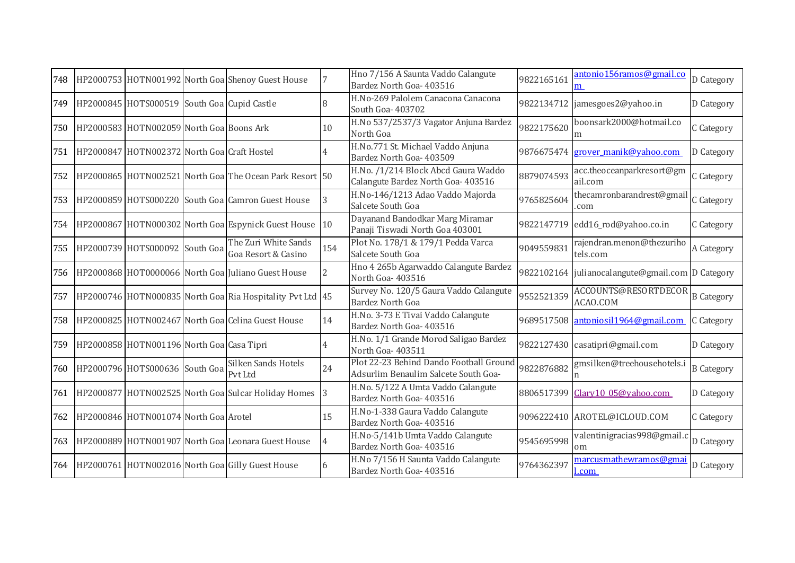| 748 |                                             | HP2000753 HOTN001992 North Goa Shenoy Guest House                          |     | Hno 7/156 A Saunta Vaddo Calangute<br>Bardez North Goa- 403516                  | 9822165161 | antonio156ramos@gmail.co<br>m                    | D Category        |
|-----|---------------------------------------------|----------------------------------------------------------------------------|-----|---------------------------------------------------------------------------------|------------|--------------------------------------------------|-------------------|
| 749 | HP2000845 HOTS000519 South Goa Cupid Castle |                                                                            |     | H.No-269 Palolem Canacona Canacona<br>South Goa- 403702                         |            | 9822134712 jamesgoes2@yahoo.in                   | D Category        |
| 750 | HP2000583 HOTN002059 North Goa Boons Ark    |                                                                            | 10  | H.No 537/2537/3 Vagator Anjuna Bardez<br>North Goa                              | 9822175620 | boonsark2000@hotmail.co<br>m                     | C Category        |
| 751 | HP2000847 HOTN002372 North Goa Craft Hostel |                                                                            |     | H.No.771 St. Michael Vaddo Anjuna<br>Bardez North Goa- 403509                   | 9876675474 | <b>grover manik@yahoo.com</b>                    | D Category        |
| 752 |                                             | HP2000865 HOTN002521 North Goal The Ocean Park Resort 50                   |     | H.No. /1/214 Block Abcd Gaura Waddo<br>Calangute Bardez North Goa- 403516       | 8879074593 | acc.theoceanparkresort@gm<br>ail.com             | C Category        |
| 753 |                                             | HP2000859 HOTS000220 South Goa Camron Guest House                          | 3   | H.No-146/1213 Adao Vaddo Majorda<br>Salcete South Goa                           | 9765825604 | thecamronbarandrest@gmail<br>.com                | C Category        |
| 754 |                                             | HP2000867 HOTN000302 North Goa Espynick Guest House                        | 10  | Dayanand Bandodkar Marg Miramar<br>Panaji Tiswadi North Goa 403001              | 9822147719 | edd16_rod@yahoo.co.in                            | C Category        |
| 755 |                                             | The Zuri White Sands<br>HP2000739 HOTS000092 South Goa Goa Resort & Casino | 154 | Plot No. 178/1 & 179/1 Pedda Varca<br>Salcete South Goa                         | 9049559831 | rajendran.menon@thezuriho<br>tels.com            | A Category        |
| 756 |                                             | HP2000868 HOT0000066 North Goa Juliano Guest House                         |     | Hno 4 265b Agarwaddo Calangute Bardez<br>North Goa-403516                       |            | 9822102164 julianocalangute@gmail.com D Category |                   |
| 757 |                                             | HP2000746 HOTN000835 North Goa Ria Hospitality Pvt Ltd 45                  |     | Survey No. 120/5 Gaura Vaddo Calangute<br><b>Bardez North Goa</b>               | 9552521359 | ACCOUNTS@RESORTDECOR<br>ACAO.COM                 | <b>B</b> Category |
| 758 |                                             | HP2000825 HOTN002467 North Goa Celina Guest House                          | 14  | H.No. 3-73 E Tivai Vaddo Calangute<br>Bardez North Goa- 403516                  | 9689517508 | antoniosil1964@gmail.com                         | C Category        |
| 759 | HP2000858 HOTN001196 North Goa Casa Tipri   |                                                                            |     | H.No. 1/1 Grande Morod Saligao Bardez<br>North Goa-403511                       | 9822127430 | casatipri@gmail.com                              | D Category        |
| 760 | HP2000796 HOTS000636 South Goa              | <b>Silken Sands Hotels</b><br>Pvt Ltd                                      | 24  | Plot 22-23 Behind Dando Football Ground<br>Adsurlim Benaulim Salcete South Goa- | 9822876882 | gmsilken@treehousehotels.i                       | <b>B</b> Category |
| 761 |                                             | HP2000877 HOTN002525 North Goa Sulcar Holiday Homes                        |     | H.No. 5/122 A Umta Vaddo Calangute<br>Bardez North Goa- 403516                  | 8806517399 | Clary10_05@yahoo.com                             | D Category        |
| 762 | HP2000846 HOTN001074 North Goa Arotel       |                                                                            | 15  | H.No-1-338 Gaura Vaddo Calangute<br>Bardez North Goa- 403516                    |            | 9096222410 AROTEL@ICLOUD.COM                     | C Category        |
| 763 |                                             | HP2000889 HOTN001907 North Goa Leonara Guest House                         |     | H.No-5/141b Umta Vaddo Calangute<br>Bardez North Goa- 403516                    | 9545695998 | valentinigracias998@gmail.c D Category<br>om     |                   |
|     |                                             | 764 HP2000761 HOTN002016 North Goa Gilly Guest House                       |     | H.No 7/156 H Saunta Vaddo Calangute<br>Bardez North Goa- 403516                 | 9764362397 | marcusmathewramos@gma<br>l.com                   | D Category        |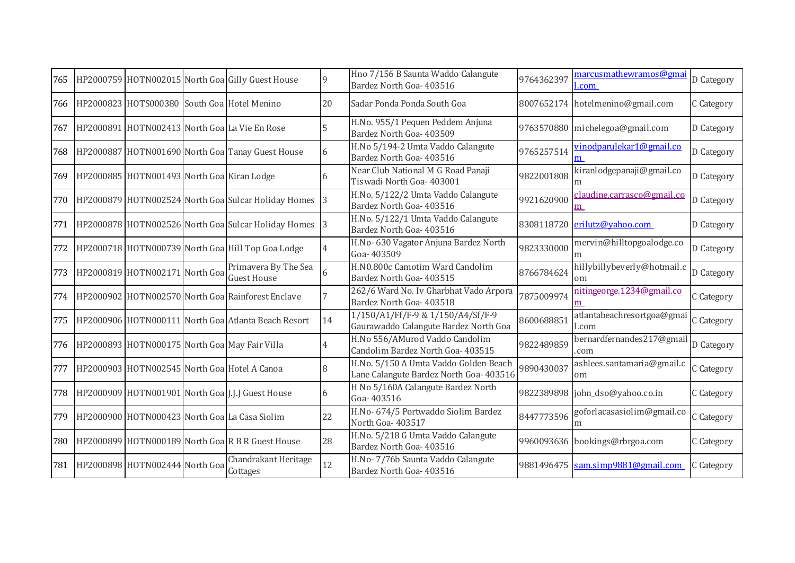| 765 |                                             | HP2000759 HOTN002015 North Goa Gilly Guest House      | 9  | Hno 7/156 B Saunta Waddo Calangute<br>Bardez North Goa- 403516                   | 9764362397 | marcusmathewramos@gmai<br>l.com    | D Category |
|-----|---------------------------------------------|-------------------------------------------------------|----|----------------------------------------------------------------------------------|------------|------------------------------------|------------|
| 766 | HP2000823 HOTS000380 South Goa Hotel Menino |                                                       | 20 | Sadar Ponda Ponda South Goa                                                      |            | 8007652174 hotelmenino@gmail.com   | C Category |
| 767 |                                             | HP2000891 HOTN002413 North Goa La Vie En Rose         |    | H.No. 955/1 Pequen Peddem Anjuna<br>Bardez North Goa- 403509                     |            | 9763570880 michelegoa@gmail.com    | D Category |
| 768 |                                             | HP2000887 HOTN001690 North Goa Tanay Guest House      | 6  | H.No 5/194-2 Umta Vaddo Calangute<br>Bardez North Goa- 403516                    | 9765257514 | vinodparulekar1@gmail.co           | D Category |
| 769 | HP2000885 HOTN001493 North Goa Kiran Lodge  |                                                       | 6  | Near Club National M G Road Panaji<br>Tiswadi North Goa- 403001                  | 9822001808 | kiranlodgepanaji@gmail.co          | D Category |
| 770 |                                             | HP2000879 HOTN002524 North Goa Sulcar Holiday Homes 3 |    | H.No. 5/122/2 Umta Vaddo Calangute<br>Bardez North Goa- 403516                   | 9921620900 | claudine.carrasco@gmail.co<br>m    | D Category |
| 771 |                                             | HP2000878 HOTN002526 North Goa Sulcar Holiday Homes 3 |    | H.No. 5/122/1 Umta Vaddo Calangute<br>Bardez North Goa- 403516                   | 8308118720 | erilutz@yahoo.com                  | D Category |
| 772 |                                             | HP2000718 HOTN000739 North Goa Hill Top Goa Lodge     |    | H.No- 630 Vagator Anjuna Bardez North<br>Goa-403509                              | 9823330000 | mervin@hilltopgoalodge.co<br>m     | D Category |
| 773 | HP2000819 HOTN002171 North Goa              | Primavera By The Sea<br><b>Guest House</b>            |    | H.N0.800c Camotim Ward Candolim<br>Bardez North Goa- 403515                      | 8766784624 | hillybillybeverly@hotmail.c<br>om  | D Category |
| 774 |                                             | HP2000902 HOTN002570 North Goa Rainforest Enclave     |    | 262/6 Ward No. Iv Gharbhat Vado Arpora<br>Bardez North Goa- 403518               | 7875009974 | nitingeorge.1234@gmail.co<br>m     | C Category |
| 775 |                                             | HP2000906 HOTN000111 North Goa Atlanta Beach Resort   | 14 | 1/150/A1/Ff/F-9 & 1/150/A4/Sf/F-9<br>Gaurawaddo Calangute Bardez North Goa       | 8600688851 | atlantabeachresortgoa@gmai<br>.com | C Category |
| 776 |                                             | HP2000893 HOTN000175 North Goa May Fair Villa         |    | H.No 556/AMurod Vaddo Candolim<br>Candolim Bardez North Goa- 403515              | 9822489859 | bernardfernandes217@gmail<br>.com  | D Category |
| 777 |                                             | HP2000903 HOTN002545 North Goa Hotel A Canoa          | 8  | H.No. 5/150 A Umta Vaddo Golden Beach<br>Lane Calangute Bardez North Goa- 403516 | 9890430037 | ashlees.santamaria@gmail.c<br>om   | C Category |
| 778 |                                             | HP2000909 HOTN001901 North Goa J.J.J Guest House      | 6  | H No 5/160A Calangute Bardez North<br>Goa-403516                                 | 9822389898 | john_dso@yahoo.co.in               | C Category |
| 779 |                                             | HP2000900 HOTN000423 North Goa La Casa Siolim         | 22 | H.No- 674/5 Portwaddo Siolim Bardez<br>North Goa-403517                          | 8447773596 | goforlacasasiolim@gmail.co<br>m    | C Category |
| 780 |                                             | HP2000899 HOTN000189 North Goa R B R Guest House      | 28 | H.No. 5/218 G Umta Vaddo Calangute<br>Bardez North Goa- 403516                   |            | 9960093636 bookings@rbrgoa.com     | C Category |
| 781 | HP2000898 HOTN002444 North Goa              | Chandrakant Heritage<br>Cottages                      | 12 | H.No- 7/76b Saunta Vaddo Calangute<br>Bardez North Goa- 403516                   | 9881496475 | sam.simp9881@gmail.com             | C Category |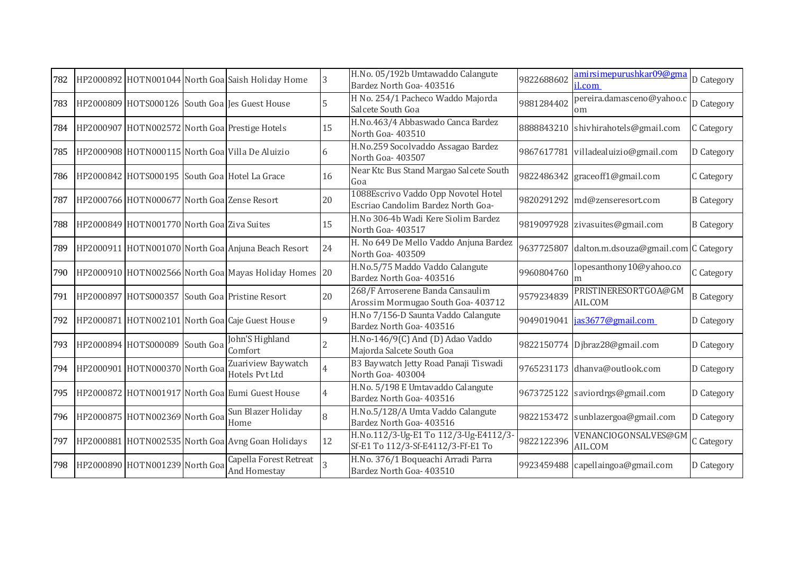| 782 |                                             | HP2000892 HOTN001044 North Goa Saish Holiday Home         | 3            | H.No. 05/192b Umtawaddo Calangute<br>Bardez North Goa- 403516               | 9822688602 | amirsimepurushkar09@gma<br>l.com                | D Category        |
|-----|---------------------------------------------|-----------------------------------------------------------|--------------|-----------------------------------------------------------------------------|------------|-------------------------------------------------|-------------------|
| 783 |                                             | HP2000809 HOTS000126 South Goa Jes Guest House            | 5            | H No. 254/1 Pacheco Waddo Majorda<br>Salcete South Goa                      | 9881284402 | pereira.damasceno@yahoo.o<br>om                 | D Category        |
| 784 |                                             | HP2000907 HOTN002572 North Goa Prestige Hotels            | 15           | H.No.463/4 Abbaswado Canca Bardez<br>North Goa-403510                       |            | 8888843210 shivhirahotels@gmail.com             | C Category        |
| 785 |                                             | HP2000908 HOTN000115 North Goa Villa De Aluizio           | 6            | H.No.259 Socolvaddo Assagao Bardez<br>North Goa-403507                      |            | 9867617781 villadealuizio@gmail.com             | D Category        |
|     |                                             | 786 HP2000842 HOTS000195 South Goa Hotel La Grace         | 16           | Near Ktc Bus Stand Margao Salcete South<br>Goa                              |            | 9822486342 graceoff1@gmail.com                  | C Category        |
| 787 | HP2000766 HOTN000677 North Goa Zense Resort |                                                           | 20           | 1088Escrivo Vaddo Opp Novotel Hotel<br>Escriao Candolim Bardez North Goa-   |            | 9820291292 md@zenseresort.com                   | <b>B</b> Category |
| 788 | HP2000849 HOTN001770 North Goa Ziva Suites  |                                                           | 15           | H.No 306-4b Wadi Kere Siolim Bardez<br>North Goa-403517                     |            | 9819097928 zivasuites@gmail.com                 | <b>B</b> Category |
| 789 |                                             | HP2000911 HOTN001070 North Goa Anjuna Beach Resort        | 24           | H. No 649 De Mello Vaddo Anjuna Bardez<br>North Goa- 403509                 |            | 9637725807 dalton.m.dsouza@gmail.com C Category |                   |
|     |                                             | 790 HP2000910 HOTN002566 North Goa Mayas Holiday Homes 20 |              | H.No.5/75 Maddo Vaddo Calangute<br>Bardez North Goa- 403516                 | 9960804760 | lopesanthony10@yahoo.co<br>m                    | C Category        |
|     |                                             | 791 HP2000897 HOTS000357 South Goa Pristine Resort        | 20           | 268/F Arroserene Banda Cansaulim<br>Arossim Mormugao South Goa- 403712      | 9579234839 | PRISTINERESORTGOA@GM<br>AIL.COM                 | <b>B</b> Category |
| 792 |                                             | HP2000871 HOTN002101 North Goa Caje Guest House           | $\mathbf{Q}$ | H.No 7/156-D Saunta Vaddo Calangute<br>Bardez North Goa- 403516             | 9049019041 | jas3677@gmail.com                               | D Category        |
| 793 | HP2000894 HOTS000089 South Goa              | John'S Highland<br>Comfort                                |              | H.No-146/9(C) And (D) Adao Vaddo<br>Majorda Salcete South Goa               |            | 9822150774 Djbraz28@gmail.com                   | D Category        |
| 794 | HP2000901 HOTN000370 North Goa              | Zuariview Baywatch<br><b>Hotels Pvt Ltd</b>               |              | B3 Baywatch Jetty Road Panaji Tiswadi<br>North Goa-403004                   |            | 9765231173 dhanva@outlook.com                   | D Category        |
| 795 |                                             | HP2000872 HOTN001917 North Goa Eumi Guest House           |              | H.No. 5/198 E Umtavaddo Calangute<br>Bardez North Goa- 403516               |            | 9673725122 saviordrgs@gmail.com                 | D Category        |
|     | 796 HP2000875 HOTN002369 North Goa          | Sun Blazer Holiday<br>Home                                | 8            | H.No.5/128/A Umta Vaddo Calangute<br>Bardez North Goa- 403516               |            | 9822153472 sunblazergoa@gmail.com               | D Category        |
|     |                                             | 797 HP2000881 HOTN002535 North Goa Avng Goan Holidays     | 12           | H.No.112/3-Ug-E1 To 112/3-Ug-E4112/3-<br>Sf-E1 To 112/3-Sf-E4112/3-Ff-E1 To | 9822122396 | VENANCIOGONSALVES@GN<br>AIL.COM                 | C Category        |
|     | 798 HP2000890 HOTN001239 North Goa          | Capella Forest Retreat<br>And Homestay                    |              | H.No. 376/1 Boqueachi Arradi Parra<br>Bardez North Goa- 403510              |            | 9923459488 capellaingoa@gmail.com               | D Category        |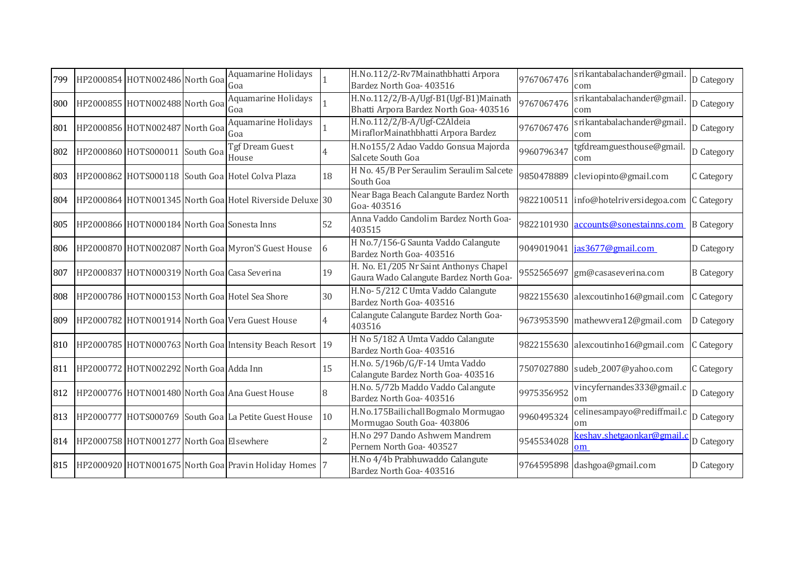| 799 | HP2000854 HOTN002486 North Goa               | Aquamarine Holidays<br>Goa                               |                | H.No.112/2-Rv7Mainathbhatti Arpora<br>Bardez North Goa- 403516                   | 9767067476 | srikantabalachander@gmail.<br>com     | D Category        |
|-----|----------------------------------------------|----------------------------------------------------------|----------------|----------------------------------------------------------------------------------|------------|---------------------------------------|-------------------|
| 800 | HP2000855 HOTN002488 North Goa               | Aquamarine Holidays<br>Goa                               |                | H.No.112/2/B-A/Ugf-B1(Ugf-B1)Mainath<br>Bhatti Arpora Bardez North Goa- 403516   | 9767067476 | srikantabalachander@gmail.<br>com     | D Category        |
| 801 | HP2000856 HOTN002487 North Goa               | Aquamarine Holidays<br>Goa                               |                | H.No.112/2/B-A/Ugf-C2Aldeia<br>MiraflorMainathbhatti Arpora Bardez               | 9767067476 | srikantabalachander@gmail.<br>com     | D Category        |
| 802 | HP2000860 HOTS000011 South Goa               | Tgf Dream Guest<br>House                                 | 4              | H.No155/2 Adao Vaddo Gonsua Majorda<br>Salcete South Goa                         | 9960796347 | tgfdreamguesthouse@gmail.<br>com      | D Category        |
| 803 |                                              | HP2000862 HOTS000118 South Goa Hotel Colva Plaza         | 18             | H No. 45/B Per Seraulim Seraulim Salcete<br>South Goa                            | 9850478889 | cleviopinto@gmail.com                 | C Category        |
| 804 |                                              | HP2000864 HOTN001345 North Goa Hotel Riverside Deluxe 30 |                | Near Baga Beach Calangute Bardez North<br>Goa-403516                             | 9822100511 | info@hotelriversidegoa.com C Category |                   |
| 805 | HP2000866 HOTN000184 North Goa Sonesta Inns  |                                                          | 52             | Anna Vaddo Candolim Bardez North Goa-<br>403515                                  | 9822101930 | accounts@sonestainns.com              | <b>B</b> Category |
| 806 |                                              | HP2000870 HOTN002087 North Goa Myron'S Guest House       | 6              | H No.7/156-G Saunta Vaddo Calangute<br>Bardez North Goa- 403516                  | 9049019041 | jas3677@gmail.com                     | D Category        |
| 807 | HP2000837 HOTN000319 North Goa Casa Severina |                                                          | 19             | H. No. E1/205 Nr Saint Anthonys Chapel<br>Gaura Wado Calangute Bardez North Goa- | 9552565697 | gm@casaseverina.com                   | <b>B</b> Category |
| 808 |                                              | HP2000786 HOTN000153 North Goa Hotel Sea Shore           | 30             | H.No-5/212 C Umta Vaddo Calangute<br>Bardez North Goa- 403516                    |            | 9822155630 alexcoutinho16@gmail.com   | C Category        |
| 809 |                                              | HP2000782 HOTN001914 North Goa Vera Guest House          | $\overline{4}$ | Calangute Calangute Bardez North Goa-<br>403516                                  |            | 9673953590 mathewvera12@gmail.com     | D Category        |
| 810 |                                              | HP2000785 HOTN000763 North Goa Intensity Beach Resort 19 |                | H No 5/182 A Umta Vaddo Calangute<br>Bardez North Goa- 403516                    |            | 9822155630 alexcoutinho16@gmail.com   | C Category        |
| 811 | HP2000772 HOTN002292 North Goa Adda Inn      |                                                          | 15             | H.No. 5/196b/G/F-14 Umta Vaddo<br>Calangute Bardez North Goa- 403516             |            | 7507027880 sudeb_2007@yahoo.com       | C Category        |
| 812 |                                              | HP2000776 HOTN001480 North Goa Ana Guest House           | 8              | H.No. 5/72b Maddo Vaddo Calangute<br>Bardez North Goa- 403516                    | 9975356952 | vincyfernandes333@gmail.c<br>om       | D Category        |
| 813 |                                              | HP2000777 HOTS000769 South Goa La Petite Guest House     | 10             | H.No.175BailichallBogmalo Mormugao<br>Mormugao South Goa-403806                  | 9960495324 | celinesampayo@rediffmail.c<br>om      | D Category        |
| 814 | HP2000758 HOTN001277 North Goa Elsewhere     |                                                          |                | H.No 297 Dando Ashwem Mandrem<br>Pernem North Goa- 403527                        | 9545534028 | keshav.shetgaonkar@gmail.<br>om       | D Category        |
| 815 |                                              | HP2000920 HOTN001675 North Goa Pravin Holiday Homes 7    |                | H.No 4/4b Prabhuwaddo Calangute<br>Bardez North Goa- 403516                      |            | 9764595898 dashgoa@gmail.com          | D Category        |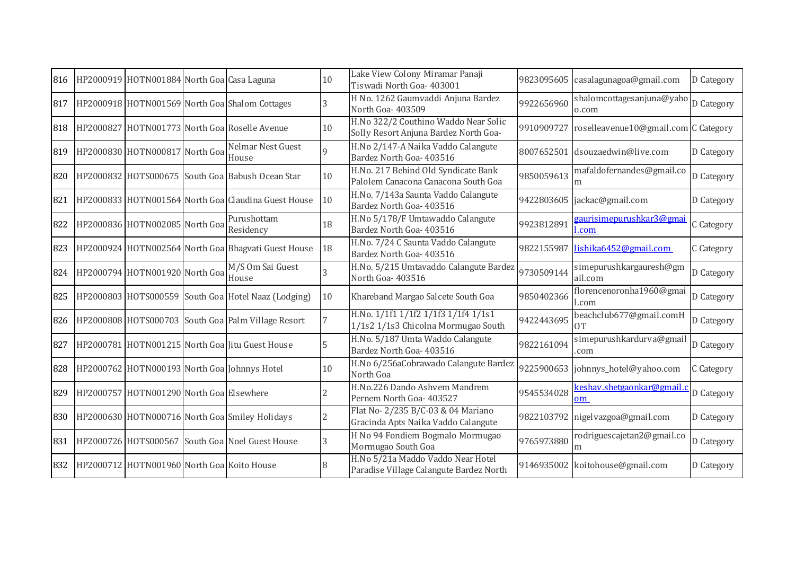| 816 | HP2000919 HOTN001884 North Goa Casa Laguna |                                                     | 10       | Lake View Colony Miramar Panaji<br>Tiswadi North Goa- 403001                  | 9823095605 | casalagunagoa@gmail.com                 | D Category |
|-----|--------------------------------------------|-----------------------------------------------------|----------|-------------------------------------------------------------------------------|------------|-----------------------------------------|------------|
| 817 |                                            | HP2000918 HOTN001569 North Goa Shalom Cottages      | 3        | H No. 1262 Gaumvaddi Anjuna Bardez<br>North Goa- 403509                       | 9922656960 | shalomcottagesanjuna@yaho<br>o.com      | D Category |
| 818 |                                            | HP2000827 HOTN001773 North Goa Roselle Avenue       | 10       | H.No 322/2 Couthino Waddo Near Solic<br>Solly Resort Anjuna Bardez North Goa- | 9910909727 | roselleavenue10@gmail.com C Category    |            |
| 819 | HP2000830 HOTN000817 North Goa             | Nelmar Nest Guest<br>House                          | $\Omega$ | H.No 2/147-A Naika Vaddo Calangute<br>Bardez North Goa- 403516                | 8007652501 | dsouzaedwin@live.com                    | D Category |
| 820 |                                            | HP2000832 HOTS000675 South Goa Babush Ocean Star    | 10       | H.No. 217 Behind Old Syndicate Bank<br>Palolem Canacona Canacona South Goa    | 9850059613 | mafaldofernandes@gmail.co               | D Category |
| 821 |                                            | HP2000833 HOTN001564 North Goa Claudina Guest House | 10       | H.No. 7/143a Saunta Vaddo Calangute<br>Bardez North Goa- 403516               | 9422803605 | jackac@gmail.com                        | D Category |
| 822 | HP2000836 HOTN002085 North Goa             | Purushottam<br>Residency                            | 18       | H.No 5/178/F Umtawaddo Calangute<br>Bardez North Goa- 403516                  | 9923812891 | zaurisimepurushkar3@gma<br><u>l.com</u> | C Category |
| 823 |                                            | HP2000924 HOTN002564 North Goa Bhagvati Guest House | 18       | H.No. 7/24 C Saunta Vaddo Calangute<br>Bardez North Goa- 403516               | 9822155987 | lishika6452@gmail.com                   | C Category |
| 824 | HP2000794 HOTN001920 North Goa             | M/S Om Sai Guest<br>House                           |          | H.No. 5/215 Umtavaddo Calangute Bardez<br>North Goa- 403516                   | 9730509144 | simepurushkargauresh@gm<br>ail.com      | D Category |
| 825 |                                            | HP2000803 HOTS000559 South Goa Hotel Naaz (Lodging) | 10       | Khareband Margao Salcete South Goa                                            | 9850402366 | florencenoronha1960@gmai<br>.com        | D Category |
| 826 |                                            | HP2000808 HOTS000703 South Goa Palm Village Resort  |          | H.No. 1/1f1 1/1f2 1/1f3 1/1f4 1/1s1<br>1/1s2 1/1s3 Chicolna Mormugao South    | 9422443695 | beachclub677@gmail.comH<br>0T           | D Category |
| 827 |                                            | HP2000781 HOTN001215 North Goa Jitu Guest House     |          | H.No. 5/187 Umta Waddo Calangute<br>Bardez North Goa- 403516                  | 9822161094 | simepurushkardurva@gmail<br>com         | D Category |
| 828 |                                            | HP2000762 HOTN000193 North Goa Johnnys Hotel        | 10       | H.No 6/256aCobrawado Calangute Bardez<br>North Goa                            |            | 9225900653 johnnys_hotel@yahoo.com      | C Category |
| 829 | HP2000757 HOTN001290 North Goa Elsewhere   |                                                     |          | H.No.226 Dando Ashvem Mandrem<br>Pernem North Goa- 403527                     | 9545534028 | keshav.shetgaonkar@gmail.c<br>om        | D Category |
| 830 |                                            | HP2000630 HOTN000716 North Goa Smiley Holidays      |          | Flat No- 2/235 B/C-03 & 04 Mariano<br>Gracinda Apts Naika Vaddo Calangute     | 9822103792 | nigelvazgoa@gmail.com                   | D Category |
| 831 |                                            | HP2000726 HOTS000567 South Goa Noel Guest House     | 3        | H No 94 Fondiem Bogmalo Mormugao<br>Mormugao South Goa                        | 9765973880 | rodriguescajetan2@gmail.co<br>m         | D Category |
| 832 | HP2000712 HOTN001960 North Goa Koito House |                                                     |          | H.No 5/21a Maddo Vaddo Near Hotel<br>Paradise Village Calangute Bardez North  |            | 9146935002 koitohouse@gmail.com         | D Category |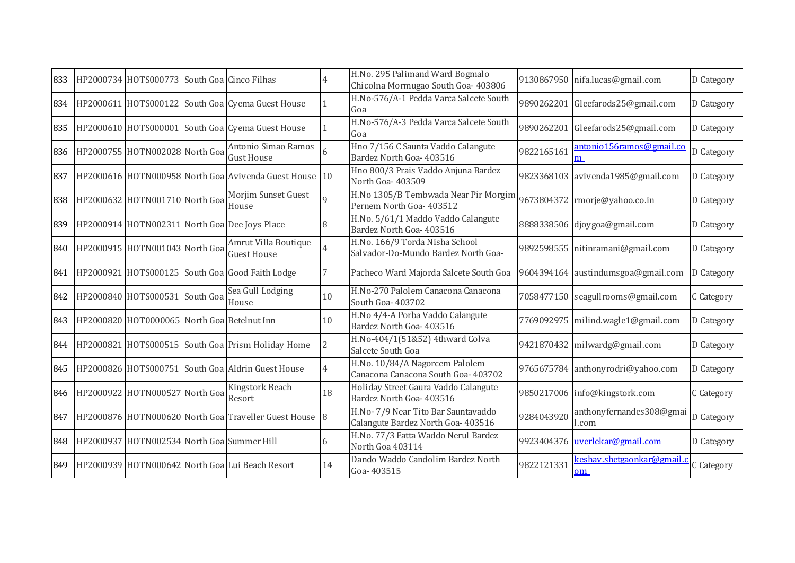| 833 | HP2000734 HOTS000773 South Goa Cinco Filhas |                                                        |          | H.No. 295 Palimand Ward Bogmalo<br>Chicolna Mormugao South Goa- 403806    |            | 9130867950 nifa.lucas@gmail.com    | D Category |
|-----|---------------------------------------------|--------------------------------------------------------|----------|---------------------------------------------------------------------------|------------|------------------------------------|------------|
| 834 |                                             | HP2000611 HOTS000122 South Goa Cyema Guest House       |          | H.No-576/A-1 Pedda Varca Salcete South<br>Goa                             | 9890262201 | Gleefarods25@gmail.com             | D Category |
| 835 |                                             | HP2000610 HOTS000001 South Goa Cyema Guest House       |          | H.No-576/A-3 Pedda Varca Salcete South<br>Goa                             | 9890262201 | Gleefarods25@gmail.com             | D Category |
| 836 | HP2000755 HOTN002028 North Goa              | Antonio Simao Ramos<br><b>Gust House</b>               |          | Hno 7/156 C Saunta Vaddo Calangute<br>Bardez North Goa- 403516            | 9822165161 | antonio156ramos@gmail.co<br>m      | D Category |
| 837 |                                             | HP2000616 HOTN000958 North Goa Avivenda Guest House 10 |          | Hno 800/3 Prais Vaddo Anjuna Bardez<br>North Goa-403509                   |            | 9823368103 avivenda1985@gmail.com  | D Category |
| 838 | HP2000632 HOTN001710 North Goa              | Morjim Sunset Guest<br>House                           | $\Omega$ | H.No 1305/B Tembwada Near Pir Morgim<br>Pernem North Goa- 403512          |            | 9673804372 rmorje@yahoo.co.in      | D Category |
| 839 |                                             | HP2000914 HOTN002311 North Goa Dee Joys Place          |          | H.No. 5/61/1 Maddo Vaddo Calangute<br>Bardez North Goa- 403516            |            | 8888338506 djoygoa@gmail.com       | D Category |
| 840 | HP2000915 HOTN001043 North Goa              | Amrut Villa Boutique<br><b>Guest House</b>             |          | H.No. 166/9 Torda Nisha School<br>Salvador-Do-Mundo Bardez North Goa-     |            | 9892598555 nitinramani@gmail.com   | D Category |
| 841 |                                             | HP2000921 HOTS000125 South Goa Good Faith Lodge        |          | Pacheco Ward Majorda Salcete South Goa                                    |            | 9604394164 austindumsgoa@gmail.com | D Category |
| 842 | HP2000840 HOTS000531 South Goa              | Sea Gull Lodging<br>House                              | 10       | H.No-270 Palolem Canacona Canacona<br>South Goa- 403702                   |            | 7058477150 seagullrooms@gmail.com  | C Category |
| 843 | HP2000820 HOT0000065 North Goa Betelnut Inn |                                                        | 10       | H.No 4/4-A Porba Vaddo Calangute<br>Bardez North Goa- 403516              |            | 7769092975 milind.wagle1@gmail.com | D Category |
| 844 |                                             | HP2000821 HOTS000515 South Goa Prism Holiday Home      |          | H.No-404/1(51&52) 4thward Colva<br>Salcete South Goa                      |            | 9421870432 milwardg@gmail.com      | D Category |
| 845 |                                             | HP2000826 HOTS000751 South Goa Aldrin Guest House      |          | H.No. 10/84/A Nagorcem Palolem<br>Canacona Canacona South Goa- 403702     |            | 9765675784 anthonyrodri@yahoo.com  | D Category |
| 846 | HP2000922 HOTN000527 North Goa              | Kingstork Beach<br>Resort                              | 18       | Holiday Street Gaura Vaddo Calangute<br>Bardez North Goa- 403516          |            | 9850217006 info@kingstork.com      | C Category |
| 847 |                                             | HP2000876 HOTN000620 North Goa Traveller Guest House 8 |          | H.No- 7/9 Near Tito Bar Sauntavaddo<br>Calangute Bardez North Goa- 403516 | 9284043920 | anthonyfernandes308@gmai<br>.com   | D Category |
| 848 | HP2000937 HOTN002534 North Goa Summer Hill  |                                                        | 6        | H.No. 77/3 Fatta Waddo Nerul Bardez<br>North Goa 403114                   |            | 9923404376 uverlekar@gmail.com     | D Category |
| 849 |                                             | HP2000939 HOTN000642 North Goa Lui Beach Resort        | 14       | Dando Waddo Candolim Bardez North<br>Goa-403515                           | 9822121331 | keshav.shetgaonkar@gmail.o<br>om   | C Category |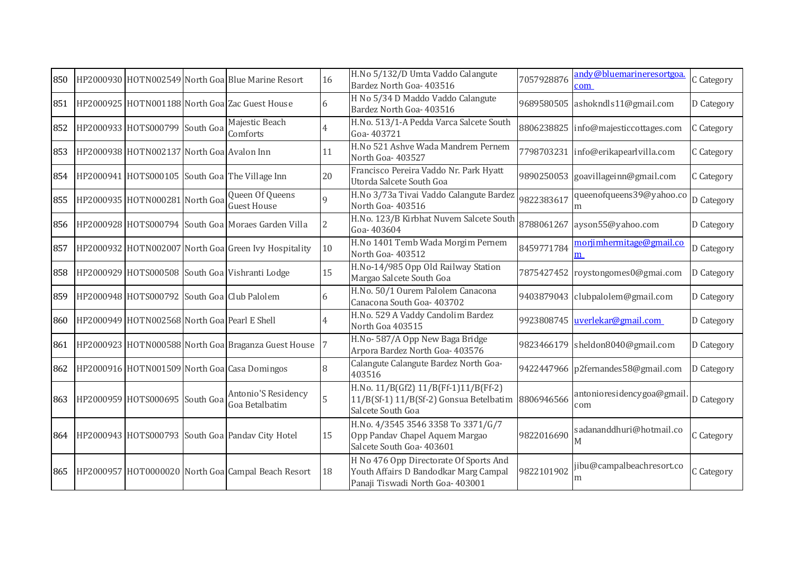| 850 |                                              | HP2000930 HOTN002549 North Goa Blue Marine Resort    | 16             | H.No 5/132/D Umta Vaddo Calangute<br>Bardez North Goa- 403516                                                       | 7057928876 | andy@bluemarineresortgoa.<br>com    | C Category |
|-----|----------------------------------------------|------------------------------------------------------|----------------|---------------------------------------------------------------------------------------------------------------------|------------|-------------------------------------|------------|
| 851 |                                              | HP2000925 HOTN001188 North Goa Zac Guest House       |                | H No 5/34 D Maddo Vaddo Calangute<br>Bardez North Goa- 403516                                                       | 9689580505 | ashokndls11@gmail.com               | D Category |
| 852 | HP2000933 HOTS000799 South Goa               | Majestic Beach<br>Comforts                           |                | H.No. 513/1-A Pedda Varca Salcete South<br>Goa-403721                                                               | 8806238825 | info@majesticcottages.com           | C Category |
| 853 | HP2000938 HOTN002137 North Goa Avalon Inn    |                                                      | 11             | H.No 521 Ashve Wada Mandrem Pernem<br>North Goa- 403527                                                             |            | 7798703231 info@erikapearlvilla.com | C Category |
| 854 |                                              | HP2000941 HOTS000105 South Goa The Village Inn       | 20             | Francisco Pereira Vaddo Nr. Park Hyatt<br>Utorda Salcete South Goa                                                  | 9890250053 | goavillageinn@gmail.com             | C Category |
| 855 | HP2000935 HOTN000281 North Goa               | Queen Of Queens<br><b>Guest House</b>                | $\mathbf{Q}$   | H.No 3/73a Tivai Vaddo Calangute Bardez<br>North Goa- 403516                                                        | 9822383617 | queenofqueens39@yahoo.co<br>m       | D Category |
| 856 |                                              | HP2000928 HOTS000794 South Goa Moraes Garden Villa   | $\overline{2}$ | H.No. 123/B Kirbhat Nuvem Salcete South<br>Goa-403604                                                               | 8788061267 | ayson55@yahoo.com                   | D Category |
| 857 |                                              | HP2000932 HOTN002007 North Goa Green Ivy Hospitality | 10             | H.No 1401 Temb Wada Morgim Pernem<br>North Goa-403512                                                               | 8459771784 | morjimhermitage@gmail.co<br>m       | D Category |
| 858 |                                              | HP2000929 HOTS000508 South Goa Vishranti Lodge       | 15             | H.No-14/985 Opp Old Railway Station<br>Margao Salcete South Goa                                                     | 7875427452 | roystongomes0@gmai.com              | D Category |
| 859 | HP2000948 HOTS000792 South Goa Club Palolem  |                                                      | 6              | H.No. 50/1 Ourem Palolem Canacona<br>Canacona South Goa- 403702                                                     | 9403879043 | clubpalolem@gmail.com               | D Category |
| 860 | HP2000949 HOTN002568 North Goa Pearl E Shell |                                                      | 4              | H.No. 529 A Vaddy Candolim Bardez<br>North Goa 403515                                                               | 9923808745 | uverlekar@gmail.com                 | D Category |
| 861 |                                              | HP2000923 HOTN000588 North Goa Braganza Guest House  |                | H.No-587/A Opp New Baga Bridge<br>Arpora Bardez North Goa- 403576                                                   |            | 9823466179 sheldon8040@gmail.com    | D Category |
| 862 |                                              | HP2000916 HOTN001509 North Goa Casa Domingos         | 8              | Calangute Calangute Bardez North Goa-<br>403516                                                                     |            | 9422447966 p2fernandes58@gmail.com  | D Category |
| 863 | HP2000959 HOTS000695 South Goa               | Antonio'S Residency<br>Goa Betalbatim                |                | H.No. 11/B(Gf2) 11/B(Ff-1)11/B(Ff-2)<br>11/B(Sf-1) 11/B(Sf-2) Gonsua Betelbatim<br>Salcete South Goa                | 8806946566 | antonioresidencygoa@gmail<br>com    | D Category |
| 864 |                                              | HP2000943 HOTS000793 South Goa Pandav City Hotel     | 15             | H.No. 4/3545 3546 3358 To 3371/G/7<br>Opp Pandav Chapel Aquem Margao<br>Salcete South Goa- 403601                   | 9822016690 | sadananddhuri@hotmail.co<br>M       | C Category |
| 865 |                                              | HP2000957 HOT0000020 North Goa Campal Beach Resort   | 18             | H No 476 Opp Directorate Of Sports And<br>Youth Affairs D Bandodkar Marg Campal<br>Panaji Tiswadi North Goa- 403001 | 9822101902 | jibu@campalbeachresort.co<br>m      | C Category |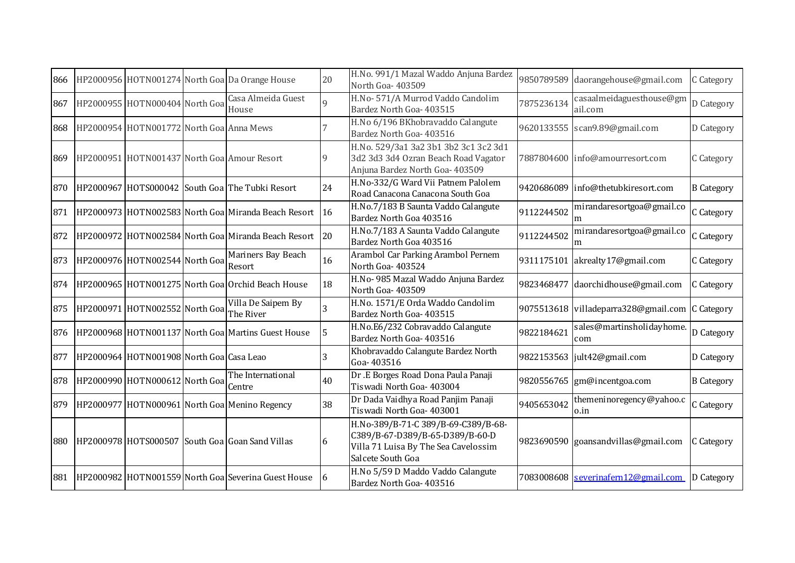| 866 |                                          | HP2000956 HOTN001274 North Goa Da Orange House       | 20 | H.No. 991/1 Mazal Waddo Anjuna Bardez<br>North Goa- 403509                                                                          |            | 9850789589 daorangehouse@gmail.com              | C Category        |
|-----|------------------------------------------|------------------------------------------------------|----|-------------------------------------------------------------------------------------------------------------------------------------|------------|-------------------------------------------------|-------------------|
| 867 | HP2000955 HOTN000404 North Goa           | Casa Almeida Guest<br>House                          | 9  | H.No-571/A Murrod Vaddo Candolim<br>Bardez North Goa- 403515                                                                        | 7875236134 | casaalmeidaguesthouse@gm<br>ail.com             | D Category        |
| 868 | HP2000954 HOTN001772 North Goa Anna Mews |                                                      |    | H.No 6/196 BKhobravaddo Calangute<br>Bardez North Goa- 403516                                                                       |            | 9620133555 scan9.89@gmail.com                   | D Category        |
| 869 |                                          | HP2000951 HOTN001437 North Goa Amour Resort          | 9  | H.No. 529/3a1 3a2 3b1 3b2 3c1 3c2 3d1<br>3d2 3d3 3d4 Ozran Beach Road Vagator<br>Anjuna Bardez North Goa- 403509                    |            | 7887804600 info@amourresort.com                 | C Category        |
| 870 |                                          | HP2000967 HOTS000042 South Goa The Tubki Resort      | 24 | H.No-332/G Ward Vii Patnem Palolem<br>Road Canacona Canacona South Goa                                                              |            | 9420686089 info@thetubkiresort.com              | <b>B</b> Category |
| 871 |                                          | HP2000973 HOTN002583 North Goa Miranda Beach Resort  | 16 | H.No.7/183 B Saunta Vaddo Calangute<br>Bardez North Goa 403516                                                                      | 9112244502 | mirandaresortgoa@gmail.co<br>m                  | C Category        |
| 872 |                                          | HP2000972 HOTN002584 North Goa Miranda Beach Resort  | 20 | H.No.7/183 A Saunta Vaddo Calangute<br>Bardez North Goa 403516                                                                      | 9112244502 | mirandaresortgoa@gmail.co<br>m                  | C Category        |
| 873 | HP2000976 HOTN002544 North Goa           | Mariners Bay Beach<br>Resort                         | 16 | Arambol Car Parking Arambol Pernem<br>North Goa- 403524                                                                             |            | 9311175101 akrealty17@gmail.com                 | C Category        |
| 874 |                                          | HP2000965 HOTN001275 North Goa Orchid Beach House    | 18 | H.No- 985 Mazal Waddo Anjuna Bardez<br>North Goa- 403509                                                                            |            | 9823468477 daorchidhouse@gmail.com              | C Category        |
| 875 | HP2000971 HOTN002552 North Goa           | Villa De Saipem By<br>The River                      | 3  | H.No. 1571/E Orda Waddo Candolim<br>Bardez North Goa- 403515                                                                        |            | 9075513618 villadeparra328@gmail.com C Category |                   |
| 876 |                                          | HP2000968 HOTN001137 North Goal Martins Guest House  | 5  | H.No.E6/232 Cobravaddo Calangute<br>Bardez North Goa- 403516                                                                        | 9822184621 | sales@martinsholidayhome.<br>com                | D Category        |
| 877 | HP2000964 HOTN001908 North Goa Casa Leao |                                                      | 3  | Khobravaddo Calangute Bardez North<br>Goa-403516                                                                                    |            | 9822153563 jult42@gmail.com                     | D Category        |
| 878 | HP2000990 HOTN000612 North Goa           | The International<br>Centre                          | 40 | Dr.E Borges Road Dona Paula Panaji<br>Tiswadi North Goa- 403004                                                                     |            | 9820556765  gm@incentgoa.com                    | <b>B</b> Category |
| 879 |                                          | HP2000977 HOTN000961 North Goa Menino Regency        | 38 | Dr Dada Vaidhya Road Panjim Panaji<br>Tiswadi North Goa- 403001                                                                     | 9405653042 | themeninoregency@yahoo.c<br>o.in                | C Category        |
| 880 |                                          | HP2000978 HOTS000507 South Goa Goan Sand Villas      | 6  | H.No-389/B-71-C 389/B-69-C389/B-68-<br>C389/B-67-D389/B-65-D389/B-60-D<br>Villa 71 Luisa By The Sea Cavelossim<br>Salcete South Goa |            | 9823690590 goansandvillas@gmail.com             | C Category        |
| 881 |                                          | HP2000982 HOTN001559 North Goal Severina Guest House | 16 | H.No 5/59 D Maddo Vaddo Calangute<br>Bardez North Goa- 403516                                                                       |            | 7083008608 severinafern12@gmail.com             | D Category        |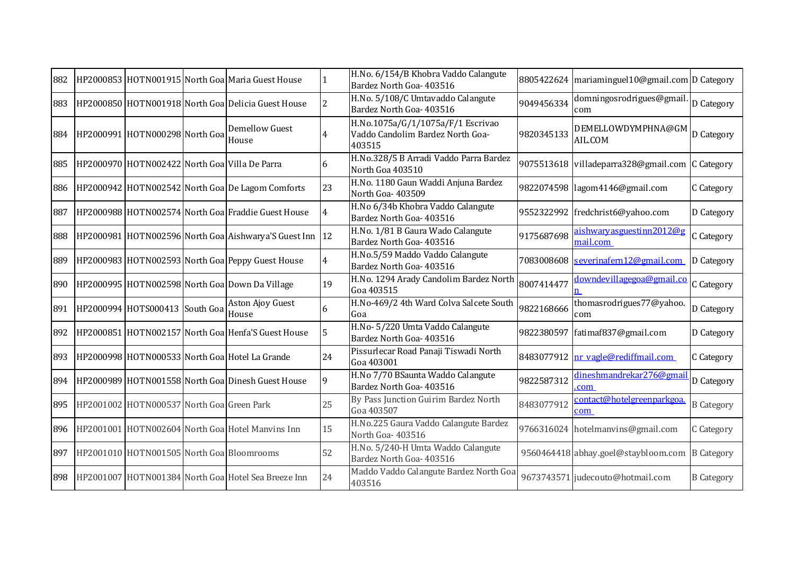| H.No. 5/108/C Umtavaddo Calangute<br>domningosrodrigues@gmail<br>HP2000850 HOTN001918 North Goa Delicia Guest House<br>$\overline{2}$<br>9049456334<br>Bardez North Goa- 403516<br>com<br>H.No.1075a/G/1/1075a/F/1 Escrivao<br><b>Demellow Guest</b><br>DEMELLOWDYMPHNA@GM D Category<br>HP2000991 HOTN000298 North Goa<br>Vaddo Candolim Bardez North Goa-<br>9820345133<br>AIL.COM<br>House<br>403515<br>H.No.328/5 B Arradi Vaddo Parra Bardez<br>HP2000970 HOTN002422 North Goa Villa De Parra<br>9075513618 villadeparra328@gmail.com C Category<br>6<br>North Goa 403510<br>H.No. 1180 Gaun Waddi Anjuna Bardez<br>23<br>9822074598 lagom4146@gmail.com<br>HP2000942 HOTN002542 North Goa De Lagom Comforts<br>North Goa- 403509<br>H.No 6/34b Khobra Vaddo Calangute<br>HP2000988 HOTN002574 North Goal Fraddie Guest House<br>9552322992 fredchrist6@yahoo.com<br>Bardez North Goa- 403516<br>H.No. 1/81 B Gaura Wado Calangute<br>aishwaryasguestinn2012@g<br>HP2000981 HOTN002596 North Goal Aishwarya'S Guest Inn 12<br>9175687698<br>Bardez North Goa- 403516<br>mail.com<br>H.No.5/59 Maddo Vaddo Calangute<br>HP2000983 HOTN002593 North Goa Peppy Guest House<br>7083008608 severinafern12@gmail.com<br>$\overline{4}$<br>Bardez North Goa- 403516<br>downdevillagegoa@gmail.co<br>H.No. 1294 Arady Candolim Bardez North<br>HP2000995 HOTN002598 North Goa Down Da Village<br>19<br>8007414477<br>Goa 403515<br>H.No-469/2 4th Ward Colva Salcete South<br>thomasrodrigues77@yahoo.<br>Aston Ajoy Guest<br>$\overline{6}$<br>HP2000994 HOTS000413 South Goa<br>9822168666<br>House<br>Goa<br>com<br>H.No-5/220 Umta Vaddo Calangute<br>HP2000851 HOTN002157 North Goa Henfa'S Guest House<br>5<br>9822380597 fatimaf837@gmail.com<br>Bardez North Goa- 403516<br>Pissurlecar Road Panaji Tiswadi North<br>24<br>HP2000998 HOTN000533 North Goa Hotel La Grande<br>8483077912 nr vagle@rediffmail.com<br>Goa 403001<br>H.No 7/70 BSaunta Waddo Calangute<br>dineshmandrekar276@gmai<br>9822587312<br>HP2000989 HOTN001558 North Goa Dinesh Guest House<br><b>q</b><br>Bardez North Goa- 403516<br>.com<br>By Pass Junction Guirim Bardez North<br>contact@hotelgreenparkgoa.<br>25<br>8483077912<br>HP2001002 HOTN000537 North Goal Green Park<br>Goa 403507<br>com<br>H.No.225 Gaura Vaddo Calangute Bardez<br>15<br>896 HP2001001 HOTN002604 North Goa Hotel Manvins Inn<br>9766316024 hotelmanvins@gmail.com<br>North Goa-403516<br>H.No. 5/240-H Umta Waddo Calangute<br>52<br>HP2001010 HOTN001505 North Goa Bloomrooms<br>9560464418 abhay.goel@staybloom.com<br><b>B</b> Category<br>Bardez North Goa- 403516<br>Maddo Vaddo Calangute Bardez North Goa<br>24<br>HP2001007 HOTN001384 North Goa Hotel Sea Breeze Inn<br>9673743571 judecouto@hotmail.com<br>403516 | 882 |  | HP2000853 HOTN001915 North Goa Maria Guest House | H.No. 6/154/B Khobra Vaddo Calangute<br>Bardez North Goa- 403516 | 8805422624 mariaminguel10@gmail.com D Category |                   |
|------------------------------------------------------------------------------------------------------------------------------------------------------------------------------------------------------------------------------------------------------------------------------------------------------------------------------------------------------------------------------------------------------------------------------------------------------------------------------------------------------------------------------------------------------------------------------------------------------------------------------------------------------------------------------------------------------------------------------------------------------------------------------------------------------------------------------------------------------------------------------------------------------------------------------------------------------------------------------------------------------------------------------------------------------------------------------------------------------------------------------------------------------------------------------------------------------------------------------------------------------------------------------------------------------------------------------------------------------------------------------------------------------------------------------------------------------------------------------------------------------------------------------------------------------------------------------------------------------------------------------------------------------------------------------------------------------------------------------------------------------------------------------------------------------------------------------------------------------------------------------------------------------------------------------------------------------------------------------------------------------------------------------------------------------------------------------------------------------------------------------------------------------------------------------------------------------------------------------------------------------------------------------------------------------------------------------------------------------------------------------------------------------------------------------------------------------------------------------------------------------------------------------------------------------------------------------------------------------------------------------------------------------------------------------------------------------------------------------------------------------------------------------------------|-----|--|--------------------------------------------------|------------------------------------------------------------------|------------------------------------------------|-------------------|
|                                                                                                                                                                                                                                                                                                                                                                                                                                                                                                                                                                                                                                                                                                                                                                                                                                                                                                                                                                                                                                                                                                                                                                                                                                                                                                                                                                                                                                                                                                                                                                                                                                                                                                                                                                                                                                                                                                                                                                                                                                                                                                                                                                                                                                                                                                                                                                                                                                                                                                                                                                                                                                                                                                                                                                                          | 883 |  |                                                  |                                                                  |                                                | D Category        |
|                                                                                                                                                                                                                                                                                                                                                                                                                                                                                                                                                                                                                                                                                                                                                                                                                                                                                                                                                                                                                                                                                                                                                                                                                                                                                                                                                                                                                                                                                                                                                                                                                                                                                                                                                                                                                                                                                                                                                                                                                                                                                                                                                                                                                                                                                                                                                                                                                                                                                                                                                                                                                                                                                                                                                                                          | 884 |  |                                                  |                                                                  |                                                |                   |
|                                                                                                                                                                                                                                                                                                                                                                                                                                                                                                                                                                                                                                                                                                                                                                                                                                                                                                                                                                                                                                                                                                                                                                                                                                                                                                                                                                                                                                                                                                                                                                                                                                                                                                                                                                                                                                                                                                                                                                                                                                                                                                                                                                                                                                                                                                                                                                                                                                                                                                                                                                                                                                                                                                                                                                                          | 885 |  |                                                  |                                                                  |                                                |                   |
|                                                                                                                                                                                                                                                                                                                                                                                                                                                                                                                                                                                                                                                                                                                                                                                                                                                                                                                                                                                                                                                                                                                                                                                                                                                                                                                                                                                                                                                                                                                                                                                                                                                                                                                                                                                                                                                                                                                                                                                                                                                                                                                                                                                                                                                                                                                                                                                                                                                                                                                                                                                                                                                                                                                                                                                          | 886 |  |                                                  |                                                                  |                                                | C Category        |
|                                                                                                                                                                                                                                                                                                                                                                                                                                                                                                                                                                                                                                                                                                                                                                                                                                                                                                                                                                                                                                                                                                                                                                                                                                                                                                                                                                                                                                                                                                                                                                                                                                                                                                                                                                                                                                                                                                                                                                                                                                                                                                                                                                                                                                                                                                                                                                                                                                                                                                                                                                                                                                                                                                                                                                                          | 887 |  |                                                  |                                                                  |                                                | D Category        |
|                                                                                                                                                                                                                                                                                                                                                                                                                                                                                                                                                                                                                                                                                                                                                                                                                                                                                                                                                                                                                                                                                                                                                                                                                                                                                                                                                                                                                                                                                                                                                                                                                                                                                                                                                                                                                                                                                                                                                                                                                                                                                                                                                                                                                                                                                                                                                                                                                                                                                                                                                                                                                                                                                                                                                                                          | 888 |  |                                                  |                                                                  |                                                | C Category        |
|                                                                                                                                                                                                                                                                                                                                                                                                                                                                                                                                                                                                                                                                                                                                                                                                                                                                                                                                                                                                                                                                                                                                                                                                                                                                                                                                                                                                                                                                                                                                                                                                                                                                                                                                                                                                                                                                                                                                                                                                                                                                                                                                                                                                                                                                                                                                                                                                                                                                                                                                                                                                                                                                                                                                                                                          | 889 |  |                                                  |                                                                  |                                                | D Category        |
|                                                                                                                                                                                                                                                                                                                                                                                                                                                                                                                                                                                                                                                                                                                                                                                                                                                                                                                                                                                                                                                                                                                                                                                                                                                                                                                                                                                                                                                                                                                                                                                                                                                                                                                                                                                                                                                                                                                                                                                                                                                                                                                                                                                                                                                                                                                                                                                                                                                                                                                                                                                                                                                                                                                                                                                          | 890 |  |                                                  |                                                                  |                                                | C Category        |
|                                                                                                                                                                                                                                                                                                                                                                                                                                                                                                                                                                                                                                                                                                                                                                                                                                                                                                                                                                                                                                                                                                                                                                                                                                                                                                                                                                                                                                                                                                                                                                                                                                                                                                                                                                                                                                                                                                                                                                                                                                                                                                                                                                                                                                                                                                                                                                                                                                                                                                                                                                                                                                                                                                                                                                                          | 891 |  |                                                  |                                                                  |                                                | D Category        |
|                                                                                                                                                                                                                                                                                                                                                                                                                                                                                                                                                                                                                                                                                                                                                                                                                                                                                                                                                                                                                                                                                                                                                                                                                                                                                                                                                                                                                                                                                                                                                                                                                                                                                                                                                                                                                                                                                                                                                                                                                                                                                                                                                                                                                                                                                                                                                                                                                                                                                                                                                                                                                                                                                                                                                                                          | 892 |  |                                                  |                                                                  |                                                | D Category        |
|                                                                                                                                                                                                                                                                                                                                                                                                                                                                                                                                                                                                                                                                                                                                                                                                                                                                                                                                                                                                                                                                                                                                                                                                                                                                                                                                                                                                                                                                                                                                                                                                                                                                                                                                                                                                                                                                                                                                                                                                                                                                                                                                                                                                                                                                                                                                                                                                                                                                                                                                                                                                                                                                                                                                                                                          | 893 |  |                                                  |                                                                  |                                                | C Category        |
|                                                                                                                                                                                                                                                                                                                                                                                                                                                                                                                                                                                                                                                                                                                                                                                                                                                                                                                                                                                                                                                                                                                                                                                                                                                                                                                                                                                                                                                                                                                                                                                                                                                                                                                                                                                                                                                                                                                                                                                                                                                                                                                                                                                                                                                                                                                                                                                                                                                                                                                                                                                                                                                                                                                                                                                          | 894 |  |                                                  |                                                                  |                                                | D Category        |
|                                                                                                                                                                                                                                                                                                                                                                                                                                                                                                                                                                                                                                                                                                                                                                                                                                                                                                                                                                                                                                                                                                                                                                                                                                                                                                                                                                                                                                                                                                                                                                                                                                                                                                                                                                                                                                                                                                                                                                                                                                                                                                                                                                                                                                                                                                                                                                                                                                                                                                                                                                                                                                                                                                                                                                                          | 895 |  |                                                  |                                                                  |                                                | <b>B</b> Category |
|                                                                                                                                                                                                                                                                                                                                                                                                                                                                                                                                                                                                                                                                                                                                                                                                                                                                                                                                                                                                                                                                                                                                                                                                                                                                                                                                                                                                                                                                                                                                                                                                                                                                                                                                                                                                                                                                                                                                                                                                                                                                                                                                                                                                                                                                                                                                                                                                                                                                                                                                                                                                                                                                                                                                                                                          |     |  |                                                  |                                                                  |                                                | C Category        |
|                                                                                                                                                                                                                                                                                                                                                                                                                                                                                                                                                                                                                                                                                                                                                                                                                                                                                                                                                                                                                                                                                                                                                                                                                                                                                                                                                                                                                                                                                                                                                                                                                                                                                                                                                                                                                                                                                                                                                                                                                                                                                                                                                                                                                                                                                                                                                                                                                                                                                                                                                                                                                                                                                                                                                                                          | 897 |  |                                                  |                                                                  |                                                |                   |
|                                                                                                                                                                                                                                                                                                                                                                                                                                                                                                                                                                                                                                                                                                                                                                                                                                                                                                                                                                                                                                                                                                                                                                                                                                                                                                                                                                                                                                                                                                                                                                                                                                                                                                                                                                                                                                                                                                                                                                                                                                                                                                                                                                                                                                                                                                                                                                                                                                                                                                                                                                                                                                                                                                                                                                                          | 898 |  |                                                  |                                                                  |                                                | <b>B</b> Category |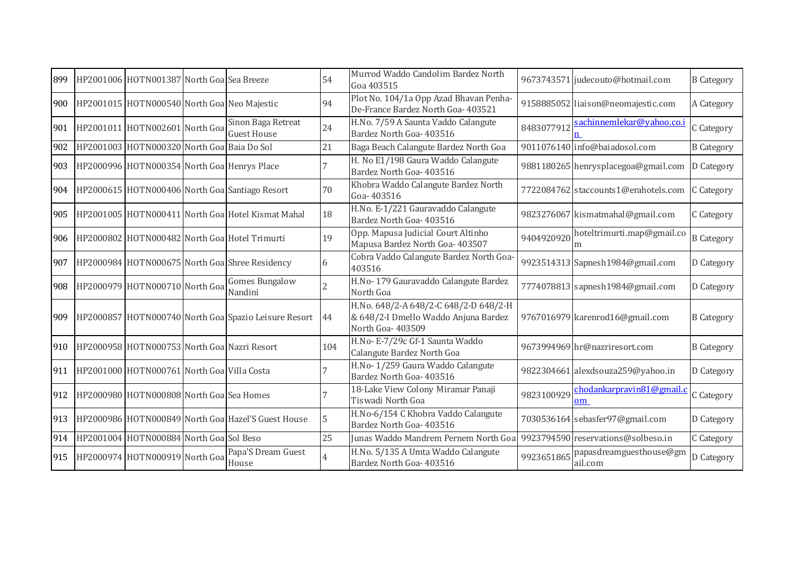| 899 | HP2001006 HOTN001387 North Goa Sea Breeze      |                                                           | 54  | Murrod Waddo Candolim Bardez North<br>Goa 403515                                                   |            | 9673743571 judecouto@hotmail.com     | <b>B</b> Category |
|-----|------------------------------------------------|-----------------------------------------------------------|-----|----------------------------------------------------------------------------------------------------|------------|--------------------------------------|-------------------|
| 900 | HP2001015 HOTN000540 North Goa Neo Majestic    |                                                           | 94  | Plot No. 104/1a Opp Azad Bhavan Penha-<br>De-France Bardez North Goa- 403521                       |            | 9158885052 liaison@neomajestic.com   | A Category        |
|     | 901 HP2001011 HOTN002601 North Goa             | Sinon Baga Retreat<br><b>Guest House</b>                  | 24  | H.No. 7/59 A Saunta Vaddo Calangute<br>Bardez North Goa- 403516                                    | 8483077912 | sachinnemlekar@yahoo.co.i            | C Category        |
| 902 | HP2001003 HOTN000320 North Goa Baia Do Sol     |                                                           | 21  | Baga Beach Calangute Bardez North Goa                                                              |            | 9011076140 info@baiadosol.com        | <b>B</b> Category |
| 903 | HP2000996 HOTN000354 North Goa Henrys Place    |                                                           |     | H. No E1/198 Gaura Waddo Calangute<br>Bardez North Goa- 403516                                     |            | 9881180265 henrysplacegoa@gmail.com  | D Category        |
| 904 |                                                | HP2000615 HOTN000406 North Goa Santiago Resort            | 70  | Khobra Waddo Calangute Bardez North<br>Goa-403516                                                  |            | 7722084762 staccounts1@erahotels.com | C Category        |
| 905 |                                                | HP2001005 HOTN000411 North Goa Hotel Kismat Mahal         | 18  | H.No. E-1/221 Gauravaddo Calangute<br>Bardez North Goa- 403516                                     |            | 9823276067 kismatmahal@gmail.com     | C Category        |
| 906 |                                                | HP2000802 HOTN000482 North Goa Hotel Trimurti             | 19  | Opp. Mapusa Judicial Court Altinho<br>Mapusa Bardez North Goa- 403507                              | 9404920920 | hoteltrimurti.map@gmail.co<br>m      | <b>B</b> Category |
| 907 |                                                | HP2000984 HOTN000675 North Goa Shree Residency            | 6   | Cobra Vaddo Calangute Bardez North Goa-<br>403516                                                  |            | 9923514313 Sapnesh1984@gmail.com     | D Category        |
| 908 | HP2000979 HOTN000710 North Goa                 | <b>Gomes Bungalow</b><br>Nandini                          |     | H.No-179 Gauravaddo Calangute Bardez<br>North Goa                                                  |            | 7774078813 sapnesh1984@gmail.com     | D Category        |
|     |                                                | 909 HP2000857 HOTN000740 North Goal Spazio Leisure Resort | 44  | H.No. 648/2-A 648/2-C 648/2-D 648/2-H<br>& 648/2-I Dmello Waddo Anjuna Bardez<br>North Goa- 403509 |            | 9767016979 karenrod16@gmail.com      | <b>B</b> Category |
| 910 | HP2000958 HOTN000753 North Goa Nazri Resort    |                                                           | 104 | H.No- E-7/29c Gf-1 Saunta Waddo<br>Calangute Bardez North Goa                                      |            | 9673994969 hr@nazriresort.com        | <b>B</b> Category |
|     | 911 HP2001000 HOTN000761 North Goa Villa Costa |                                                           |     | H.No-1/259 Gaura Waddo Calangute<br>Bardez North Goa- 403516                                       |            | 9822304661 alexdsouza259@yahoo.in    | D Category        |
| 912 | HP2000980 HOTN000808 North Goa Sea Homes       |                                                           |     | 18-Lake View Colony Miramar Panaji<br>Tiswadi North Goa                                            | 9823100929 | chodankarpravin81@gmail.c<br>om      | C Category        |
| 913 |                                                | HP2000986 HOTN000849 North Goa Hazel'S Guest House        | 5   | H.No-6/154 C Khobra Vaddo Calangute<br>Bardez North Goa- 403516                                    |            | 7030536164 sebasfer97@gmail.com      | D Category        |
| 914 | HP2001004 HOTN000884 North Goa Sol Beso        |                                                           | 25  | Junas Waddo Mandrem Pernem North Goa                                                               |            | 9923794590 reservations@solbeso.in   | C Category        |
|     | 915 HP2000974 HOTN000919 North Goa             | Papa'S Dream Guest<br>House                               |     | H.No. 5/135 A Umta Waddo Calangute<br>Bardez North Goa- 403516                                     | 9923651865 | papasdreamguesthouse@gm<br>ail.com   | D Category        |
|     |                                                |                                                           |     |                                                                                                    |            |                                      |                   |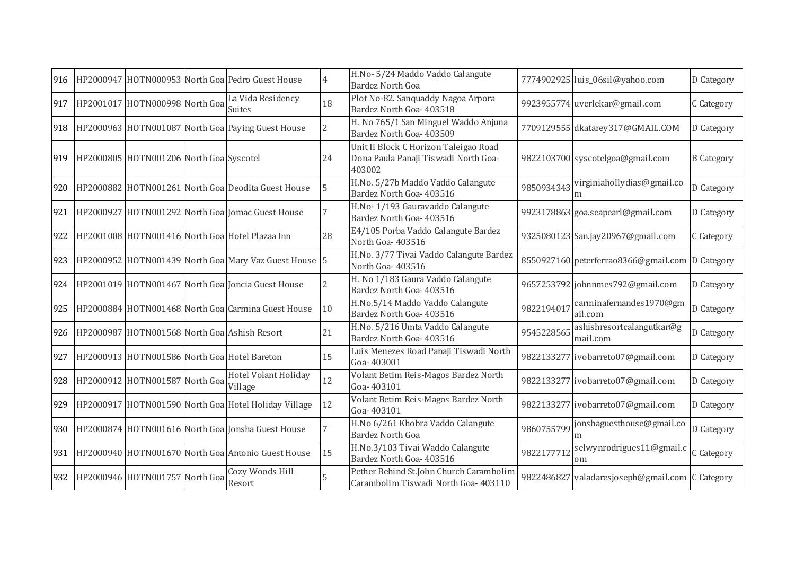| 916 |                                         | HP2000947 HOTN000953 North Goa Pedro Guest House      | $\overline{4}$ | H.No- 5/24 Maddo Vaddo Calangute<br><b>Bardez North Goa</b>                             |            | 7774902925 luis_06sil@yahoo.com                 | D Category        |
|-----|-----------------------------------------|-------------------------------------------------------|----------------|-----------------------------------------------------------------------------------------|------------|-------------------------------------------------|-------------------|
| 917 | HP2001017 HOTN000998 North Goa          | La Vida Residency<br><b>Suites</b>                    | 18             | Plot No-82. Sanquaddy Nagoa Arpora<br>Bardez North Goa- 403518                          |            | 9923955774 uverlekar@gmail.com                  | C Category        |
| 918 |                                         | HP2000963 HOTN001087 North Goa Paying Guest House     | $\overline{2}$ | H. No 765/1 San Minguel Waddo Anjuna<br>Bardez North Goa- 403509                        |            | 7709129555 dkatarey317@GMAIL.COM                | D Category        |
| 919 | HP2000805 HOTN001206 North Goa Syscotel |                                                       | 24             | Unit Ii Block C Horizon Taleigao Road<br>Dona Paula Panaji Tiswadi North Goa-<br>403002 |            | 9822103700 syscotelgoa@gmail.com                | <b>B</b> Category |
| 920 |                                         | HP2000882 HOTN001261 North Goa Deodita Guest House    | 5              | H.No. 5/27b Maddo Vaddo Calangute<br>Bardez North Goa- 403516                           | 9850934343 | virginiahollydias@gmail.co<br>m                 | D Category        |
| 921 |                                         | HP2000927 HOTN001292 North Goa Jomac Guest House      |                | H.No-1/193 Gauravaddo Calangute<br>Bardez North Goa- 403516                             |            | 9923178863 goa.seapearl@gmail.com               | D Category        |
| 922 |                                         | HP2001008 HOTN001416 North Goa Hotel Plazaa Inn       | 28             | E4/105 Porba Vaddo Calangute Bardez<br>North Goa-403516                                 |            | 9325080123 San.jay20967@gmail.com               | C Category        |
| 923 |                                         | HP2000952 HOTN001439 North Goa Mary Vaz Guest House 5 |                | H.No. 3/77 Tivai Vaddo Calangute Bardez<br>North Goa-403516                             |            | 8550927160 peterferrao8366@gmail.com            | D Category        |
| 924 |                                         | HP2001019 HOTN001467 North Goa Joncia Guest House     | $\overline{2}$ | H. No 1/183 Gaura Vaddo Calangute<br>Bardez North Goa- 403516                           |            | 9657253792 johnnmes792@gmail.com                | D Category        |
| 925 |                                         | HP2000884 HOTN001468 North Goa Carmina Guest House    | 10             | H.No.5/14 Maddo Vaddo Calangute<br>Bardez North Goa- 403516                             | 982219401  | carminafernandes1970@gm<br>ail.com              | D Category        |
| 926 |                                         | HP2000987 HOTN001568 North Goa Ashish Resort          | 21             | H.No. 5/216 Umta Vaddo Calangute<br>Bardez North Goa- 403516                            | 9545228565 | ashishresortcalangutkar@g<br>mail.com           | D Category        |
| 927 |                                         | HP2000913 HOTN001586 North Goa Hotel Bareton          | 15             | Luis Menezes Road Panaji Tiswadi North<br>Goa-403001                                    |            | 9822133277 ivobarreto07@gmail.com               | D Category        |
| 928 | HP2000912 HOTN001587 North Goa          | <b>Hotel Volant Holiday</b><br>Village                | 12             | Volant Betim Reis-Magos Bardez North<br>Goa-403101                                      |            | 9822133277 ivobarreto07@gmail.com               | D Category        |
| 929 |                                         | HP2000917 HOTN001590 North Goa Hotel Holiday Village  | 12             | Volant Betim Reis-Magos Bardez North<br>Goa-403101                                      |            | 9822133277 ivobarreto07@gmail.com               | D Category        |
| 930 |                                         | HP2000874 HOTN001616 North Goa Jonsha Guest House     | 7              | H.No 6/261 Khobra Vaddo Calangute<br><b>Bardez North Goa</b>                            | 9860755799 | jonshaguesthouse@gmail.co                       | D Category        |
| 931 |                                         | HP2000940 HOTN001670 North Goa Antonio Guest House    | 15             | H.No.3/103 Tivai Waddo Calangute<br>Bardez North Goa- 403516                            | 9822177712 | selwynrodrigues11@gmail.c<br>om                 | C Category        |
| 932 | HP2000946 HOTN001757 North Goa          | Cozy Woods Hill<br>Resort                             |                | Pether Behind St.John Church Carambolim<br>Carambolim Tiswadi North Goa- 403110         |            | 9822486827 valadaresjoseph@gmail.com C Category |                   |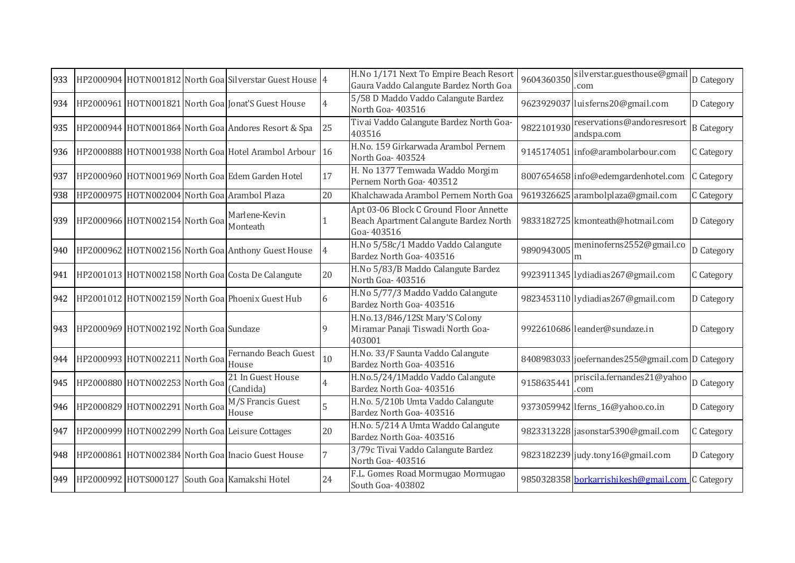| 933 |                                        | HP2000904 HOTN001812 North Goa Silverstar Guest House 4 |    | H.No 1/171 Next To Empire Beach Resort<br>Gaura Vaddo Calangute Bardez North Goa               | 9604360350 | silverstar.guesthouse@gmail<br>com              | D Category        |
|-----|----------------------------------------|---------------------------------------------------------|----|------------------------------------------------------------------------------------------------|------------|-------------------------------------------------|-------------------|
| 934 |                                        | HP2000961 HOTN001821 North Goa Jonat'S Guest House      |    | 5/58 D Maddo Vaddo Calangute Bardez<br>North Goa-403516                                        |            | 9623929037 luisferns20@gmail.com                | D Category        |
| 935 |                                        | HP2000944 HOTN001864 North Goa Andores Resort & Spa     | 25 | Tivai Vaddo Calangute Bardez North Goa-<br>403516                                              | 9822101930 | reservations@andoresresort<br>andspa.com        | <b>B</b> Category |
| 936 |                                        | HP2000888 HOTN001938 North Goa Hotel Arambol Arbour     | 16 | H.No. 159 Girkarwada Arambol Pernem<br>North Goa-403524                                        |            | 9145174051 info@arambolarbour.com               | C Category        |
| 937 |                                        | HP2000960 HOTN001969 North Goal Edem Garden Hotel       | 17 | H. No 1377 Temwada Waddo Morgim<br>Pernem North Goa- 403512                                    |            | 8007654658 info@edemgardenhotel.com             | C Category        |
| 938 |                                        | HP2000975 HOTN002004 North Goa Arambol Plaza            | 20 | Khalchawada Arambol Pernem North Goa                                                           |            | 9619326625 arambolplaza@gmail.com               | C Category        |
| 939 | HP2000966 HOTN002154 North Goa         | Marlene-Kevin<br>Monteath                               |    | Apt 03-06 Block C Ground Floor Annette<br>Beach Apartment Calangute Bardez North<br>Goa-403516 |            | 9833182725 kmonteath@hotmail.com                | D Category        |
| 940 |                                        | HP2000962 HOTN002156 North Goa Anthony Guest House      |    | H.No 5/58c/1 Maddo Vaddo Calangute<br>Bardez North Goa- 403516                                 | 9890943005 | meninoferns2552@gmail.co<br>m                   | D Category        |
| 941 |                                        | HP2001013 HOTN002158 North Goa Costa De Calangute       | 20 | H.No 5/83/B Maddo Calangute Bardez<br>North Goa-403516                                         |            | 9923911345 lydiadias267@gmail.com               | C Category        |
| 942 |                                        | HP2001012 HOTN002159 North Goa Phoenix Guest Hub        | 6  | H.No 5/77/3 Maddo Vaddo Calangute<br>Bardez North Goa- 403516                                  |            | 9823453110 lydiadias267@gmail.com               | D Category        |
| 943 | HP2000969 HOTN002192 North Goa Sundaze |                                                         |    | H.No.13/846/12St Mary'S Colony<br>Miramar Panaji Tiswadi North Goa-<br>403001                  |            | 9922610686 leander@sundaze.in                   | D Category        |
| 944 | HP2000993 HOTN002211 North Goa         | Fernando Beach Guest<br>House                           | 10 | H.No. 33/F Saunta Vaddo Calangute<br>Bardez North Goa- 403516                                  |            | 8408983033 joefernandes255@gmail.com D Category |                   |
| 945 | HP2000880 HOTN002253 North Goa         | 21 In Guest House<br>(Candida)                          |    | H.No.5/24/1Maddo Vaddo Calangute<br>Bardez North Goa- 403516                                   | 915863544  | priscila.fernandes21@yahoo<br>com               | D Category        |
| 946 | HP2000829 HOTN002291 North Goa         | M/S Francis Guest<br>House                              | 5  | H.No. 5/210b Umta Vaddo Calangute<br>Bardez North Goa- 403516                                  |            | 9373059942 Iferns_16@yahoo.co.in                | D Category        |
| 947 |                                        | HP2000999 HOTN002299 North Goa Leisure Cottages         | 20 | H.No. 5/214 A Umta Waddo Calangute<br>Bardez North Goa- 403516                                 |            | 9823313228 jasonstar5390@gmail.com              | C Category        |
| 948 |                                        | HP2000861 HOTN002384 North Goa Inacio Guest House       |    | 3/79c Tivai Vaddo Calangute Bardez<br>North Goa- 403516                                        |            | 9823182239 judy.tony16@gmail.com                | D Category        |
| 949 |                                        | HP2000992 HOTS000127 South Goa Kamakshi Hotel           | 24 | F.L. Gomes Road Mormugao Mormugao<br>South Goa-403802                                          |            | 9850328358 borkarrishikesh@gmail.com C Category |                   |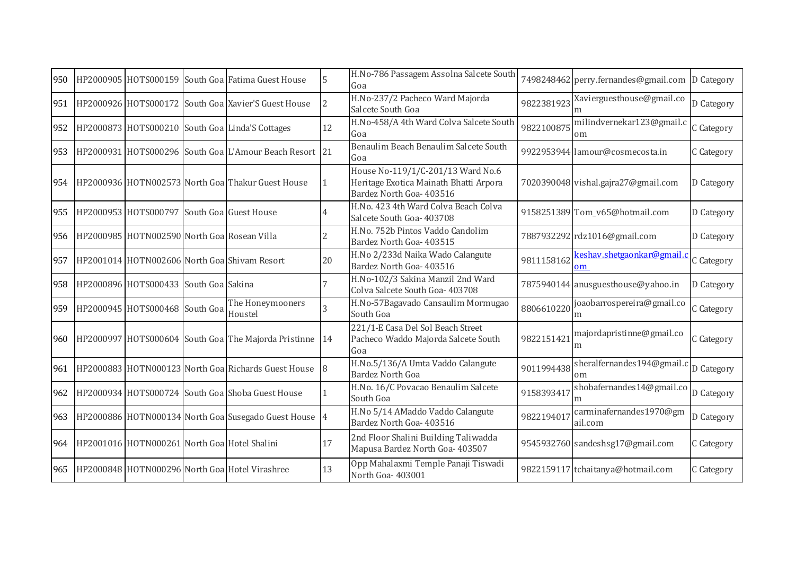| 950 |                                                  | HP2000905 HOTS000159 South Goa Fatima Guest House       | 5              | H.No-786 Passagem Assolna Salcete South<br>Goa                                                          |            | 7498248462 perry.fernandes@gmail.com        | D Category |
|-----|--------------------------------------------------|---------------------------------------------------------|----------------|---------------------------------------------------------------------------------------------------------|------------|---------------------------------------------|------------|
| 951 |                                                  | HP2000926 HOTS000172 South Goa Xavier'S Guest House     | $\overline{2}$ | H.No-237/2 Pacheco Ward Majorda<br>Salcete South Goa                                                    | 9822381923 | Xavierguesthouse@gmail.co                   | D Category |
| 952 |                                                  | HP2000873 HOTS000210 South Goa Linda'S Cottages         | 12             | H.No-458/A 4th Ward Colva Salcete South<br>Goa                                                          | 9822100875 | milindvernekar123@gmail.c<br>om             | C Category |
| 953 |                                                  | HP2000931 HOTS000296 South Goa L'Amour Beach Resort 21  |                | Benaulim Beach Benaulim Salcete South<br>Goa                                                            |            | 9922953944 lamour@cosmecosta.in             | C Category |
| 954 |                                                  | HP2000936 HOTN002573 North Goa Thakur Guest House       |                | House No-119/1/C-201/13 Ward No.6<br>Heritage Exotica Mainath Bhatti Arpora<br>Bardez North Goa- 403516 |            | 7020390048 vishal.gajra27@gmail.com         | D Category |
| 955 | HP2000953 HOTS000797 South Goa Guest House       |                                                         | 4              | H.No. 423 4th Ward Colva Beach Colva<br>Salcete South Goa- 403708                                       |            | 9158251389 Tom_v65@hotmail.com              | D Category |
| 956 | HP2000985 HOTN002590 North Goa Rosean Villa      |                                                         |                | H.No. 752b Pintos Vaddo Candolim<br>Bardez North Goa- 403515                                            |            | 7887932292 rdz1016@gmail.com                | D Category |
| 957 |                                                  | HP2001014 HOTN002606 North Goa Shivam Resort            | 20             | H.No 2/233d Naika Wado Calangute<br>Bardez North Goa- 403516                                            | 9811158162 | keshav.shetgaonkar@gmail.c<br>$\mathbf{om}$ | C Category |
| 958 | HP2000896 HOTS000433 South Goa Sakina            |                                                         |                | H.No-102/3 Sakina Manzil 2nd Ward<br>Colva Salcete South Goa- 403708                                    |            | 7875940144 anusguesthouse@yahoo.in          | D Category |
| 959 | HP2000945 HOTS000468 South Goa                   | The Honeymooners<br>Houstel                             | 3              | H.No-57Bagavado Cansaulim Mormugao<br>South Goa                                                         | 8806610220 | joaobarrospereira@gmail.co<br>m             | C Category |
| 960 |                                                  | HP2000997 HOTS000604 South Goa The Majorda Pristinne 14 |                | 221/1-E Casa Del Sol Beach Street<br>Pacheco Waddo Majorda Salcete South<br>Goa                         | 982215142  | majordapristinne@gmail.co<br>m              | C Category |
| 961 |                                                  | HP2000883 HOTN000123 North Goa Richards Guest House     |                | H.No.5/136/A Umta Vaddo Calangute<br><b>Bardez North Goa</b>                                            | 9011994438 | sheralfernandes194@gmail.c<br>om            | D Category |
| 962 |                                                  | HP2000934 HOTS000724 South Goa Shoba Guest House        |                | H.No. 16/C Povacao Benaulim Salcete<br>South Goa                                                        | 9158393417 | shobafernandes14@gmail.co<br>m              | D Category |
| 963 |                                                  | HP2000886 HOTN000134 North Goa Susegado Guest House 4   |                | H.No 5/14 AMaddo Vaddo Calangute<br>Bardez North Goa- 403516                                            | 982219401  | carminafernandes1970@gm<br>ail.com          | D Category |
|     | 964 HP2001016 HOTN000261 North Goa Hotel Shalini |                                                         | 17             | 2nd Floor Shalini Building Taliwadda<br>Mapusa Bardez North Goa- 403507                                 |            | 9545932760 sandeshsg17@gmail.com            | C Category |
| 965 |                                                  | HP2000848 HOTN000296 North Goa Hotel Virashree          | 13             | Opp Mahalaxmi Temple Panaji Tiswadi<br>North Goa-403001                                                 |            | 9822159117 tchaitanya@hotmail.com           | C Category |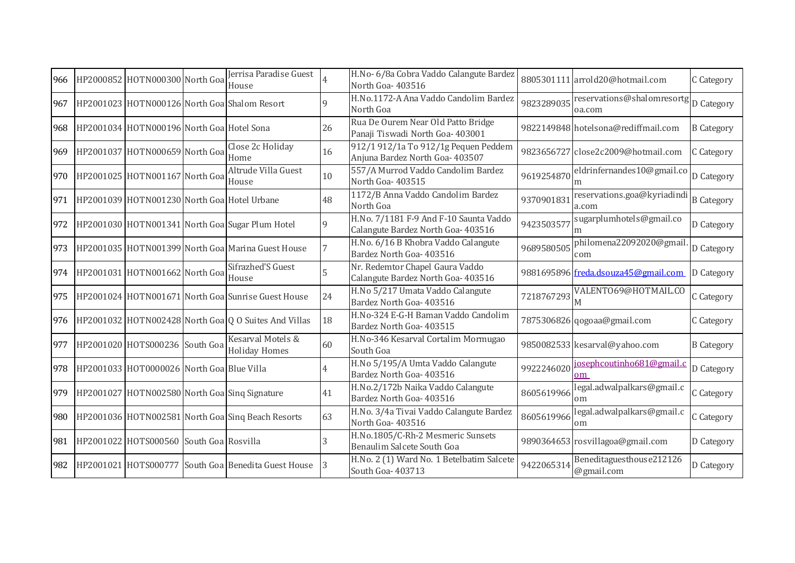| 966 | HP2000852 HOTN000300 North Goa              | Jerrisa Paradise Guest<br>House                      |             | H.No- 6/8a Cobra Vaddo Calangute Bardez<br>North Goa-403516                  |            | 8805301111 arrold20@hotmail.com                            | C Category        |
|-----|---------------------------------------------|------------------------------------------------------|-------------|------------------------------------------------------------------------------|------------|------------------------------------------------------------|-------------------|
| 967 |                                             | HP2001023 HOTN000126 North Goa Shalom Resort         | q           | H.No.1172-A Ana Vaddo Candolim Bardez<br>North Goa                           | 9823289035 | reservations@shalomresortg <sub>D</sub> Category<br>oa.com |                   |
| 968 | HP2001034 HOTN000196 North Goa Hotel Sona   |                                                      | 26          | Rua De Ourem Near Old Patto Bridge<br>Panaji Tiswadi North Goa- 403001       |            | 9822149848 hotelsona@rediffmail.com                        | <b>B</b> Category |
| 969 | HP2001037 HOTN000659 North Goa              | Close 2c Holiday<br>Home                             | 16          | 912/1 912/1a To 912/1g Pequen Peddem<br>Anjuna Bardez North Goa- 403507      |            | 9823656727 close2c2009@hotmail.com                         | C Category        |
| 970 | HP2001025 HOTN001167 North Goa              | Altrude Villa Guest<br>House                         | 10          | 557/A Murrod Vaddo Candolim Bardez<br>North Goa-403515                       | 9619254870 | eldrinfernandes10@gmail.co<br>m                            | D Category        |
| 971 | HP2001039 HOTN001230 North Goa Hotel Urbane |                                                      | 48          | 1172/B Anna Vaddo Candolim Bardez<br>North Goa                               | 9370901831 | reservations.goa@kyriadindi<br>a.com                       | <b>B</b> Category |
| 972 |                                             | HP2001030 HOTN001341 North Goa Sugar Plum Hotel      | $\mathbf Q$ | H.No. 7/1181 F-9 And F-10 Saunta Vaddo<br>Calangute Bardez North Goa- 403516 | 9423503577 | sugarplumhotels@gmail.co                                   | D Category        |
| 973 |                                             | HP2001035 HOTN001399 North Goa Marina Guest House    |             | H.No. 6/16 B Khobra Vaddo Calangute<br>Bardez North Goa- 403516              | 9689580505 | philomena22092020@gmail<br>com                             | D Category        |
| 974 | HP2001031 HOTN001662 North Goa              | Sifrazhed'S Guest<br>House                           |             | Nr. Redemtor Chapel Gaura Vaddo<br>Calangute Bardez North Goa- 403516        |            | 9881695896 freda.dsouza45@gmail.com                        | D Category        |
| 975 |                                             | HP2001024 HOTN001671 North Goal Sunrise Guest House  | 24          | H.No 5/217 Umata Vaddo Calangute<br>Bardez North Goa- 403516                 | 7218767293 | VALENT069@HOTMAIL.CO                                       | C Category        |
| 976 |                                             | HP2001032 HOTN002428 North Goa Q O Suites And Villas | 18          | H.No-324 E-G-H Baman Vaddo Candolim<br>Bardez North Goa- 403515              |            | 7875306826 qogoaa@gmail.com                                | C Category        |
| 977 | HP2001020 HOTS000236 South Goa              | Kesarval Motels &<br><b>Holiday Homes</b>            | 60          | H.No-346 Kesarval Cortalim Mormugao<br>South Goa                             |            | 9850082533 kesarval@yahoo.com                              | <b>B</b> Category |
| 978 | HP2001033 HOT0000026 North Goa Blue Villa   |                                                      | 4           | H.No 5/195/A Umta Vaddo Calangute<br>Bardez North Goa- 403516                | 9922246020 | josephcoutinho681@gmail.c<br>om                            | D Category        |
| 979 |                                             | HP2001027 HOTN002580 North Goal Sing Signature       | 41          | H.No.2/172b Naika Vaddo Calangute<br>Bardez North Goa- 403516                | 8605619966 | legal.adwalpalkars@gmail.c<br>om                           | C Category        |
| 980 |                                             | HP2001036 HOTN002581 North Goa Sing Beach Resorts    | 63          | H.No. 3/4a Tivai Vaddo Calangute Bardez<br>North Goa-403516                  | 8605619966 | legal.adwalpalkars@gmail.c<br>om                           | C Category        |
| 981 | HP2001022 HOTS000560 South Goa Rosvilla     |                                                      | 3           | H.No.1805/C-Rh-2 Mesmeric Sunsets<br>Benaulim Salcete South Goa              |            | 9890364653 rosvillagoa@gmail.com                           | D Category        |
| 982 |                                             | HP2001021 HOTS000777 South Goa Benedita Guest House  |             | H.No. 2 (1) Ward No. 1 Betelbatim Salcete<br>South Goa- 403713               | 9422065314 | Beneditaguesthouse212126<br>@gmail.com                     | D Category        |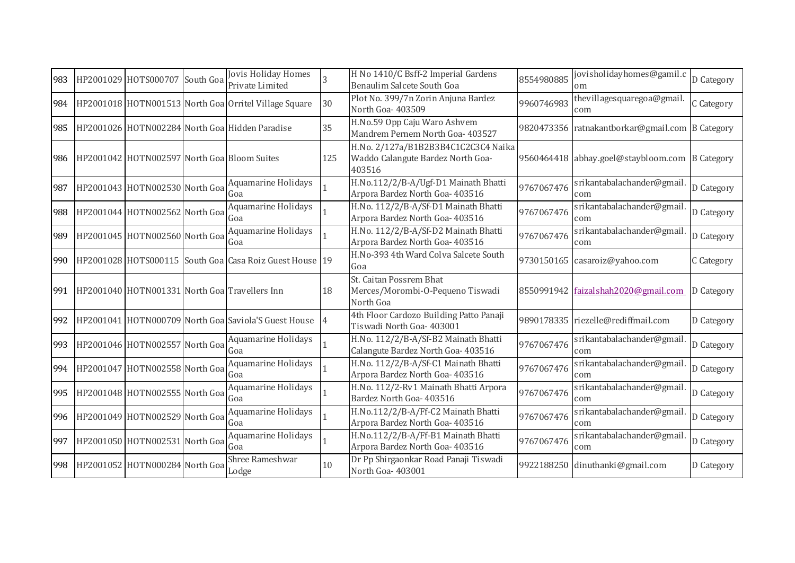| 983 | HP2001029 HOTS000707                        | South Goa | Jovis Holiday Homes<br>Private Limited                    |     | H No 1410/C Bsff-2 Imperial Gardens<br>Benaulim Salcete South Goa                  | 8554980885 | jovisholidayhomes@gamil.c<br>om                 | D Category |
|-----|---------------------------------------------|-----------|-----------------------------------------------------------|-----|------------------------------------------------------------------------------------|------------|-------------------------------------------------|------------|
|     |                                             |           | 984 HP2001018 HOTN001513 North Goa Orritel Village Square | 30  | Plot No. 399/7n Zorin Anjuna Bardez<br>North Goa- 403509                           | 9960746983 | thevillagesquaregoa@gmail.<br>com               | C Category |
| 985 |                                             |           | HP2001026 HOTN002284 North Goa Hidden Paradise            | 35  | H.No.59 Opp Caju Waro Ashvem<br>Mandrem Pernem North Goa- 403527                   |            | 9820473356 ratnakantborkar@gmail.com B Category |            |
| 986 | HP2001042 HOTN002597 North Goa Bloom Suites |           |                                                           | 125 | H.No. 2/127a/B1B2B3B4C1C2C3C4 Naika<br>Waddo Calangute Bardez North Goa-<br>403516 |            | 9560464418 abhay.goel@staybloom.com B Category  |            |
| 987 | HP2001043 HOTN002530 North Goa              |           | Aquamarine Holidays<br>Goa                                |     | H.No.112/2/B-A/Ugf-D1 Mainath Bhatti<br>Arpora Bardez North Goa- 403516            | 9767067476 | srikantabalachander@gmail<br>com                | D Category |
| 988 | HP2001044 HOTN002562 North Goa              |           | Aquamarine Holidays<br>Goa                                |     | H.No. 112/2/B-A/Sf-D1 Mainath Bhatti<br>Arpora Bardez North Goa- 403516            | 9767067476 | srikantabalachander@gmail<br>com                | D Category |
| 989 | HP2001045 HOTN002560 North Goa              |           | Aquamarine Holidays<br>Goa                                |     | H.No. 112/2/B-A/Sf-D2 Mainath Bhatti<br>Arpora Bardez North Goa- 403516            | 9767067476 | srikantabalachander@gmail<br>com                | D Category |
| 990 |                                             |           | HP2001028 HOTS000115 South Goa Casa Roiz Guest House 19   |     | H.No-393 4th Ward Colva Salcete South<br>Goa                                       |            | 9730150165 casaroiz@yahoo.com                   | C Category |
|     |                                             |           | 991 HP2001040 HOTN001331 North Goa Travellers Inn         | 18  | St. Caitan Possrem Bhat<br>Merces/Morombi-O-Pequeno Tiswadi<br>North Goa           |            | 8550991942 faizalshah2020@gmail.com             | D Category |
| 992 |                                             |           | HP2001041 HOTN000709 North Goa Saviola'S Guest House      |     | 4th Floor Cardozo Building Patto Panaji<br>Tiswadi North Goa- 403001               |            | 9890178335 riezelle@rediffmail.com              | D Category |
| 993 | HP2001046 HOTN002557 North Goa              |           | Aquamarine Holidays<br>Goa                                |     | H.No. 112/2/B-A/Sf-B2 Mainath Bhatti<br>Calangute Bardez North Goa- 403516         | 9767067476 | srikantabalachander@gmail<br>com                | D Category |
| 994 | HP2001047 HOTN002558 North Goa              |           | Aquamarine Holidays<br>Goa                                |     | H.No. 112/2/B-A/Sf-C1 Mainath Bhatti<br>Arpora Bardez North Goa- 403516            | 9767067476 | srikantabalachander@gmail<br>com                | D Category |
| 995 | HP2001048 HOTN002555 North Goa              |           | Aquamarine Holidays<br>Goa                                |     | H.No. 112/2-Rv1 Mainath Bhatti Arpora<br>Bardez North Goa- 403516                  | 9767067476 | srikantabalachander@gmail<br>com                | D Category |
|     | 996 HP2001049 HOTN002529 North Goa          |           | Aquamarine Holidays<br>Goa                                |     | H.No.112/2/B-A/Ff-C2 Mainath Bhatti<br>Arpora Bardez North Goa- 403516             | 9767067476 | srikantabalachander@gmail<br>com                | D Category |
| 997 | HP2001050 HOTN002531 North Goa              |           | Aquamarine Holidays<br>Goa                                |     | H.No.112/2/B-A/Ff-B1 Mainath Bhatti<br>Arpora Bardez North Goa- 403516             | 9767067476 | srikantabalachander@gmail<br>com                | D Category |
| 998 | HP2001052 HOTN000284 North Goa              |           | Shree Rameshwar<br>Lodge                                  | 10  | Dr Pp Shirgaonkar Road Panaji Tiswadi<br>North Goa-403001                          |            | 9922188250 dinuthanki@gmail.com                 | D Category |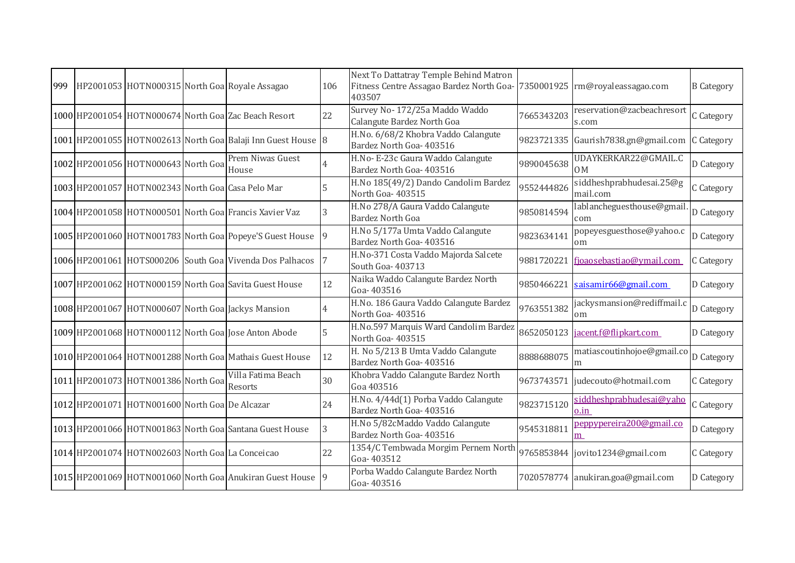| Survey No-172/25a Maddo Waddo<br>reservation@zacbeachresort<br>1000 HP2001054 HOTN000674 North Goa Zac Beach Resort<br>22<br>7665343203<br>C Category<br>Calangute Bardez North Goa<br>s.com<br>H.No. 6/68/2 Khobra Vaddo Calangute<br>1001 HP2001055 HOTN002613 North Goa Balaji Inn Guest House 8<br>9823721335 Gaurish7838.gn@gmail.com<br>C Category<br>Bardez North Goa- 403516<br>Prem Niwas Guest<br>H.No- E-23c Gaura Waddo Calangute<br>UDAYKERKAR22@GMAIL.C<br>1002 HP2001056 HOTN000643 North Goa<br>9890045638<br>D Category<br>Bardez North Goa- 403516<br>House<br>0M<br>H.No 185(49/2) Dando Candolim Bardez<br>siddheshprabhudesai.25@g<br>1003 HP2001057 HOTN002343 North Goa Casa Pelo Mar<br>9552444826<br>C Category<br>North Goa-403515<br>mail.com<br>H.No 278/A Gaura Vaddo Calangute<br>lablancheguesthouse@gmail<br>1004 HP2001058 HOTN000501 North Goal Francis Xavier Vaz<br>9850814594<br>D Category<br>3<br>Bardez North Goa<br>com<br>H.No 5/177a Umta Vaddo Calangute<br>popeyesguesthose@yahoo.c<br>1005 HP2001060 HOTN001783 North Goa Popeye'S Guest House<br>9823634141<br>D Category<br>-9<br>Bardez North Goa- 403516<br>om<br>H.No-371 Costa Vaddo Majorda Salcete<br>1006 HP2001061 HOTS000206 South Goa Vivenda Dos Palhacos<br>9881720221<br>fjoaosebastiao@ymail.com<br>C Category<br>South Goa- 403713<br>Naika Waddo Calangute Bardez North<br>12<br>1007 HP2001062 HOTN000159 North Goa Savita Guest House<br>9850466221<br>saisamir66@gmail.com<br>D Category<br>Goa-403516<br>H.No. 186 Gaura Vaddo Calangute Bardez<br>jackysmansion@rediffmail.c<br>1008 HP2001067 HOTN000607 North Goa Jackys Mansion<br>9763551382<br>D Category<br>North Goa-403516<br>om<br>H.No.597 Marquis Ward Candolim Bardez<br>1009 HP2001068 HOTN000112 North Goa Jose Anton Abode<br>5<br>8652050123<br>jacent.f@flipkart.com<br>D Category<br>North Goa-403515<br>H. No 5/213 B Umta Vaddo Calangute<br>matiascoutinhojoe@gmail.co<br>12<br>1010 HP2001064 HOTN001288 North Goa Mathais Guest House<br>8888688075<br>D Category<br>Bardez North Goa- 403516<br>m<br>Khobra Vaddo Calangute Bardez North<br>Villa Fatima Beach<br>1011 HP2001073 HOTN001386 North Goa<br>30<br>9673743571<br>judecouto@hotmail.com<br>C Category<br>Resorts<br>Goa 403516<br>H.No. 4/44d(1) Porba Vaddo Calangute<br>siddheshprabhudesai@yaho<br>1012 HP2001071 HOTN001600 North Goa De Alcazar<br>24<br>9823715120<br>C Category<br>Bardez North Goa- 403516<br>$0.\overline{in}$<br>H.No 5/82cMaddo Vaddo Calangute<br>peppypereira200@gmail.co<br>1013 HP2001066 HOTN001863 North Goa Santana Guest House<br>3<br>9545318811<br>D Category<br>Bardez North Goa- 403516<br>m<br>1354/C Tembwada Morgim Pernem North<br>22<br>1014 HP2001074 HOTN002603 North Goa La Conceicao<br>9765853844 jovito1234@gmail.com<br>C Category<br>Goa-403512<br>Porba Waddo Calangute Bardez North<br>1015 HP2001069 HOTN001060 North Goa Anukiran Guest House<br>7020578774 anukiran.goa@gmail.com<br>D Category<br>Goa-403516 | 999 |  | HP2001053 HOTN000315 North Goa Royale Assagao | 106 | Next To Dattatray Temple Behind Matron<br>Fitness Centre Assagao Bardez North Goa- 7350001925   rm@royaleassagao.com<br>403507 |  | <b>B</b> Category |
|--------------------------------------------------------------------------------------------------------------------------------------------------------------------------------------------------------------------------------------------------------------------------------------------------------------------------------------------------------------------------------------------------------------------------------------------------------------------------------------------------------------------------------------------------------------------------------------------------------------------------------------------------------------------------------------------------------------------------------------------------------------------------------------------------------------------------------------------------------------------------------------------------------------------------------------------------------------------------------------------------------------------------------------------------------------------------------------------------------------------------------------------------------------------------------------------------------------------------------------------------------------------------------------------------------------------------------------------------------------------------------------------------------------------------------------------------------------------------------------------------------------------------------------------------------------------------------------------------------------------------------------------------------------------------------------------------------------------------------------------------------------------------------------------------------------------------------------------------------------------------------------------------------------------------------------------------------------------------------------------------------------------------------------------------------------------------------------------------------------------------------------------------------------------------------------------------------------------------------------------------------------------------------------------------------------------------------------------------------------------------------------------------------------------------------------------------------------------------------------------------------------------------------------------------------------------------------------------------------------------------------------------------------------------------------------------------------------------------------------------------------------------------------------------------------------------------------------------------------------------------------------------------------------------------------------------------------------------------------------------------------------------------------|-----|--|-----------------------------------------------|-----|--------------------------------------------------------------------------------------------------------------------------------|--|-------------------|
|                                                                                                                                                                                                                                                                                                                                                                                                                                                                                                                                                                                                                                                                                                                                                                                                                                                                                                                                                                                                                                                                                                                                                                                                                                                                                                                                                                                                                                                                                                                                                                                                                                                                                                                                                                                                                                                                                                                                                                                                                                                                                                                                                                                                                                                                                                                                                                                                                                                                                                                                                                                                                                                                                                                                                                                                                                                                                                                                                                                                                                |     |  |                                               |     |                                                                                                                                |  |                   |
|                                                                                                                                                                                                                                                                                                                                                                                                                                                                                                                                                                                                                                                                                                                                                                                                                                                                                                                                                                                                                                                                                                                                                                                                                                                                                                                                                                                                                                                                                                                                                                                                                                                                                                                                                                                                                                                                                                                                                                                                                                                                                                                                                                                                                                                                                                                                                                                                                                                                                                                                                                                                                                                                                                                                                                                                                                                                                                                                                                                                                                |     |  |                                               |     |                                                                                                                                |  |                   |
|                                                                                                                                                                                                                                                                                                                                                                                                                                                                                                                                                                                                                                                                                                                                                                                                                                                                                                                                                                                                                                                                                                                                                                                                                                                                                                                                                                                                                                                                                                                                                                                                                                                                                                                                                                                                                                                                                                                                                                                                                                                                                                                                                                                                                                                                                                                                                                                                                                                                                                                                                                                                                                                                                                                                                                                                                                                                                                                                                                                                                                |     |  |                                               |     |                                                                                                                                |  |                   |
|                                                                                                                                                                                                                                                                                                                                                                                                                                                                                                                                                                                                                                                                                                                                                                                                                                                                                                                                                                                                                                                                                                                                                                                                                                                                                                                                                                                                                                                                                                                                                                                                                                                                                                                                                                                                                                                                                                                                                                                                                                                                                                                                                                                                                                                                                                                                                                                                                                                                                                                                                                                                                                                                                                                                                                                                                                                                                                                                                                                                                                |     |  |                                               |     |                                                                                                                                |  |                   |
|                                                                                                                                                                                                                                                                                                                                                                                                                                                                                                                                                                                                                                                                                                                                                                                                                                                                                                                                                                                                                                                                                                                                                                                                                                                                                                                                                                                                                                                                                                                                                                                                                                                                                                                                                                                                                                                                                                                                                                                                                                                                                                                                                                                                                                                                                                                                                                                                                                                                                                                                                                                                                                                                                                                                                                                                                                                                                                                                                                                                                                |     |  |                                               |     |                                                                                                                                |  |                   |
|                                                                                                                                                                                                                                                                                                                                                                                                                                                                                                                                                                                                                                                                                                                                                                                                                                                                                                                                                                                                                                                                                                                                                                                                                                                                                                                                                                                                                                                                                                                                                                                                                                                                                                                                                                                                                                                                                                                                                                                                                                                                                                                                                                                                                                                                                                                                                                                                                                                                                                                                                                                                                                                                                                                                                                                                                                                                                                                                                                                                                                |     |  |                                               |     |                                                                                                                                |  |                   |
|                                                                                                                                                                                                                                                                                                                                                                                                                                                                                                                                                                                                                                                                                                                                                                                                                                                                                                                                                                                                                                                                                                                                                                                                                                                                                                                                                                                                                                                                                                                                                                                                                                                                                                                                                                                                                                                                                                                                                                                                                                                                                                                                                                                                                                                                                                                                                                                                                                                                                                                                                                                                                                                                                                                                                                                                                                                                                                                                                                                                                                |     |  |                                               |     |                                                                                                                                |  |                   |
|                                                                                                                                                                                                                                                                                                                                                                                                                                                                                                                                                                                                                                                                                                                                                                                                                                                                                                                                                                                                                                                                                                                                                                                                                                                                                                                                                                                                                                                                                                                                                                                                                                                                                                                                                                                                                                                                                                                                                                                                                                                                                                                                                                                                                                                                                                                                                                                                                                                                                                                                                                                                                                                                                                                                                                                                                                                                                                                                                                                                                                |     |  |                                               |     |                                                                                                                                |  |                   |
|                                                                                                                                                                                                                                                                                                                                                                                                                                                                                                                                                                                                                                                                                                                                                                                                                                                                                                                                                                                                                                                                                                                                                                                                                                                                                                                                                                                                                                                                                                                                                                                                                                                                                                                                                                                                                                                                                                                                                                                                                                                                                                                                                                                                                                                                                                                                                                                                                                                                                                                                                                                                                                                                                                                                                                                                                                                                                                                                                                                                                                |     |  |                                               |     |                                                                                                                                |  |                   |
|                                                                                                                                                                                                                                                                                                                                                                                                                                                                                                                                                                                                                                                                                                                                                                                                                                                                                                                                                                                                                                                                                                                                                                                                                                                                                                                                                                                                                                                                                                                                                                                                                                                                                                                                                                                                                                                                                                                                                                                                                                                                                                                                                                                                                                                                                                                                                                                                                                                                                                                                                                                                                                                                                                                                                                                                                                                                                                                                                                                                                                |     |  |                                               |     |                                                                                                                                |  |                   |
|                                                                                                                                                                                                                                                                                                                                                                                                                                                                                                                                                                                                                                                                                                                                                                                                                                                                                                                                                                                                                                                                                                                                                                                                                                                                                                                                                                                                                                                                                                                                                                                                                                                                                                                                                                                                                                                                                                                                                                                                                                                                                                                                                                                                                                                                                                                                                                                                                                                                                                                                                                                                                                                                                                                                                                                                                                                                                                                                                                                                                                |     |  |                                               |     |                                                                                                                                |  |                   |
|                                                                                                                                                                                                                                                                                                                                                                                                                                                                                                                                                                                                                                                                                                                                                                                                                                                                                                                                                                                                                                                                                                                                                                                                                                                                                                                                                                                                                                                                                                                                                                                                                                                                                                                                                                                                                                                                                                                                                                                                                                                                                                                                                                                                                                                                                                                                                                                                                                                                                                                                                                                                                                                                                                                                                                                                                                                                                                                                                                                                                                |     |  |                                               |     |                                                                                                                                |  |                   |
|                                                                                                                                                                                                                                                                                                                                                                                                                                                                                                                                                                                                                                                                                                                                                                                                                                                                                                                                                                                                                                                                                                                                                                                                                                                                                                                                                                                                                                                                                                                                                                                                                                                                                                                                                                                                                                                                                                                                                                                                                                                                                                                                                                                                                                                                                                                                                                                                                                                                                                                                                                                                                                                                                                                                                                                                                                                                                                                                                                                                                                |     |  |                                               |     |                                                                                                                                |  |                   |
|                                                                                                                                                                                                                                                                                                                                                                                                                                                                                                                                                                                                                                                                                                                                                                                                                                                                                                                                                                                                                                                                                                                                                                                                                                                                                                                                                                                                                                                                                                                                                                                                                                                                                                                                                                                                                                                                                                                                                                                                                                                                                                                                                                                                                                                                                                                                                                                                                                                                                                                                                                                                                                                                                                                                                                                                                                                                                                                                                                                                                                |     |  |                                               |     |                                                                                                                                |  |                   |
|                                                                                                                                                                                                                                                                                                                                                                                                                                                                                                                                                                                                                                                                                                                                                                                                                                                                                                                                                                                                                                                                                                                                                                                                                                                                                                                                                                                                                                                                                                                                                                                                                                                                                                                                                                                                                                                                                                                                                                                                                                                                                                                                                                                                                                                                                                                                                                                                                                                                                                                                                                                                                                                                                                                                                                                                                                                                                                                                                                                                                                |     |  |                                               |     |                                                                                                                                |  |                   |
|                                                                                                                                                                                                                                                                                                                                                                                                                                                                                                                                                                                                                                                                                                                                                                                                                                                                                                                                                                                                                                                                                                                                                                                                                                                                                                                                                                                                                                                                                                                                                                                                                                                                                                                                                                                                                                                                                                                                                                                                                                                                                                                                                                                                                                                                                                                                                                                                                                                                                                                                                                                                                                                                                                                                                                                                                                                                                                                                                                                                                                |     |  |                                               |     |                                                                                                                                |  |                   |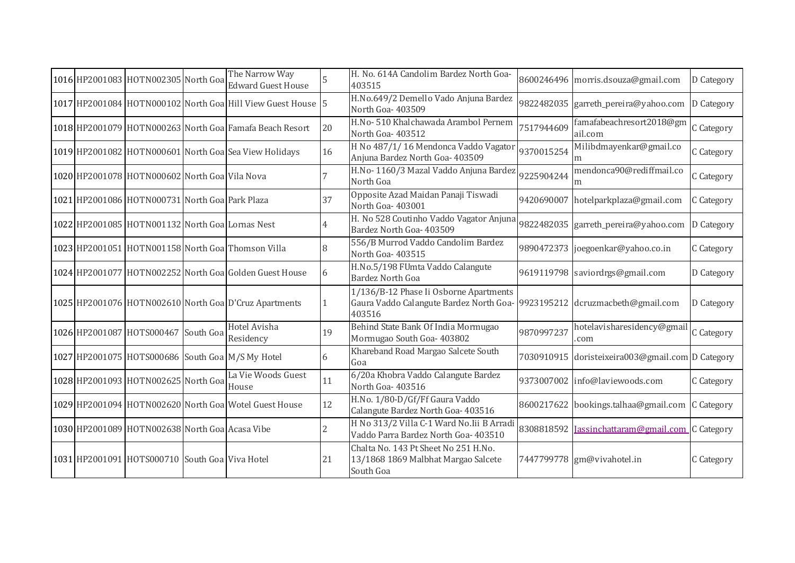|  | 1016 HP2001083 HOTN002305 North Goa              | The Narrow Way<br><b>Edward Guest House</b>                 |                | H. No. 614A Candolim Bardez North Goa-<br>403515                                                                              |            | 8600246496 morris.dsouza@gmail.com               | D Category |
|--|--------------------------------------------------|-------------------------------------------------------------|----------------|-------------------------------------------------------------------------------------------------------------------------------|------------|--------------------------------------------------|------------|
|  |                                                  | 1017 HP2001084 HOTN000102 North Goa Hill View Guest House 5 |                | H.No.649/2 Demello Vado Anjuna Bardez<br>North Goa- 403509                                                                    |            | 9822482035 garreth_pereira@yahoo.com             | D Category |
|  |                                                  | 1018 HP2001079 HOTN000263 North Goal Famafa Beach Resort    | 20             | H.No- 510 Khalchawada Arambol Pernem<br>North Goa-403512                                                                      | 7517944609 | famafabeachresort2018@gm<br>ail.com              | C Category |
|  |                                                  | 1019 HP2001082 HOTN000601 North Goa Sea View Holidays       | 16             | H No 487/1/16 Mendonca Vaddo Vagator<br>Anjuna Bardez North Goa- 403509                                                       | 9370015254 | Milibdmayenkar@gmail.co<br>m                     | C Category |
|  | 1020 HP2001078 HOTN000602 North Goa Vila Nova    |                                                             |                | H.No-1160/3 Mazal Vaddo Anjuna Bardez<br>North Goa                                                                            | 9225904244 | mendonca90@rediffmail.co<br>m                    | C Category |
|  | 1021 HP2001086 HOTN000731 North Goa Park Plaza   |                                                             | 37             | Opposite Azad Maidan Panaji Tiswadi<br>North Goa-403001                                                                       | 9420690007 | hotelparkplaza@gmail.com                         | C Category |
|  | 1022 HP2001085 HOTN001132 North Goa Lornas Nest  |                                                             | 4              | H. No 528 Coutinho Vaddo Vagator Anjuna<br>Bardez North Goa- 403509                                                           |            | 9822482035 garreth_pereira@yahoo.com             | D Category |
|  |                                                  | 1023 HP2001051 HOTN001158 North Goa Thomson Villa           | 8              | 556/B Murrod Vaddo Candolim Bardez<br>North Goa- 403515                                                                       |            | 9890472373 joegoenkar@yahoo.co.in                | C Category |
|  |                                                  | 1024 HP2001077 HOTN002252 North Goal Golden Guest House     | 6              | H.No.5/198 FUmta Vaddo Calangute<br><b>Bardez North Goa</b>                                                                   |            | 9619119798 saviordrgs@gmail.com                  | D Category |
|  |                                                  | 1025 HP2001076 HOTN002610 North Goa D'Cruz Apartments       |                | 1/136/B-12 Phase Ii Osborne Apartments<br>Gaura Vaddo Calangute Bardez North Goa- 9923195212 dcruzmacbeth@gmail.com<br>403516 |            |                                                  | D Category |
|  | 1026 HP2001087 HOTS000467 South Goa              | Hotel Avisha<br>Residency                                   | 19             | Behind State Bank Of India Mormugao<br>Mormugao South Goa-403802                                                              | 9870997237 | hotelavisharesidency@gmai<br>.com                | C Category |
|  | 1027 HP2001075 HOTS000686 South Goa M/S My Hotel |                                                             | 6              | Khareband Road Margao Salcete South<br>Goa                                                                                    |            | 7030910915 doristeixeira003@gmail.com D Category |            |
|  | 1028 HP2001093 HOTN002625 North Goa              | La Vie Woods Guest<br>House                                 | 11             | 6/20a Khobra Vaddo Calangute Bardez<br>North Goa-403516                                                                       |            | 9373007002 info@laviewoods.com                   | C Category |
|  |                                                  | 1029 HP2001094 HOTN002620 North Goa Wotel Guest House       | 12             | H.No. 1/80-D/Gf/Ff Gaura Vaddo<br>Calangute Bardez North Goa- 403516                                                          |            | 8600217622 bookings.talhaa@gmail.com             | C Category |
|  | 1030 HP2001089 HOTN002638 North Goa Acasa Vibe   |                                                             | $\overline{2}$ | H No 313/2 Villa C-1 Ward No. Iii B Arradi<br>Vaddo Parra Bardez North Goa- 403510                                            |            | 8308818592 Jassinchattaram@gmail.com C Category  |            |
|  | 1031 HP2001091 HOTS000710 South Goa Viva Hotel   |                                                             | 21             | Chalta No. 143 Pt Sheet No 251 H.No.<br>13/1868 1869 Malbhat Margao Salcete<br>South Goa                                      |            | 7447799778 gm@vivahotel.in                       | C Category |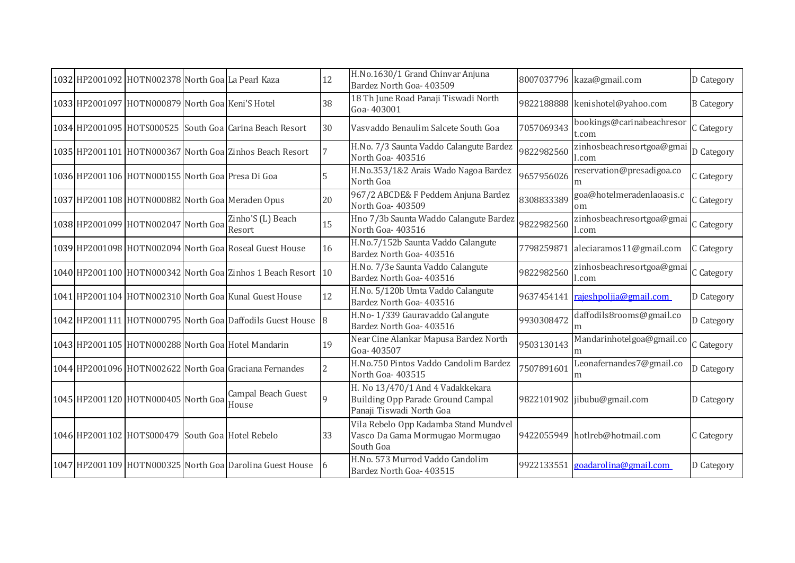|  | 1032 HP2001092 HOTN002378 North Goa La Pearl Kaza |                                                              | 12            | H.No.1630/1 Grand Chinvar Anjuna<br>Bardez North Goa- 403509                                      |            | 8007037796 kaza@gmail.com                  | D Category        |
|--|---------------------------------------------------|--------------------------------------------------------------|---------------|---------------------------------------------------------------------------------------------------|------------|--------------------------------------------|-------------------|
|  | 1033 HP2001097 HOTN000879 North Goa Keni'S Hotel  |                                                              | 38            | 18 Th June Road Panaji Tiswadi North<br>Goa-403001                                                |            | 9822188888 kenishotel@yahoo.com            | <b>B</b> Category |
|  |                                                   | 1034 HP2001095 HOTS000525 South Goa Carina Beach Resort      | 30            | Vasvaddo Benaulim Salcete South Goa                                                               | 7057069343 | bookings@carinabeachresor<br>t.com         | C Category        |
|  |                                                   | 1035 HP2001101 HOTN000367 North Goa Zinhos Beach Resort      |               | H.No. 7/3 Saunta Vaddo Calangute Bardez<br>North Goa-403516                                       | 9822982560 | zinhosbeachresortgoa@gmai<br>l.com         | D Category        |
|  | 1036 HP2001106 HOTN000155 North Goa Presa Di Goa  |                                                              |               | H.No.353/1&2 Arais Wado Nagoa Bardez<br>North Goa                                                 | 9657956026 | reservation@presadigoa.co<br>m             | C Category        |
|  |                                                   | 1037 HP2001108 HOTN000882 North Goa Meraden Opus             | 20            | 967/2 ABCDE& F Peddem Anjuna Bardez<br>North Goa- 403509                                          | 8308833389 | goa@hotelmeradenlaoasis.c<br><sub>om</sub> | C Category        |
|  | 1038 HP2001099 HOTN002047 North Goa               | Zinho'S (L) Beach<br>Resort                                  | 15            | Hno 7/3b Saunta Waddo Calangute Bardez<br>North Goa- 403516                                       | 9822982560 | zinhosbeachresortgoa@gmai<br>l.com         | C Category        |
|  |                                                   | 1039 HP2001098 HOTN002094 North Goa Roseal Guest House       | 16            | H.No.7/152b Saunta Vaddo Calangute<br>Bardez North Goa- 403516                                    | 7798259871 | aleciaramos11@gmail.com                    | C Category        |
|  |                                                   | 1040 HP2001100 HOTN000342 North Goa Zinhos 1 Beach Resort 10 |               | H.No. 7/3e Saunta Vaddo Calangute<br>Bardez North Goa- 403516                                     | 9822982560 | zinhosbeachresortgoa@gmai<br>.com          | C Category        |
|  |                                                   | 1041 HP2001104 HOTN002310 North Goa Kunal Guest House        | 12            | H.No. 5/120b Umta Vaddo Calangute<br>Bardez North Goa- 403516                                     |            | 9637454141 rajeshpoljia@gmail.com          | D Category        |
|  |                                                   | 1042 HP2001111 HOTN000795 North Goa Daffodils Guest House 8  |               | H.No-1/339 Gauravaddo Calangute<br>Bardez North Goa- 403516                                       | 9930308472 | daffodils8rooms@gmail.co<br>m              | D Category        |
|  |                                                   | 1043 HP2001105 HOTN000288 North Goa Hotel Mandarin           | 19            | Near Cine Alankar Mapusa Bardez North<br>Goa-403507                                               | 9503130143 | Mandarinhotelgoa@gmail.co                  | C Category        |
|  |                                                   | 1044 HP2001096 HOTN002622 North Goal Graciana Fernandes      | $\mathcal{P}$ | H.No.750 Pintos Vaddo Candolim Bardez<br>North Goa-403515                                         | 7507891601 | Leonafernandes7@gmail.co<br>m              | D Category        |
|  | 1045 HP2001120 HOTN000405 North Goa               | Campal Beach Guest<br>House                                  | 9             | H. No 13/470/1 And 4 Vadakkekara<br>Building Opp Parade Ground Campal<br>Panaji Tiswadi North Goa |            | 9822101902 jibubu@gmail.com                | D Category        |
|  | 1046 HP2001102 HOTS000479 South Goa Hotel Rebelo  |                                                              | 33            | Vila Rebelo Opp Kadamba Stand Mundvel<br>Vasco Da Gama Mormugao Mormugao<br>South Goa             |            | 9422055949 hotlreb@hotmail.com             | C Category        |
|  |                                                   | 1047 HP2001109 HOTN000325 North Goa Darolina Guest House     | -16           | H.No. 573 Murrod Vaddo Candolim<br>Bardez North Goa- 403515                                       |            | 9922133551 goadarolina@gmail.com           | D Category        |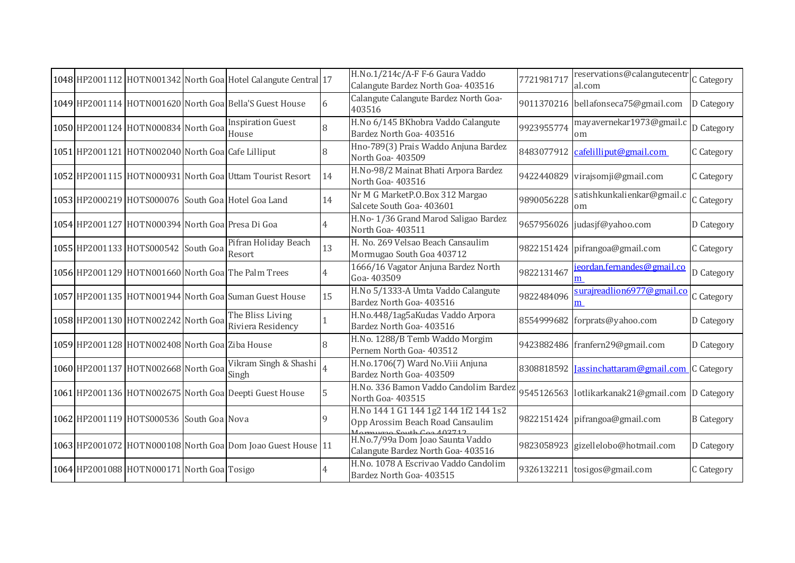|  |                                                   | 1048 HP2001112 HOTN001342 North Goa Hotel Calangute Central 17 |    | H.No.1/214c/A-F F-6 Gaura Vaddo<br>Calangute Bardez North Goa- 403516                                              | 7721981717 | reservations@calangutecentr<br>al.com           | C Category        |
|--|---------------------------------------------------|----------------------------------------------------------------|----|--------------------------------------------------------------------------------------------------------------------|------------|-------------------------------------------------|-------------------|
|  |                                                   | 1049 HP2001114 HOTN001620 North Goa Bella'S Guest House        | 6  | Calangute Calangute Bardez North Goa-<br>403516                                                                    |            | 9011370216 bellafonseca75@gmail.com             | D Category        |
|  | 1050 HP2001124 HOTN000834 North Goa               | <b>Inspiration Guest</b><br>House                              |    | H.No 6/145 BKhobra Vaddo Calangute<br>Bardez North Goa- 403516                                                     | 9923955774 | mayavernekar1973@gmail.c<br>om                  | D Category        |
|  | 1051 HP2001121 HOTN002040 North Goa Cafe Lilliput |                                                                |    | Hno-789(3) Prais Waddo Anjuna Bardez<br>North Goa- 403509                                                          |            | 8483077912 cafelilliput@gmail.com               | C Category        |
|  |                                                   | 1052 HP2001115 HOTN000931 North Goal Uttam Tourist Resort      | 14 | H.No-98/2 Mainat Bhati Arpora Bardez<br>North Goa-403516                                                           |            | 9422440829 virajsomji@gmail.com                 | C Category        |
|  |                                                   | 1053 HP2000219 HOTS000076 South Goa Hotel Goa Land             | 14 | Nr M G MarketP.O.Box 312 Margao<br>Salcete South Goa- 403601                                                       | 9890056228 | satishkunkalienkar@gmail.c<br>om                | C Category        |
|  | 1054 HP2001127 HOTN000394 North Goa Presa Di Goa  |                                                                |    | H.No-1/36 Grand Marod Saligao Bardez<br>North Goa-403511                                                           |            | 9657956026 judasjf@yahoo.com                    | D Category        |
|  | 1055 HP2001133 HOTS000542 South Goa               | Pifran Holiday Beach<br>Resort                                 | 13 | H. No. 269 Velsao Beach Cansaulim<br>Mormugao South Goa 403712                                                     |            | 9822151424 pifrangoa@gmail.com                  | C Category        |
|  |                                                   | 1056 HP2001129 HOTN001660 North Goa The Palm Trees             |    | 1666/16 Vagator Anjuna Bardez North<br>Goa-403509                                                                  | 9822131467 | ieordan.fernandes@gmail.co                      | D Category        |
|  |                                                   | 1057 HP2001135 HOTN001944 North Goa Suman Guest House          | 15 | H.No 5/1333-A Umta Vaddo Calangute<br>Bardez North Goa- 403516                                                     | 9822484096 | surajreadlion6977@gmail.co<br>m                 | C Category        |
|  | 1058 HP2001130 HOTN002242 North Goa               | The Bliss Living<br>Riviera Residency                          |    | H.No.448/1ag5aKudas Vaddo Arpora<br>Bardez North Goa- 403516                                                       |            | 8554999682 forprats@yahoo.com                   | D Category        |
|  | 1059 HP2001128 HOTN002408 North Goa Ziba House    |                                                                | 8  | H.No. 1288/B Temb Waddo Morgim<br>Pernem North Goa- 403512                                                         |            | 9423882486 franfern29@gmail.com                 | D Category        |
|  | 1060 HP2001137 HOTN002668 North Goa               | Vikram Singh & Shashi<br>Singh                                 |    | H.No.1706(7) Ward No.Viii Anjuna<br>Bardez North Goa- 403509                                                       |            | 8308818592 Jassinchattaram@gmail.com            | C Category        |
|  |                                                   | 1061 HP2001136 HOTN002675 North Goa Deepti Guest House         |    | H.No. 336 Bamon Vaddo Candolim Bardez<br>North Goa-403515                                                          |            | 9545126563 lotlikarkanak21@gmail.com D Category |                   |
|  | 1062 HP2001119 HOTS000536 South Goa Nova          |                                                                | 9  | H.No 144 1 G1 144 1g2 144 1f2 144 1s2<br>Opp Arossim Beach Road Cansaulim<br>$C_{\alpha}$ th $C_{\alpha}$ $102712$ |            | 9822151424 pifrangoa@gmail.com                  | <b>B</b> Category |
|  |                                                   | 1063 HP2001072 HOTN000108 North Goa Dom Joao Guest House 11    |    | H.No.7/99a Dom Joao Saunta Vaddo<br>Calangute Bardez North Goa- 403516                                             |            | 9823058923 gizellelobo@hotmail.com              | D Category        |
|  | 1064 HP2001088 HOTN000171 North Goa Tosigo        |                                                                |    | H.No. 1078 A Escrivao Vaddo Candolim<br>Bardez North Goa- 403515                                                   |            | 9326132211 tosigos@gmail.com                    | C Category        |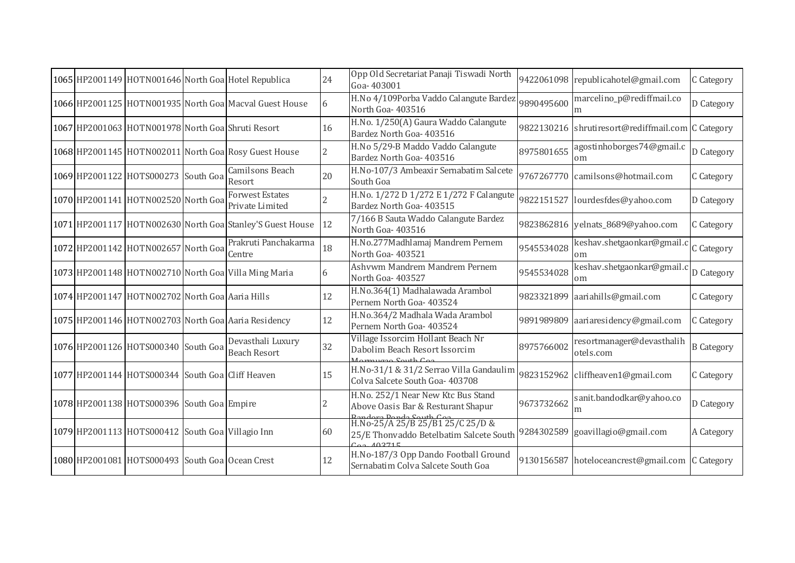|  |                                                   | 1065 HP2001149 HOTN001646 North Goa Hotel Republica       | 24             | Opp Old Secretariat Panaji Tiswadi North<br>Goa-403001                                |            | 9422061098 republicahotel@gmail.com               | C Category        |
|--|---------------------------------------------------|-----------------------------------------------------------|----------------|---------------------------------------------------------------------------------------|------------|---------------------------------------------------|-------------------|
|  |                                                   | 1066 HP2001125 HOTN001935 North Goa Macval Guest House    | 6              | H.No 4/109Porba Vaddo Calangute Bardez<br>North Goa-403516                            | 9890495600 | marcelino_p@rediffmail.co                         | D Category        |
|  | 1067 HP2001063 HOTN001978 North Goa Shruti Resort |                                                           | 16             | H.No. 1/250(A) Gaura Waddo Calangute<br>Bardez North Goa- 403516                      |            | 9822130216 shrutiresort@rediffmail.com C Category |                   |
|  |                                                   | 1068 HP2001145 HOTN002011 North Goa Rosy Guest House      | $\overline{c}$ | H.No 5/29-B Maddo Vaddo Calangute<br>Bardez North Goa- 403516                         | 8975801655 | agostinhoborges74@gmail.c<br>om                   | D Category        |
|  | 1069 HP2001122 HOTS000273 South Goa               | Camilsons Beach<br>Resort                                 | 20             | H.No-107/3 Ambeaxir Sernabatim Salcete<br>South Goa                                   | 9767267770 | camilsons@hotmail.com                             | C Category        |
|  | 1070 HP2001141 HOTN002520 North Goa               | <b>Forwest Estates</b><br>Private Limited                 |                | H.No. 1/272 D 1/272 E 1/272 F Calangute<br>Bardez North Goa- 403515                   | 9822151527 | lourdesfdes@yahoo.com                             | D Category        |
|  |                                                   | 1071 HP2001117 HOTN002630 North Goa Stanley'S Guest House | 12             | 7/166 B Sauta Waddo Calangute Bardez<br>North Goa- 403516                             |            | 9823862816 yelnats_8689@yahoo.com                 | C Category        |
|  | 1072 HP2001142 HOTN002657 North Goa               | Prakruti Panchakarma<br>Centre                            | 18             | H.No.277Madhlamaj Mandrem Pernem<br>North Goa-403521                                  | 9545534028 | keshav.shetgaonkar@gmail.c C Category<br>om       |                   |
|  |                                                   | 1073 HP2001148 HOTN002710 North Goa Villa Ming Maria      | 6              | Ashvwm Mandrem Mandrem Pernem<br>North Goa- 403527                                    | 9545534028 | keshav.shetgaonkar@gmail.c D Category<br>om       |                   |
|  | 1074 HP2001147 HOTN002702 North Goa Aaria Hills   |                                                           | 12             | H.No.364(1) Madhalawada Arambol<br>Pernem North Goa- 403524                           | 9823321899 | aariahills@gmail.com                              | C Category        |
|  |                                                   | 1075 HP2001146 HOTN002703 North Goa Aaria Residency       | 12             | H.No.364/2 Madhala Wada Arambol<br>Pernem North Goa- 403524                           | 9891989809 | aariaresidency@gmail.com                          | C Category        |
|  | 1076 HP2001126 HOTS000340 South Goa               | Devasthali Luxury<br><b>Beach Resort</b>                  | 32             | Village Issorcim Hollant Beach Nr<br>Dabolim Beach Resort Issorcim<br>mugae South Con | 8975766002 | resortmanager@devasthalih<br>otels.com            | <b>B</b> Category |
|  | 1077 HP2001144 HOTS000344 South Goa Cliff Heaven  |                                                           | 15             | H.No-31/1 & 31/2 Serrao Villa Gandaulim<br>Colva Salcete South Goa- 403708            | 9823152962 | cliffheaven1@gmail.com                            | C Category        |
|  | 1078 HP2001138 HOTS000396 South Goa Empire        |                                                           |                | H.No. 252/1 Near New Ktc Bus Stand<br>Above Oasis Bar & Resturant Shapur              | 9673732662 | sanit.bandodkar@yahoo.co                          | D Category        |
|  | 1079 HP2001113 HOTS000412 South Goa Villagio Inn  |                                                           | 60             | Bandora Ponda South Con U.S. (CONTROL)<br>25/E Thonvaddo Betelbatim Salcete South     |            | 9284302589 goavillagio@gmail.com                  | A Category        |
|  | 1080 HP2001081 HOTS000493 South Goa Ocean Crest   |                                                           | 12             | H.No-187/3 Opp Dando Football Ground<br>Sernabatim Colva Salcete South Goa            |            | 9130156587 hoteloceancrest@gmail.com C Category   |                   |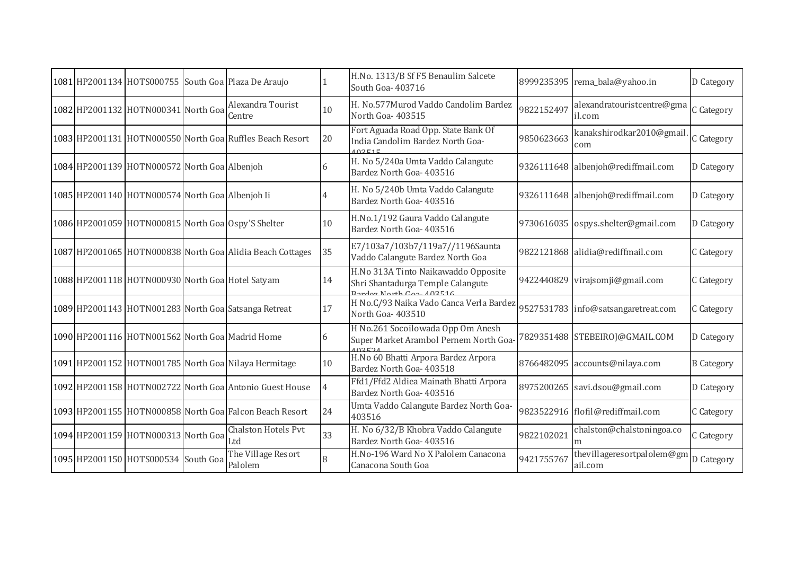|  |                                                  | 1081 HP2001134 HOTS000755 South Goa Plaza De Araujo       |    | H.No. 1313/B Sf F5 Benaulim Salcete<br>South Goa- 403716                                            |            | 8999235395 rema_bala@yahoo.in         | D Category        |
|--|--------------------------------------------------|-----------------------------------------------------------|----|-----------------------------------------------------------------------------------------------------|------------|---------------------------------------|-------------------|
|  | 1082 HP2001132 HOTN000341 North Goa              | Alexandra Tourist<br>Centre                               | 10 | H. No.577Murod Vaddo Candolim Bardez<br>North Goa-403515                                            | 9822152497 | alexandratouristcentre@gma<br>il.com  | C Category        |
|  |                                                  | 1083 HP2001131 HOTN000550 North Goa Ruffles Beach Resort  | 20 | Fort Aguada Road Opp. State Bank Of<br>India Candolim Bardez North Goa-<br>102515                   | 9850623663 | kanakshirodkar2010@gmai<br>com        | C Category        |
|  | 1084 HP2001139 HOTN000572 North Goa Albenjoh     |                                                           | 6  | H. No 5/240a Umta Vaddo Calangute<br>Bardez North Goa- 403516                                       |            | 9326111648 albenjoh@rediffmail.com    | D Category        |
|  | 1085 HP2001140 HOTN000574 North Goa Albenjoh Ii  |                                                           |    | H. No 5/240b Umta Vaddo Calangute<br>Bardez North Goa- 403516                                       |            | 9326111648 albenjoh@rediffmail.com    | D Category        |
|  |                                                  | 1086 HP2001059 HOTN000815 North Goa Ospy'S Shelter        | 10 | H.No.1/192 Gaura Vaddo Calangute<br>Bardez North Goa- 403516                                        |            | 9730616035 ospys.shelter@gmail.com    | D Category        |
|  |                                                  | 1087 HP2001065 HOTN000838 North Goa Alidia Beach Cottages | 35 | E7/103a7/103b7/119a7//1196Saunta<br>Vaddo Calangute Bardez North Goa                                |            | 9822121868 alidia@rediffmail.com      | C Category        |
|  | 1088 HP2001118 HOTN000930 North Goa Hotel Satyam |                                                           | 14 | H.No 313A Tinto Naikawaddo Opposite<br>Shri Shantadurga Temple Calangute<br>2ardez North Con 402516 |            | 9422440829 virajsomji@gmail.com       | C Category        |
|  |                                                  | 1089 HP2001143 HOTN001283 North Goal Satsanga Retreat     | 17 | H No.C/93 Naika Vado Canca Verla Bardez<br>North Goa- 403510                                        |            | 9527531783 info@satsangaretreat.com   | C Category        |
|  | 1090 HP2001116 HOTN001562 North Goa Madrid Home  |                                                           | 6  | H No.261 Socoilowada Opp Om Anesh<br>Super Market Arambol Pernem North Goa-<br>102521               |            | 7829351488 STEBEIROJ@GMAIL.COM        | D Category        |
|  |                                                  | 1091 HP2001152 HOTN001785 North Goa Nilaya Hermitage      | 10 | H.No 60 Bhatti Arpora Bardez Arpora<br>Bardez North Goa- 403518                                     |            | 8766482095 accounts@nilaya.com        | <b>B</b> Category |
|  |                                                  | 1092 HP2001158 HOTN002722 North Goa Antonio Guest House   |    | Ffd1/Ffd2 Aldiea Mainath Bhatti Arpora<br>Bardez North Goa- 403516                                  |            | 8975200265 savi.dsou@gmail.com        | D Category        |
|  |                                                  | 1093 HP2001155 HOTN000858 North Goa Falcon Beach Resort   | 24 | Umta Vaddo Calangute Bardez North Goa-<br>403516                                                    |            | 9823522916 flofil@rediffmail.com      | C Category        |
|  | 1094 HP2001159 HOTN000313 North Goa              | Chalston Hotels Pvt<br>Ltd                                | 33 | H. No 6/32/B Khobra Vaddo Calangute<br>Bardez North Goa- 403516                                     | 9822102021 | chalston@chalstoningoa.co             | C Category        |
|  | 1095 HP2001150 HOTS000534 South Goa              | The Village Resort<br>Palolem                             | 8  | H.No-196 Ward No X Palolem Canacona<br>Canacona South Goa                                           | 9421755767 | thevillageresortpalolem@gm<br>ail.com | D Category        |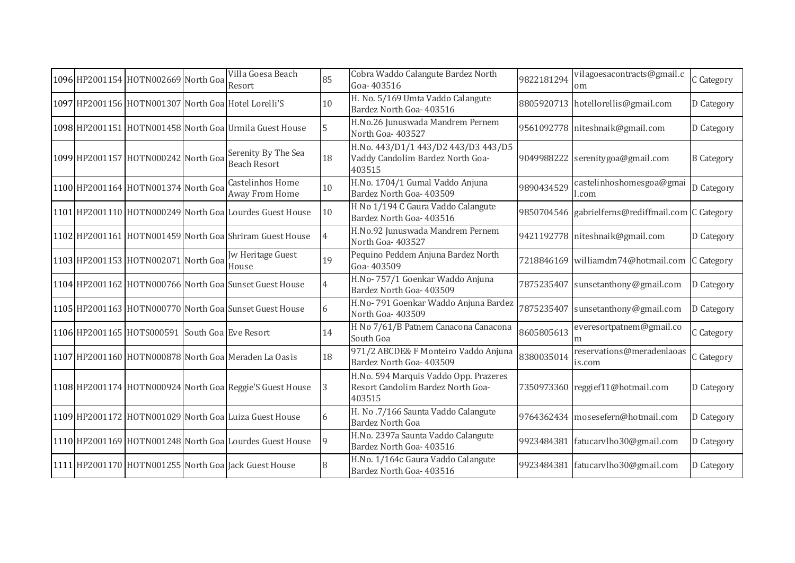|  | 1096 HP2001154 HOTN002669 North Goa            | Villa Goesa Beach<br>Resort                               | 85 | Cobra Waddo Calangute Bardez North<br>Goa-403516                                     | 9822181294 | vilagoesacontracts@gmail.c<br>om                  | C Category        |
|--|------------------------------------------------|-----------------------------------------------------------|----|--------------------------------------------------------------------------------------|------------|---------------------------------------------------|-------------------|
|  |                                                | 1097 HP2001156 HOTN001307 North Goa Hotel Lorelli'S       | 10 | H. No. 5/169 Umta Vaddo Calangute<br>Bardez North Goa- 403516                        |            | 8805920713 hotellorellis@gmail.com                | D Category        |
|  |                                                | 1098 HP2001151 HOTN001458 North Goa Urmila Guest House    | 5  | H.No.26 Junuswada Mandrem Pernem<br>North Goa-403527                                 |            | 9561092778 niteshnaik@gmail.com                   | D Category        |
|  | 1099 HP2001157 HOTN000242 North Goa            | Serenity By The Sea<br><b>Beach Resort</b>                | 18 | H.No. 443/D1/1 443/D2 443/D3 443/D5<br>Vaddy Candolim Bardez North Goa-<br>403515    |            | 9049988222 serenitygoa@gmail.com                  | <b>B</b> Category |
|  | 1100 HP2001164 HOTN001374 North Goa            | Castelinhos Home<br>Away From Home                        | 10 | H.No. 1704/1 Gumal Vaddo Anjuna<br>Bardez North Goa- 403509                          | 9890434529 | castelinhoshomesgoa@gmai<br>.com                  | D Category        |
|  |                                                | 1101 HP2001110 HOTN000249 North Goal Lourdes Guest House  | 10 | H No 1/194 C Gaura Vaddo Calangute<br>Bardez North Goa- 403516                       |            | 9850704546 gabrielferns@rediffmail.com C Category |                   |
|  |                                                | 1102 HP2001161 HOTN001459 North Goal Shriram Guest House  |    | H.No.92 Junuswada Mandrem Pernem<br>North Goa- 403527                                |            | 9421192778 niteshnaik@gmail.com                   | D Category        |
|  | 1103 HP2001153 HOTN002071 North Goa            | <b>Jw Heritage Guest</b><br>House                         | 19 | Pequino Peddem Anjuna Bardez North<br>Goa-403509                                     | 7218846169 | williamdm74@hotmail.com C Category                |                   |
|  |                                                | 1104 HP2001162 HOTN000766 North Goa Sunset Guest House    |    | H.No-757/1 Goenkar Waddo Anjuna<br>Bardez North Goa- 403509                          | 7875235407 | sunsetanthony@gmail.com                           | D Category        |
|  |                                                | 1105 HP2001163 HOTN000770 North Goal Sunset Guest House   | 6  | H.No-791 Goenkar Waddo Anjuna Bardez<br>North Goa-403509                             | 7875235407 | sunsetanthony@gmail.com                           | D Category        |
|  | 1106 HP2001165 HOTS000591 South Goa Eve Resort |                                                           | 14 | H No 7/61/B Patnem Canacona Canacona<br>South Goa                                    | 8605805613 | everesortpatnem@gmail.co                          | C Category        |
|  |                                                | 1107 HP2001160 HOTN000878 North Goa Meraden La Oasis      | 18 | 971/2 ABCDE& F Monteiro Vaddo Anjuna<br>Bardez North Goa- 403509                     | 8380035014 | reservations@meradenlaoas<br>is.com               | C Category        |
|  |                                                | 1108 HP2001174 HOTN000924 North Goal Reggie'S Guest House | 3  | H.No. 594 Marquis Vaddo Opp. Prazeres<br>Resort Candolim Bardez North Goa-<br>403515 |            | 7350973360 reggief11@hotmail.com                  | D Category        |
|  |                                                | 1109 HP2001172 HOTN001029 North Goa Luiza Guest House     |    | H. No.7/166 Saunta Vaddo Calangute<br><b>Bardez North Goa</b>                        |            | 9764362434 mosesefern@hotmail.com                 | D Category        |
|  |                                                | 1110 HP2001169 HOTN001248 North Goa Lourdes Guest House   | 9  | H.No. 2397a Saunta Vaddo Calangute<br>Bardez North Goa- 403516                       |            | 9923484381 fatucarvlho30@gmail.com                | D Category        |
|  |                                                | 1111 HP2001170 HOTN001255 North Goa Jack Guest House      |    | H.No. 1/164c Gaura Vaddo Calangute<br>Bardez North Goa- 403516                       | 9923484381 | fatucarvlho30@gmail.com                           | D Category        |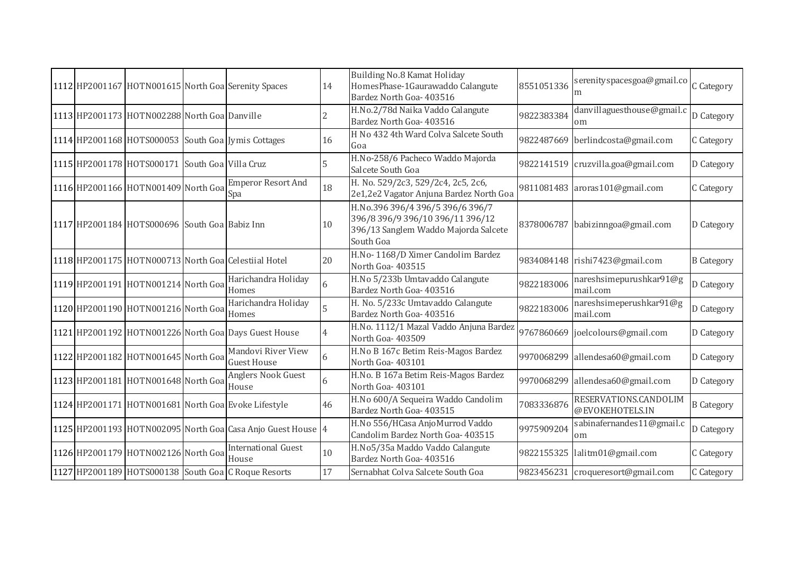|  |                                                | 1112 HP2001167 HOTN001615 North Goa Serenity Spaces         | 14 | Building No.8 Kamat Holiday<br>HomesPhase-1Gaurawaddo Calangute<br>Bardez North Goa- 403516                               | 8551051336 | serenityspacesgoa@gmail.co               | C Category        |
|--|------------------------------------------------|-------------------------------------------------------------|----|---------------------------------------------------------------------------------------------------------------------------|------------|------------------------------------------|-------------------|
|  | 1113 HP2001173 HOTN002288 North Goa Danville   |                                                             | 2  | H.No.2/78d Naika Vaddo Calangute<br>Bardez North Goa- 403516                                                              | 9822383384 | danvillaguesthouse@gmail.c<br>om         | D Category        |
|  |                                                | 1114 HP2001168 HOTS000053 South Goa Jymis Cottages          | 16 | H No 432 4th Ward Colva Salcete South<br>Goa                                                                              |            | 9822487669 berlindcosta@gmail.com        | C Category        |
|  | 1115 HP2001178 HOTS000171 South Goa Villa Cruz |                                                             | 5  | H.No-258/6 Pacheco Waddo Majorda<br>Salcete South Goa                                                                     |            | 9822141519 cruzvilla.goa@gmail.com       | D Category        |
|  | 1116 HP2001166 HOTN001409 North Goa            | <b>Emperor Resort And</b><br>Spa                            | 18 | H. No. 529/2c3, 529/2c4, 2c5, 2c6,<br>2e1,2e2 Vagator Anjuna Bardez North Goa                                             |            | 9811081483 aroras101@gmail.com           | C Category        |
|  | 1117 HP2001184 HOTS000696 South Goa Babiz Inn  |                                                             | 10 | H.No.396 396/4 396/5 396/6 396/7<br>396/8 396/9 396/10 396/11 396/12<br>396/13 Sanglem Waddo Majorda Salcete<br>South Goa |            | 8378006787 babizinngoa@gmail.com         | D Category        |
|  |                                                | 1118 HP2001175 HOTN000713 North Goal Celestiial Hotel       | 20 | H.No- 1168/D Ximer Candolim Bardez<br>North Goa-403515                                                                    |            | 9834084148 rishi7423@gmail.com           | <b>B</b> Category |
|  | 1119 HP2001191 HOTN001214 North Goa            | Harichandra Holiday<br>Homes                                | 6  | H.No 5/233b Umtavaddo Calangute<br>Bardez North Goa- 403516                                                               | 9822183006 | nareshsimepurushkar91@g<br>mail.com      | D Category        |
|  | 1120 HP2001190 HOTN001216 North Goa            | Harichandra Holiday<br>Homes                                |    | H. No. 5/233c Umtavaddo Calangute<br>Bardez North Goa- 403516                                                             | 9822183006 | nareshsimeperushkar91@g<br>mail.com      | D Category        |
|  |                                                | 1121 HP2001192 HOTN001226 North Goa Days Guest House        | 4  | H.No. 1112/1 Mazal Vaddo Anjuna Bardez<br>North Goa-403509                                                                | 9767860669 | joelcolours@gmail.com                    | D Category        |
|  | 1122 HP2001182 HOTN001645 North Goa            | Mandovi River View<br><b>Guest House</b>                    | 6  | H.No B 167c Betim Reis-Magos Bardez<br>North Goa-403101                                                                   |            | 9970068299 allendesa60@gmail.com         | D Category        |
|  | 1123 HP2001181 HOTN001648 North Goa            | Anglers Nook Guest<br>House                                 | 6  | H.No. B 167a Betim Reis-Magos Bardez<br>North Goa-403101                                                                  |            | 9970068299 allendesa60@gmail.com         | D Category        |
|  |                                                | 1124 HP2001171 HOTN001681 North Goa Evoke Lifestyle         | 46 | H.No 600/A Sequeira Waddo Candolim<br>Bardez North Goa- 403515                                                            | 7083336876 | RESERVATIONS.CANDOLIM<br>@EVOKEHOTELS.IN | <b>B</b> Category |
|  |                                                | 1125 HP2001193 HOTN002095 North Goa Casa Anjo Guest House 4 |    | H.No 556/HCasa AnjoMurrod Vaddo<br>Candolim Bardez North Goa- 403515                                                      | 9975909204 | sabinafernandes11@gmail.c<br>om          | D Category        |
|  | 1126 HP2001179 HOTN002126 North Goa            | <b>International Guest</b><br>House                         | 10 | H.No5/35a Maddo Vaddo Calangute<br>Bardez North Goa- 403516                                                               |            | 9822155325 lalitm01@gmail.com            | C Category        |
|  |                                                | 1127 HP2001189 HOTS000138 South Goa C Roque Resorts         | 17 | Sernabhat Colva Salcete South Goa                                                                                         |            | 9823456231 croqueresort@gmail.com        | C Category        |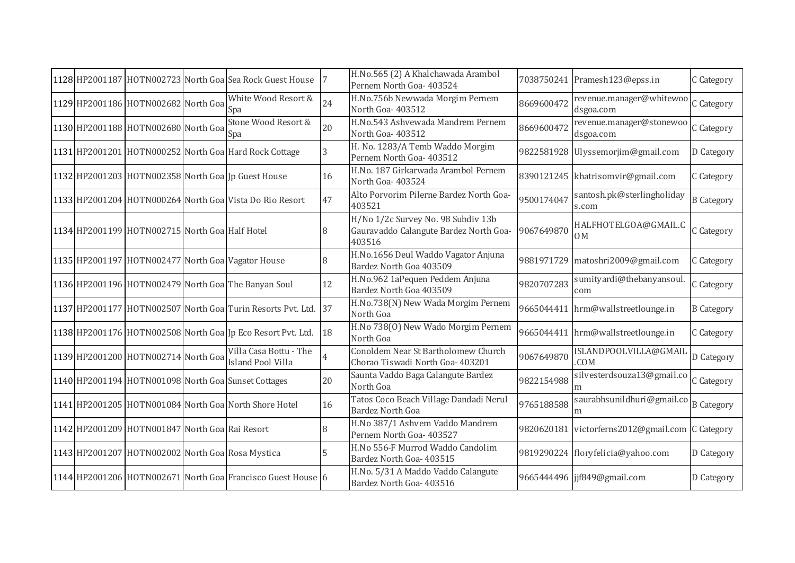|  |                                                  | 1128 HP2001187 HOTN002723 North Goal Sea Rock Guest House    |    | H.No.565 (2) A Khalchawada Arambol<br>Pernem North Goa- 403524                         |            | 7038750241 Pramesh123@epss.in                   | C Category        |
|--|--------------------------------------------------|--------------------------------------------------------------|----|----------------------------------------------------------------------------------------|------------|-------------------------------------------------|-------------------|
|  | 1129 HP2001186 HOTN002682 North Goa              | White Wood Resort &<br>Spa                                   | 24 | H.No.756b Newwada Morgim Pernem<br>North Goa-403512                                    | 8669600472 | revenue.manager@whitewoo<br>dsgoa.com           | C Category        |
|  | 1130 HP2001188 HOTN002680 North Goa              | Stone Wood Resort &<br>Spa                                   | 20 | H.No.543 Ashvewada Mandrem Pernem<br>North Goa-403512                                  | 8669600472 | revenue.manager@stonewoo<br>dsgoa.com           | C Category        |
|  |                                                  | 1131 HP2001201 HOTN000252 North Goa Hard Rock Cottage        | 3  | H. No. 1283/A Temb Waddo Morgim<br>Pernem North Goa- 403512                            |            | 9822581928 Ulyssemorjim@gmail.com               | D Category        |
|  |                                                  | 1132 HP2001203 HOTN002358 North Goa Jp Guest House           | 16 | H.No. 187 Girkarwada Arambol Pernem<br>North Goa- 403524                               |            | 8390121245 khatrisomvir@gmail.com               | C Category        |
|  |                                                  | 1133 HP2001204 HOTN000264 North Goa Vista Do Rio Resort      | 47 | Alto Porvorim Pilerne Bardez North Goa-<br>403521                                      | 9500174047 | santosh.pk@sterlingholiday<br>s.com             | <b>B</b> Category |
|  | 1134 HP2001199 HOTN002715 North Goa Half Hotel   |                                                              |    | H/No 1/2c Survey No. 98 Subdiv 13b<br>Gauravaddo Calangute Bardez North Goa-<br>403516 | 9067649870 | HALFHOTELGOA@GMAIL.C<br>0M                      | C Category        |
|  |                                                  | 1135 HP2001197 HOTN002477 North Goa Vagator House            |    | H.No.1656 Deul Waddo Vagator Anjuna<br>Bardez North Goa 403509                         |            | 9881971729 matoshri2009@gmail.com               | C Category        |
|  |                                                  | 1136 HP2001196 HOTN002479 North Goa The Banyan Soul          | 12 | H.No.962 1aPequen Peddem Anjuna<br>Bardez North Goa 403509                             | 9820707283 | sumityardi@thebanyansoul<br>com                 | C Category        |
|  |                                                  | 1137 HP2001177 HOTN002507 North Goa Turin Resorts Pvt. Ltd.  | 37 | H.No.738(N) New Wada Morgim Pernem<br>North Goa                                        |            | 9665044411 hrm@wallstreetlounge.in              | <b>B</b> Category |
|  |                                                  | 1138 HP2001176 HOTN002508 North Goa Jp Eco Resort Pvt. Ltd.  | 18 | H.No 738(0) New Wado Morgim Pernem<br>North Goa                                        |            | 9665044411 hrm@wallstreetlounge.in              | C Category        |
|  | 1139 HP2001200 HOTN002714 North Goa              | Villa Casa Bottu - The<br><b>Island Pool Villa</b>           |    | Conoldem Near St Bartholomew Church<br>Chorao Tiswadi North Goa- 403201                | 9067649870 | ISLANDPOOLVILLA@GMAIL<br>.COM                   | D Category        |
|  |                                                  | 1140 HP2001194 HOTN001098 North Goa Sunset Cottages          | 20 | Saunta Vaddo Baga Calangute Bardez<br>North Goa                                        | 9822154988 | silvesterdsouza13@gmail.co<br>m                 | C Category        |
|  |                                                  | 1141 HP2001205 HOTN001084 North Goa North Shore Hotel        | 16 | Tatos Coco Beach Village Dandadi Nerul<br><b>Bardez North Goa</b>                      | 9765188588 | saurabhsunildhuri@gmail.co                      | <b>B</b> Category |
|  | 1142 HP2001209 HOTN001847 North Goa Rai Resort   |                                                              |    | H.No 387/1 Ashvem Vaddo Mandrem<br>Pernem North Goa- 403527                            |            | 9820620181 victorferns2012@gmail.com C Category |                   |
|  | 1143 HP2001207 HOTN002002 North Goa Rosa Mystica |                                                              |    | H.No 556-F Murrod Waddo Candolim<br>Bardez North Goa- 403515                           |            | 9819290224 floryfelicia@yahoo.com               | D Category        |
|  |                                                  | 1144 HP2001206 HOTN002671 North Goal Francisco Guest House 6 |    | H.No. 5/31 A Maddo Vaddo Calangute<br>Bardez North Goa- 403516                         |            | 9665444496 jjf849@gmail.com                     | D Category        |
|  |                                                  |                                                              |    |                                                                                        |            |                                                 |                   |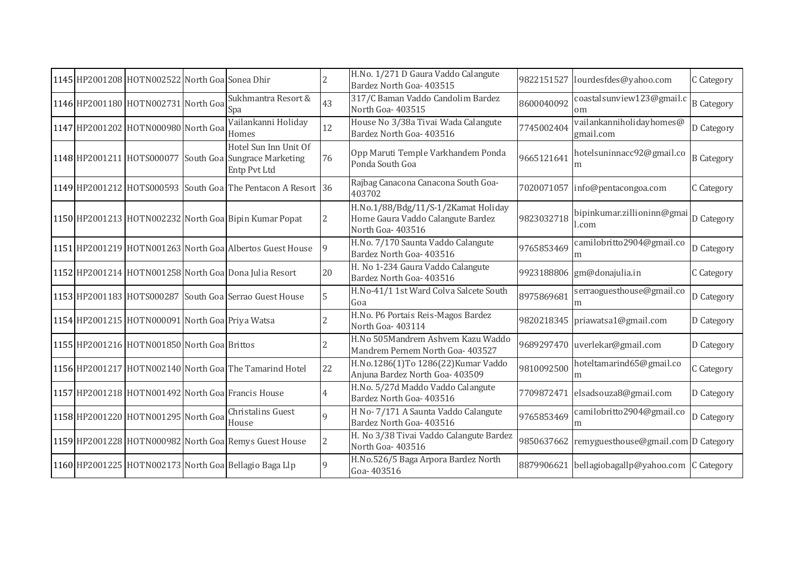|  | 1145 HP2001208 HOTN002522 North Goa Sonea Dhir  |                                                                                                 |                | H.No. 1/271 D Gaura Vaddo Calangute<br>Bardez North Goa- 403515                              | 9822151527 | lourdesfdes@yahoo.com                           | C Category        |
|--|-------------------------------------------------|-------------------------------------------------------------------------------------------------|----------------|----------------------------------------------------------------------------------------------|------------|-------------------------------------------------|-------------------|
|  | 1146 HP2001180 HOTN002731 North Goa             | Sukhmantra Resort &<br>Spa                                                                      | 43             | 317/C Baman Vaddo Candolim Bardez<br>North Goa-403515                                        | 8600040092 | coastalsunview123@gmail.c<br>om                 | <b>B</b> Category |
|  | 1147 HP2001202 HOTN000980 North Goa             | Vailankanni Holiday<br>Homes                                                                    | 12             | House No 3/38a Tivai Wada Calangute<br>Bardez North Goa- 403516                              | 7745002404 | vailankanniholidayhomes@<br>gmail.com           | D Category        |
|  |                                                 | Hotel Sun Inn Unit Of<br>1148 HP2001211 HOTS000077 South Goa Sungrace Marketing<br>Entp Pvt Ltd | 76             | Opp Maruti Temple Varkhandem Ponda<br>Ponda South Goa                                        | 9665121641 | hotelsuninnacc92@gmail.co<br>m                  | <b>B</b> Category |
|  |                                                 | 1149 HP2001212 HOTS000593 South Goa The Pentacon A Resort 36                                    |                | Rajbag Canacona Canacona South Goa-<br>403702                                                |            | 7020071057 info@pentacongoa.com                 | C Category        |
|  |                                                 | 1150 HP2001213 HOTN002232 North Goa Bipin Kumar Popat                                           | 2              | H.No.1/88/Bdg/11/S-1/2Kamat Holiday<br>Home Gaura Vaddo Calangute Bardez<br>North Goa-403516 | 9823032718 | bipinkumar.zillioninn@gmai D Category<br>l.com  |                   |
|  |                                                 | 1151 HP2001219 HOTN001263 North Goa Albertos Guest House                                        | 9              | H.No. 7/170 Saunta Vaddo Calangute<br>Bardez North Goa- 403516                               | 9765853469 | camilobritto2904@gmail.co<br>m                  | D Category        |
|  |                                                 | 1152 HP2001214 HOTN001258 North Goa Dona Julia Resort                                           | 20             | H. No 1-234 Gaura Vaddo Calangute<br>Bardez North Goa- 403516                                | 9923188806 | gm@donajulia.in                                 | C Category        |
|  |                                                 | 1153 HP2001183 HOTS000287 South Goa Serrao Guest House                                          | 5              | H.No-41/1 1st Ward Colva Salcete South<br>Goa                                                | 8975869681 | serraoguesthouse@gmail.co                       | D Category        |
|  | 1154 HP2001215 HOTN000091 North Goa Priya Watsa |                                                                                                 |                | H.No. P6 Portais Reis-Magos Bardez<br>North Goa-403114                                       |            | 9820218345 priawatsa1@gmail.com                 | D Category        |
|  | 1155 HP2001216 HOTN001850 North Goa Brittos     |                                                                                                 |                | H.No 505Mandrem Ashvem Kazu Waddo<br>Mandrem Pernem North Goa- 403527                        |            | 9689297470 uverlekar@gmail.com                  | D Category        |
|  |                                                 | 1156 HP2001217 HOTN002140 North Goa The Tamarind Hotel                                          | 22             | H.No.1286(1)To 1286(22)Kumar Vaddo<br>Anjuna Bardez North Goa- 403509                        | 9810092500 | hoteltamarind65@gmail.co<br>m                   | C Category        |
|  |                                                 | 1157 HP2001218 HOTN001492 North Goa Francis House                                               | 4              | H.No. 5/27d Maddo Vaddo Calangute<br>Bardez North Goa- 403516                                | 7709872471 | elsadsouza8@gmail.com                           | D Category        |
|  | 1158 HP2001220 HOTN001295 North Goa             | Christalins Guest<br>House                                                                      | 9              | H No-7/171 A Saunta Vaddo Calangute<br>Bardez North Goa- 403516                              | 9765853469 | camilobritto2904@gmail.co<br>m                  | D Category        |
|  |                                                 | 1159 HP2001228 HOTN000982 North Goa Remys Guest House                                           | $\overline{2}$ | H. No 3/38 Tivai Vaddo Calangute Bardez<br>North Goa- 403516                                 |            | 9850637662 remyguesthouse@gmail.com D Category  |                   |
|  |                                                 | 1160 HP2001225 HOTN002173 North Goa Bellagio Baga Llp                                           | 9              | H.No.526/5 Baga Arpora Bardez North<br>Goa-403516                                            |            | 8879906621 bellagiobagallp@yahoo.com C Category |                   |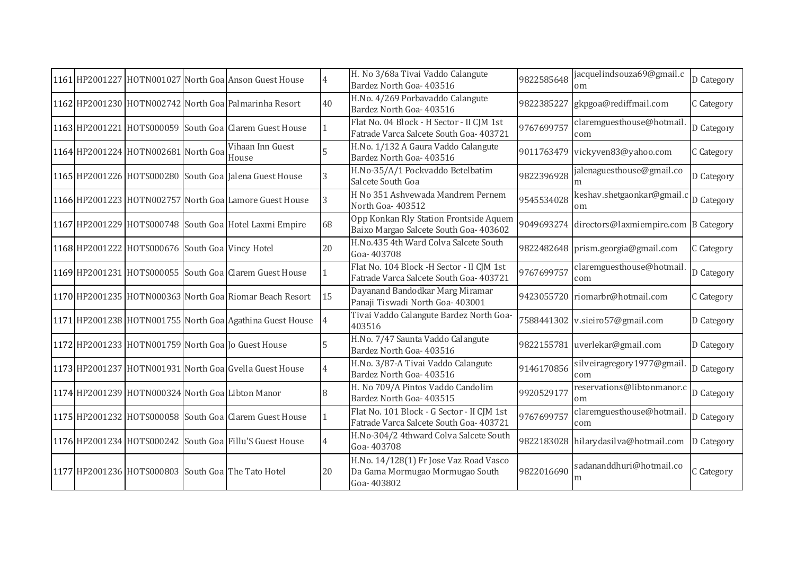|  |                                                                   | 1161 HP2001227 HOTN001027 North Goa Anson Guest House    |                | H. No 3/68a Tivai Vaddo Calangute<br>Bardez North Goa- 403516                           | 9822585648 | jacquelindsouza69@gmail.c<br>$\alpha$ m         | D Category |
|--|-------------------------------------------------------------------|----------------------------------------------------------|----------------|-----------------------------------------------------------------------------------------|------------|-------------------------------------------------|------------|
|  |                                                                   | 1162 HP2001230 HOTN002742 North Goal Palmarinha Resort   | 40             | H.No. 4/269 Porbavaddo Calangute<br>Bardez North Goa- 403516                            | 9822385227 | gkpgoa@rediffmail.com                           | C Category |
|  |                                                                   | 1163 HP2001221 HOTS000059 South Goa Clarem Guest House   |                | Flat No. 04 Block - H Sector - II CJM 1st<br>Fatrade Varca Salcete South Goa- 403721    | 9767699757 | claremguesthouse@hotmail<br>com                 | D Category |
|  | $\overline{ 1164 }$ HP2001224 HOTN002681 North Goa $ 1164 $ House | Vihaan Inn Guest                                         |                | H.No. 1/132 A Gaura Vaddo Calangute<br>Bardez North Goa- 403516                         |            | 9011763479 vickyven83@yahoo.com                 | C Category |
|  |                                                                   | 1165 HP2001226 HOTS000280 South Goa Jalena Guest House   | 3              | H.No-35/A/1 Pockvaddo Betelbatim<br>Salcete South Goa                                   | 9822396928 | jalenaguesthouse@gmail.co                       | D Category |
|  |                                                                   | 1166 HP2001223 HOTN002757 North Goal Lamore Guest House  | 3              | H No 351 Ashvewada Mandrem Pernem<br>North Goa-403512                                   | 9545534028 | keshav.shetgaonkar@gmail.c<br>om                | D Category |
|  |                                                                   | 1167 HP2001229 HOTS000748 South Goa Hotel Laxmi Empire   | 68             | Opp Konkan Rly Station Frontside Aquem<br>Baixo Margao Salcete South Goa- 403602        |            | 9049693274 directors@laxmiempire.com B Category |            |
|  | 1168 HP2001222 HOTS000676 South Goa Vincy Hotel                   |                                                          | 20             | H.No.435 4th Ward Colva Salcete South<br>Goa-403708                                     |            | 9822482648 prism.georgia@gmail.com              | C Category |
|  |                                                                   | 1169 HP2001231 HOTS000055 South Goa Clarem Guest House   |                | Flat No. 104 Block -H Sector - II CJM 1st<br>Fatrade Varca Salcete South Goa- 403721    | 9767699757 | claremguesthouse@hotmail<br>com                 | D Category |
|  |                                                                   | 1170 HP2001235 HOTN000363 North Goa Riomar Beach Resort  | 15             | Dayanand Bandodkar Marg Miramar<br>Panaji Tiswadi North Goa- 403001                     |            | 9423055720 riomarbr@hotmail.com                 | C Category |
|  |                                                                   | 1171 HP2001238 HOTN001755 North Goa Agathina Guest House |                | Tivai Vaddo Calangute Bardez North Goa-<br>403516                                       |            | 7588441302 v.sieiro57@gmail.com                 | D Category |
|  |                                                                   | 1172 HP2001233 HOTN001759 North Goa Jo Guest House       |                | H.No. 7/47 Saunta Vaddo Calangute<br>Bardez North Goa- 403516                           |            | 9822155781 uverlekar@gmail.com                  | D Category |
|  |                                                                   | 1173 HP2001237 HOTN001931 North Goa Gvella Guest House   |                | H.No. 3/87-A Tivai Vaddo Calangute<br>Bardez North Goa- 403516                          | 9146170856 | silveiragregory1977@gmail<br>com                | D Category |
|  | 1174 HP2001239 HOTN000324 North Goa Libton Manor                  |                                                          | 8              | H. No 709/A Pintos Vaddo Candolim<br>Bardez North Goa- 403515                           | 9920529177 | reservations@libtonmanor.c<br>om                | D Category |
|  |                                                                   | 1175 HP2001232 HOTS000058 South Goa Clarem Guest House   |                | Flat No. 101 Block - G Sector - II CJM 1st<br>Fatrade Varca Salcete South Goa- 403721   | 9767699757 | claremguesthouse@hotmail<br>com                 | D Category |
|  |                                                                   | 1176 HP2001234 HOTS000242 South Goa Fillu'S Guest House  | $\overline{4}$ | H.No-304/2 4thward Colva Salcete South<br>Goa-403708                                    |            | 9822183028 hilarydasilva@hotmail.com            | D Category |
|  |                                                                   | 1177 HP2001236 HOTS000803 South Goa The Tato Hotel       | 20             | H.No. 14/128(1) Fr Jose Vaz Road Vasco<br>Da Gama Mormugao Mormugao South<br>Goa-403802 | 9822016690 | sadananddhuri@hotmail.co<br>m                   | C Category |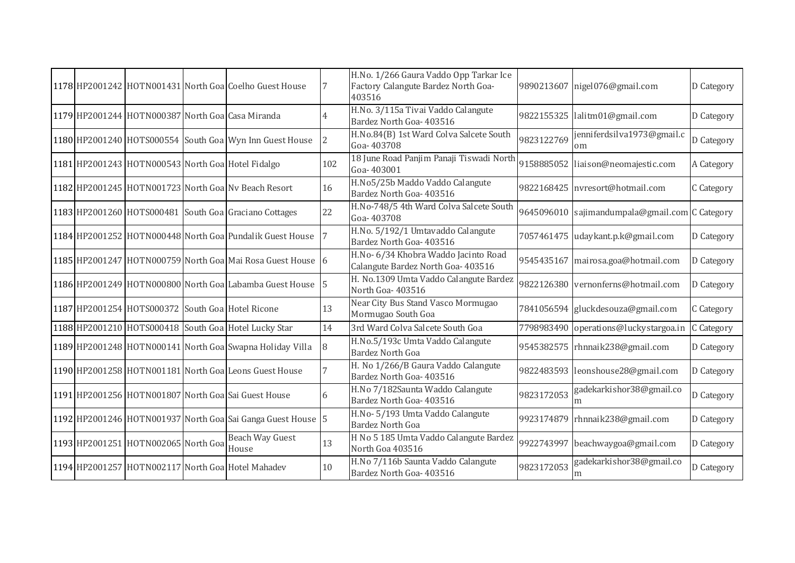|  |                                                   | 1178 HP2001242 HOTN001431 North Goal Coelho Guest House     |                | H.No. 1/266 Gaura Vaddo Opp Tarkar Ice<br>Factory Calangute Bardez North Goa-<br>403516 |            | 9890213607 nigel076@gmail.com                  | D Category |
|--|---------------------------------------------------|-------------------------------------------------------------|----------------|-----------------------------------------------------------------------------------------|------------|------------------------------------------------|------------|
|  | 1179 HP2001244 HOTN000387 North Goa Casa Miranda  |                                                             |                | H.No. 3/115a Tivai Vaddo Calangute<br>Bardez North Goa- 403516                          |            | 9822155325 lalitm01@gmail.com                  | D Category |
|  |                                                   | 1180 HP2001240 HOTS000554 South Goa Wyn Inn Guest House     | $\overline{2}$ | H.No.84(B) 1st Ward Colva Salcete South<br>Goa-403708                                   | 9823122769 | jenniferdsilva1973@gmail.c<br>om               | D Category |
|  | 1181 HP2001243 HOTN000543 North Goa Hotel Fidalgo |                                                             | 102            | 18 June Road Panjim Panaji Tiswadi North<br>Goa-403001                                  |            | 9158885052 liaison@neomajestic.com             | A Category |
|  |                                                   | 1182 HP2001245 HOTN001723 North Goa Nv Beach Resort         | 16             | H.No5/25b Maddo Vaddo Calangute<br>Bardez North Goa- 403516                             |            | 9822168425 nvresort@hotmail.com                | C Category |
|  |                                                   | 1183 HP2001260 HOTS000481 South Goa Graciano Cottages       | 22             | H.No-748/5 4th Ward Colva Salcete South<br>Goa-403708                                   |            | 9645096010 sajimandumpala@gmail.com C Category |            |
|  |                                                   | 1184 HP2001252 HOTN000448 North Goa Pundalik Guest House    |                | H.No. 5/192/1 Umtavaddo Calangute<br>Bardez North Goa- 403516                           |            | 7057461475 udaykant.p.k@gmail.com              | D Category |
|  |                                                   | 1185 HP2001247 HOTN000759 North Goa Mai Rosa Guest House 6  |                | H.No- 6/34 Khobra Waddo Jacinto Road<br>Calangute Bardez North Goa- 403516              |            | 9545435167 mairosa.goa@hotmail.com             | D Category |
|  |                                                   | 1186 HP2001249 HOTN000800 North Goa Labamba Guest House     | 5              | H. No.1309 Umta Vaddo Calangute Bardez<br>North Goa- 403516                             |            | 9822126380 vernonferns@hotmail.com             | D Category |
|  | 1187 HP2001254 HOTS000372 South Goa Hotel Ricone  |                                                             | 13             | Near City Bus Stand Vasco Mormugao<br>Mormugao South Goa                                |            | 7841056594 gluckdesouza@gmail.com              | C Category |
|  |                                                   | 1188 HP2001210 HOTS000418 South Goa Hotel Lucky Star        | 14             | 3rd Ward Colva Salcete South Goa                                                        |            | 7798983490 operations@luckystargoa.in          | C Category |
|  |                                                   | 1189 HP2001248 HOTN000141 North Goa Swapna Holiday Villa    | 8              | H.No.5/193c Umta Vaddo Calangute<br><b>Bardez North Goa</b>                             |            | 9545382575 rhnnaik238@gmail.com                | D Category |
|  |                                                   | 1190 HP2001258 HOTN001181 North Goa Leons Guest House       |                | H. No 1/266/B Gaura Vaddo Calangute<br>Bardez North Goa- 403516                         |            | 9822483593 leonshouse28@gmail.com              | D Category |
|  |                                                   | 1191 HP2001256 HOTN001807 North Goa Sai Guest House         | 6              | H.No 7/182Saunta Waddo Calangute<br>Bardez North Goa- 403516                            | 9823172053 | gadekarkishor38@gmail.co<br>m                  | D Category |
|  |                                                   | 1192 HP2001246 HOTN001937 North Goa Sai Ganga Guest House 5 |                | H.No-5/193 Umta Vaddo Calangute<br><b>Bardez North Goa</b>                              |            | 9923174879 rhnnaik238@gmail.com                | D Category |
|  | 1193 HP2001251 HOTN002065 North Goa               | <b>Beach Way Guest</b><br>House                             | 13             | H No 5 185 Umta Vaddo Calangute Bardez<br>North Goa 403516                              |            | 9922743997 beachwaygoa@gmail.com               | D Category |
|  |                                                   | 1194 HP2001257 HOTN002117 North Goa Hotel Mahadev           | 10             | H.No 7/116b Saunta Vaddo Calangute<br>Bardez North Goa- 403516                          | 9823172053 | gadekarkishor38@gmail.co<br>m                  | D Category |
|  |                                                   |                                                             |                |                                                                                         |            |                                                |            |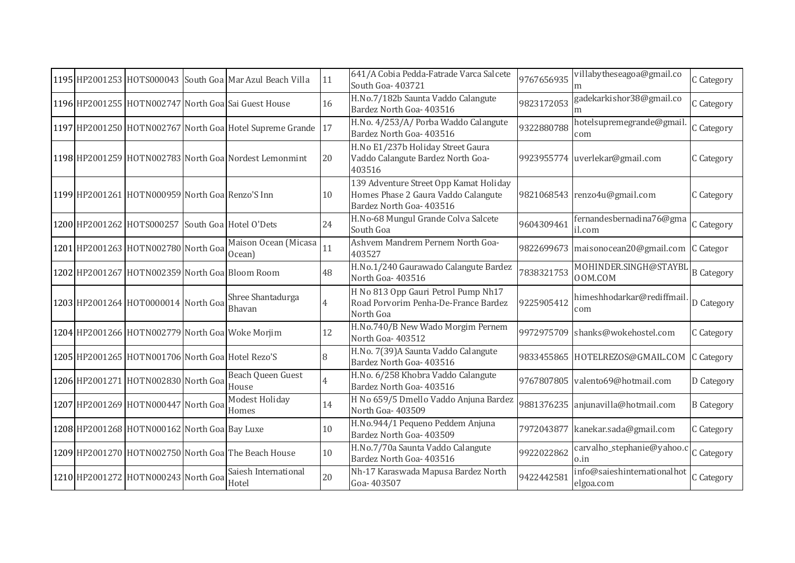|  |                                                  | 1195 HP2001253 HOTS000043 South Goa Mar Azul Beach Villa    | 11             | 641/A Cobia Pedda-Fatrade Varca Salcete<br>South Goa- 403721                                              | 9767656935 | villabytheseagoa@gmail.co<br>m           | C Category        |
|--|--------------------------------------------------|-------------------------------------------------------------|----------------|-----------------------------------------------------------------------------------------------------------|------------|------------------------------------------|-------------------|
|  |                                                  | 1196 HP2001255 HOTN002747 North Goa Sai Guest House         | 16             | H.No.7/182b Saunta Vaddo Calangute<br>Bardez North Goa- 403516                                            | 9823172053 | gadekarkishor38@gmail.co<br>m            | C Category        |
|  |                                                  | 1197 HP2001250 HOTN002767 North Goa Hotel Supreme Grande 17 |                | H.No. 4/253/A/ Porba Waddo Calangute<br>Bardez North Goa- 403516                                          | 9322880788 | hotelsupremegrande@gmail.<br>com         | C Category        |
|  |                                                  | 1198 HP2001259 HOTN002783 North Goa Nordest Lemonmint       | 20             | H.No E1/237b Holiday Street Gaura<br>Vaddo Calangute Bardez North Goa-<br>403516                          |            | 9923955774 uverlekar@gmail.com           | C Category        |
|  | 1199 HP2001261 HOTN000959 North Goa Renzo'S Inn  |                                                             | 10             | 139 Adventure Street Opp Kamat Holiday<br>Homes Phase 2 Gaura Vaddo Calangute<br>Bardez North Goa- 403516 |            | 9821068543 renzo4u@gmail.com             | C Category        |
|  | 1200 HP2001262 HOTS000257 South Goa Hotel O'Dets |                                                             | 24             | H.No-68 Mungul Grande Colva Salcete<br>South Goa                                                          | 9604309461 | fernandesbernadina76@gma<br>il.com       | C Category        |
|  | 1201 HP2001263 HOTN002780 North Goa              | Maison Ocean (Micasa<br>Ocean)                              | 11             | Ashvem Mandrem Pernem North Goa-<br>403527                                                                |            | 9822699673 maisonocean20@gmail.com       | C Categor         |
|  | 1202 HP2001267 HOTN002359 North Goa Bloom Room   |                                                             | 48             | H.No.1/240 Gaurawado Calangute Bardez<br>North Goa- 403516                                                | 7838321753 | MOHINDER.SINGH@STAYBL<br>OOM.COM         | <b>B</b> Category |
|  | 1203 HP2001264 HOT0000014 North Goa              | Shree Shantadurga<br>Bhavan                                 | $\overline{4}$ | H No 813 Opp Gauri Petrol Pump Nh17<br>Road Porvorim Penha-De-France Bardez<br>North Goa                  | 9225905412 | himeshhodarkar@rediffmail.<br>com        | D Category        |
|  |                                                  | 1204 HP2001266 HOTN002779 North Goa Woke Morjim             | 12             | H.No.740/B New Wado Morgim Pernem<br>North Goa-403512                                                     |            | 9972975709 shanks@wokehostel.com         | C Category        |
|  | 1205 HP2001265 HOTN001706 North Goa Hotel Rezo'S |                                                             | 8              | H.No. 7(39)A Saunta Vaddo Calangute<br>Bardez North Goa- 403516                                           |            | 9833455865 HOTELREZOS@GMAIL.COM          | C Category        |
|  | 1206 HP2001271 HOTN002830 North Goa              | Beach Queen Guest<br>House                                  | $\overline{4}$ | H.No. 6/258 Khobra Vaddo Calangute<br>Bardez North Goa- 403516                                            | 9767807805 | valento69@hotmail.com                    | D Category        |
|  | 1207 HP2001269 HOTN000447 North Goa              | Modest Holiday<br>Homes                                     | 14             | H No 659/5 Dmello Vaddo Anjuna Bardez<br>North Goa- 403509                                                |            | 9881376235 anjunavilla@hotmail.com       | <b>B</b> Category |
|  | 1208 HP2001268 HOTN000162 North Goa Bay Luxe     |                                                             | 10             | H.No.944/1 Pequeno Peddem Anjuna<br>Bardez North Goa- 403509                                              | 7972043877 | kanekar.sada@gmail.com                   | C Category        |
|  |                                                  | 1209 HP2001270 HOTN002750 North Goal The Beach House        | 10             | H.No.7/70a Saunta Vaddo Calangute<br>Bardez North Goa- 403516                                             | 9922022862 | carvalho_stephanie@yahoo.c<br>0.in       | C Category        |
|  | 1210 HP2001272 HOTN000243 North Goa              | Saiesh International<br>Hotel                               | 20             | Nh-17 Karaswada Mapusa Bardez North<br>Goa-403507                                                         | 9422442581 | info@saieshinternationalhot<br>elgoa.com | C Category        |
|  |                                                  |                                                             |                |                                                                                                           |            |                                          |                   |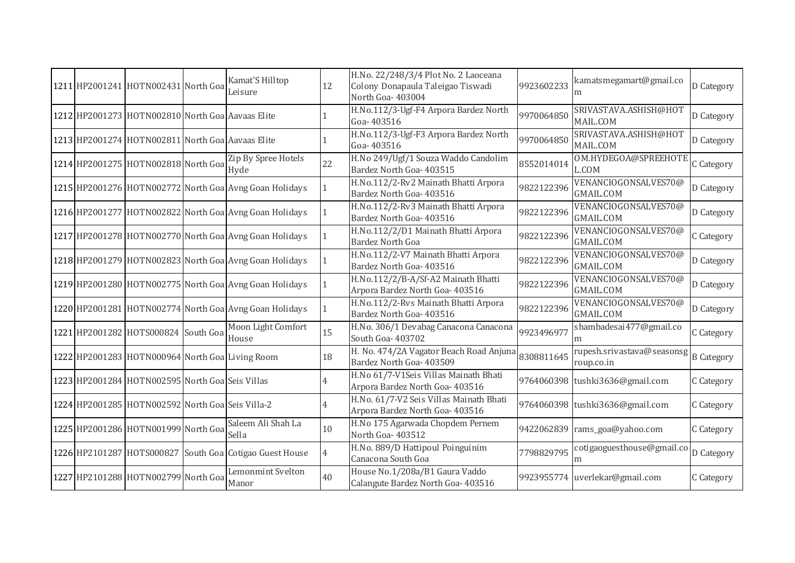|  | 1211 HP2001241 HOTN002431 North Goa              | Kamat'S Hilltop<br>Leisure                              | 12             | H.No. 22/248/3/4 Plot No. 2 Laoceana<br>Colony Donapaula Taleigao Tiswadi<br>North Goa-403004 | 9923602233 | kamatsmegamart@gmail.co<br>m                        | D Category |
|--|--------------------------------------------------|---------------------------------------------------------|----------------|-----------------------------------------------------------------------------------------------|------------|-----------------------------------------------------|------------|
|  | 1212 HP2001273 HOTN002810 North Goa Aavaas Elite |                                                         |                | H.No.112/3-Ugf-F4 Arpora Bardez North<br>Goa-403516                                           | 9970064850 | SRIVASTAVA.ASHISH@HOT<br>MAIL.COM                   | D Category |
|  | 1213 HP2001274 HOTN002811 North Goa Aavaas Elite |                                                         |                | H.No.112/3-Ugf-F3 Arpora Bardez North<br>Goa-403516                                           | 9970064850 | SRIVASTAVA.ASHISH@HOT<br>MAIL.COM                   | D Category |
|  | 1214 HP2001275 HOTN002818 North Goa              | Zip By Spree Hotels<br>Hyde                             | 22             | H.No 249/Ugf/1 Souza Waddo Candolim<br>Bardez North Goa- 403515                               | 8552014014 | OM.HYDEGOA@SPREEHOTE<br>L.COM                       | C Category |
|  |                                                  | 1215 HP2001276 HOTN002772 North Goa Avng Goan Holidays  |                | H.No.112/2-Rv2 Mainath Bhatti Arpora<br>Bardez North Goa- 403516                              | 9822122396 | VENANCIOGONSALVES70@<br><b>GMAIL.COM</b>            | D Category |
|  |                                                  | 1216 HP2001277 HOTN002822 North Goa Avng Goan Holidays  | $\mathbf{1}$   | H.No.112/2-Rv3 Mainath Bhatti Arpora<br>Bardez North Goa- 403516                              | 9822122396 | VENANCIOGONSALVES70@<br><b>GMAIL.COM</b>            | D Category |
|  |                                                  | 1217 HP2001278 HOTN002770 North Goa Avng Goan Holidays  | 1              | H.No.112/2/D1 Mainath Bhatti Arpora<br>Bardez North Goa                                       | 9822122396 | VENANCIOGONSALVES70@<br><b>GMAIL.COM</b>            | C Category |
|  |                                                  | 1218 HP2001279 HOTN002823 North Goa Avng Goan Holidays  | $\mathbf{1}$   | H.No.112/2-V7 Mainath Bhatti Arpora<br>Bardez North Goa- 403516                               | 9822122396 | VENANCIOGONSALVES70@<br>GMAIL.COM                   | D Category |
|  |                                                  | 1219 HP2001280 HOTN002775 North Goa Avng Goan Holidays  | 1              | H.No.112/2/B-A/Sf-A2 Mainath Bhatti<br>Arpora Bardez North Goa- 403516                        | 9822122396 | VENANCIOGONSALVES70@<br><b>GMAIL.COM</b>            | D Category |
|  |                                                  | 1220 HP2001281 HOTN002774 North Goa Avng Goan Holidays  | $\mathbf{1}$   | H.No.112/2-Rvs Mainath Bhatti Arpora<br>Bardez North Goa- 403516                              | 9822122396 | VENANCIOGONSALVES70@<br><b>GMAIL.COM</b>            | D Category |
|  | 1221 HP2001282 HOTS000824 South Goa              | Moon Light Comfort<br>House                             | 15             | H.No. 306/1 Devabag Canacona Canacona<br>South Goa- 403702                                    | 9923496977 | shambadesai477@gmail.co<br>m                        | C Category |
|  | 1222 HP2001283 HOTN000964 North Goa Living Room  |                                                         | 18             | H. No. 474/2A Vagator Beach Road Anjuna<br>Bardez North Goa- 403509                           | 8308811645 | rupesh.srivastava@seasonsg B Category<br>roup.co.in |            |
|  | 1223 HP2001284 HOTN002595 North Goa Seis Villas  |                                                         | 4              | H.No 61/7-V1Seis Villas Mainath Bhati<br>Arpora Bardez North Goa- 403516                      |            | 9764060398 tushki3636@gmail.com                     | C Category |
|  | 1224 HP2001285 HOTN002592 North Goa Seis Villa-2 |                                                         | 4              | H.No. 61/7-V2 Seis Villas Mainath Bhati<br>Arpora Bardez North Goa- 403516                    |            | 9764060398 tushki3636@gmail.com                     | C Category |
|  | 1225 HP2001286 HOTN001999 North Goa              | Saleem Ali Shah La<br>Sella                             | 10             | H.No 175 Agarwada Chopdem Pernem<br>North Goa-403512                                          |            | 9422062839 rams_goa@yahoo.com                       | C Category |
|  |                                                  | 1226 HP2101287 HOTS000827 South Goa Cotigao Guest House | $\overline{4}$ | H.No. 889/D Hattipoul Poinguinim<br>Canacona South Goa                                        | 7798829795 | cotigaoguesthouse@gmail.co<br>m                     | D Category |
|  | 1227 HP2101288 HOTN002799 North Goa              | Lemonmint Svelton<br>Manor                              | 40             | House No.1/208a/B1 Gaura Vaddo<br>Calangute Bardez North Goa- 403516                          |            | 9923955774 uverlekar@gmail.com                      | C Category |
|  |                                                  |                                                         |                |                                                                                               |            |                                                     |            |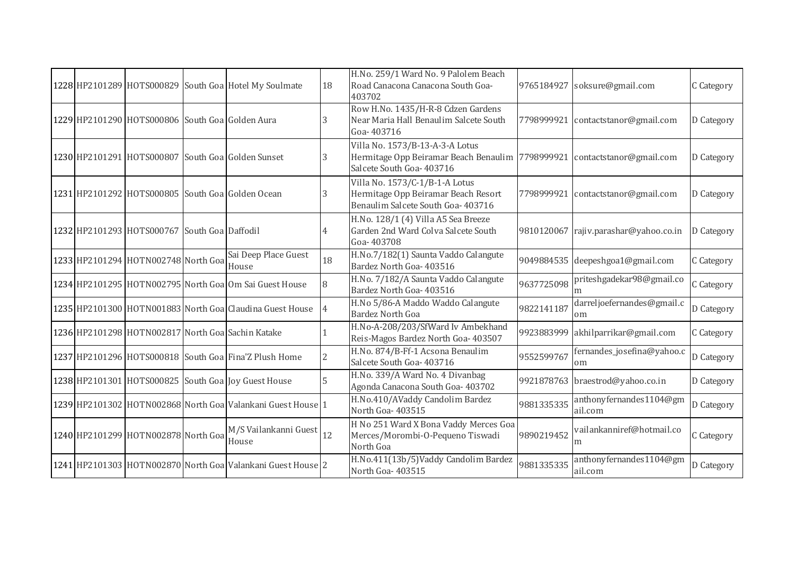|  |                                                        | 1228 HP2101289 HOTS000829 South Goa Hotel My Soulmate       | 18 | H.No. 259/1 Ward No. 9 Palolem Beach<br>Road Canacona Canacona South Goa-<br>403702                                                      |            | 9765184927 soksure@gmail.com          | C Category |
|--|--------------------------------------------------------|-------------------------------------------------------------|----|------------------------------------------------------------------------------------------------------------------------------------------|------------|---------------------------------------|------------|
|  | 1229 HP2101290 HOTS000806 South Goa Golden Aura        |                                                             | 3  | Row H.No. 1435/H-R-8 Cdzen Gardens<br>Near Maria Hall Benaulim Salcete South<br>Goa-403716                                               |            | 7798999921 contactstanor@gmail.com    | D Category |
|  |                                                        | 1230 HP2101291 HOTS000807 South Goa Golden Sunset           | 3  | Villa No. 1573/B-13-A-3-A Lotus<br>Hermitage Opp Beiramar Beach Benaulim 7798999921 contactstanor@gmail.com<br>Salcete South Goa- 403716 |            |                                       | D Category |
|  |                                                        | 1231 HP2101292 HOTS000805 South Goa Golden Ocean            | 3  | Villa No. 1573/C-1/B-1-A Lotus<br>Hermitage Opp Beiramar Beach Resort<br>Benaulim Salcete South Goa- 403716                              |            | 7798999921 contactstanor@gmail.com    | D Category |
|  | 1232 HP2101293 HOTS000767 South Goa Daffodil           |                                                             |    | H.No. 128/1 (4) Villa A5 Sea Breeze<br>Garden 2nd Ward Colva Salcete South<br>Goa-403708                                                 |            | 9810120067 rajiv.parashar@yahoo.co.in | D Category |
|  | $\sqrt{1233}$ HP2101294 HOTN002748 North Goal Boulding | Sai Deep Place Guest                                        | 18 | H.No.7/182(1) Saunta Vaddo Calangute<br>Bardez North Goa- 403516                                                                         |            | 9049884535 deepeshgoa1@gmail.com      | C Category |
|  |                                                        | 1234 HP2101295 HOTN002795 North Goa Om Sai Guest House      | 8  | H.No. 7/182/A Saunta Vaddo Calangute<br>Bardez North Goa- 403516                                                                         | 9637725098 | priteshgadekar98@gmail.co             | C Category |
|  |                                                        | 1235 HP2101300 HOTN001883 North Goa Claudina Guest House    | 14 | H.No 5/86-A Maddo Waddo Calangute<br><b>Bardez North Goa</b>                                                                             | 9822141187 | darreljoefernandes@gmail.c<br>om      | D Category |
|  |                                                        | 1236 HP2101298 HOTN002817 North Goa Sachin Katake           |    | H.No-A-208/203/SfWard Iv Ambekhand<br>Reis-Magos Bardez North Goa- 403507                                                                | 9923883999 | akhilparrikar@gmail.com               | C Category |
|  |                                                        | 1237 HP2101296 HOTS000818 South Goa Fina'Z Plush Home       | 2  | H.No. 874/B-Ff-1 Acsona Benaulim<br>Salcete South Goa- 403716                                                                            | 9552599767 | fernandes_josefina@yahoo.c<br>om      | D Category |
|  |                                                        | 1238 HP2101301 HOTS000825 South Goa Joy Guest House         | 5  | H.No. 339/A Ward No. 4 Divanbag<br>Agonda Canacona South Goa- 403702                                                                     |            | 9921878763 braestrod@yahoo.co.in      | D Category |
|  |                                                        | 1239 HP2101302 HOTN002868 North Goa Valankani Guest House 1 |    | H.No.410/AVaddy Candolim Bardez<br>North Goa-403515                                                                                      | 9881335335 | anthonyfernandes1104@gm<br>ail.com    | D Category |
|  | 1240 HP2101299 HOTN002878 North Goa                    | M/S Vailankanni Guest 12<br>House                           |    | H No 251 Ward X Bona Vaddy Merces Goa<br>Merces/Morombi-O-Pequeno Tiswadi<br>North Goa                                                   | 9890219452 | vailankanniref@hotmail.co<br>m        | C Category |
|  |                                                        | 1241 HP2101303 HOTN002870 North Goa Valankani Guest House 2 |    | H.No.411(13b/5)Vaddy Candolim Bardez<br>North Goa-403515                                                                                 | 9881335335 | anthonyfernandes1104@gm<br>ail.com    | D Category |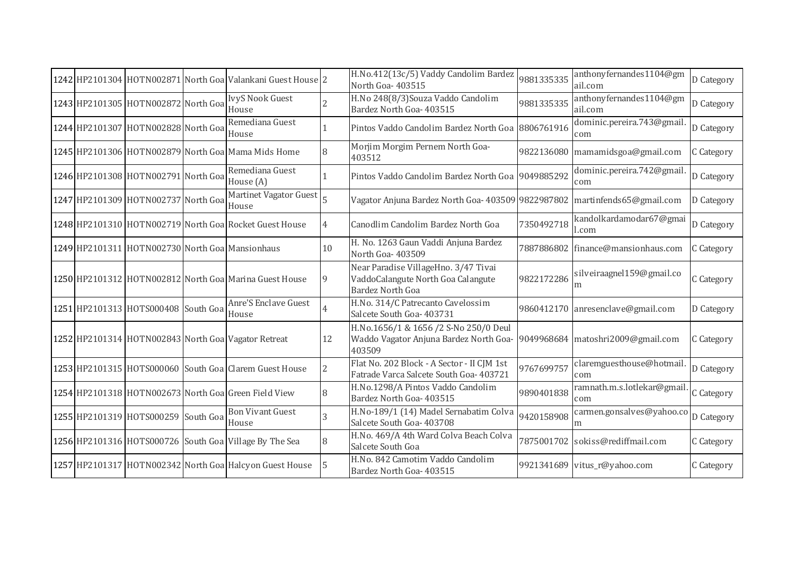|  |                                                                  | 1242 HP2101304 HOTN002871 North Goa Valankani Guest House 2 |                | H.No.412(13c/5) Vaddy Candolim Bardez<br>North Goa-403515                                             | 9881335335 | anthonyfernandes1104@gm<br>ail.com | D Category |
|--|------------------------------------------------------------------|-------------------------------------------------------------|----------------|-------------------------------------------------------------------------------------------------------|------------|------------------------------------|------------|
|  | 1243 HP2101305 HOTN002872 North Goa                              | <b>IvyS Nook Guest</b><br>House                             |                | H.No 248(8/3) Souza Vaddo Candolim<br>Bardez North Goa- 403515                                        | 9881335335 | anthonyfernandes1104@gm<br>ail.com | D Category |
|  | -<br> 1244   HP2101307   HOTN002828   North Goa    Komedia<br> - | Remediana Guest                                             |                | Pintos Vaddo Candolim Bardez North Goa 8806761916                                                     |            | dominic.pereira.743@gmail.<br>com  | D Category |
|  |                                                                  | 1245 HP2101306 HOTN002879 North Goa Mama Mids Home          | 8              | Morjim Morgim Pernem North Goa-<br>403512                                                             |            | 9822136080 mamamidsgoa@gmail.com   | C Category |
|  | -<br>1246 HP2101308 HOTN002791 North Goa Runner                  | Remediana Guest                                             |                | Pintos Vaddo Candolim Bardez North Goa 9049885292                                                     |            | dominic.pereira.742@gmail.<br>com  | D Category |
|  | 1247 HP2101309 HOTN002737 North Goa                              | Martinet Vagator Guest 5<br>House                           |                | Vagator Anjuna Bardez North Goa- 403509 9822987802 martinfends65@gmail.com                            |            |                                    | D Category |
|  |                                                                  | 1248 HP2101310 HOTN002719 North Goal Rocket Guest House     | 4              | Canodlim Candolim Bardez North Goa                                                                    | 7350492718 | kandolkardamodar67@gmai<br>l.com   | D Category |
|  | 1249 HP2101311 HOTN002730 North Goa Mansionhaus                  |                                                             | 10             | H. No. 1263 Gaun Vaddi Anjuna Bardez<br>North Goa-403509                                              |            | 7887886802 finance@mansionhaus.com | C Category |
|  |                                                                  | 1250 HP2101312 HOTN002812 North Goa Marina Guest House      | 9              | Near Paradise VillageHno. 3/47 Tivai<br>VaddoCalangute North Goa Calangute<br><b>Bardez North Goa</b> | 9822172286 | silveiraagnel159@gmail.co<br>m     | C Category |
|  | 1251 HP2101313 HOTS000408 South Goa                              | Anre'S Enclave Guest<br>House                               | $\overline{4}$ | H.No. 314/C Patrecanto Cavelossim<br>Salcete South Goa- 403731                                        |            | 9860412170 anresenclave@gmail.com  | D Category |
|  |                                                                  | 1252 HP2101314 HOTN002843 North Goa Vagator Retreat         | 12             | H.No.1656/1 & 1656 /2 S-No 250/0 Deul<br>Waddo Vagator Anjuna Bardez North Goa-<br>403509             |            | 9049968684 matoshri2009@gmail.com  | C Category |
|  |                                                                  | 1253 HP2101315 HOTS000060 South Goa Clarem Guest House      | $\overline{2}$ | Flat No. 202 Block - A Sector - II CJM 1st<br>Fatrade Varca Salcete South Goa- 403721                 | 9767699757 | claremguesthouse@hotmail.<br>com   | D Category |
|  |                                                                  | 1254 HP2101318 HOTN002673 North Goal Green Field View       | 8              | H.No.1298/A Pintos Vaddo Candolim<br>Bardez North Goa- 403515                                         | 9890401838 | ramnath.m.s.lotlekar@gmail.<br>com | C Category |
|  | 1255 HP2101319 HOTS000259 South Goa                              | <b>Bon Vivant Guest</b><br>House                            | 3              | H.No-189/1 (14) Madel Sernabatim Colva<br>Salcete South Goa- 403708                                   | 9420158908 | carmen.gonsalves@yahoo.co<br>m     | D Category |
|  |                                                                  | 1256 HP2101316 HOTS000726 South Goa Village By The Sea      | 8              | H.No. 469/A 4th Ward Colva Beach Colva<br>Salcete South Goa                                           |            | 7875001702 sokiss@rediffmail.com   | C Category |
|  |                                                                  | 1257 HP2101317 HOTN002342 North Goa Halcyon Guest House     | 15             | H.No. 842 Camotim Vaddo Candolim<br>Bardez North Goa- 403515                                          |            | 9921341689 vitus_r@yahoo.com       | C Category |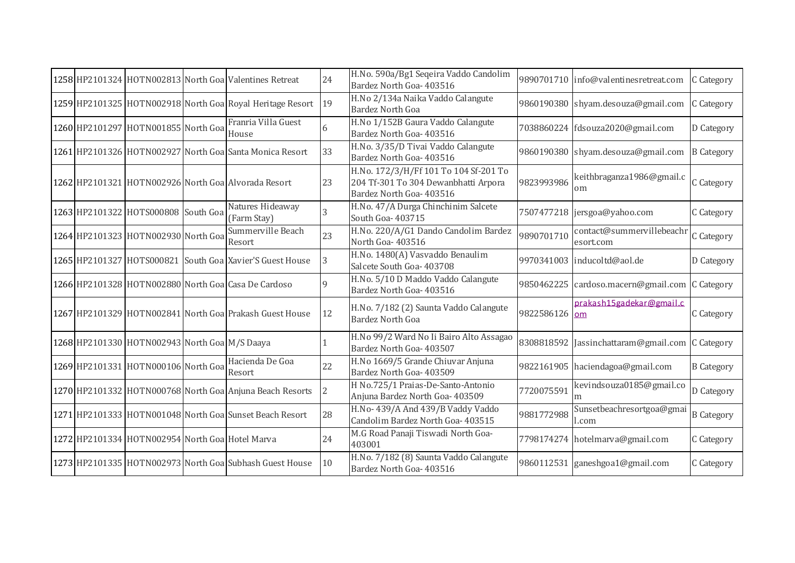|  |                                                 | 1258 HP2101324 HOTN002813 North Goal Valentines Retreat   | 24             | H.No. 590a/Bg1 Seqeira Vaddo Candolim<br>Bardez North Goa- 403516                                         |               | 9890701710 info@valentinesretreat.com           | C Category        |
|--|-------------------------------------------------|-----------------------------------------------------------|----------------|-----------------------------------------------------------------------------------------------------------|---------------|-------------------------------------------------|-------------------|
|  |                                                 | 1259 HP2101325 HOTN002918 North Goa Royal Heritage Resort | 19             | H.No 2/134a Naika Vaddo Calangute<br><b>Bardez North Goa</b>                                              |               | 9860190380 shyam.desouza@gmail.com              | C Category        |
|  | 1260 HP2101297 HOTN001855 North Goa             | Franria Villa Guest<br>House                              | 6              | H.No 1/152B Gaura Vaddo Calangute<br>Bardez North Goa- 403516                                             |               | 7038860224 fdsouza2020@gmail.com                | D Category        |
|  |                                                 | 1261 HP2101326 HOTN002927 North Goa Santa Monica Resort   | 33             | H.No. 3/35/D Tivai Vaddo Calangute<br>Bardez North Goa- 403516                                            |               | 9860190380 shyam.desouza@gmail.com              | <b>B</b> Category |
|  |                                                 | 1262 HP2101321 HOTN002926 North Goa Alvorada Resort       | 23             | H.No. 172/3/H/Ff 101 To 104 Sf-201 To<br>204 Tf-301 To 304 Dewanbhatti Arpora<br>Bardez North Goa- 403516 | 9823993986    | keithbraganza1986@gmail.c<br>om                 | C Category        |
|  | 1263 HP2101322 HOTS000808 South Goa             | Natures Hideaway<br>(Farm Stay)                           |                | H.No. 47/A Durga Chinchinim Salcete<br>South Goa- 403715                                                  |               | 7507477218 jersgoa@yahoo.com                    | C Category        |
|  | 1264 HP2101323 HOTN002930 North Goa             | Summerville Beach<br>Resort                               | 23             | H.No. 220/A/G1 Dando Candolim Bardez<br>North Goa-403516                                                  | 9890701710    | contact@summervillebeachr<br>esort.com          | C Category        |
|  |                                                 | 1265 HP2101327 HOTS000821 South Goa Xavier'S Guest House  | 3              | H.No. 1480(A) Vasvaddo Benaulim<br>Salcete South Goa- 403708                                              |               | 9970341003 inducoltd@aol.de                     | D Category        |
|  |                                                 | 1266 HP2101328 HOTN002880 North Goal Casa De Cardoso      | $\mathbf Q$    | H.No. 5/10 D Maddo Vaddo Calangute<br>Bardez North Goa- 403516                                            |               | 9850462225 cardoso.macern@gmail.com C Category  |                   |
|  |                                                 | 1267 HP2101329 HOTN002841 North Goa Prakash Guest House   | 12             | H.No. 7/182 (2) Saunta Vaddo Calangute<br><b>Bardez North Goa</b>                                         | 9822586126 om | prakash15gadekar@gmail.c                        | C Category        |
|  | 1268 HP2101330 HOTN002943 North Goa M/S Daaya   |                                                           |                | H.No 99/2 Ward No Ii Bairo Alto Assagao<br>Bardez North Goa- 403507                                       |               | 8308818592 Jassinchattaram@gmail.com C Category |                   |
|  | 1269 HP2101331 HOTN000106 North Goa             | Hacienda De Goa<br>Resort                                 | 22             | H.No 1669/5 Grande Chiuvar Anjuna<br>Bardez North Goa- 403509                                             |               | 9822161905 haciendagoa@gmail.com                | <b>B</b> Category |
|  |                                                 | 1270 HP2101332 HOTN000768 North Goa Anjuna Beach Resorts  | $\overline{2}$ | H No.725/1 Praias-De-Santo-Antonio<br>Anjuna Bardez North Goa- 403509                                     | 7720075591    | kevindsouza0185@gmail.co<br>m                   | D Category        |
|  |                                                 | 1271 HP2101333 HOTN001048 North Goa Sunset Beach Resort   | 28             | H.No- 439/A And 439/B Vaddy Vaddo<br>Candolim Bardez North Goa- 403515                                    | 9881772988    | Sunsetbeachresortgoa@gmai<br>l.com              | <b>B</b> Category |
|  | 1272 HP2101334 HOTN002954 North Goa Hotel Marva |                                                           | 24             | M.G Road Panaji Tiswadi North Goa-<br>403001                                                              |               | 7798174274 hotelmarva@gmail.com                 | C Category        |
|  |                                                 | 1273 HP2101335 HOTN002973 North Goa Subhash Guest House   | 10             | H.No. 7/182 (8) Saunta Vaddo Calangute<br>Bardez North Goa- 403516                                        |               | 9860112531 ganeshgoa1@gmail.com                 | C Category        |
|  |                                                 |                                                           |                |                                                                                                           |               |                                                 |                   |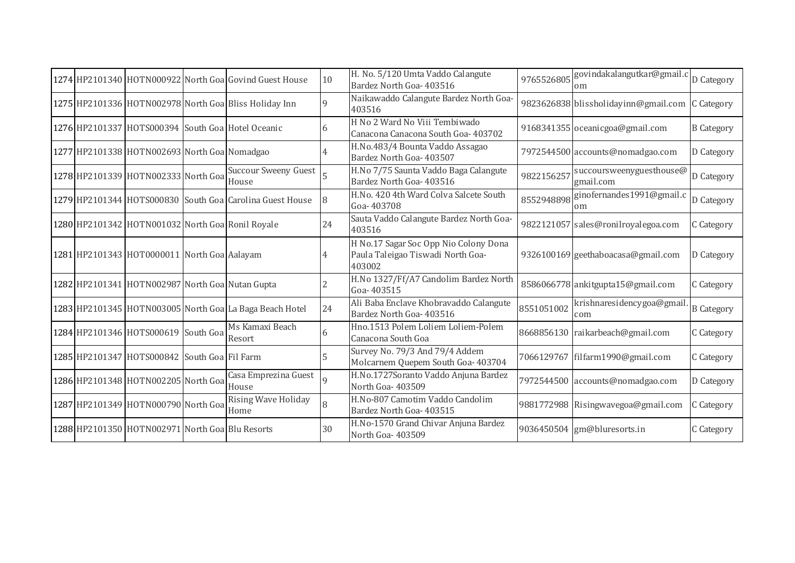|  |                                                  | 1274 HP2101340 HOTN000922 North Goa Govind Guest House   | 10           | H. No. 5/120 Umta Vaddo Calangute<br>Bardez North Goa- 403516                        | 9765526805 | govindakalangutkar@gmail.c<br>om      | D Category        |
|--|--------------------------------------------------|----------------------------------------------------------|--------------|--------------------------------------------------------------------------------------|------------|---------------------------------------|-------------------|
|  |                                                  | 1275 HP2101336 HOTN002978 North Goa Bliss Holiday Inn    | $\mathsf{Q}$ | Naikawaddo Calangute Bardez North Goa-<br>403516                                     |            | 9823626838 blissholidayinn@gmail.com  | C Category        |
|  |                                                  | 1276 HP2101337 HOTS000394 South Goa Hotel Oceanic        | 6            | H No 2 Ward No Viii Tembiwado<br>Canacona Canacona South Goa- 403702                 |            | 9168341355 oceanicgoa@gmail.com       | <b>B</b> Category |
|  | 1277 HP2101338 HOTN002693 North Goa Nomadgao     |                                                          |              | H.No.483/4 Bounta Vaddo Assagao<br>Bardez North Goa- 403507                          |            | 7972544500 accounts@nomadgao.com      | D Category        |
|  | 1278 HP2101339 HOTN002333 North Goa              | <b>Succour Sweeny Guest</b><br>House                     |              | H.No 7/75 Saunta Vaddo Baga Calangute<br>Bardez North Goa- 403516                    | 9822156257 | succoursweenyguesthouse@<br>gmail.com | D Category        |
|  |                                                  | 1279 HP2101344 HOTS000830 South Goa Carolina Guest House | 8            | H.No. 420 4th Ward Colva Salcete South<br>Goa-403708                                 | 8552948898 | ginofernandes1991@gmail.c<br>om       | D Category        |
|  | 1280 HP2101342 HOTN001032 North Goa Ronil Royale |                                                          | 24           | Sauta Vaddo Calangute Bardez North Goa-<br>403516                                    |            | 9822121057 sales@ronilroyalegoa.com   | C Category        |
|  | 1281 HP2101343 HOT0000011 North Goa Aalayam      |                                                          |              | H No.17 Sagar Soc Opp Nio Colony Dona<br>Paula Taleigao Tiswadi North Goa-<br>403002 |            | 9326100169 geethaboacasa@gmail.com    | D Category        |
|  | 1282 HP2101341 HOTN002987 North Goa Nutan Gupta  |                                                          |              | H.No 1327/Ff/A7 Candolim Bardez North<br>Goa-403515                                  |            | 8586066778 ankitgupta15@gmail.com     | C Category        |
|  |                                                  | 1283 HP2101345 HOTN003005 North Goa La Baga Beach Hotel  | 24           | Ali Baba Enclave Khobravaddo Calangute<br>Bardez North Goa- 403516                   | 8551051002 | krishnaresidencygoa@gmail.<br>com     | <b>B</b> Category |
|  | 1284 HP2101346 HOTS000619 South Goa              | Ms Kamaxi Beach<br>Resort                                | 6            | Hno.1513 Polem Loliem Loliem-Polem<br>Canacona South Goa                             |            | 8668856130 raikarbeach@gmail.com      | C Category        |
|  | 1285 HP2101347 HOTS000842 South Goa Fil Farm     |                                                          | 5            | Survey No. 79/3 And 79/4 Addem<br>Molcarnem Quepem South Goa- 403704                 |            | 7066129767 filfarm1990@gmail.com      | C Category        |
|  | 1286 HP2101348 HOTN002205 North Goa              | Casa Emprezina Guest<br>House                            | 9            | H.No.1727Soranto Vaddo Anjuna Bardez<br>North Goa- 403509                            |            | 7972544500 accounts@nomadgao.com      | D Category        |
|  | 1287 HP2101349 HOTN000790 North Goa              | Rising Wave Holiday<br>Home                              | 8            | H.No-807 Camotim Vaddo Candolim<br>Bardez North Goa- 403515                          |            | 9881772988 Risingwavegoa@gmail.com    | C Category        |
|  | 1288 HP2101350 HOTN002971 North Goa Blu Resorts  |                                                          | 30           | H.No-1570 Grand Chivar Anjuna Bardez<br>North Goa-403509                             |            | 9036450504 gm@bluresorts.in           | C Category        |
|  |                                                  |                                                          |              |                                                                                      |            |                                       |                   |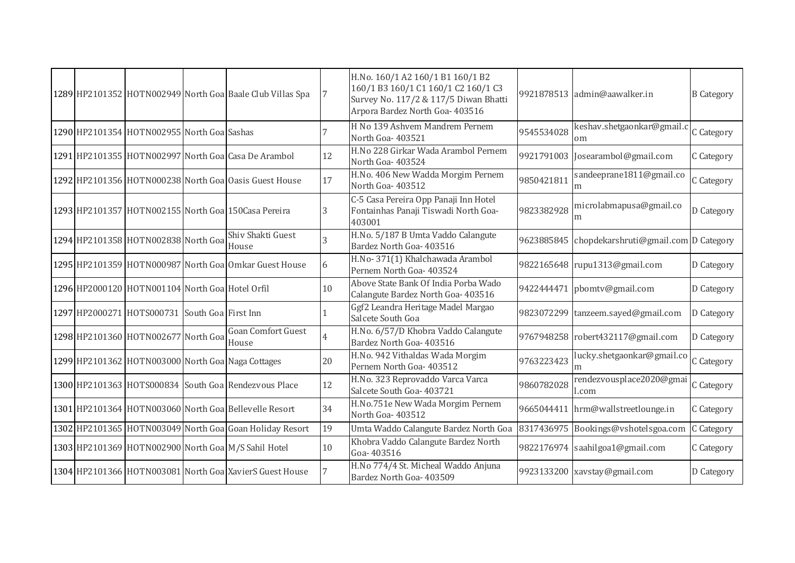|  |                                                 |                                                           |    | H.No. 160/1 A2 160/1 B1 160/1 B2                                                                                |            |                                                 |                   |
|--|-------------------------------------------------|-----------------------------------------------------------|----|-----------------------------------------------------------------------------------------------------------------|------------|-------------------------------------------------|-------------------|
|  |                                                 | 1289 HP2101352 HOTN002949 North Goa Baale Club Villas Spa |    | 160/1 B3 160/1 C1 160/1 C2 160/1 C3<br>Survey No. 117/2 & 117/5 Diwan Bhatti<br>Arpora Bardez North Goa- 403516 |            | 9921878513 admin@aawalker.in                    | <b>B</b> Category |
|  | 1290 HP2101354 HOTN002955 North Goa Sashas      |                                                           |    | H No 139 Ashvem Mandrem Pernem<br>North Goa-403521                                                              | 9545534028 | keshav.shetgaonkar@gmail.c<br>om                | C Category        |
|  |                                                 | 1291 HP2101355 HOTN002997 North Goa Casa De Arambol       | 12 | H.No 228 Girkar Wada Arambol Pernem<br>North Goa-403524                                                         |            | 9921791003 Josearambol@gmail.com                | C Category        |
|  |                                                 | 1292 HP2101356 HOTN000238 North Goa Oasis Guest House     | 17 | H.No. 406 New Wadda Morgim Pernem<br>North Goa-403512                                                           | 9850421811 | sandeeprane1811@gmail.co<br>m                   | C Category        |
|  |                                                 | 1293 HP2101357 HOTN002155 North Goa 150Casa Pereira       | 3  | C-5 Casa Pereira Opp Panaji Inn Hotel<br>Fontainhas Panaji Tiswadi North Goa-<br>403001                         | 9823382928 | microlabmapusa@gmail.co<br>m                    | D Category        |
|  | 1294 HP2101358 HOTN002838 North Goa             | Shiv Shakti Guest<br>House                                |    | H.No. 5/187 B Umta Vaddo Calangute<br>Bardez North Goa- 403516                                                  |            | 9623885845 chopdekarshruti@gmail.com D Category |                   |
|  |                                                 | 1295 HP2101359 HOTN000987 North Goa Omkar Guest House     |    | H.No-371(1) Khalchawada Arambol<br>Pernem North Goa- 403524                                                     |            | 9822165648 rupu1313@gmail.com                   | D Category        |
|  | 1296 HP2000120 HOTN001104 North Goa Hotel Orfil |                                                           | 10 | Above State Bank Of India Porba Wado<br>Calangute Bardez North Goa- 403516                                      |            | 9422444471 pbomtv@gmail.com                     | D Category        |
|  | 1297 HP2000271 HOTS000731 South Goa First Inn   |                                                           |    | Ggf2 Leandra Heritage Madel Margao<br>Salcete South Goa                                                         |            | 9823072299 tanzeem.sayed@gmail.com              | D Category        |
|  | 1298 HP2101360 HOTN002677 North Goa             | <b>Goan Comfort Guest</b><br>House                        |    | H.No. 6/57/D Khobra Vaddo Calangute<br>Bardez North Goa- 403516                                                 |            | 9767948258 robert432117@gmail.com               | D Category        |
|  |                                                 | 1299 HP2101362 HOTN003000 North Goa Naga Cottages         | 20 | H.No. 942 Vithaldas Wada Morgim<br>Pernem North Goa- 403512                                                     | 9763223423 | lucky.shetgaonkar@gmail.co                      | C Category        |
|  |                                                 | 1300 HP2101363 HOTS000834 South Goa Rendezvous Place      | 12 | H.No. 323 Reprovaddo Varca Varca<br>Salcete South Goa- 403721                                                   | 9860782028 | rendezvousplace2020@gmai<br>l.com               | C Category        |
|  |                                                 | 1301 HP2101364 HOTN003060 North Goa Bellevelle Resort     | 34 | H.No.751e New Wada Morgim Pernem<br>North Goa-403512                                                            |            | 9665044411 hrm@wallstreetlounge.in              | C Category        |
|  |                                                 | 1302 HP2101365 HOTN003049 North Goa Goan Holiday Resort   | 19 | Umta Waddo Calangute Bardez North Goa                                                                           | 8317436975 | Bookings@vshotelsgoa.com                        | C Category        |
|  |                                                 | 1303 HP2101369 HOTN002900 North Goa M/S Sahil Hotel       | 10 | Khobra Vaddo Calangute Bardez North<br>Goa-403516                                                               |            | 9822176974 saahilgoa1@gmail.com                 | C Category        |
|  |                                                 | 1304 HP2101366 HOTN003081 North Goa XavierS Guest House   |    | H.No 774/4 St. Micheal Waddo Anjuna<br>Bardez North Goa- 403509                                                 |            | 9923133200 xavstay@gmail.com                    | D Category        |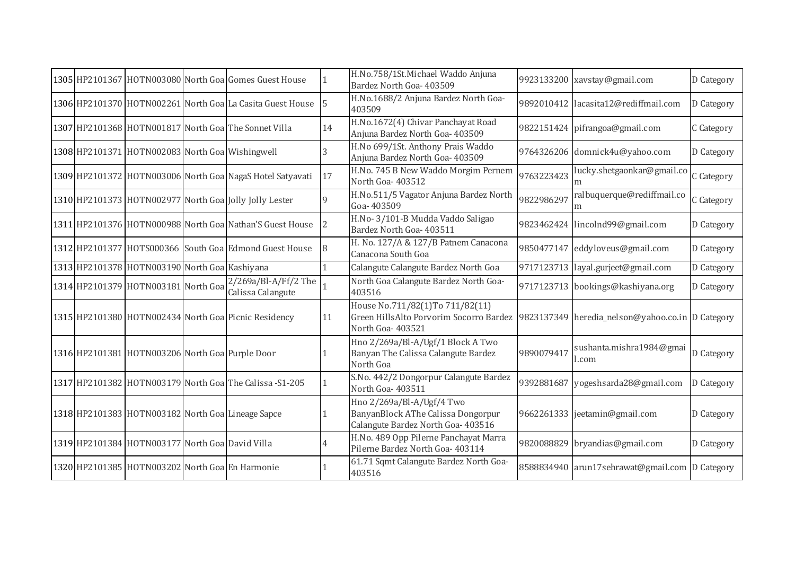|  |                                                   | 1305 HP2101367 HOTN003080 North Goal Gomes Guest House    |             | H.No.758/1St.Michael Waddo Anjuna<br>Bardez North Goa- 403509                                         |            | 9923133200 xavstay@gmail.com                     | D Category |
|--|---------------------------------------------------|-----------------------------------------------------------|-------------|-------------------------------------------------------------------------------------------------------|------------|--------------------------------------------------|------------|
|  |                                                   | 1306 HP2101370 HOTN002261 North Goa La Casita Guest House |             | H.No.1688/2 Anjuna Bardez North Goa-<br>403509                                                        |            | 9892010412 lacasita12@rediffmail.com             | D Category |
|  |                                                   | 1307 HP2101368 HOTN001817 North Goa The Sonnet Villa      | 14          | H.No.1672(4) Chivar Panchayat Road<br>Anjuna Bardez North Goa- 403509                                 |            | 9822151424 pifrangoa@gmail.com                   | C Category |
|  | 1308 HP2101371 HOTN002083 North Goa Wishingwell   |                                                           | 3           | H.No 699/1St. Anthony Prais Waddo<br>Anjuna Bardez North Goa- 403509                                  |            | 9764326206 domnick4u@yahoo.com                   | D Category |
|  |                                                   | 1309 HP2101372 HOTN003006 North Goa NagaS Hotel Satyavati | 17          | H.No. 745 B New Waddo Morgim Pernem<br>North Goa-403512                                               | 9763223423 | lucky.shetgaonkar@gmail.co                       | C Category |
|  |                                                   | 1310 HP2101373 HOTN002977 North Goal Jolly Jolly Lester   | $\mathbf Q$ | H.No.511/5 Vagator Anjuna Bardez North<br>Goa-403509                                                  | 9822986297 | ralbuquerque@rediffmail.co                       | C Category |
|  |                                                   | 1311 HP2101376 HOTN000988 North Goa Nathan'S Guest House  |             | H.No-3/101-B Mudda Vaddo Saligao<br>Bardez North Goa- 403511                                          |            | 9823462424 lincolnd99@gmail.com                  | D Category |
|  |                                                   | 1312 HP2101377 HOTS000366 South Goa Edmond Guest House    |             | H. No. 127/A & 127/B Patnem Canacona<br>Canacona South Goa                                            |            | 9850477147 eddyloveus@gmail.com                  | D Category |
|  | 1313 HP2101378 HOTN003190 North Goa Kashiyana     |                                                           |             | Calangute Calangute Bardez North Goa                                                                  |            | 9717123713 layal.gurjeet@gmail.com               | D Category |
|  | 1314 HP2101379 HOTN003181 North Goa               | 2/269a/Bl-A/Ff/2 The<br>Calissa Calangute                 |             | North Goa Calangute Bardez North Goa-<br>403516                                                       |            | 9717123713 bookings@kashiyana.org                | D Category |
|  |                                                   | 1315 HP2101380 HOTN002434 North Goal Picnic Residency     | 11          | House No.711/82(1)To 711/82(11)<br>Green HillsAlto Porvorim Socorro Bardez<br>North Goa-403521        |            | 9823137349 heredia_nelson@yahoo.co.in D Category |            |
|  | 1316 HP2101381 HOTN003206 North Goa Purple Door   |                                                           |             | Hno 2/269a/Bl-A/Ugf/1 Block A Two<br>Banyan The Calissa Calangute Bardez<br>North Goa                 | 9890079417 | sushanta.mishra1984@gmai<br>l.com                | D Category |
|  |                                                   | 1317 HP2101382 HOTN003179 North Goa The Calissa - S1-205  |             | S.No. 442/2 Dongorpur Calangute Bardez<br>North Goa-403511                                            |            | 9392881687 yogeshsarda28@gmail.com               | D Category |
|  | 1318 HP2101383 HOTN003182 North Goa Lineage Sapce |                                                           |             | Hno 2/269a/Bl-A/Ugf/4 Two<br>BanyanBlock AThe Calissa Dongorpur<br>Calangute Bardez North Goa- 403516 |            | 9662261333 jeetamin@gmail.com                    | D Category |
|  | 1319 HP2101384 HOTN003177 North Goa David Villa   |                                                           |             | H.No. 489 Opp Pilerne Panchayat Marra<br>Pilerne Bardez North Goa- 403114                             |            | 9820088829 bryandias@gmail.com                   | D Category |
|  | 1320 HP2101385 HOTN003202 North Goa En Harmonie   |                                                           |             | 61.71 Sqmt Calangute Bardez North Goa-<br>403516                                                      |            | 8588834940 arun17sehrawat@gmail.com D Category   |            |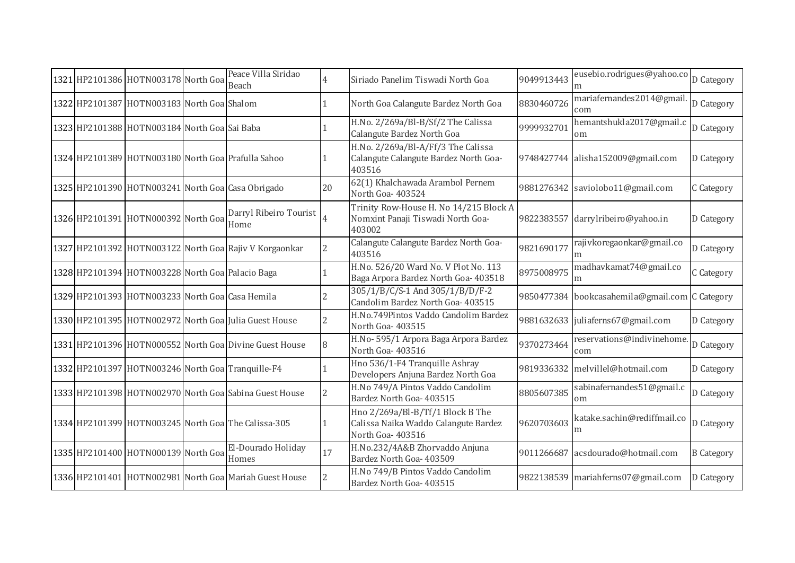|  | 1321 HP2101386 HOTN003178 North Goa              | Peace Villa Siridao<br>Beach                            |                          | Siriado Panelim Tiswadi North Goa                                                            | 9049913443 | eusebio.rodrigues@yahoo.co D Category |                   |
|--|--------------------------------------------------|---------------------------------------------------------|--------------------------|----------------------------------------------------------------------------------------------|------------|---------------------------------------|-------------------|
|  | 1322 HP2101387 HOTN003183 North Goa Shalom       |                                                         |                          | North Goa Calangute Bardez North Goa                                                         | 8830460726 | mariafernandes2014@gmail.<br>com      | D Category        |
|  | 1323 HP2101388 HOTN003184 North Goa Sai Baba     |                                                         |                          | H.No. 2/269a/Bl-B/Sf/2 The Calissa<br>Calangute Bardez North Goa                             | 9999932701 | hemantshukla2017@gmail.c<br>om        | D Category        |
|  |                                                  | 1324 HP2101389 HOTN003180 North Goa Prafulla Sahoo      |                          | H.No. 2/269a/Bl-A/Ff/3 The Calissa<br>Calangute Calangute Bardez North Goa-<br>403516        |            | 9748427744 alisha152009@gmail.com     | D Category        |
|  |                                                  | 1325 HP2101390 HOTN003241 North Goa Casa Obrigado       | 20                       | 62(1) Khalchawada Arambol Pernem<br>North Goa-403524                                         | 9881276342 | saviolobo11@gmail.com                 | C Category        |
|  | 1326 HP2101391 HOTN000392 North Goa              | Darryl Ribeiro Tourist<br>Home                          | $\overline{4}$           | Trinity Row-House H. No 14/215 Block A<br>Nomxint Panaji Tiswadi North Goa-<br>403002        | 9822383557 | darrylribeiro@yahoo.in                | D Category        |
|  |                                                  | 1327 HP2101392 HOTN003122 North Goa Rajiv V Korgaonkar  | $\overline{2}$           | Calangute Calangute Bardez North Goa-<br>403516                                              | 9821690177 | rajivkoregaonkar@gmail.co             | D Category        |
|  | 1328 HP2101394 HOTN003228 North Goa Palacio Baga |                                                         |                          | H.No. 526/20 Ward No. V Plot No. 113<br>Baga Arpora Bardez North Goa- 403518                 | 8975008975 | madhavkamat74@gmail.co<br>m           | C Category        |
|  | 1329 HP2101393 HOTN003233 North Goa Casa Hemila  |                                                         | $\overline{\mathcal{L}}$ | 305/1/B/C/S-1 And 305/1/B/D/F-2<br>Candolim Bardez North Goa- 403515                         | 9850477384 | bookcasahemila@gmail.com C Category   |                   |
|  |                                                  | 1330 HP2101395 HOTN002972 North Goa Julia Guest House   | $\overline{2}$           | H.No.749Pintos Vaddo Candolim Bardez<br>North Goa-403515                                     |            | 9881632633 juliaferns67@gmail.com     | D Category        |
|  |                                                  | 1331 HP2101396 HOTN000552 North Goa Divine Guest House  | 8                        | H.No- 595/1 Arpora Baga Arpora Bardez<br>North Goa-403516                                    | 9370273464 | reservations@indivinehome.<br>com     | D Category        |
|  |                                                  | 1332 HP2101397 HOTN003246 North Goa Tranquille-F4       |                          | Hno 536/1-F4 Tranquille Ashray<br>Developers Anjuna Bardez North Goa                         | 9819336332 | melvillel@hotmail.com                 | D Category        |
|  |                                                  | 1333 HP2101398 HOTN002970 North Goal Sabina Guest House | $\overline{\mathcal{L}}$ | H.No 749/A Pintos Vaddo Candolim<br>Bardez North Goa- 403515                                 | 8805607385 | sabinafernandes51@gmail.c<br>om       | D Category        |
|  |                                                  | 1334 HP2101399 HOTN003245 North Goa The Calissa-305     |                          | Hno 2/269a/Bl-B/Tf/1 Block B The<br>Calissa Naika Waddo Calangute Bardez<br>North Goa-403516 | 9620703603 | katake.sachin@rediffmail.co<br>m      | D Category        |
|  | 1335 HP2101400 HOTN000139 North Goa              | El-Dourado Holiday<br>Homes                             | 17                       | H.No.232/4A&B Zhorvaddo Anjuna<br>Bardez North Goa- 403509                                   | 9011266687 | acsdourado@hotmail.com                | <b>B</b> Category |
|  |                                                  | 1336 HP2101401 HOTN002981 North Goa Mariah Guest House  |                          | H.No 749/B Pintos Vaddo Candolim<br>Bardez North Goa- 403515                                 | 9822138539 | mariahferns07@gmail.com               | D Category        |